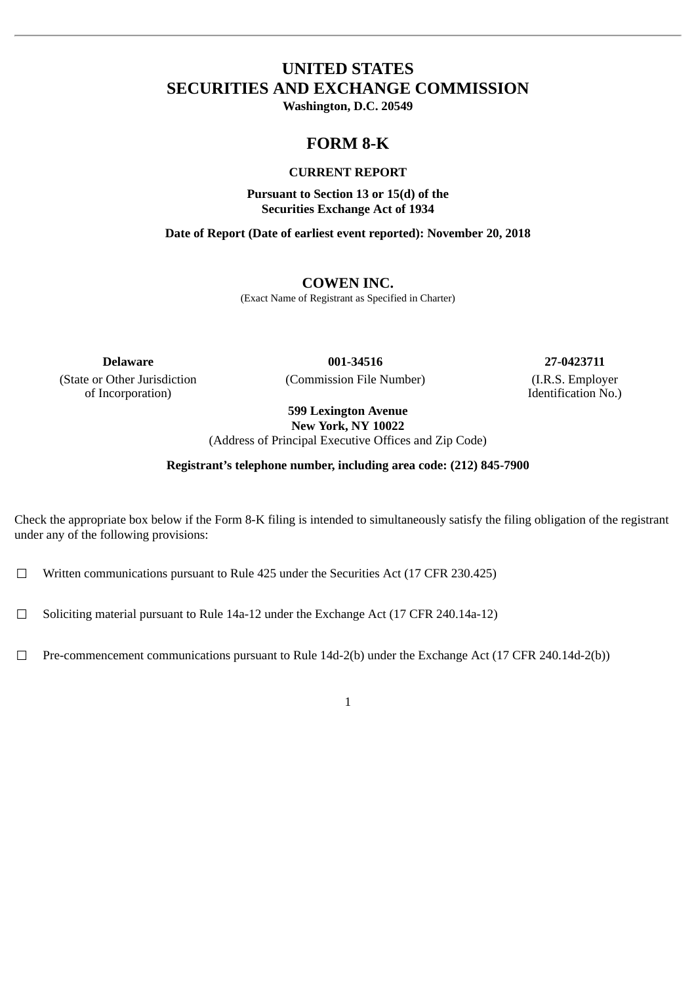# **UNITED STATES SECURITIES AND EXCHANGE COMMISSION**

**Washington, D.C. 20549**

## **FORM 8-K**

## **CURRENT REPORT**

**Pursuant to Section 13 or 15(d) of the Securities Exchange Act of 1934**

**Date of Report (Date of earliest event reported): November 20, 2018**

## **COWEN INC.**

(Exact Name of Registrant as Specified in Charter)

(State or Other Jurisdiction of Incorporation)

(Commission File Number) (I.R.S. Employer

**Delaware 001-34516 27-0423711**

Identification No.)

**599 Lexington Avenue New York, NY 10022**

(Address of Principal Executive Offices and Zip Code)

**Registrant's telephone number, including area code: (212) 845-7900**

Check the appropriate box below if the Form 8-K filing is intended to simultaneously satisfy the filing obligation of the registrant under any of the following provisions:

☐ Written communications pursuant to Rule 425 under the Securities Act (17 CFR 230.425)

 $\Box$  Soliciting material pursuant to Rule 14a-12 under the Exchange Act (17 CFR 240.14a-12)

☐ Pre-commencement communications pursuant to Rule 14d-2(b) under the Exchange Act (17 CFR 240.14d-2(b))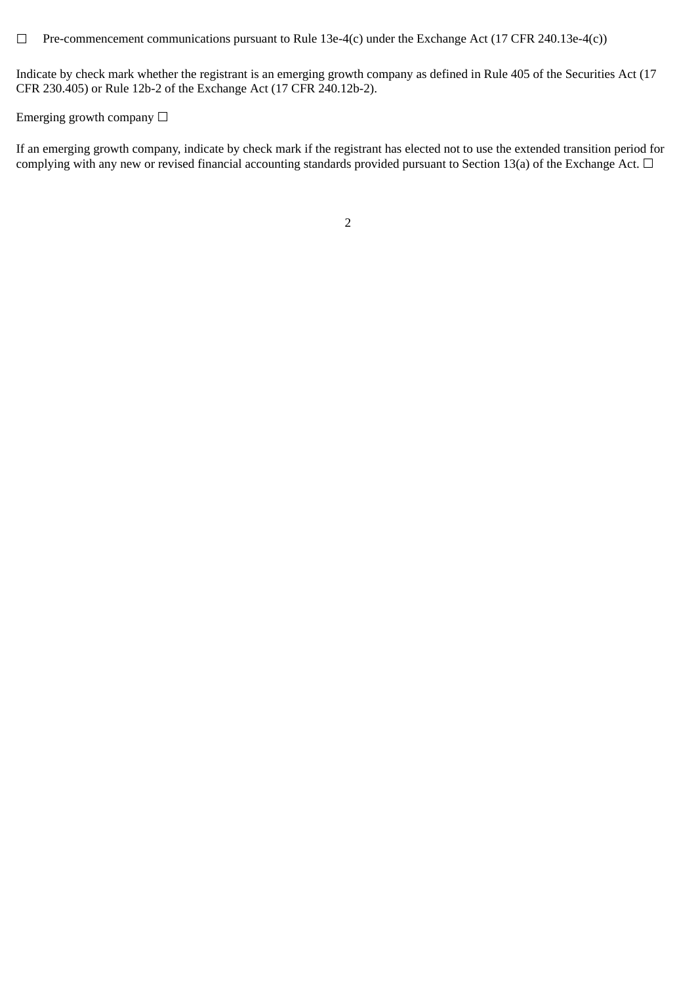☐ Pre-commencement communications pursuant to Rule 13e-4(c) under the Exchange Act (17 CFR 240.13e-4(c))

Indicate by check mark whether the registrant is an emerging growth company as defined in Rule 405 of the Securities Act (17 CFR 230.405) or Rule 12b-2 of the Exchange Act (17 CFR 240.12b-2).

Emerging growth company  $\Box$ 

If an emerging growth company, indicate by check mark if the registrant has elected not to use the extended transition period for complying with any new or revised financial accounting standards provided pursuant to Section 13(a) of the Exchange Act.  $\Box$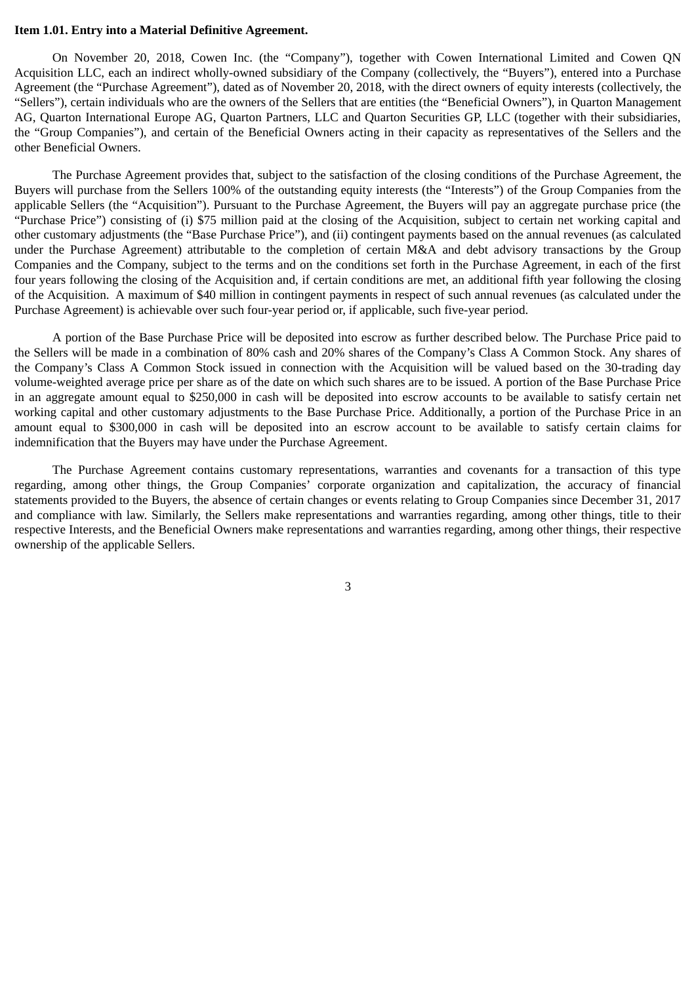#### **Item 1.01. Entry into a Material Definitive Agreement.**

On November 20, 2018, Cowen Inc. (the "Company"), together with Cowen International Limited and Cowen QN Acquisition LLC, each an indirect wholly-owned subsidiary of the Company (collectively, the "Buyers"), entered into a Purchase Agreement (the "Purchase Agreement"), dated as of November 20, 2018, with the direct owners of equity interests (collectively, the "Sellers"), certain individuals who are the owners of the Sellers that are entities (the "Beneficial Owners"), in Quarton Management AG, Quarton International Europe AG, Quarton Partners, LLC and Quarton Securities GP, LLC (together with their subsidiaries, the "Group Companies"), and certain of the Beneficial Owners acting in their capacity as representatives of the Sellers and the other Beneficial Owners.

The Purchase Agreement provides that, subject to the satisfaction of the closing conditions of the Purchase Agreement, the Buyers will purchase from the Sellers 100% of the outstanding equity interests (the "Interests") of the Group Companies from the applicable Sellers (the "Acquisition"). Pursuant to the Purchase Agreement, the Buyers will pay an aggregate purchase price (the "Purchase Price") consisting of (i) \$75 million paid at the closing of the Acquisition, subject to certain net working capital and other customary adjustments (the "Base Purchase Price"), and (ii) contingent payments based on the annual revenues (as calculated under the Purchase Agreement) attributable to the completion of certain M&A and debt advisory transactions by the Group Companies and the Company, subject to the terms and on the conditions set forth in the Purchase Agreement, in each of the first four years following the closing of the Acquisition and, if certain conditions are met, an additional fifth year following the closing of the Acquisition. A maximum of \$40 million in contingent payments in respect of such annual revenues (as calculated under the Purchase Agreement) is achievable over such four-year period or, if applicable, such five-year period.

A portion of the Base Purchase Price will be deposited into escrow as further described below. The Purchase Price paid to the Sellers will be made in a combination of 80% cash and 20% shares of the Company's Class A Common Stock. Any shares of the Company's Class A Common Stock issued in connection with the Acquisition will be valued based on the 30-trading day volume-weighted average price per share as of the date on which such shares are to be issued. A portion of the Base Purchase Price in an aggregate amount equal to \$250,000 in cash will be deposited into escrow accounts to be available to satisfy certain net working capital and other customary adjustments to the Base Purchase Price. Additionally, a portion of the Purchase Price in an amount equal to \$300,000 in cash will be deposited into an escrow account to be available to satisfy certain claims for indemnification that the Buyers may have under the Purchase Agreement.

The Purchase Agreement contains customary representations, warranties and covenants for a transaction of this type regarding, among other things, the Group Companies' corporate organization and capitalization, the accuracy of financial statements provided to the Buyers, the absence of certain changes or events relating to Group Companies since December 31, 2017 and compliance with law. Similarly, the Sellers make representations and warranties regarding, among other things, title to their respective Interests, and the Beneficial Owners make representations and warranties regarding, among other things, their respective ownership of the applicable Sellers.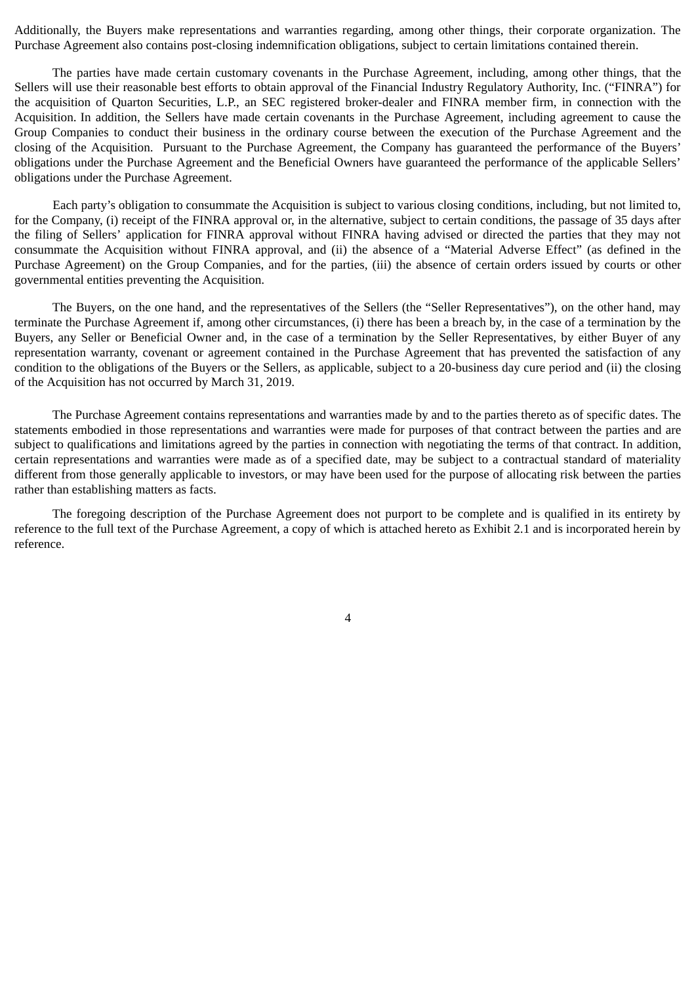Additionally, the Buyers make representations and warranties regarding, among other things, their corporate organization. The Purchase Agreement also contains post-closing indemnification obligations, subject to certain limitations contained therein.

The parties have made certain customary covenants in the Purchase Agreement, including, among other things, that the Sellers will use their reasonable best efforts to obtain approval of the Financial Industry Regulatory Authority, Inc. ("FINRA") for the acquisition of Quarton Securities, L.P., an SEC registered broker-dealer and FINRA member firm, in connection with the Acquisition. In addition, the Sellers have made certain covenants in the Purchase Agreement, including agreement to cause the Group Companies to conduct their business in the ordinary course between the execution of the Purchase Agreement and the closing of the Acquisition. Pursuant to the Purchase Agreement, the Company has guaranteed the performance of the Buyers' obligations under the Purchase Agreement and the Beneficial Owners have guaranteed the performance of the applicable Sellers' obligations under the Purchase Agreement.

Each party's obligation to consummate the Acquisition is subject to various closing conditions, including, but not limited to, for the Company, (i) receipt of the FINRA approval or, in the alternative, subject to certain conditions, the passage of 35 days after the filing of Sellers' application for FINRA approval without FINRA having advised or directed the parties that they may not consummate the Acquisition without FINRA approval, and (ii) the absence of a "Material Adverse Effect" (as defined in the Purchase Agreement) on the Group Companies, and for the parties, (iii) the absence of certain orders issued by courts or other governmental entities preventing the Acquisition.

The Buyers, on the one hand, and the representatives of the Sellers (the "Seller Representatives"), on the other hand, may terminate the Purchase Agreement if, among other circumstances, (i) there has been a breach by, in the case of a termination by the Buyers, any Seller or Beneficial Owner and, in the case of a termination by the Seller Representatives, by either Buyer of any representation warranty, covenant or agreement contained in the Purchase Agreement that has prevented the satisfaction of any condition to the obligations of the Buyers or the Sellers, as applicable, subject to a 20-business day cure period and (ii) the closing of the Acquisition has not occurred by March 31, 2019.

The Purchase Agreement contains representations and warranties made by and to the parties thereto as of specific dates. The statements embodied in those representations and warranties were made for purposes of that contract between the parties and are subject to qualifications and limitations agreed by the parties in connection with negotiating the terms of that contract. In addition, certain representations and warranties were made as of a specified date, may be subject to a contractual standard of materiality different from those generally applicable to investors, or may have been used for the purpose of allocating risk between the parties rather than establishing matters as facts.

The foregoing description of the Purchase Agreement does not purport to be complete and is qualified in its entirety by reference to the full text of the Purchase Agreement, a copy of which is attached hereto as Exhibit 2.1 and is incorporated herein by reference.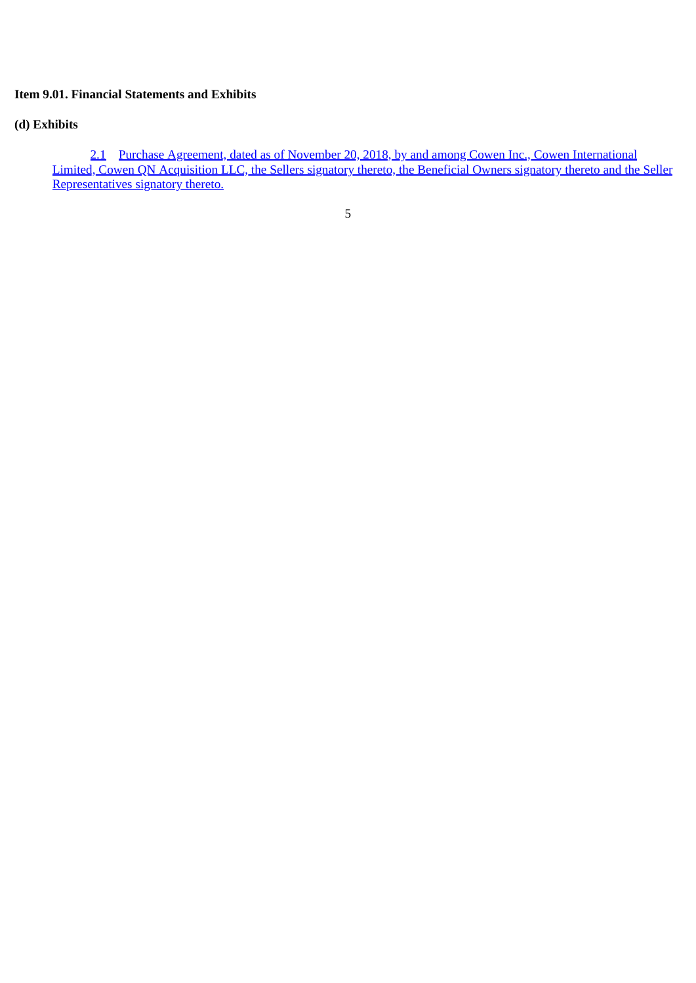## **Item 9.01. Financial Statements and Exhibits**

## **(d) Exhibits**

[2.1](#page-7-0) Purchase Agreement, dated as of November 20, 2018, by and among Cowen Inc., Cowen International [Limited, Cowen QN Acquisition LLC, the Sellers signatory thereto, the Beneficial Owners signatory thereto and the Seller](#page-7-0) Representatives signatory thereto.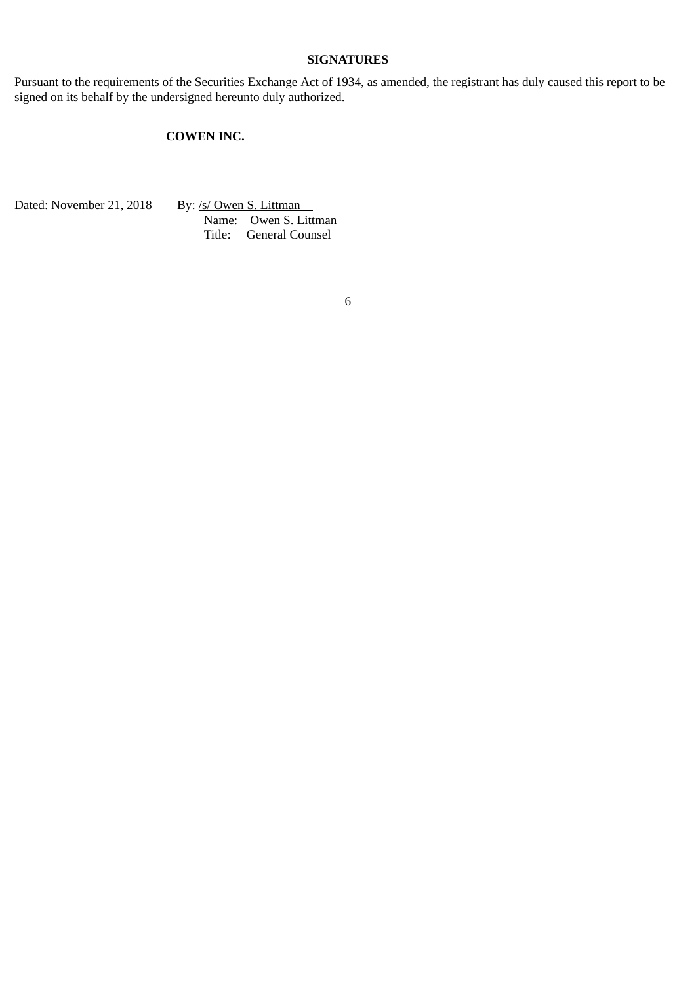## **SIGNATURES**

Pursuant to the requirements of the Securities Exchange Act of 1934, as amended, the registrant has duly caused this report to be signed on its behalf by the undersigned hereunto duly authorized.

## **COWEN INC.**

Dated: November 21, 2018 By: /s/ Owen S. Littman

Name: Owen S. Littman Title: General Counsel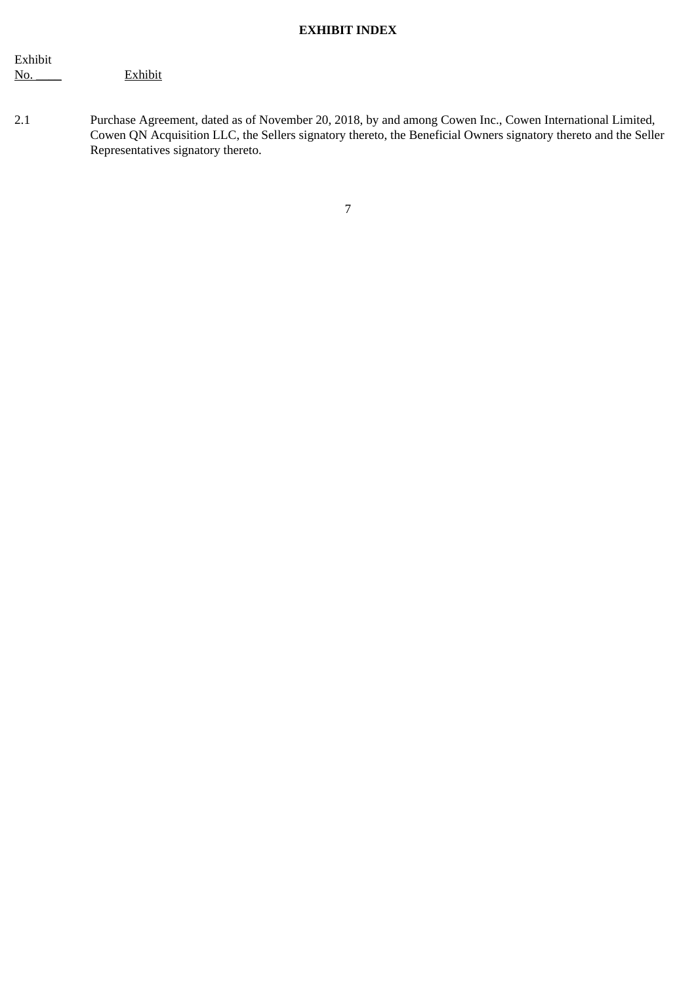## **EXHIBIT INDEX**

| Exhibit |         |
|---------|---------|
| No.     | Exhibit |

2.1 Purchase Agreement, dated as of November 20, 2018, by and among Cowen Inc., Cowen International Limited, Cowen QN Acquisition LLC, the Sellers signatory thereto, the Beneficial Owners signatory thereto and the Seller Representatives signatory thereto.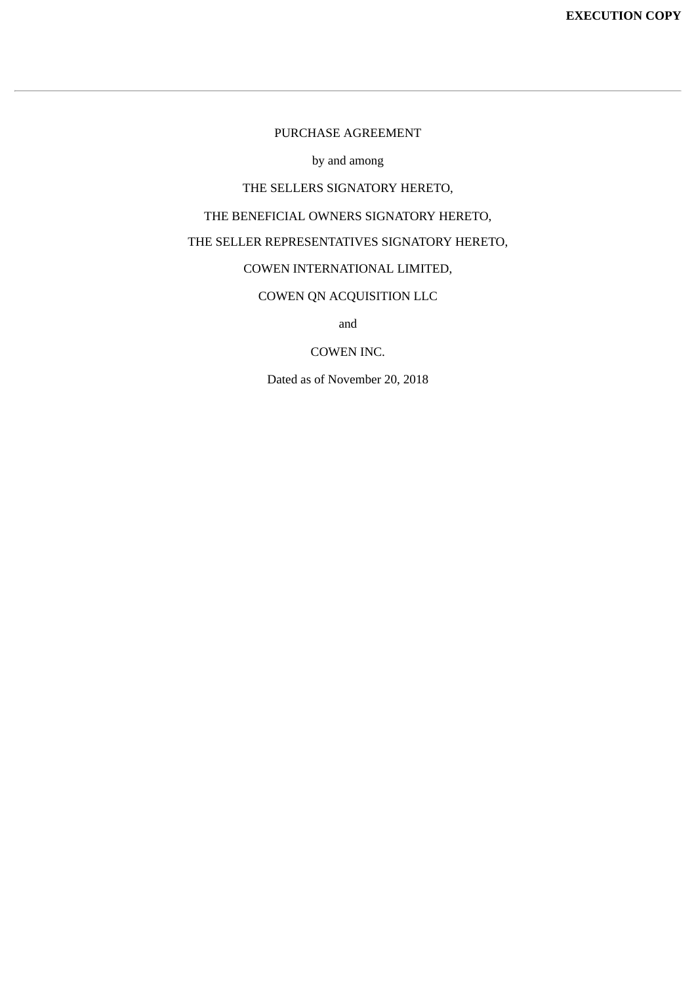## PURCHASE AGREEMENT

by and among

## THE SELLERS SIGNATORY HERETO,

<span id="page-7-0"></span>THE BENEFICIAL OWNERS SIGNATORY HERETO,

# THE SELLER REPRESENTATIVES SIGNATORY HERETO,

## COWEN INTERNATIONAL LIMITED,

## COWEN QN ACQUISITION LLC

and

## COWEN INC.

Dated as of November 20, 2018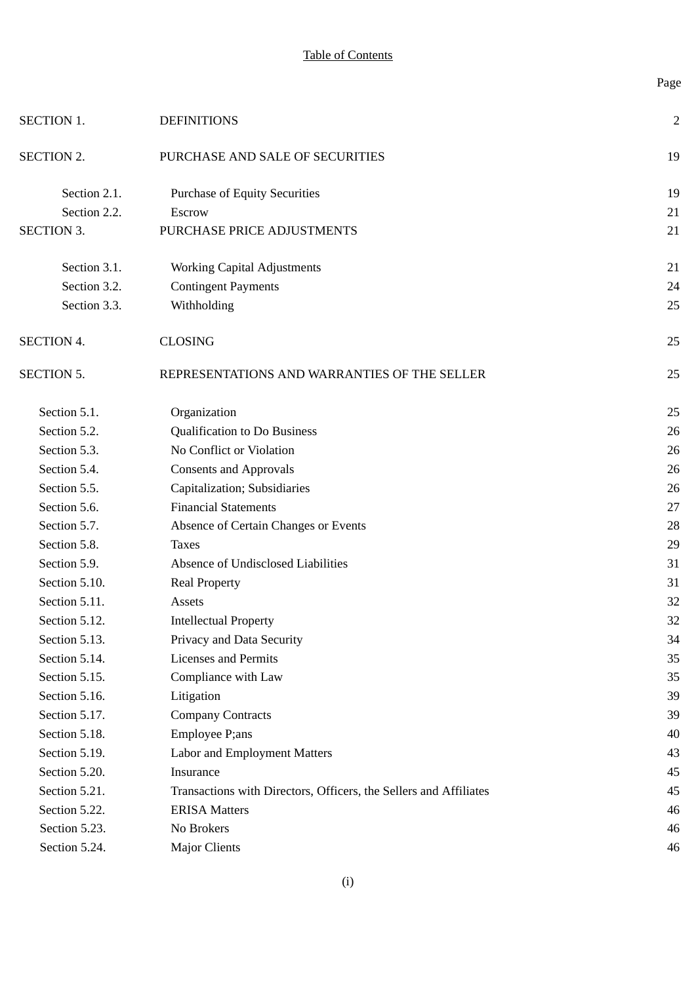Page

| <b>SECTION 1.</b> | <b>DEFINITIONS</b>                                                | 2  |
|-------------------|-------------------------------------------------------------------|----|
| SECTION 2.        | PURCHASE AND SALE OF SECURITIES                                   | 19 |
| Section 2.1.      | <b>Purchase of Equity Securities</b>                              | 19 |
| Section 2.2.      | Escrow                                                            | 21 |
| SECTION 3.        | PURCHASE PRICE ADJUSTMENTS                                        | 21 |
| Section 3.1.      | <b>Working Capital Adjustments</b>                                | 21 |
| Section 3.2.      | <b>Contingent Payments</b>                                        | 24 |
| Section 3.3.      | Withholding                                                       | 25 |
| <b>SECTION 4.</b> | <b>CLOSING</b>                                                    | 25 |
| SECTION 5.        | REPRESENTATIONS AND WARRANTIES OF THE SELLER                      | 25 |
| Section 5.1.      | Organization                                                      | 25 |
| Section 5.2.      | <b>Qualification to Do Business</b>                               | 26 |
| Section 5.3.      | No Conflict or Violation                                          | 26 |
| Section 5.4.      | <b>Consents and Approvals</b>                                     | 26 |
| Section 5.5.      | Capitalization; Subsidiaries                                      | 26 |
| Section 5.6.      | <b>Financial Statements</b>                                       | 27 |
| Section 5.7.      | Absence of Certain Changes or Events                              | 28 |
| Section 5.8.      | <b>Taxes</b>                                                      | 29 |
| Section 5.9.      | Absence of Undisclosed Liabilities                                | 31 |
| Section 5.10.     | <b>Real Property</b>                                              | 31 |
| Section 5.11.     | Assets                                                            | 32 |
| Section 5.12.     | <b>Intellectual Property</b>                                      | 32 |
| Section 5.13.     | Privacy and Data Security                                         | 34 |
| Section 5.14.     | <b>Licenses and Permits</b>                                       | 35 |
| Section 5.15.     | Compliance with Law                                               | 35 |
| Section 5.16.     | Litigation                                                        | 39 |
| Section 5.17.     | <b>Company Contracts</b>                                          | 39 |
| Section 5.18.     | Employee P;ans                                                    | 40 |
| Section 5.19.     | Labor and Employment Matters                                      | 43 |
| Section 5.20.     | Insurance                                                         | 45 |
| Section 5.21.     | Transactions with Directors, Officers, the Sellers and Affiliates | 45 |
| Section 5.22.     | <b>ERISA Matters</b>                                              | 46 |
| Section 5.23.     | No Brokers                                                        | 46 |
| Section 5.24.     | <b>Major Clients</b>                                              | 46 |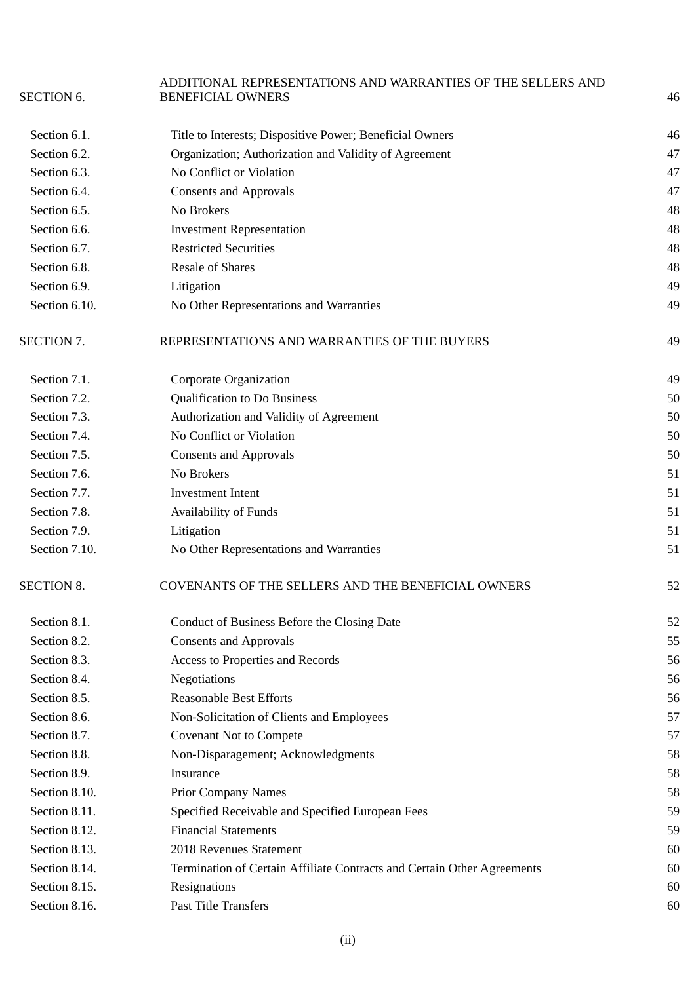|                   | ADDITIONAL REPRESENTATIONS AND WARRANTIES OF THE SELLERS AND            |    |
|-------------------|-------------------------------------------------------------------------|----|
| <b>SECTION 6.</b> | <b>BENEFICIAL OWNERS</b>                                                | 46 |
| Section 6.1.      | Title to Interests; Dispositive Power; Beneficial Owners                | 46 |
| Section 6.2.      | Organization; Authorization and Validity of Agreement                   | 47 |
| Section 6.3.      | No Conflict or Violation                                                | 47 |
| Section 6.4.      | <b>Consents and Approvals</b>                                           | 47 |
| Section 6.5.      | No Brokers                                                              | 48 |
| Section 6.6.      | <b>Investment Representation</b>                                        | 48 |
| Section 6.7.      | <b>Restricted Securities</b>                                            | 48 |
| Section 6.8.      | <b>Resale of Shares</b>                                                 | 48 |
| Section 6.9.      | Litigation                                                              | 49 |
| Section 6.10.     | No Other Representations and Warranties                                 | 49 |
| SECTION 7.        | REPRESENTATIONS AND WARRANTIES OF THE BUYERS                            | 49 |
| Section 7.1.      | Corporate Organization                                                  | 49 |
| Section 7.2.      | <b>Qualification to Do Business</b>                                     | 50 |
| Section 7.3.      | Authorization and Validity of Agreement                                 | 50 |
| Section 7.4.      | No Conflict or Violation                                                | 50 |
| Section 7.5.      | <b>Consents and Approvals</b>                                           | 50 |
| Section 7.6.      | No Brokers                                                              | 51 |
| Section 7.7.      | <b>Investment Intent</b>                                                | 51 |
| Section 7.8.      | Availability of Funds                                                   | 51 |
| Section 7.9.      | Litigation                                                              | 51 |
| Section 7.10.     | No Other Representations and Warranties                                 | 51 |
| <b>SECTION 8.</b> | COVENANTS OF THE SELLERS AND THE BENEFICIAL OWNERS                      | 52 |
| Section 8.1.      | Conduct of Business Before the Closing Date                             | 52 |
| Section 8.2.      | <b>Consents and Approvals</b>                                           | 55 |
| Section 8.3.      | Access to Properties and Records                                        | 56 |
| Section 8.4.      | Negotiations                                                            | 56 |
| Section 8.5.      | <b>Reasonable Best Efforts</b>                                          | 56 |
| Section 8.6.      | Non-Solicitation of Clients and Employees                               | 57 |
| Section 8.7.      | <b>Covenant Not to Compete</b>                                          | 57 |
| Section 8.8.      | Non-Disparagement; Acknowledgments                                      | 58 |
| Section 8.9.      | Insurance                                                               | 58 |
| Section 8.10.     | <b>Prior Company Names</b>                                              | 58 |
| Section 8.11.     | Specified Receivable and Specified European Fees                        | 59 |
| Section 8.12.     | <b>Financial Statements</b>                                             | 59 |
| Section 8.13.     | 2018 Revenues Statement                                                 | 60 |
| Section 8.14.     | Termination of Certain Affiliate Contracts and Certain Other Agreements | 60 |
| Section 8.15.     | Resignations                                                            | 60 |
| Section 8.16.     | Past Title Transfers                                                    | 60 |
|                   |                                                                         |    |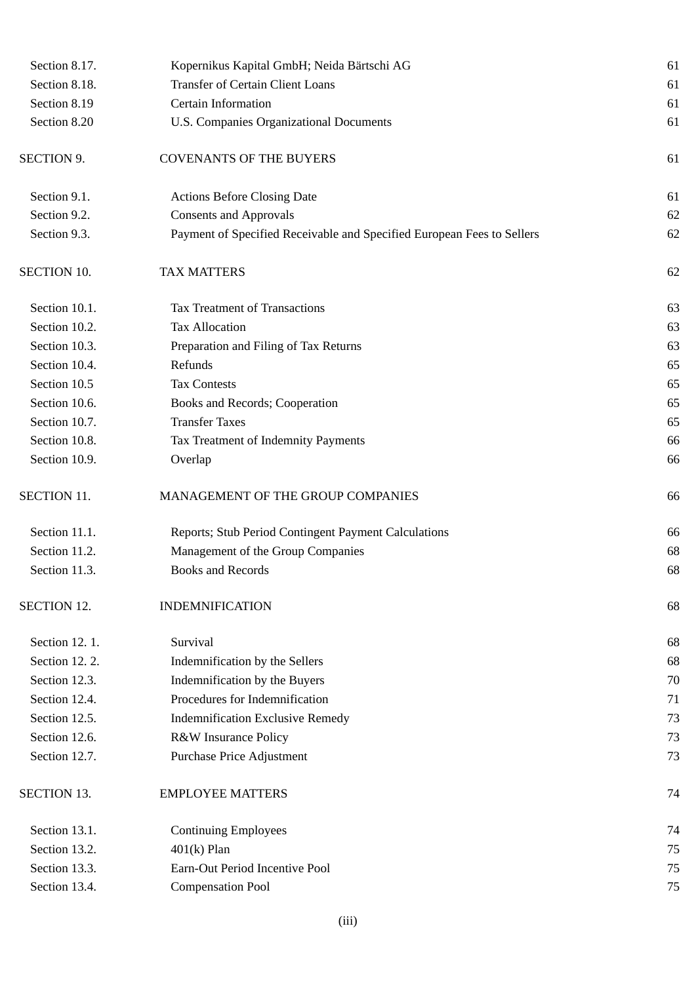| Section 8.17.      | Kopernikus Kapital GmbH; Neida Bärtschi AG                             | 61 |
|--------------------|------------------------------------------------------------------------|----|
| Section 8.18.      | <b>Transfer of Certain Client Loans</b>                                | 61 |
| Section 8.19       | <b>Certain Information</b>                                             | 61 |
| Section 8.20       | U.S. Companies Organizational Documents                                | 61 |
| <b>SECTION 9.</b>  | <b>COVENANTS OF THE BUYERS</b>                                         | 61 |
| Section 9.1.       | <b>Actions Before Closing Date</b>                                     | 61 |
| Section 9.2.       | <b>Consents and Approvals</b>                                          | 62 |
| Section 9.3.       | Payment of Specified Receivable and Specified European Fees to Sellers | 62 |
| <b>SECTION 10.</b> | <b>TAX MATTERS</b>                                                     | 62 |
| Section 10.1.      | <b>Tax Treatment of Transactions</b>                                   | 63 |
| Section 10.2.      | <b>Tax Allocation</b>                                                  | 63 |
| Section 10.3.      | Preparation and Filing of Tax Returns                                  | 63 |
| Section 10.4.      | Refunds                                                                | 65 |
| Section 10.5       | <b>Tax Contests</b>                                                    | 65 |
| Section 10.6.      | Books and Records; Cooperation                                         | 65 |
| Section 10.7.      | <b>Transfer Taxes</b>                                                  | 65 |
| Section 10.8.      | Tax Treatment of Indemnity Payments                                    | 66 |
| Section 10.9.      | Overlap                                                                | 66 |
| <b>SECTION 11.</b> | MANAGEMENT OF THE GROUP COMPANIES                                      | 66 |
| Section 11.1.      | Reports; Stub Period Contingent Payment Calculations                   | 66 |
| Section 11.2.      | Management of the Group Companies                                      | 68 |
| Section 11.3.      | <b>Books and Records</b>                                               | 68 |
| <b>SECTION 12.</b> | <b>INDEMNIFICATION</b>                                                 | 68 |
| Section 12.1.      | Survival                                                               | 68 |
| Section 12.2.      | Indemnification by the Sellers                                         | 68 |
| Section 12.3.      | Indemnification by the Buyers                                          | 70 |
| Section 12.4.      | Procedures for Indemnification                                         | 71 |
| Section 12.5.      | <b>Indemnification Exclusive Remedy</b>                                | 73 |
| Section 12.6.      | R&W Insurance Policy                                                   | 73 |
| Section 12.7.      | Purchase Price Adjustment                                              | 73 |
| <b>SECTION 13.</b> | <b>EMPLOYEE MATTERS</b>                                                | 74 |
| Section 13.1.      | <b>Continuing Employees</b>                                            | 74 |
| Section 13.2.      | $401(k)$ Plan                                                          | 75 |
| Section 13.3.      | Earn-Out Period Incentive Pool                                         | 75 |
| Section 13.4.      | <b>Compensation Pool</b>                                               | 75 |
|                    |                                                                        |    |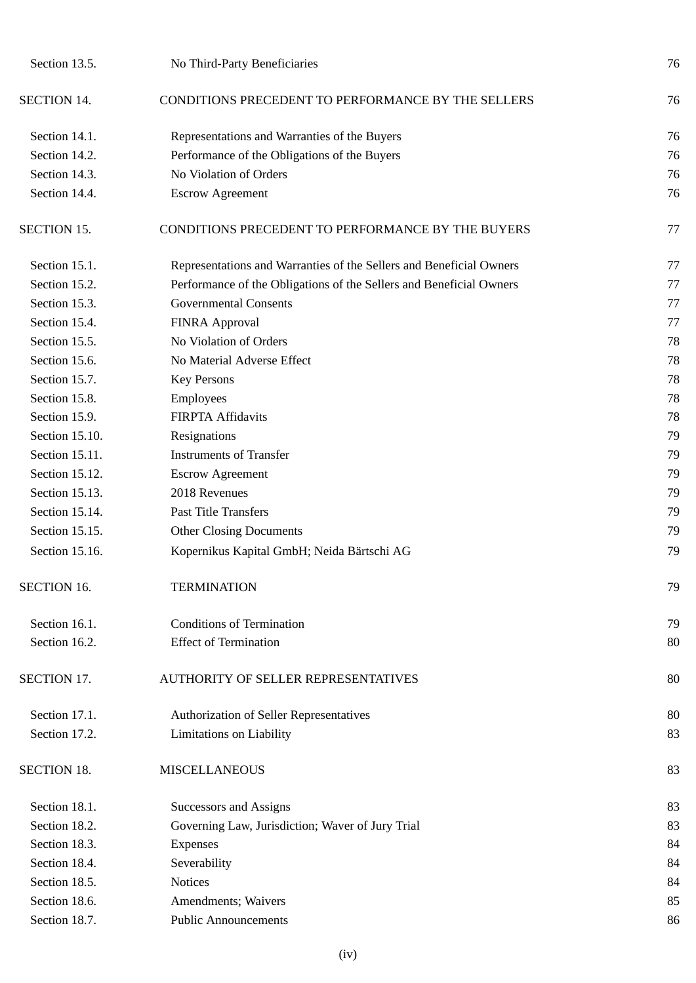| Section 13.5.      | No Third-Party Beneficiaries                                        | 76 |
|--------------------|---------------------------------------------------------------------|----|
| <b>SECTION 14.</b> | CONDITIONS PRECEDENT TO PERFORMANCE BY THE SELLERS                  | 76 |
| Section 14.1.      | Representations and Warranties of the Buyers                        | 76 |
| Section 14.2.      | Performance of the Obligations of the Buyers                        | 76 |
| Section 14.3.      | No Violation of Orders                                              | 76 |
| Section 14.4.      | <b>Escrow Agreement</b>                                             | 76 |
| <b>SECTION 15.</b> | CONDITIONS PRECEDENT TO PERFORMANCE BY THE BUYERS                   | 77 |
| Section 15.1.      | Representations and Warranties of the Sellers and Beneficial Owners | 77 |
| Section 15.2.      | Performance of the Obligations of the Sellers and Beneficial Owners | 77 |
| Section 15.3.      | <b>Governmental Consents</b>                                        | 77 |
| Section 15.4.      | FINRA Approval                                                      | 77 |
| Section 15.5.      | No Violation of Orders                                              | 78 |
| Section 15.6.      | No Material Adverse Effect                                          | 78 |
| Section 15.7.      | <b>Key Persons</b>                                                  | 78 |
| Section 15.8.      | Employees                                                           | 78 |
| Section 15.9.      | <b>FIRPTA Affidavits</b>                                            | 78 |
| Section 15.10.     | Resignations                                                        | 79 |
| Section 15.11.     | <b>Instruments of Transfer</b>                                      | 79 |
| Section 15.12.     | <b>Escrow Agreement</b>                                             | 79 |
| Section 15.13.     | 2018 Revenues                                                       | 79 |
| Section 15.14.     | <b>Past Title Transfers</b>                                         | 79 |
| Section 15.15.     | <b>Other Closing Documents</b>                                      | 79 |
| Section 15.16.     | Kopernikus Kapital GmbH; Neida Bärtschi AG                          | 79 |
| <b>SECTION 16.</b> | <b>TERMINATION</b>                                                  | 79 |
| Section 16.1.      | <b>Conditions of Termination</b>                                    | 79 |
| Section 16.2.      | <b>Effect of Termination</b>                                        | 80 |
| SECTION 17.        | <b>AUTHORITY OF SELLER REPRESENTATIVES</b>                          | 80 |
| Section 17.1.      | Authorization of Seller Representatives                             | 80 |
| Section 17.2.      | Limitations on Liability                                            | 83 |
| <b>SECTION 18.</b> | <b>MISCELLANEOUS</b>                                                | 83 |
| Section 18.1.      | <b>Successors and Assigns</b>                                       | 83 |
| Section 18.2.      | Governing Law, Jurisdiction; Waver of Jury Trial                    | 83 |
| Section 18.3.      | <b>Expenses</b>                                                     | 84 |
| Section 18.4.      | Severability                                                        | 84 |
| Section 18.5.      | <b>Notices</b>                                                      | 84 |
| Section 18.6.      | Amendments; Waivers                                                 | 85 |
| Section 18.7.      | <b>Public Announcements</b>                                         | 86 |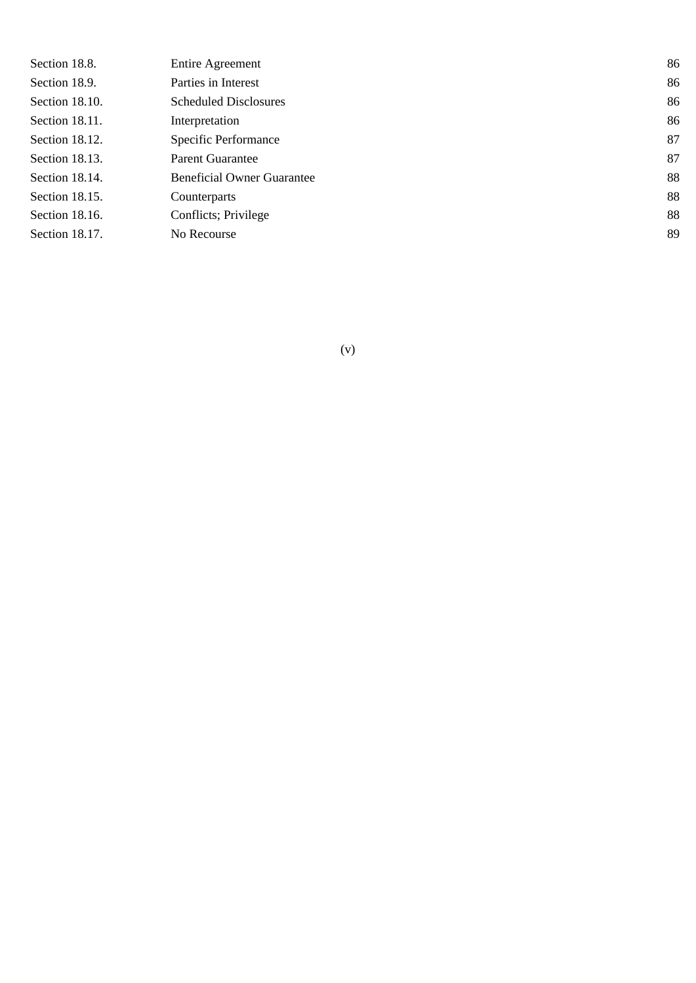| Section 18.8.  | <b>Entire Agreement</b>           | 86 |
|----------------|-----------------------------------|----|
| Section 18.9.  | Parties in Interest               | 86 |
| Section 18.10. | <b>Scheduled Disclosures</b>      | 86 |
| Section 18.11. | Interpretation                    | 86 |
| Section 18.12. | Specific Performance              | 87 |
| Section 18.13. | Parent Guarantee                  | 87 |
| Section 18.14. | <b>Beneficial Owner Guarantee</b> | 88 |
| Section 18.15. | Counterparts                      | 88 |
| Section 18.16. | Conflicts; Privilege              | 88 |
| Section 18.17. | No Recourse                       | 89 |
|                |                                   |    |

(v)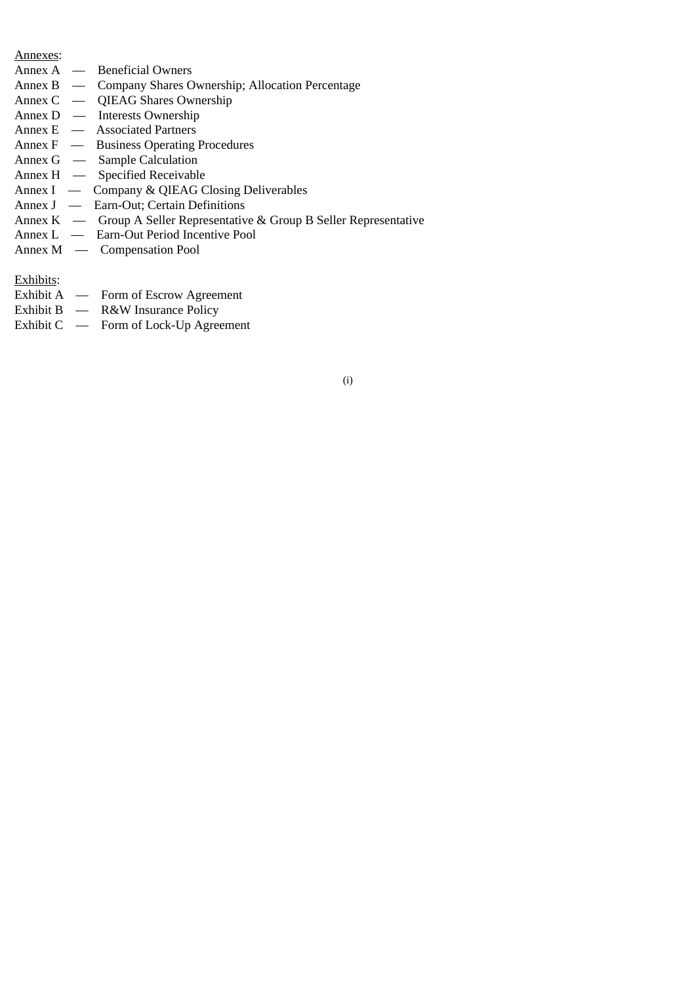#### Annexes:

- Annex A Beneficial Owners<br>Annex B Company Shares O
- Annex B Company Shares Ownership; Allocation Percentage<br>Annex C QIEAG Shares Ownership
- QIEAG Shares Ownership
- Annex D Interests Ownership
- Annex E Associated Partners
- Annex F Business Operating Procedures
- Annex G Sample Calculation
- Annex H Specified Receivable
- Annex I Company & QIEAG Closing Deliverables
- Annex J Earn-Out; Certain Definitions
- Annex K Group A Seller Representative & Group B Seller Representative
- Annex L Earn-Out Period Incentive Pool
- Annex M Compensation Pool

## Exhibits:

- Exhibit A Form of Escrow Agreement
- Exhibit B R&W Insurance Policy
- Exhibit C Form of Lock-Up Agreement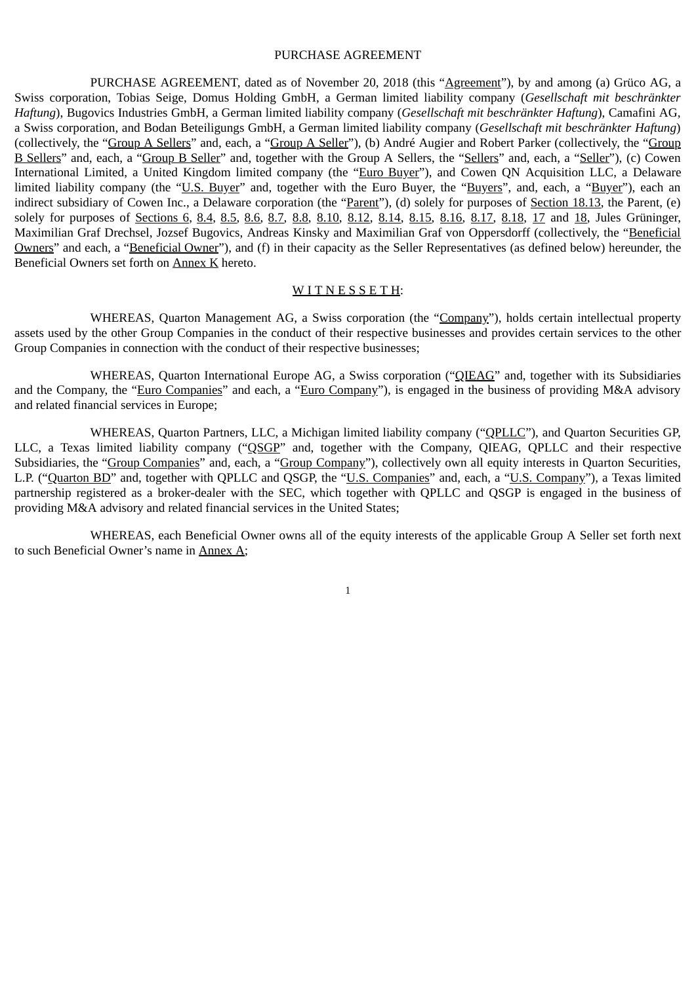#### PURCHASE AGREEMENT

PURCHASE AGREEMENT, dated as of November 20, 2018 (this "Agreement"), by and among (a) Grüco AG, a Swiss corporation, Tobias Seige, Domus Holding GmbH, a German limited liability company (*Gesellschaft mit beschränkter Haftung*), Bugovics Industries GmbH, a German limited liability company (*Gesellschaft mit beschränkter Haftung*), Camafini AG, a Swiss corporation, and Bodan Beteiligungs GmbH, a German limited liability company (*Gesellschaft mit beschränkter Haftung*) (collectively, the "Group A Sellers" and, each, a "Group A Seller"), (b) André Augier and Robert Parker (collectively, the "Group B Sellers" and, each, a "Group B Seller" and, together with the Group A Sellers, the "Sellers" and, each, a "Seller"), (c) Cowen International Limited, a United Kingdom limited company (the "Euro Buyer"), and Cowen QN Acquisition LLC, a Delaware limited liability company (the "U.S. Buyer" and, together with the Euro Buyer, the "Buyers", and, each, a "Buyer"), each an indirect subsidiary of Cowen Inc., a Delaware corporation (the "Parent"), (d) solely for purposes of Section 18.13, the Parent, (e) solely for purposes of Sections 6, 8.4, 8.5, 8.6, 8.7, 8.8, 8.10, 8.12, 8.14, 8.15, 8.16, 8.17, 8.18, 17 and 18, Jules Grüninger, Maximilian Graf Drechsel, Jozsef Bugovics, Andreas Kinsky and Maximilian Graf von Oppersdorff (collectively, the "Beneficial Owners" and each, a "Beneficial Owner"), and (f) in their capacity as the Seller Representatives (as defined below) hereunder, the Beneficial Owners set forth on Annex K hereto.

### WITNESSETH:

WHEREAS, Quarton Management AG, a Swiss corporation (the "Company"), holds certain intellectual property assets used by the other Group Companies in the conduct of their respective businesses and provides certain services to the other Group Companies in connection with the conduct of their respective businesses;

WHEREAS, Quarton International Europe AG, a Swiss corporation ("QIEAG" and, together with its Subsidiaries and the Company, the "Euro Companies" and each, a "Euro Company"), is engaged in the business of providing M&A advisory and related financial services in Europe;

WHEREAS, Quarton Partners, LLC, a Michigan limited liability company ("QPLLC"), and Quarton Securities GP, LLC, a Texas limited liability company ("QSGP" and, together with the Company, QIEAG, QPLLC and their respective Subsidiaries, the "Group Companies" and, each, a "Group Company"), collectively own all equity interests in Quarton Securities, L.P. ("Quarton BD" and, together with QPLLC and QSGP, the "U.S. Companies" and, each, a "U.S. Company"), a Texas limited partnership registered as a broker-dealer with the SEC, which together with QPLLC and QSGP is engaged in the business of providing M&A advisory and related financial services in the United States;

WHEREAS, each Beneficial Owner owns all of the equity interests of the applicable Group A Seller set forth next to such Beneficial Owner's name in Annex A;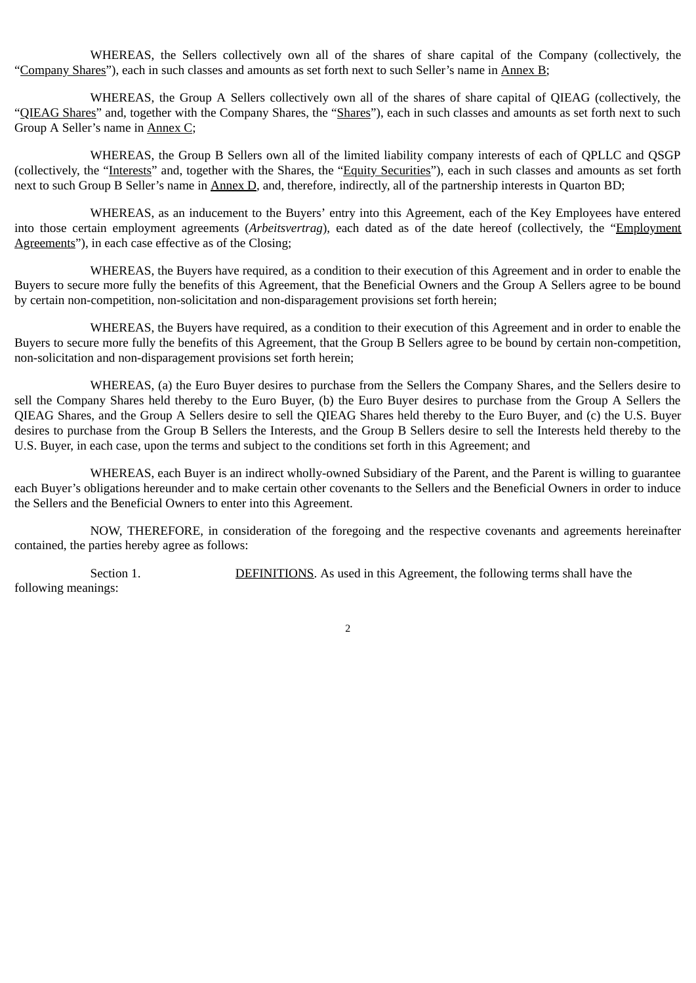WHEREAS, the Sellers collectively own all of the shares of share capital of the Company (collectively, the "Company Shares"), each in such classes and amounts as set forth next to such Seller's name in Annex B;

WHEREAS, the Group A Sellers collectively own all of the shares of share capital of QIEAG (collectively, the "QIEAG Shares" and, together with the Company Shares, the "Shares"), each in such classes and amounts as set forth next to such Group A Seller's name in Annex C;

WHEREAS, the Group B Sellers own all of the limited liability company interests of each of QPLLC and QSGP (collectively, the "Interests" and, together with the Shares, the "Equity Securities"), each in such classes and amounts as set forth next to such Group B Seller's name in Annex D, and, therefore, indirectly, all of the partnership interests in Quarton BD;

WHEREAS, as an inducement to the Buyers' entry into this Agreement, each of the Key Employees have entered into those certain employment agreements (*Arbeitsvertrag*), each dated as of the date hereof (collectively, the "Employment Agreements"), in each case effective as of the Closing;

WHEREAS, the Buyers have required, as a condition to their execution of this Agreement and in order to enable the Buyers to secure more fully the benefits of this Agreement, that the Beneficial Owners and the Group A Sellers agree to be bound by certain non-competition, non-solicitation and non-disparagement provisions set forth herein;

WHEREAS, the Buyers have required, as a condition to their execution of this Agreement and in order to enable the Buyers to secure more fully the benefits of this Agreement, that the Group B Sellers agree to be bound by certain non-competition, non-solicitation and non-disparagement provisions set forth herein;

WHEREAS, (a) the Euro Buyer desires to purchase from the Sellers the Company Shares, and the Sellers desire to sell the Company Shares held thereby to the Euro Buyer, (b) the Euro Buyer desires to purchase from the Group A Sellers the QIEAG Shares, and the Group A Sellers desire to sell the QIEAG Shares held thereby to the Euro Buyer, and (c) the U.S. Buyer desires to purchase from the Group B Sellers the Interests, and the Group B Sellers desire to sell the Interests held thereby to the U.S. Buyer, in each case, upon the terms and subject to the conditions set forth in this Agreement; and

WHEREAS, each Buyer is an indirect wholly-owned Subsidiary of the Parent, and the Parent is willing to guarantee each Buyer's obligations hereunder and to make certain other covenants to the Sellers and the Beneficial Owners in order to induce the Sellers and the Beneficial Owners to enter into this Agreement.

NOW, THEREFORE, in consideration of the foregoing and the respective covenants and agreements hereinafter contained, the parties hereby agree as follows:

Section 1. DEFINITIONS. As used in this Agreement, the following terms shall have the following meanings: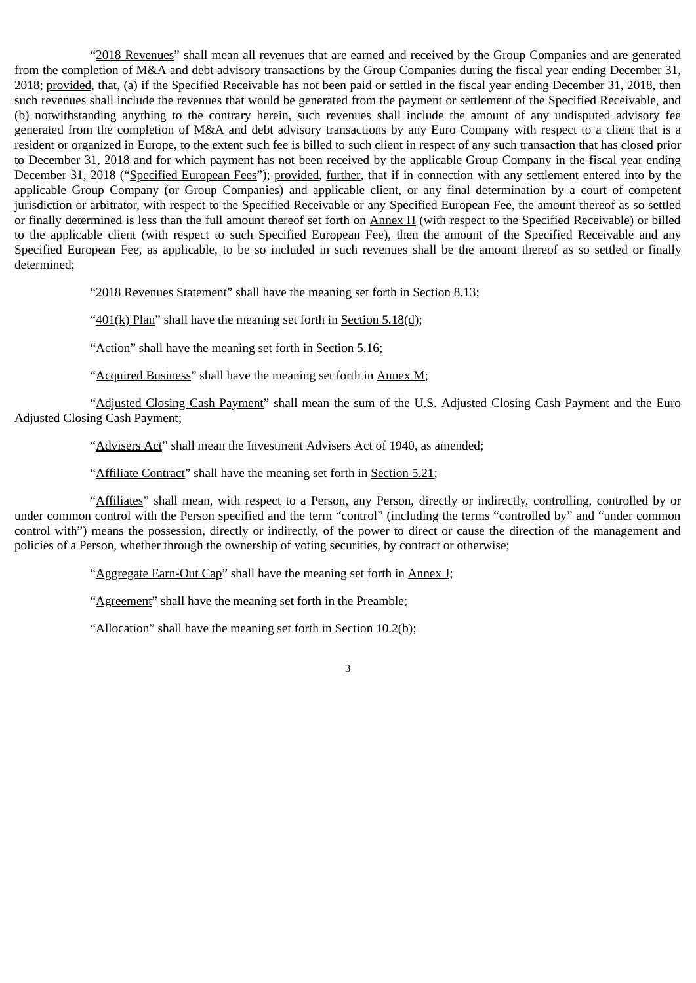"2018 Revenues" shall mean all revenues that are earned and received by the Group Companies and are generated from the completion of M&A and debt advisory transactions by the Group Companies during the fiscal year ending December 31, 2018; provided, that, (a) if the Specified Receivable has not been paid or settled in the fiscal year ending December 31, 2018, then such revenues shall include the revenues that would be generated from the payment or settlement of the Specified Receivable, and (b) notwithstanding anything to the contrary herein, such revenues shall include the amount of any undisputed advisory fee generated from the completion of M&A and debt advisory transactions by any Euro Company with respect to a client that is a resident or organized in Europe, to the extent such fee is billed to such client in respect of any such transaction that has closed prior to December 31, 2018 and for which payment has not been received by the applicable Group Company in the fiscal year ending December 31, 2018 ("Specified European Fees"); provided, further, that if in connection with any settlement entered into by the applicable Group Company (or Group Companies) and applicable client, or any final determination by a court of competent jurisdiction or arbitrator, with respect to the Specified Receivable or any Specified European Fee, the amount thereof as so settled or finally determined is less than the full amount thereof set forth on Annex H (with respect to the Specified Receivable) or billed to the applicable client (with respect to such Specified European Fee), then the amount of the Specified Receivable and any Specified European Fee, as applicable, to be so included in such revenues shall be the amount thereof as so settled or finally determined;

"2018 Revenues Statement" shall have the meaning set forth in Section 8.13;

" $401(k)$  Plan" shall have the meaning set forth in Section 5.18(d);

"Action" shall have the meaning set forth in Section 5.16;

"Acquired Business" shall have the meaning set forth in Annex M;

"Adjusted Closing Cash Payment" shall mean the sum of the U.S. Adjusted Closing Cash Payment and the Euro Adjusted Closing Cash Payment;

"Advisers Act" shall mean the Investment Advisers Act of 1940, as amended;

"Affiliate Contract" shall have the meaning set forth in Section 5.21;

"Affiliates" shall mean, with respect to a Person, any Person, directly or indirectly, controlling, controlled by or under common control with the Person specified and the term "control" (including the terms "controlled by" and "under common control with") means the possession, directly or indirectly, of the power to direct or cause the direction of the management and policies of a Person, whether through the ownership of voting securities, by contract or otherwise;

"Aggregate Earn-Out Cap" shall have the meaning set forth in Annex J;

"Agreement" shall have the meaning set forth in the Preamble;

"Allocation" shall have the meaning set forth in Section 10.2(b);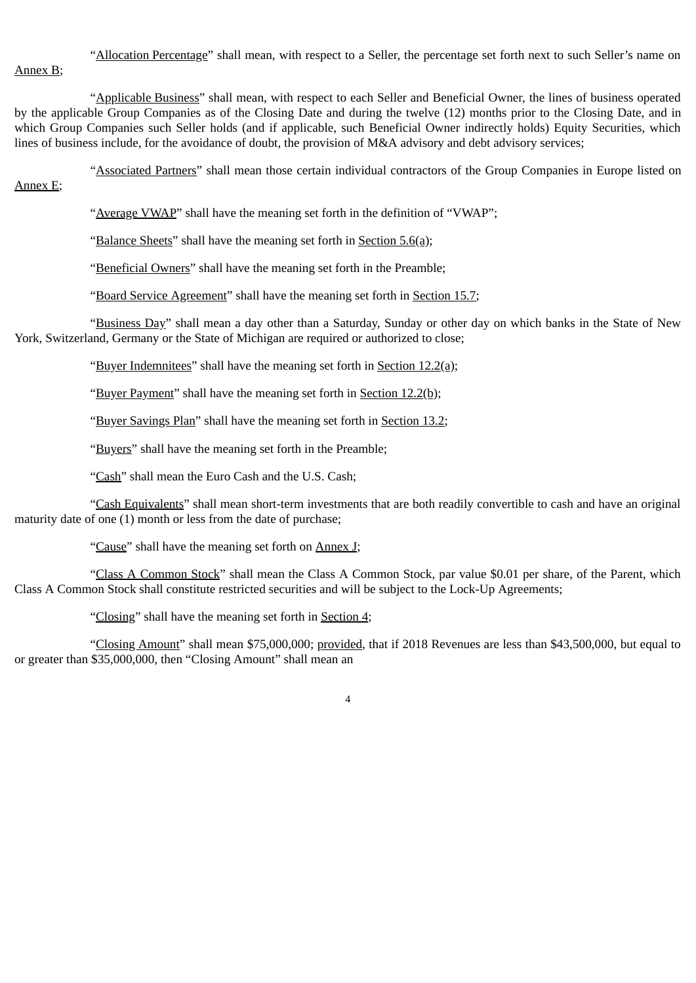"Allocation Percentage" shall mean, with respect to a Seller, the percentage set forth next to such Seller's name on Annex B;

"Applicable Business" shall mean, with respect to each Seller and Beneficial Owner, the lines of business operated by the applicable Group Companies as of the Closing Date and during the twelve (12) months prior to the Closing Date, and in which Group Companies such Seller holds (and if applicable, such Beneficial Owner indirectly holds) Equity Securities, which lines of business include, for the avoidance of doubt, the provision of M&A advisory and debt advisory services;

"Associated Partners" shall mean those certain individual contractors of the Group Companies in Europe listed on

Annex E;

"Average VWAP" shall have the meaning set forth in the definition of "VWAP";

"Balance Sheets" shall have the meaning set forth in Section 5.6(a);

"Beneficial Owners" shall have the meaning set forth in the Preamble;

"Board Service Agreement" shall have the meaning set forth in Section 15.7;

"Business Day" shall mean a day other than a Saturday, Sunday or other day on which banks in the State of New York, Switzerland, Germany or the State of Michigan are required or authorized to close;

"Buyer Indemnitees" shall have the meaning set forth in Section 12.2(a);

"Buyer Payment" shall have the meaning set forth in Section 12.2(b);

"Buyer Savings Plan" shall have the meaning set forth in Section 13.2;

"Buyers" shall have the meaning set forth in the Preamble;

"Cash" shall mean the Euro Cash and the U.S. Cash;

"Cash Equivalents" shall mean short-term investments that are both readily convertible to cash and have an original maturity date of one (1) month or less from the date of purchase:

"Cause" shall have the meaning set forth on Annex J;

"Class A Common Stock" shall mean the Class A Common Stock, par value \$0.01 per share, of the Parent, which Class A Common Stock shall constitute restricted securities and will be subject to the Lock-Up Agreements;

"Closing" shall have the meaning set forth in Section 4;

"Closing Amount" shall mean \$75,000,000; provided, that if 2018 Revenues are less than \$43,500,000, but equal to or greater than \$35,000,000, then "Closing Amount" shall mean an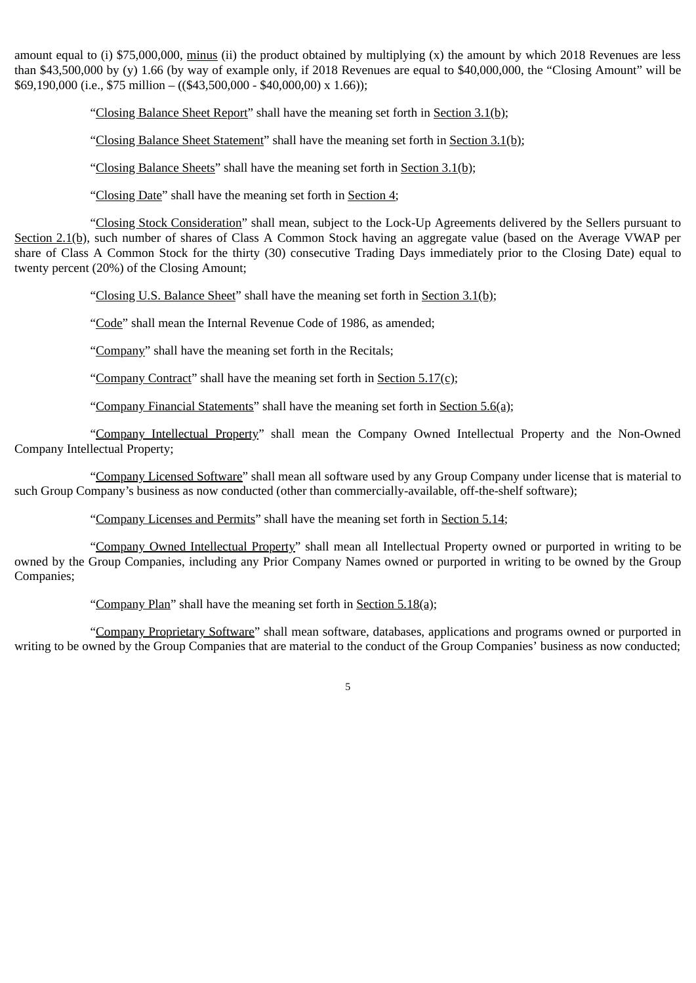amount equal to (i) \$75,000,000, minus (ii) the product obtained by multiplying (x) the amount by which 2018 Revenues are less than \$43,500,000 by (y) 1.66 (by way of example only, if 2018 Revenues are equal to \$40,000,000, the "Closing Amount" will be \$69,190,000 (i.e., \$75 million – ((\$43,500,000 - \$40,000,00) x 1.66));

"Closing Balance Sheet Report" shall have the meaning set forth in Section 3.1(b);

"Closing Balance Sheet Statement" shall have the meaning set forth in Section 3.1(b);

"Closing Balance Sheets" shall have the meaning set forth in Section 3.1(b);

"Closing Date" shall have the meaning set forth in Section 4;

"Closing Stock Consideration" shall mean, subject to the Lock-Up Agreements delivered by the Sellers pursuant to Section 2.1(b), such number of shares of Class A Common Stock having an aggregate value (based on the Average VWAP per share of Class A Common Stock for the thirty (30) consecutive Trading Days immediately prior to the Closing Date) equal to twenty percent (20%) of the Closing Amount;

"Closing U.S. Balance Sheet" shall have the meaning set forth in Section 3.1(b);

"Code" shall mean the Internal Revenue Code of 1986, as amended;

"Company" shall have the meaning set forth in the Recitals;

"Company Contract" shall have the meaning set forth in Section 5.17(c);

"Company Financial Statements" shall have the meaning set forth in Section 5.6(a);

"Company Intellectual Property" shall mean the Company Owned Intellectual Property and the Non-Owned Company Intellectual Property;

"Company Licensed Software" shall mean all software used by any Group Company under license that is material to such Group Company's business as now conducted (other than commercially-available, off-the-shelf software);

"Company Licenses and Permits" shall have the meaning set forth in Section 5.14;

"Company Owned Intellectual Property" shall mean all Intellectual Property owned or purported in writing to be owned by the Group Companies, including any Prior Company Names owned or purported in writing to be owned by the Group Companies;

"Company Plan" shall have the meaning set forth in Section 5.18(a);

"Company Proprietary Software" shall mean software, databases, applications and programs owned or purported in writing to be owned by the Group Companies that are material to the conduct of the Group Companies' business as now conducted;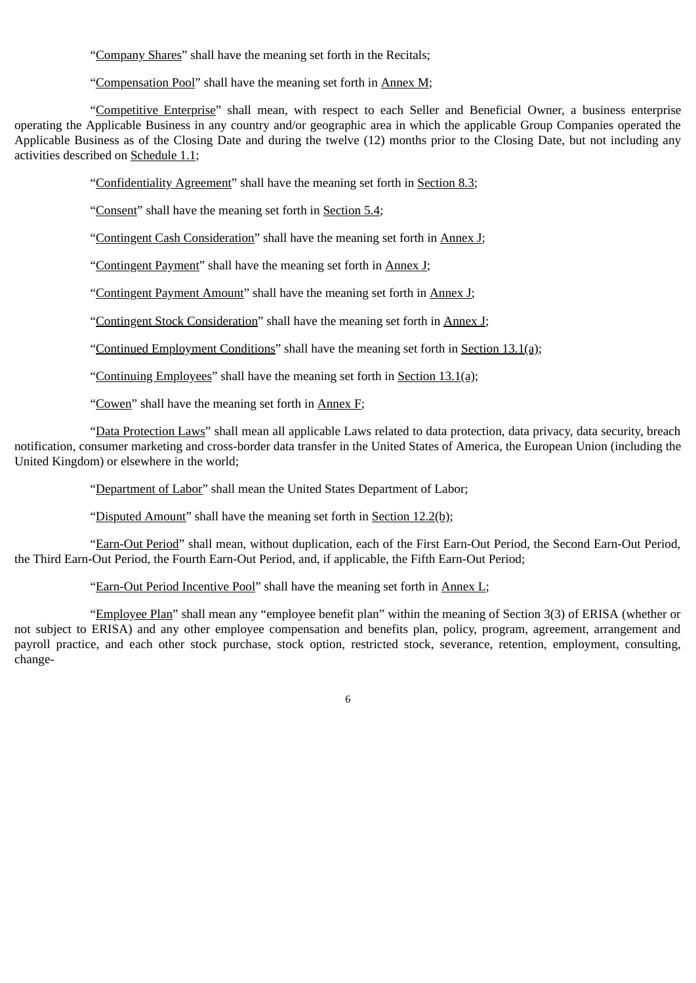"Company Shares" shall have the meaning set forth in the Recitals;

"Compensation Pool" shall have the meaning set forth in Annex M;

"Competitive Enterprise" shall mean, with respect to each Seller and Beneficial Owner, a business enterprise operating the Applicable Business in any country and/or geographic area in which the applicable Group Companies operated the Applicable Business as of the Closing Date and during the twelve (12) months prior to the Closing Date, but not including any activities described on Schedule 1.1;

"Confidentiality Agreement" shall have the meaning set forth in Section 8.3;

"Consent" shall have the meaning set forth in Section 5.4;

"Contingent Cash Consideration" shall have the meaning set forth in Annex J;

"Contingent Payment" shall have the meaning set forth in Annex J;

"Contingent Payment Amount" shall have the meaning set forth in Annex J;

"Contingent Stock Consideration" shall have the meaning set forth in Annex J;

"Continued Employment Conditions" shall have the meaning set forth in Section 13.1(a);

"Continuing Employees" shall have the meaning set forth in Section 13.1(a);

"Cowen" shall have the meaning set forth in Annex F;

"Data Protection Laws" shall mean all applicable Laws related to data protection, data privacy, data security, breach notification, consumer marketing and cross-border data transfer in the United States of America, the European Union (including the United Kingdom) or elsewhere in the world;

"Department of Labor" shall mean the United States Department of Labor;

"Disputed Amount" shall have the meaning set forth in Section 12.2(b);

"Earn-Out Period" shall mean, without duplication, each of the First Earn-Out Period, the Second Earn-Out Period, the Third Earn-Out Period, the Fourth Earn-Out Period, and, if applicable, the Fifth Earn-Out Period;

"Earn-Out Period Incentive Pool" shall have the meaning set forth in Annex L;

"Employee Plan" shall mean any "employee benefit plan" within the meaning of Section 3(3) of ERISA (whether or not subject to ERISA) and any other employee compensation and benefits plan, policy, program, agreement, arrangement and payroll practice, and each other stock purchase, stock option, restricted stock, severance, retention, employment, consulting, change-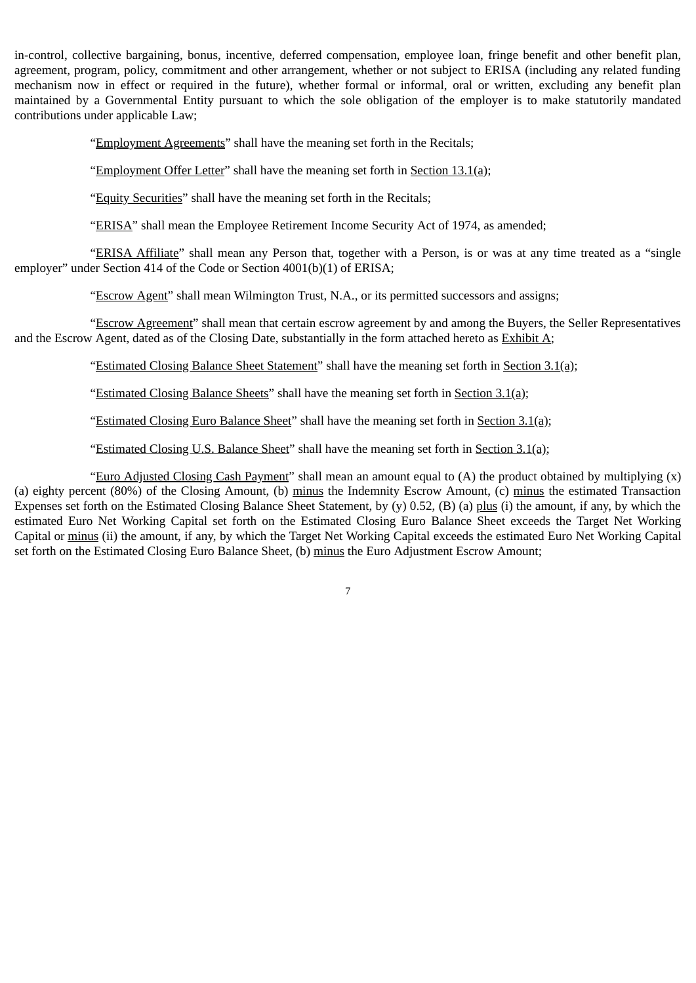in-control, collective bargaining, bonus, incentive, deferred compensation, employee loan, fringe benefit and other benefit plan, agreement, program, policy, commitment and other arrangement, whether or not subject to ERISA (including any related funding mechanism now in effect or required in the future), whether formal or informal, oral or written, excluding any benefit plan maintained by a Governmental Entity pursuant to which the sole obligation of the employer is to make statutorily mandated contributions under applicable Law;

"Employment Agreements" shall have the meaning set forth in the Recitals;

"Employment Offer Letter" shall have the meaning set forth in Section 13.1(a);

"Equity Securities" shall have the meaning set forth in the Recitals;

"ERISA" shall mean the Employee Retirement Income Security Act of 1974, as amended;

"ERISA Affiliate" shall mean any Person that, together with a Person, is or was at any time treated as a "single employer" under Section 414 of the Code or Section 4001(b)(1) of ERISA;

"Escrow Agent" shall mean Wilmington Trust, N.A., or its permitted successors and assigns;

"Escrow Agreement" shall mean that certain escrow agreement by and among the Buyers, the Seller Representatives and the Escrow Agent, dated as of the Closing Date, substantially in the form attached hereto as Exhibit A;

"Estimated Closing Balance Sheet Statement" shall have the meaning set forth in Section 3.1(a);

"Estimated Closing Balance Sheets" shall have the meaning set forth in Section 3.1(a);

"Estimated Closing Euro Balance Sheet" shall have the meaning set forth in Section 3.1(a);

"Estimated Closing U.S. Balance Sheet" shall have the meaning set forth in Section 3.1(a);

"Euro Adjusted Closing Cash Payment" shall mean an amount equal to  $(A)$  the product obtained by multiplying  $(x)$ (a) eighty percent (80%) of the Closing Amount, (b) minus the Indemnity Escrow Amount, (c) minus the estimated Transaction Expenses set forth on the Estimated Closing Balance Sheet Statement, by (y) 0.52, (B) (a) plus (i) the amount, if any, by which the estimated Euro Net Working Capital set forth on the Estimated Closing Euro Balance Sheet exceeds the Target Net Working Capital or minus (ii) the amount, if any, by which the Target Net Working Capital exceeds the estimated Euro Net Working Capital set forth on the Estimated Closing Euro Balance Sheet, (b) minus the Euro Adjustment Escrow Amount;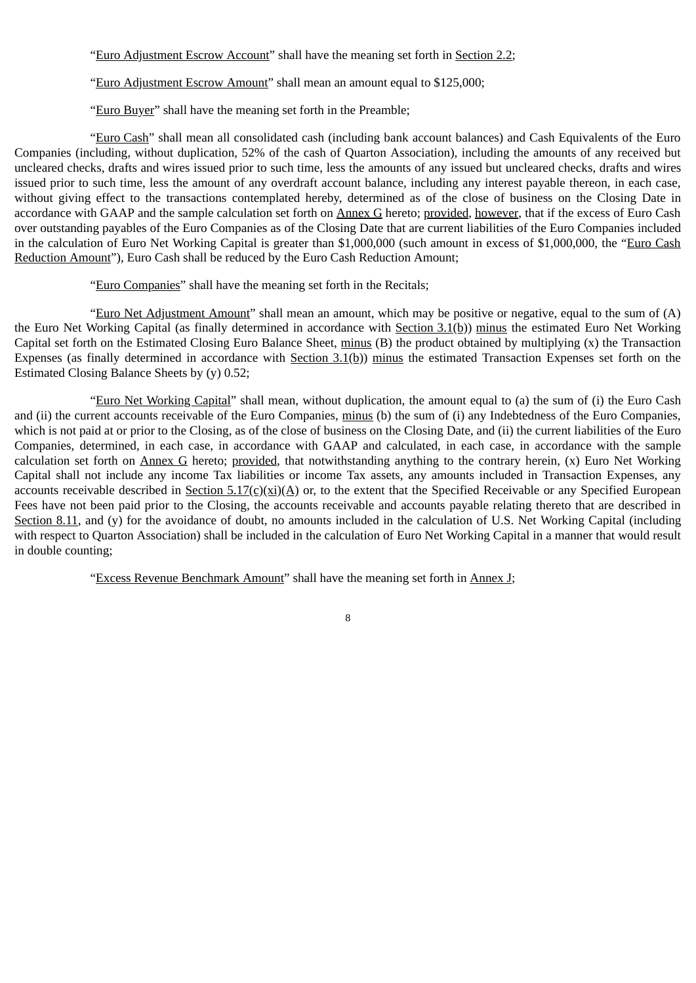"Euro Adjustment Escrow Account" shall have the meaning set forth in Section 2.2;

"Euro Adjustment Escrow Amount" shall mean an amount equal to \$125,000;

"Euro Buyer" shall have the meaning set forth in the Preamble;

"Euro Cash" shall mean all consolidated cash (including bank account balances) and Cash Equivalents of the Euro Companies (including, without duplication, 52% of the cash of Quarton Association), including the amounts of any received but uncleared checks, drafts and wires issued prior to such time, less the amounts of any issued but uncleared checks, drafts and wires issued prior to such time, less the amount of any overdraft account balance, including any interest payable thereon, in each case, without giving effect to the transactions contemplated hereby, determined as of the close of business on the Closing Date in accordance with GAAP and the sample calculation set forth on Annex G hereto; provided, however, that if the excess of Euro Cash over outstanding payables of the Euro Companies as of the Closing Date that are current liabilities of the Euro Companies included in the calculation of Euro Net Working Capital is greater than \$1,000,000 (such amount in excess of \$1,000,000, the "Euro Cash Reduction Amount"), Euro Cash shall be reduced by the Euro Cash Reduction Amount;

"Euro Companies" shall have the meaning set forth in the Recitals;

"Euro Net Adjustment Amount" shall mean an amount, which may be positive or negative, equal to the sum of (A) the Euro Net Working Capital (as finally determined in accordance with Section 3.1(b)) minus the estimated Euro Net Working Capital set forth on the Estimated Closing Euro Balance Sheet, minus (B) the product obtained by multiplying (x) the Transaction Expenses (as finally determined in accordance with Section  $3.1(b)$ ) minus the estimated Transaction Expenses set forth on the Estimated Closing Balance Sheets by (y) 0.52;

"Euro Net Working Capital" shall mean, without duplication, the amount equal to (a) the sum of (i) the Euro Cash and (ii) the current accounts receivable of the Euro Companies, minus (b) the sum of (i) any Indebtedness of the Euro Companies, which is not paid at or prior to the Closing, as of the close of business on the Closing Date, and (ii) the current liabilities of the Euro Companies, determined, in each case, in accordance with GAAP and calculated, in each case, in accordance with the sample calculation set forth on  $\Delta$ nnex  $G$  hereto; provided, that notwithstanding anything to the contrary herein,  $(x)$  Euro Net Working Capital shall not include any income Tax liabilities or income Tax assets, any amounts included in Transaction Expenses, any accounts receivable described in Section  $5.17(c)(xi)(A)$  or, to the extent that the Specified Receivable or any Specified European Fees have not been paid prior to the Closing, the accounts receivable and accounts payable relating thereto that are described in Section 8.11, and (y) for the avoidance of doubt, no amounts included in the calculation of U.S. Net Working Capital (including with respect to Quarton Association) shall be included in the calculation of Euro Net Working Capital in a manner that would result in double counting;

"Excess Revenue Benchmark Amount" shall have the meaning set forth in Annex J;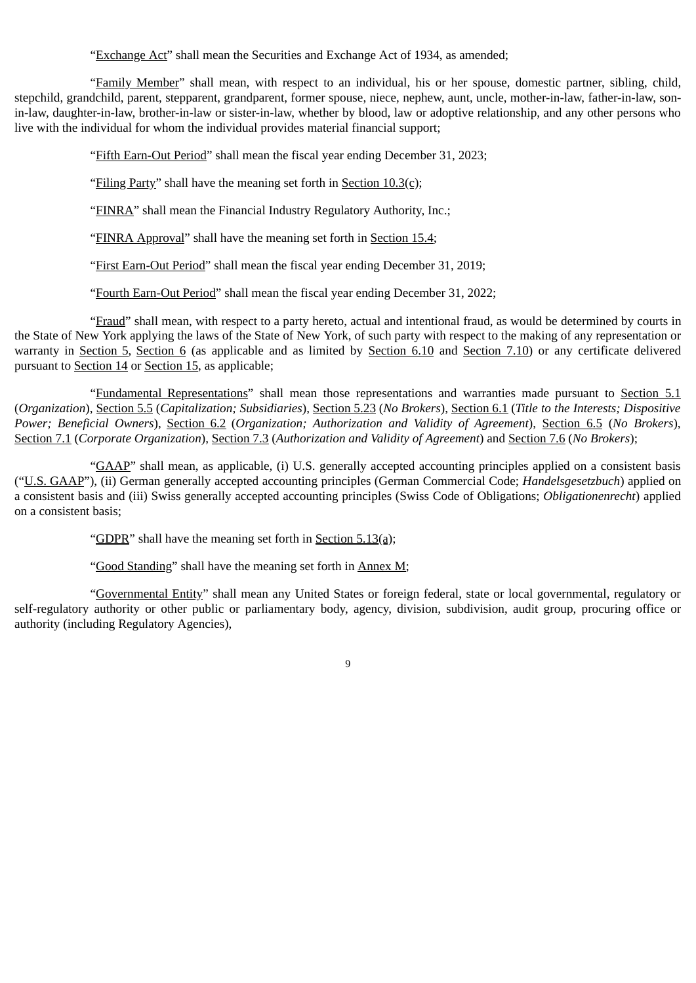"Exchange Act" shall mean the Securities and Exchange Act of 1934, as amended;

"Family Member" shall mean, with respect to an individual, his or her spouse, domestic partner, sibling, child, stepchild, grandchild, parent, stepparent, grandparent, former spouse, niece, nephew, aunt, uncle, mother-in-law, father-in-law, sonin-law, daughter-in-law, brother-in-law or sister-in-law, whether by blood, law or adoptive relationship, and any other persons who live with the individual for whom the individual provides material financial support;

"Fifth Earn-Out Period" shall mean the fiscal year ending December 31, 2023;

"Filing Party" shall have the meaning set forth in Section  $10.3(c)$ ;

"FINRA" shall mean the Financial Industry Regulatory Authority, Inc.;

"FINRA Approval" shall have the meaning set forth in Section 15.4;

"First Earn-Out Period" shall mean the fiscal year ending December 31, 2019;

"Fourth Earn-Out Period" shall mean the fiscal year ending December 31, 2022;

"Fraud" shall mean, with respect to a party hereto, actual and intentional fraud, as would be determined by courts in the State of New York applying the laws of the State of New York, of such party with respect to the making of any representation or warranty in Section 5, Section 6 (as applicable and as limited by Section 6.10 and Section 7.10) or any certificate delivered pursuant to Section 14 or Section 15, as applicable;

"Fundamental Representations" shall mean those representations and warranties made pursuant to Section 5.1 (*Organization*), Section 5.5 (*Capitalization; Subsidiaries*), Section 5.23 (*No Brokers*), Section 6.1 (*Title to the Interests; Dispositive Power; Beneficial Owners*), Section 6.2 (*Organization; Authorization and Validity of Agreement*), Section 6.5 (*No Brokers*), Section 7.1 (*Corporate Organization*), Section 7.3 (*Authorization and Validity of Agreement*) and Section 7.6 (*No Brokers*);

"GAAP" shall mean, as applicable, (i) U.S. generally accepted accounting principles applied on a consistent basis ("U.S. GAAP"), (ii) German generally accepted accounting principles (German Commercial Code; *Handelsgesetzbuch*) applied on a consistent basis and (iii) Swiss generally accepted accounting principles (Swiss Code of Obligations; *Obligationenrecht*) applied on a consistent basis;

"GDPR" shall have the meaning set forth in Section  $5.13(a)$ ;

"Good Standing" shall have the meaning set forth in Annex M;

"Governmental Entity" shall mean any United States or foreign federal, state or local governmental, regulatory or self-regulatory authority or other public or parliamentary body, agency, division, subdivision, audit group, procuring office or authority (including Regulatory Agencies),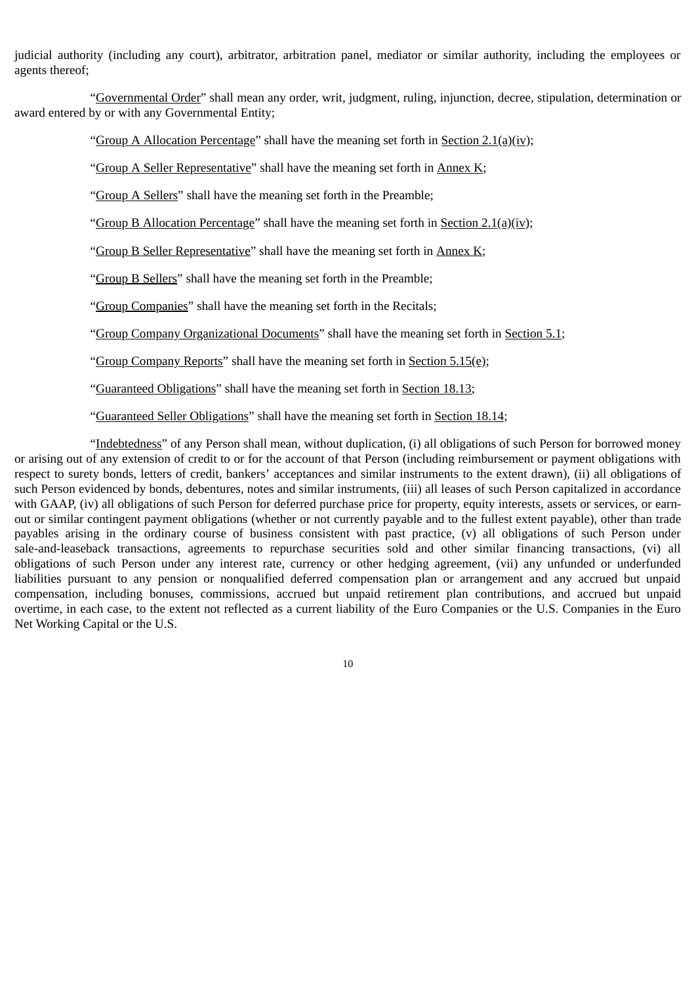judicial authority (including any court), arbitrator, arbitration panel, mediator or similar authority, including the employees or agents thereof;

"Governmental Order" shall mean any order, writ, judgment, ruling, injunction, decree, stipulation, determination or award entered by or with any Governmental Entity;

"Group A Allocation Percentage" shall have the meaning set forth in Section 2.1(a)(iv);

"Group A Seller Representative" shall have the meaning set forth in Annex K;

"Group A Sellers" shall have the meaning set forth in the Preamble;

"Group B Allocation Percentage" shall have the meaning set forth in Section  $2.1(a)(iv)$ ;

"Group B Seller Representative" shall have the meaning set forth in Annex K;

"Group B Sellers" shall have the meaning set forth in the Preamble;

"Group Companies" shall have the meaning set forth in the Recitals;

"Group Company Organizational Documents" shall have the meaning set forth in Section 5.1;

"Group Company Reports" shall have the meaning set forth in Section  $5.15(e)$ ;

"Guaranteed Obligations" shall have the meaning set forth in Section 18.13;

"Guaranteed Seller Obligations" shall have the meaning set forth in Section 18.14;

"Indebtedness" of any Person shall mean, without duplication, (i) all obligations of such Person for borrowed money or arising out of any extension of credit to or for the account of that Person (including reimbursement or payment obligations with respect to surety bonds, letters of credit, bankers' acceptances and similar instruments to the extent drawn), (ii) all obligations of such Person evidenced by bonds, debentures, notes and similar instruments, (iii) all leases of such Person capitalized in accordance with GAAP, (iv) all obligations of such Person for deferred purchase price for property, equity interests, assets or services, or earnout or similar contingent payment obligations (whether or not currently payable and to the fullest extent payable), other than trade payables arising in the ordinary course of business consistent with past practice, (v) all obligations of such Person under sale-and-leaseback transactions, agreements to repurchase securities sold and other similar financing transactions, (vi) all obligations of such Person under any interest rate, currency or other hedging agreement, (vii) any unfunded or underfunded liabilities pursuant to any pension or nonqualified deferred compensation plan or arrangement and any accrued but unpaid compensation, including bonuses, commissions, accrued but unpaid retirement plan contributions, and accrued but unpaid overtime, in each case, to the extent not reflected as a current liability of the Euro Companies or the U.S. Companies in the Euro Net Working Capital or the U.S.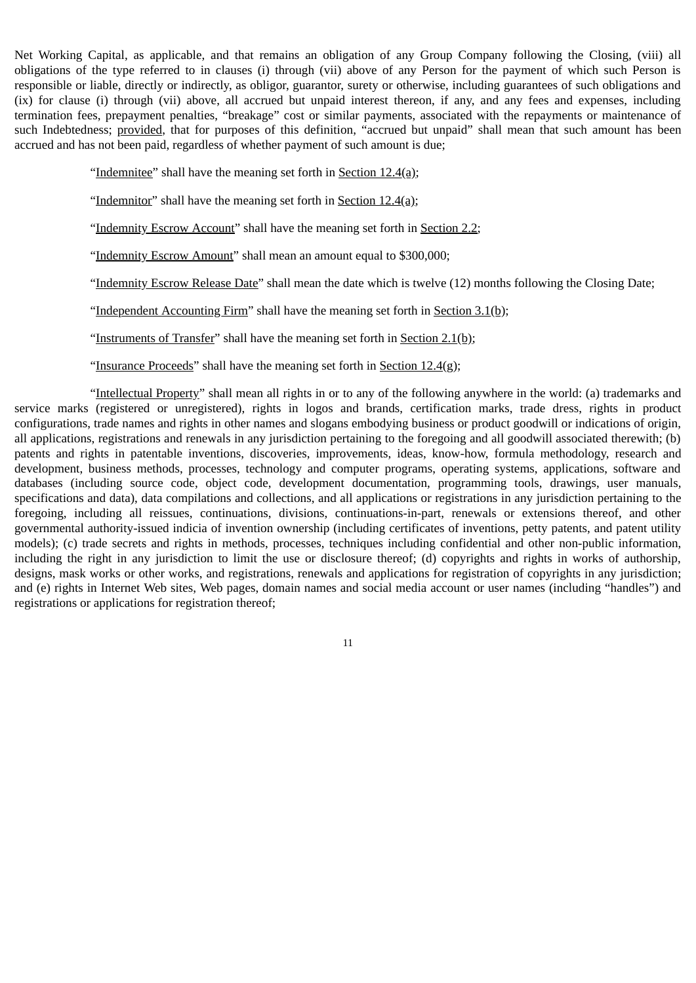Net Working Capital, as applicable, and that remains an obligation of any Group Company following the Closing, (viii) all obligations of the type referred to in clauses (i) through (vii) above of any Person for the payment of which such Person is responsible or liable, directly or indirectly, as obligor, guarantor, surety or otherwise, including guarantees of such obligations and (ix) for clause (i) through (vii) above, all accrued but unpaid interest thereon, if any, and any fees and expenses, including termination fees, prepayment penalties, "breakage" cost or similar payments, associated with the repayments or maintenance of such Indebtedness; provided, that for purposes of this definition, "accrued but unpaid" shall mean that such amount has been accrued and has not been paid, regardless of whether payment of such amount is due;

"Indemnitee" shall have the meaning set forth in Section  $12.4(a)$ ;

"Indemnitor" shall have the meaning set forth in Section 12.4(a);

"Indemnity Escrow Account" shall have the meaning set forth in Section 2.2;

"Indemnity Escrow Amount" shall mean an amount equal to \$300,000;

"Indemnity Escrow Release Date" shall mean the date which is twelve (12) months following the Closing Date;

"Independent Accounting Firm" shall have the meaning set forth in Section  $3.1(b)$ ;

"Instruments of Transfer" shall have the meaning set forth in Section 2.1(b);

"Insurance Proceeds" shall have the meaning set forth in Section  $12.4(g)$ ;

"Intellectual Property" shall mean all rights in or to any of the following anywhere in the world: (a) trademarks and service marks (registered or unregistered), rights in logos and brands, certification marks, trade dress, rights in product configurations, trade names and rights in other names and slogans embodying business or product goodwill or indications of origin, all applications, registrations and renewals in any jurisdiction pertaining to the foregoing and all goodwill associated therewith; (b) patents and rights in patentable inventions, discoveries, improvements, ideas, know-how, formula methodology, research and development, business methods, processes, technology and computer programs, operating systems, applications, software and databases (including source code, object code, development documentation, programming tools, drawings, user manuals, specifications and data), data compilations and collections, and all applications or registrations in any jurisdiction pertaining to the foregoing, including all reissues, continuations, divisions, continuations-in-part, renewals or extensions thereof, and other governmental authority-issued indicia of invention ownership (including certificates of inventions, petty patents, and patent utility models); (c) trade secrets and rights in methods, processes, techniques including confidential and other non-public information, including the right in any jurisdiction to limit the use or disclosure thereof; (d) copyrights and rights in works of authorship, designs, mask works or other works, and registrations, renewals and applications for registration of copyrights in any jurisdiction; and (e) rights in Internet Web sites, Web pages, domain names and social media account or user names (including "handles") and registrations or applications for registration thereof;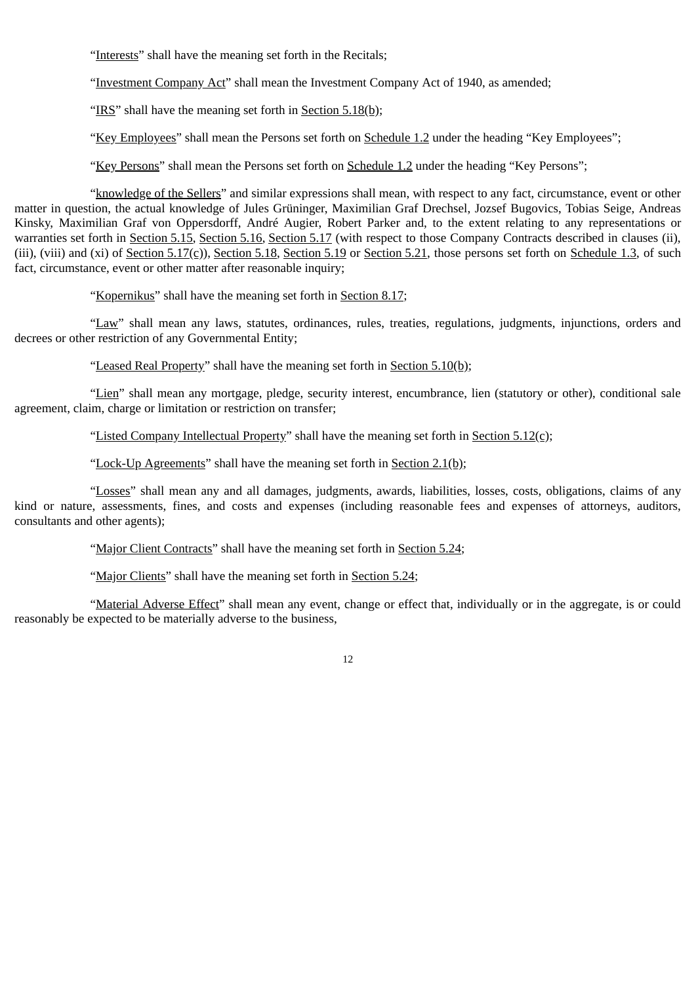"Interests" shall have the meaning set forth in the Recitals;

"Investment Company Act" shall mean the Investment Company Act of 1940, as amended;

"IRS" shall have the meaning set forth in Section 5.18(b);

"Key Employees" shall mean the Persons set forth on Schedule 1.2 under the heading "Key Employees";

"Key Persons" shall mean the Persons set forth on Schedule 1.2 under the heading "Key Persons";

"knowledge of the Sellers" and similar expressions shall mean, with respect to any fact, circumstance, event or other matter in question, the actual knowledge of Jules Grüninger, Maximilian Graf Drechsel, Jozsef Bugovics, Tobias Seige, Andreas Kinsky, Maximilian Graf von Oppersdorff, André Augier, Robert Parker and, to the extent relating to any representations or warranties set forth in Section 5.15, Section 5.16, Section 5.17 (with respect to those Company Contracts described in clauses (ii), (iii), (viii) and (xi) of Section 5.17(c)), Section 5.18, Section 5.19 or Section 5.21, those persons set forth on Schedule 1.3, of such fact, circumstance, event or other matter after reasonable inquiry;

"Kopernikus" shall have the meaning set forth in Section 8.17;

"Law" shall mean any laws, statutes, ordinances, rules, treaties, regulations, judgments, injunctions, orders and decrees or other restriction of any Governmental Entity;

"Leased Real Property" shall have the meaning set forth in Section 5.10(b);

"Lien" shall mean any mortgage, pledge, security interest, encumbrance, lien (statutory or other), conditional sale agreement, claim, charge or limitation or restriction on transfer;

"Listed Company Intellectual Property" shall have the meaning set forth in Section 5.12(c);

"Lock-Up Agreements" shall have the meaning set forth in Section 2.1(b);

"Losses" shall mean any and all damages, judgments, awards, liabilities, losses, costs, obligations, claims of any kind or nature, assessments, fines, and costs and expenses (including reasonable fees and expenses of attorneys, auditors, consultants and other agents);

"Major Client Contracts" shall have the meaning set forth in Section 5.24;

"Major Clients" shall have the meaning set forth in Section 5.24;

"Material Adverse Effect" shall mean any event, change or effect that, individually or in the aggregate, is or could reasonably be expected to be materially adverse to the business,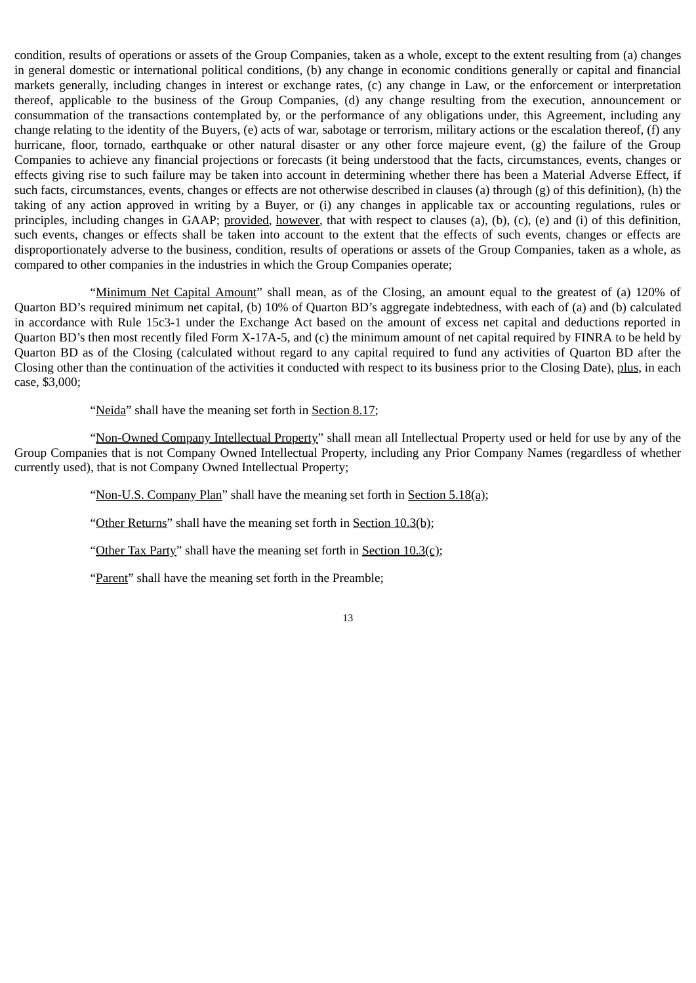condition, results of operations or assets of the Group Companies, taken as a whole, except to the extent resulting from (a) changes in general domestic or international political conditions, (b) any change in economic conditions generally or capital and financial markets generally, including changes in interest or exchange rates, (c) any change in Law, or the enforcement or interpretation thereof, applicable to the business of the Group Companies, (d) any change resulting from the execution, announcement or consummation of the transactions contemplated by, or the performance of any obligations under, this Agreement, including any change relating to the identity of the Buyers, (e) acts of war, sabotage or terrorism, military actions or the escalation thereof, (f) any hurricane, floor, tornado, earthquake or other natural disaster or any other force majeure event, (g) the failure of the Group Companies to achieve any financial projections or forecasts (it being understood that the facts, circumstances, events, changes or effects giving rise to such failure may be taken into account in determining whether there has been a Material Adverse Effect, if such facts, circumstances, events, changes or effects are not otherwise described in clauses (a) through (g) of this definition), (h) the taking of any action approved in writing by a Buyer, or (i) any changes in applicable tax or accounting regulations, rules or principles, including changes in GAAP; provided, however, that with respect to clauses (a), (b), (c), (e) and (i) of this definition, such events, changes or effects shall be taken into account to the extent that the effects of such events, changes or effects are disproportionately adverse to the business, condition, results of operations or assets of the Group Companies, taken as a whole, as compared to other companies in the industries in which the Group Companies operate;

"Minimum Net Capital Amount" shall mean, as of the Closing, an amount equal to the greatest of (a) 120% of Quarton BD's required minimum net capital, (b) 10% of Quarton BD's aggregate indebtedness, with each of (a) and (b) calculated in accordance with Rule 15c3-1 under the Exchange Act based on the amount of excess net capital and deductions reported in Quarton BD's then most recently filed Form X-17A-5, and (c) the minimum amount of net capital required by FINRA to be held by Quarton BD as of the Closing (calculated without regard to any capital required to fund any activities of Quarton BD after the Closing other than the continuation of the activities it conducted with respect to its business prior to the Closing Date), plus, in each case, \$3,000;

"Neida" shall have the meaning set forth in Section 8.17;

"Non-Owned Company Intellectual Property" shall mean all Intellectual Property used or held for use by any of the Group Companies that is not Company Owned Intellectual Property, including any Prior Company Names (regardless of whether currently used), that is not Company Owned Intellectual Property;

"Non-U.S. Company Plan" shall have the meaning set forth in Section 5.18(a);

"Other Returns" shall have the meaning set forth in Section 10.3(b);

"Other Tax Party" shall have the meaning set forth in Section  $10.3(c)$ ;

"Parent" shall have the meaning set forth in the Preamble;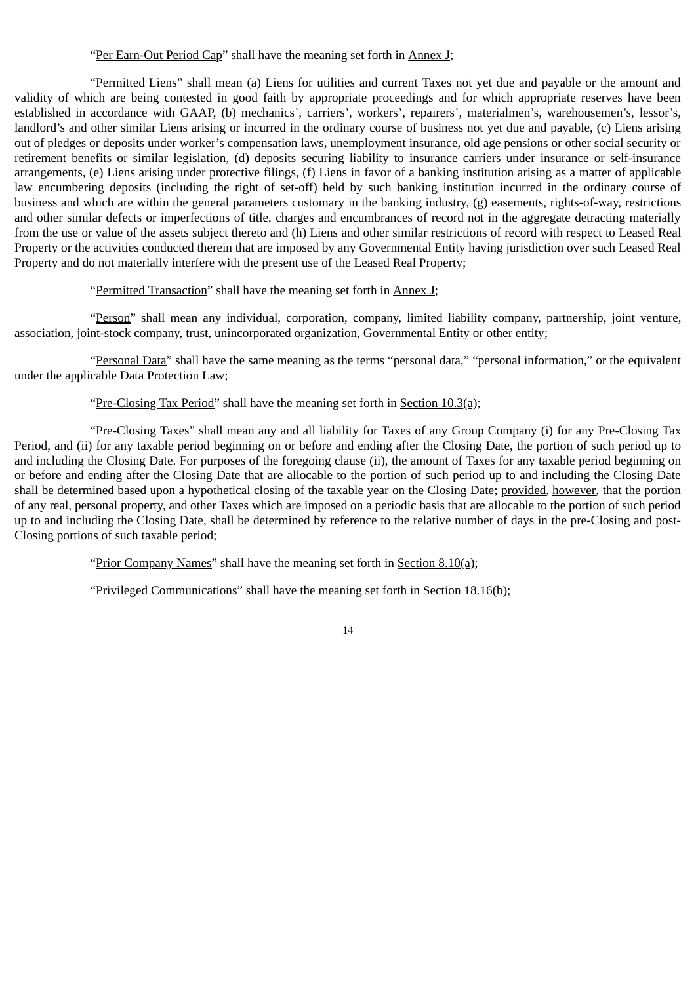"Per Earn-Out Period Cap" shall have the meaning set forth in Annex J;

"Permitted Liens" shall mean (a) Liens for utilities and current Taxes not yet due and payable or the amount and validity of which are being contested in good faith by appropriate proceedings and for which appropriate reserves have been established in accordance with GAAP, (b) mechanics', carriers', workers', repairers', materialmen's, warehousemen's, lessor's, landlord's and other similar Liens arising or incurred in the ordinary course of business not yet due and payable, (c) Liens arising out of pledges or deposits under worker's compensation laws, unemployment insurance, old age pensions or other social security or retirement benefits or similar legislation, (d) deposits securing liability to insurance carriers under insurance or self-insurance arrangements, (e) Liens arising under protective filings, (f) Liens in favor of a banking institution arising as a matter of applicable law encumbering deposits (including the right of set-off) held by such banking institution incurred in the ordinary course of business and which are within the general parameters customary in the banking industry, (g) easements, rights-of-way, restrictions and other similar defects or imperfections of title, charges and encumbrances of record not in the aggregate detracting materially from the use or value of the assets subject thereto and (h) Liens and other similar restrictions of record with respect to Leased Real Property or the activities conducted therein that are imposed by any Governmental Entity having jurisdiction over such Leased Real Property and do not materially interfere with the present use of the Leased Real Property;

"Permitted Transaction" shall have the meaning set forth in Annex J;

"Person" shall mean any individual, corporation, company, limited liability company, partnership, joint venture, association, joint-stock company, trust, unincorporated organization, Governmental Entity or other entity;

"Personal Data" shall have the same meaning as the terms "personal data," "personal information," or the equivalent under the applicable Data Protection Law;

"Pre-Closing Tax Period" shall have the meaning set forth in Section 10.3(a);

"Pre-Closing Taxes" shall mean any and all liability for Taxes of any Group Company (i) for any Pre-Closing Tax Period, and (ii) for any taxable period beginning on or before and ending after the Closing Date, the portion of such period up to and including the Closing Date. For purposes of the foregoing clause (ii), the amount of Taxes for any taxable period beginning on or before and ending after the Closing Date that are allocable to the portion of such period up to and including the Closing Date shall be determined based upon a hypothetical closing of the taxable year on the Closing Date; provided, however, that the portion of any real, personal property, and other Taxes which are imposed on a periodic basis that are allocable to the portion of such period up to and including the Closing Date, shall be determined by reference to the relative number of days in the pre-Closing and post-Closing portions of such taxable period;

"Prior Company Names" shall have the meaning set forth in Section 8.10(a);

"Privileged Communications" shall have the meaning set forth in Section 18.16(b);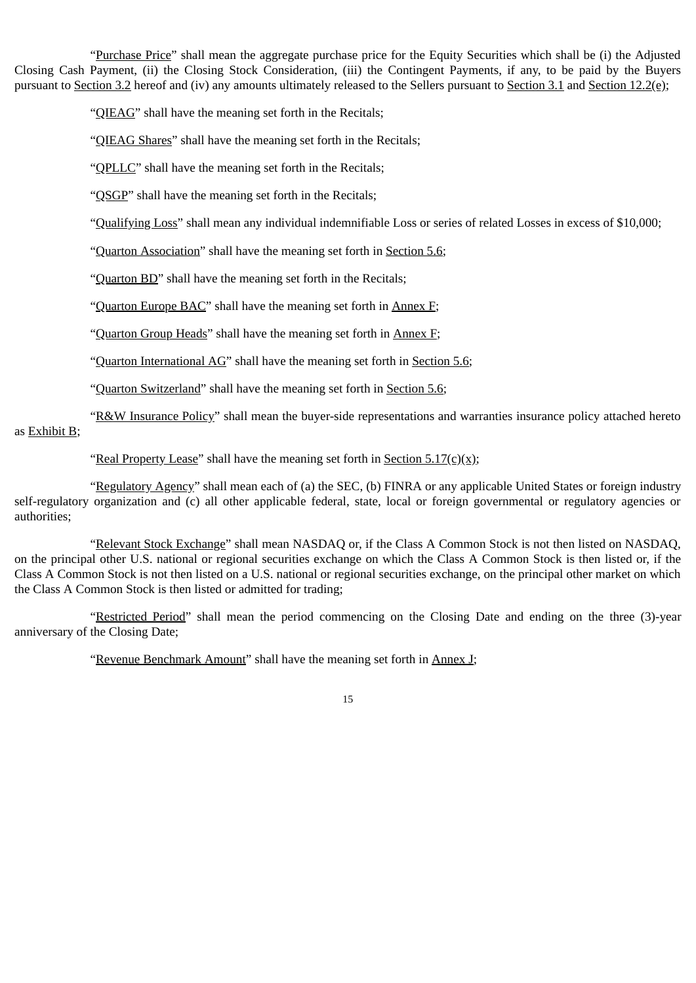"Purchase Price" shall mean the aggregate purchase price for the Equity Securities which shall be (i) the Adjusted Closing Cash Payment, (ii) the Closing Stock Consideration, (iii) the Contingent Payments, if any, to be paid by the Buyers pursuant to Section 3.2 hereof and (iv) any amounts ultimately released to the Sellers pursuant to Section 3.1 and Section 12.2(e);

"QIEAG" shall have the meaning set forth in the Recitals;

"QIEAG Shares" shall have the meaning set forth in the Recitals;

"**QPLLC**" shall have the meaning set forth in the Recitals;

"QSGP" shall have the meaning set forth in the Recitals;

"Qualifying Loss" shall mean any individual indemnifiable Loss or series of related Losses in excess of \$10,000;

"Quarton Association" shall have the meaning set forth in Section 5.6;

"Quarton BD" shall have the meaning set forth in the Recitals;

"Quarton Europe BAC" shall have the meaning set forth in Annex F;

"Quarton Group Heads" shall have the meaning set forth in  $\triangle$ nnex  $F$ ;

"Quarton International AG" shall have the meaning set forth in Section 5.6;

"Quarton Switzerland" shall have the meaning set forth in Section 5.6;

"R&W Insurance Policy" shall mean the buyer-side representations and warranties insurance policy attached hereto as Exhibit B;

"Real Property Lease" shall have the meaning set forth in Section  $5.17(c)(x)$ ;

"Regulatory Agency" shall mean each of (a) the SEC, (b) FINRA or any applicable United States or foreign industry self-regulatory organization and (c) all other applicable federal, state, local or foreign governmental or regulatory agencies or authorities;

"Relevant Stock Exchange" shall mean NASDAQ or, if the Class A Common Stock is not then listed on NASDAQ, on the principal other U.S. national or regional securities exchange on which the Class A Common Stock is then listed or, if the Class A Common Stock is not then listed on a U.S. national or regional securities exchange, on the principal other market on which the Class A Common Stock is then listed or admitted for trading;

"Restricted Period" shall mean the period commencing on the Closing Date and ending on the three (3)-year anniversary of the Closing Date;

"Revenue Benchmark Amount" shall have the meaning set forth in Annex J;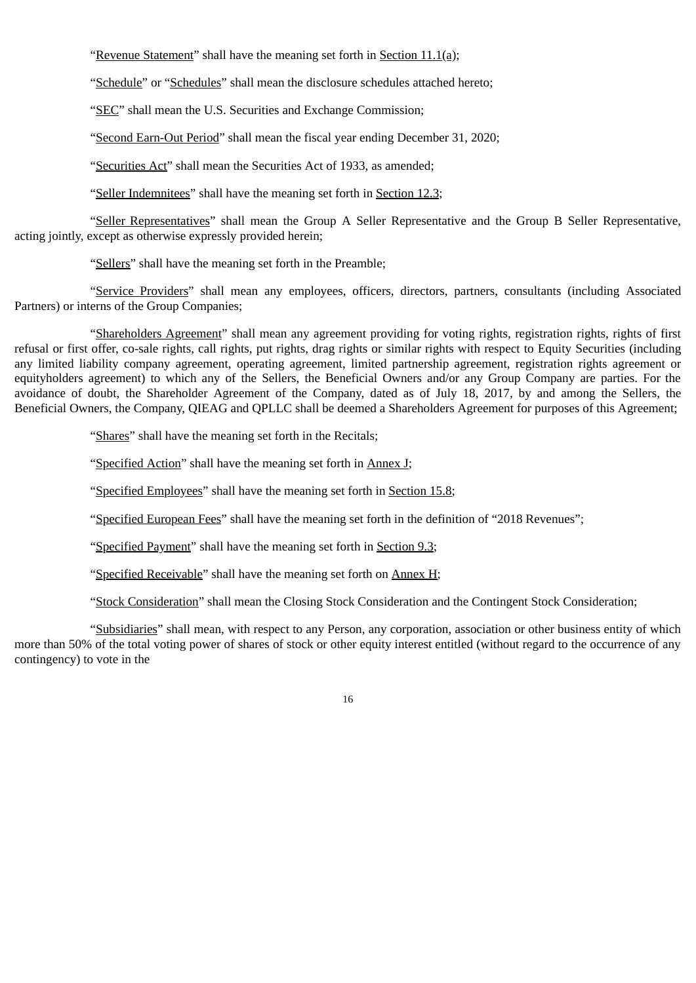"Revenue Statement" shall have the meaning set forth in Section 11.1(a);

"Schedule" or "Schedules" shall mean the disclosure schedules attached hereto;

"SEC" shall mean the U.S. Securities and Exchange Commission;

"Second Earn-Out Period" shall mean the fiscal year ending December 31, 2020;

"Securities Act" shall mean the Securities Act of 1933, as amended;

"Seller Indemnitees" shall have the meaning set forth in Section 12.3;

"Seller Representatives" shall mean the Group A Seller Representative and the Group B Seller Representative, acting jointly, except as otherwise expressly provided herein;

"Sellers" shall have the meaning set forth in the Preamble;

"Service Providers" shall mean any employees, officers, directors, partners, consultants (including Associated Partners) or interns of the Group Companies;

"Shareholders Agreement" shall mean any agreement providing for voting rights, registration rights, rights of first refusal or first offer, co-sale rights, call rights, put rights, drag rights or similar rights with respect to Equity Securities (including any limited liability company agreement, operating agreement, limited partnership agreement, registration rights agreement or equityholders agreement) to which any of the Sellers, the Beneficial Owners and/or any Group Company are parties. For the avoidance of doubt, the Shareholder Agreement of the Company, dated as of July 18, 2017, by and among the Sellers, the Beneficial Owners, the Company, QIEAG and QPLLC shall be deemed a Shareholders Agreement for purposes of this Agreement;

"Shares" shall have the meaning set forth in the Recitals;

"Specified Action" shall have the meaning set forth in Annex J;

"Specified Employees" shall have the meaning set forth in Section 15.8;

"Specified European Fees" shall have the meaning set forth in the definition of "2018 Revenues";

"Specified Payment" shall have the meaning set forth in Section 9.3;

"Specified Receivable" shall have the meaning set forth on Annex H;

"Stock Consideration" shall mean the Closing Stock Consideration and the Contingent Stock Consideration;

"Subsidiaries" shall mean, with respect to any Person, any corporation, association or other business entity of which more than 50% of the total voting power of shares of stock or other equity interest entitled (without regard to the occurrence of any contingency) to vote in the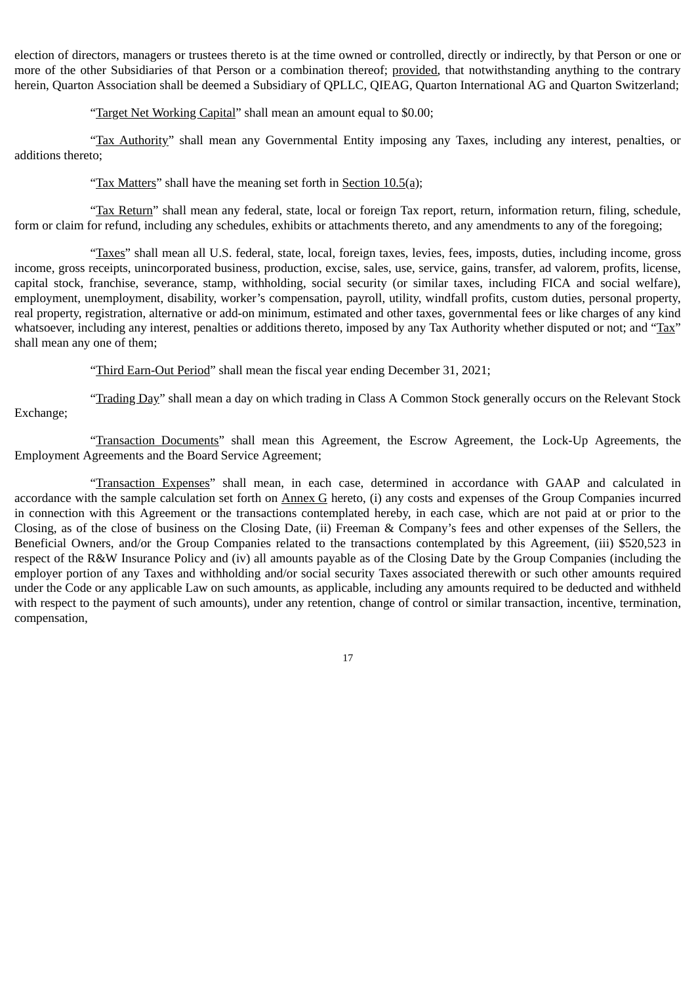election of directors, managers or trustees thereto is at the time owned or controlled, directly or indirectly, by that Person or one or more of the other Subsidiaries of that Person or a combination thereof; provided, that notwithstanding anything to the contrary herein, Quarton Association shall be deemed a Subsidiary of QPLLC, QIEAG, Quarton International AG and Quarton Switzerland;

"Target Net Working Capital" shall mean an amount equal to \$0.00;

"Tax Authority" shall mean any Governmental Entity imposing any Taxes, including any interest, penalties, or additions thereto;

"Tax Matters" shall have the meaning set forth in Section 10.5(a);

"Tax Return" shall mean any federal, state, local or foreign Tax report, return, information return, filing, schedule, form or claim for refund, including any schedules, exhibits or attachments thereto, and any amendments to any of the foregoing;

"Taxes" shall mean all U.S. federal, state, local, foreign taxes, levies, fees, imposts, duties, including income, gross income, gross receipts, unincorporated business, production, excise, sales, use, service, gains, transfer, ad valorem, profits, license, capital stock, franchise, severance, stamp, withholding, social security (or similar taxes, including FICA and social welfare), employment, unemployment, disability, worker's compensation, payroll, utility, windfall profits, custom duties, personal property, real property, registration, alternative or add-on minimum, estimated and other taxes, governmental fees or like charges of any kind whatsoever, including any interest, penalties or additions thereto, imposed by any Tax Authority whether disputed or not; and "Tax" shall mean any one of them;

"Third Earn-Out Period" shall mean the fiscal year ending December 31, 2021;

"Trading Day" shall mean a day on which trading in Class A Common Stock generally occurs on the Relevant Stock Exchange;

"Transaction Documents" shall mean this Agreement, the Escrow Agreement, the Lock-Up Agreements, the Employment Agreements and the Board Service Agreement;

"Transaction Expenses" shall mean, in each case, determined in accordance with GAAP and calculated in accordance with the sample calculation set forth on Annex G hereto, (i) any costs and expenses of the Group Companies incurred in connection with this Agreement or the transactions contemplated hereby, in each case, which are not paid at or prior to the Closing, as of the close of business on the Closing Date, (ii) Freeman & Company's fees and other expenses of the Sellers, the Beneficial Owners, and/or the Group Companies related to the transactions contemplated by this Agreement, (iii) \$520,523 in respect of the R&W Insurance Policy and (iv) all amounts payable as of the Closing Date by the Group Companies (including the employer portion of any Taxes and withholding and/or social security Taxes associated therewith or such other amounts required under the Code or any applicable Law on such amounts, as applicable, including any amounts required to be deducted and withheld with respect to the payment of such amounts), under any retention, change of control or similar transaction, incentive, termination, compensation,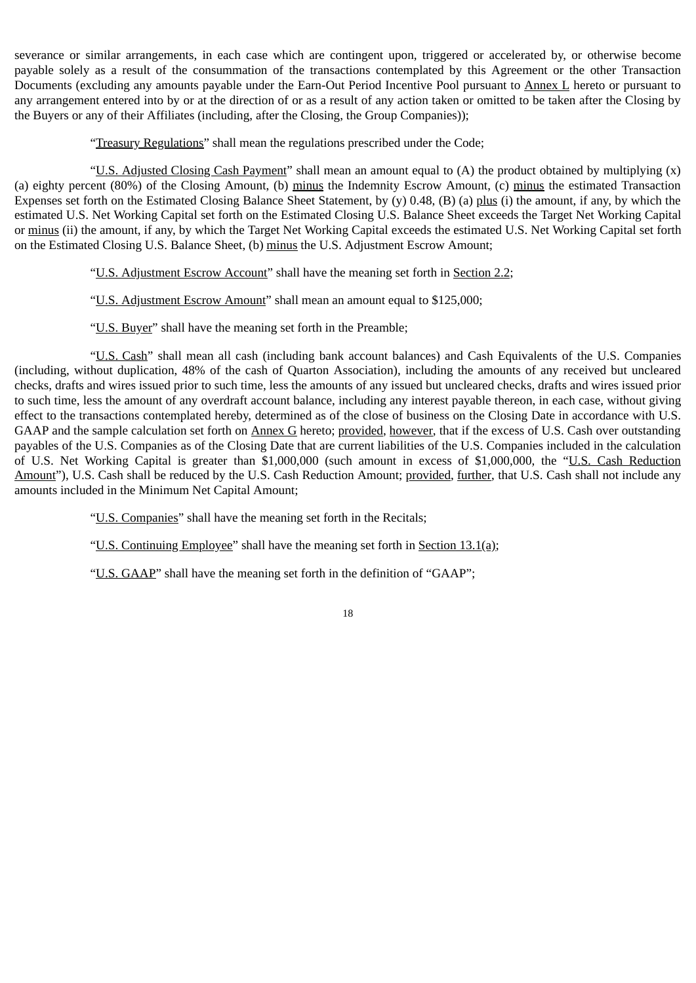severance or similar arrangements, in each case which are contingent upon, triggered or accelerated by, or otherwise become payable solely as a result of the consummation of the transactions contemplated by this Agreement or the other Transaction Documents (excluding any amounts payable under the Earn-Out Period Incentive Pool pursuant to Annex L hereto or pursuant to any arrangement entered into by or at the direction of or as a result of any action taken or omitted to be taken after the Closing by the Buyers or any of their Affiliates (including, after the Closing, the Group Companies));

"Treasury Regulations" shall mean the regulations prescribed under the Code;

"U.S. Adjusted Closing Cash Payment" shall mean an amount equal to  $(A)$  the product obtained by multiplying  $(x)$ (a) eighty percent (80%) of the Closing Amount, (b) minus the Indemnity Escrow Amount, (c) minus the estimated Transaction Expenses set forth on the Estimated Closing Balance Sheet Statement, by (y) 0.48, (B) (a) plus (i) the amount, if any, by which the estimated U.S. Net Working Capital set forth on the Estimated Closing U.S. Balance Sheet exceeds the Target Net Working Capital or minus (ii) the amount, if any, by which the Target Net Working Capital exceeds the estimated U.S. Net Working Capital set forth on the Estimated Closing U.S. Balance Sheet, (b) minus the U.S. Adjustment Escrow Amount;

"U.S. Adjustment Escrow Account" shall have the meaning set forth in Section 2.2;

"U.S. Adjustment Escrow Amount" shall mean an amount equal to \$125,000;

"U.S. Buyer" shall have the meaning set forth in the Preamble;

"U.S. Cash" shall mean all cash (including bank account balances) and Cash Equivalents of the U.S. Companies (including, without duplication, 48% of the cash of Quarton Association), including the amounts of any received but uncleared checks, drafts and wires issued prior to such time, less the amounts of any issued but uncleared checks, drafts and wires issued prior to such time, less the amount of any overdraft account balance, including any interest payable thereon, in each case, without giving effect to the transactions contemplated hereby, determined as of the close of business on the Closing Date in accordance with U.S. GAAP and the sample calculation set forth on Annex G hereto; provided, however, that if the excess of U.S. Cash over outstanding payables of the U.S. Companies as of the Closing Date that are current liabilities of the U.S. Companies included in the calculation of U.S. Net Working Capital is greater than \$1,000,000 (such amount in excess of \$1,000,000, the "U.S. Cash Reduction Amount"), U.S. Cash shall be reduced by the U.S. Cash Reduction Amount; provided, further, that U.S. Cash shall not include any amounts included in the Minimum Net Capital Amount;

"U.S. Companies" shall have the meaning set forth in the Recitals;

"U.S. Continuing Employee" shall have the meaning set forth in Section 13.1(a);

"U.S. GAAP" shall have the meaning set forth in the definition of "GAAP";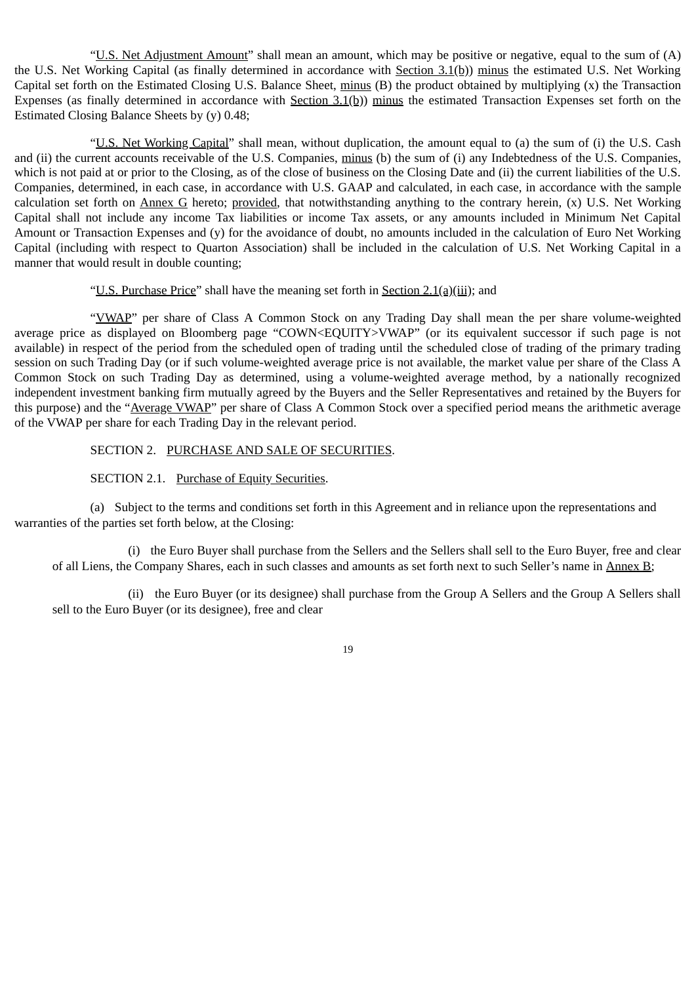"U.S. Net Adjustment Amount" shall mean an amount, which may be positive or negative, equal to the sum of (A) the U.S. Net Working Capital (as finally determined in accordance with Section 3.1(b)) minus the estimated U.S. Net Working Capital set forth on the Estimated Closing U.S. Balance Sheet, minus (B) the product obtained by multiplying (x) the Transaction Expenses (as finally determined in accordance with Section  $3.1(b)$ ) minus the estimated Transaction Expenses set forth on the Estimated Closing Balance Sheets by (y) 0.48;

"U.S. Net Working Capital" shall mean, without duplication, the amount equal to (a) the sum of (i) the U.S. Cash and (ii) the current accounts receivable of the U.S. Companies, minus (b) the sum of (i) any Indebtedness of the U.S. Companies, which is not paid at or prior to the Closing, as of the close of business on the Closing Date and (ii) the current liabilities of the U.S. Companies, determined, in each case, in accordance with U.S. GAAP and calculated, in each case, in accordance with the sample calculation set forth on Annex G hereto; provided, that notwithstanding anything to the contrary herein, (x) U.S. Net Working Capital shall not include any income Tax liabilities or income Tax assets, or any amounts included in Minimum Net Capital Amount or Transaction Expenses and (y) for the avoidance of doubt, no amounts included in the calculation of Euro Net Working Capital (including with respect to Quarton Association) shall be included in the calculation of U.S. Net Working Capital in a manner that would result in double counting;

### "U.S. Purchase Price" shall have the meaning set forth in Section 2.1(a)(iii); and

"VWAP" per share of Class A Common Stock on any Trading Day shall mean the per share volume-weighted average price as displayed on Bloomberg page "COWN<EQUITY>VWAP" (or its equivalent successor if such page is not available) in respect of the period from the scheduled open of trading until the scheduled close of trading of the primary trading session on such Trading Day (or if such volume-weighted average price is not available, the market value per share of the Class A Common Stock on such Trading Day as determined, using a volume-weighted average method, by a nationally recognized independent investment banking firm mutually agreed by the Buyers and the Seller Representatives and retained by the Buyers for this purpose) and the "Average VWAP" per share of Class A Common Stock over a specified period means the arithmetic average of the VWAP per share for each Trading Day in the relevant period.

#### SECTION 2. PURCHASE AND SALE OF SECURITIES.

### SECTION 2.1. Purchase of Equity Securities.

(a) Subject to the terms and conditions set forth in this Agreement and in reliance upon the representations and warranties of the parties set forth below, at the Closing:

(i) the Euro Buyer shall purchase from the Sellers and the Sellers shall sell to the Euro Buyer, free and clear of all Liens, the Company Shares, each in such classes and amounts as set forth next to such Seller's name in Annex B;

(ii) the Euro Buyer (or its designee) shall purchase from the Group A Sellers and the Group A Sellers shall sell to the Euro Buyer (or its designee), free and clear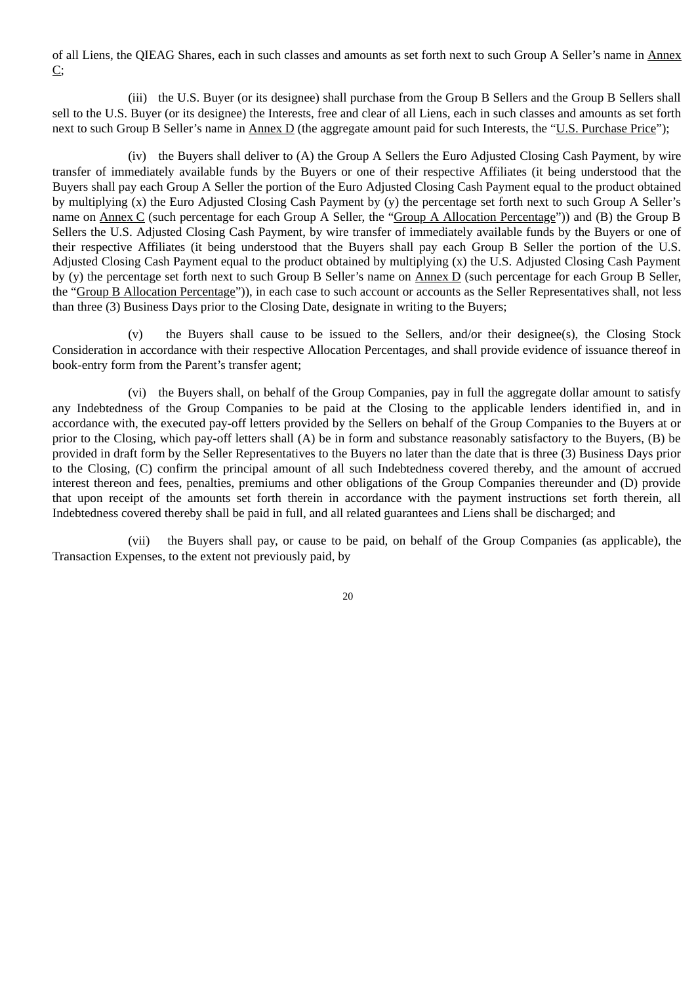of all Liens, the QIEAG Shares, each in such classes and amounts as set forth next to such Group A Seller's name in Annex C;

(iii) the U.S. Buyer (or its designee) shall purchase from the Group B Sellers and the Group B Sellers shall sell to the U.S. Buyer (or its designee) the Interests, free and clear of all Liens, each in such classes and amounts as set forth next to such Group B Seller's name in Annex D (the aggregate amount paid for such Interests, the "U.S. Purchase Price");

(iv) the Buyers shall deliver to (A) the Group A Sellers the Euro Adjusted Closing Cash Payment, by wire transfer of immediately available funds by the Buyers or one of their respective Affiliates (it being understood that the Buyers shall pay each Group A Seller the portion of the Euro Adjusted Closing Cash Payment equal to the product obtained by multiplying (x) the Euro Adjusted Closing Cash Payment by (y) the percentage set forth next to such Group A Seller's name on Annex C (such percentage for each Group A Seller, the "Group A Allocation Percentage")) and (B) the Group B Sellers the U.S. Adjusted Closing Cash Payment, by wire transfer of immediately available funds by the Buyers or one of their respective Affiliates (it being understood that the Buyers shall pay each Group B Seller the portion of the U.S. Adjusted Closing Cash Payment equal to the product obtained by multiplying (x) the U.S. Adjusted Closing Cash Payment by (y) the percentage set forth next to such Group B Seller's name on Annex D (such percentage for each Group B Seller, the "Group B Allocation Percentage")), in each case to such account or accounts as the Seller Representatives shall, not less than three (3) Business Days prior to the Closing Date, designate in writing to the Buyers;

(v) the Buyers shall cause to be issued to the Sellers, and/or their designee(s), the Closing Stock Consideration in accordance with their respective Allocation Percentages, and shall provide evidence of issuance thereof in book-entry form from the Parent's transfer agent;

(vi) the Buyers shall, on behalf of the Group Companies, pay in full the aggregate dollar amount to satisfy any Indebtedness of the Group Companies to be paid at the Closing to the applicable lenders identified in, and in accordance with, the executed pay-off letters provided by the Sellers on behalf of the Group Companies to the Buyers at or prior to the Closing, which pay-off letters shall (A) be in form and substance reasonably satisfactory to the Buyers, (B) be provided in draft form by the Seller Representatives to the Buyers no later than the date that is three (3) Business Days prior to the Closing, (C) confirm the principal amount of all such Indebtedness covered thereby, and the amount of accrued interest thereon and fees, penalties, premiums and other obligations of the Group Companies thereunder and (D) provide that upon receipt of the amounts set forth therein in accordance with the payment instructions set forth therein, all Indebtedness covered thereby shall be paid in full, and all related guarantees and Liens shall be discharged; and

(vii) the Buyers shall pay, or cause to be paid, on behalf of the Group Companies (as applicable), the Transaction Expenses, to the extent not previously paid, by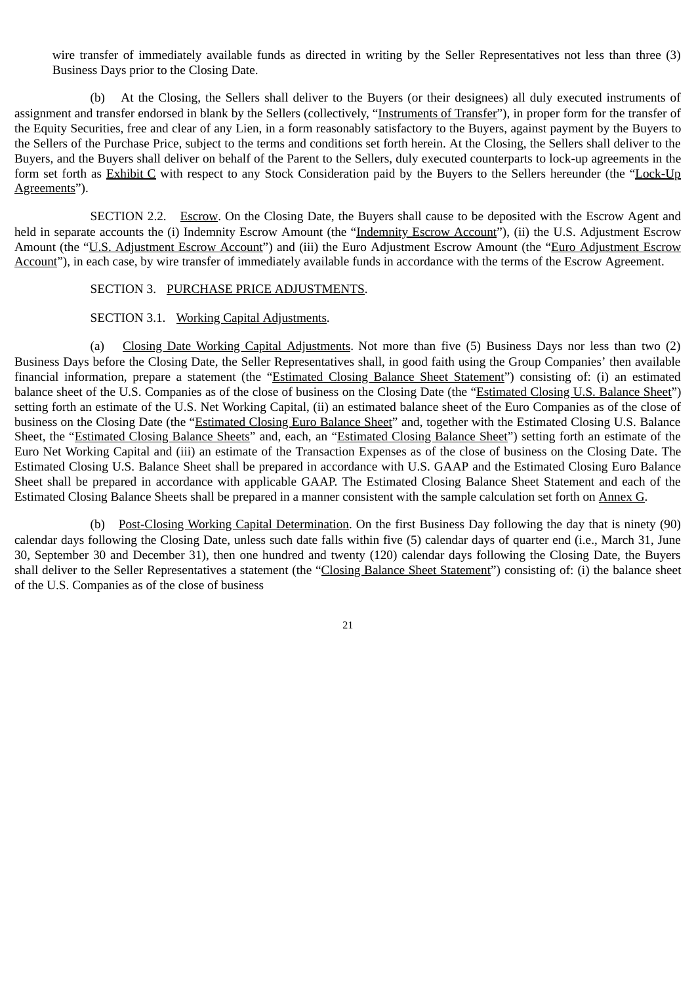wire transfer of immediately available funds as directed in writing by the Seller Representatives not less than three (3) Business Days prior to the Closing Date.

(b) At the Closing, the Sellers shall deliver to the Buyers (or their designees) all duly executed instruments of assignment and transfer endorsed in blank by the Sellers (collectively, "Instruments of Transfer"), in proper form for the transfer of the Equity Securities, free and clear of any Lien, in a form reasonably satisfactory to the Buyers, against payment by the Buyers to the Sellers of the Purchase Price, subject to the terms and conditions set forth herein. At the Closing, the Sellers shall deliver to the Buyers, and the Buyers shall deliver on behalf of the Parent to the Sellers, duly executed counterparts to lock-up agreements in the form set forth as Exhibit C with respect to any Stock Consideration paid by the Buyers to the Sellers hereunder (the "Lock-Up Agreements").

SECTION 2.2. Escrow. On the Closing Date, the Buyers shall cause to be deposited with the Escrow Agent and held in separate accounts the (i) Indemnity Escrow Amount (the "Indemnity Escrow Account"), (ii) the U.S. Adjustment Escrow Amount (the "U.S. Adjustment Escrow Account") and (iii) the Euro Adjustment Escrow Amount (the "Euro Adjustment Escrow Account"), in each case, by wire transfer of immediately available funds in accordance with the terms of the Escrow Agreement.

### SECTION 3. PURCHASE PRICE ADJUSTMENTS.

#### SECTION 3.1. Working Capital Adjustments.

(a) Closing Date Working Capital Adjustments. Not more than five (5) Business Days nor less than two (2) Business Days before the Closing Date, the Seller Representatives shall, in good faith using the Group Companies' then available financial information, prepare a statement (the "Estimated Closing Balance Sheet Statement") consisting of: (i) an estimated balance sheet of the U.S. Companies as of the close of business on the Closing Date (the "Estimated Closing U.S. Balance Sheet") setting forth an estimate of the U.S. Net Working Capital, (ii) an estimated balance sheet of the Euro Companies as of the close of business on the Closing Date (the "Estimated Closing Euro Balance Sheet" and, together with the Estimated Closing U.S. Balance Sheet, the "Estimated Closing Balance Sheets" and, each, an "Estimated Closing Balance Sheet") setting forth an estimate of the Euro Net Working Capital and (iii) an estimate of the Transaction Expenses as of the close of business on the Closing Date. The Estimated Closing U.S. Balance Sheet shall be prepared in accordance with U.S. GAAP and the Estimated Closing Euro Balance Sheet shall be prepared in accordance with applicable GAAP. The Estimated Closing Balance Sheet Statement and each of the Estimated Closing Balance Sheets shall be prepared in a manner consistent with the sample calculation set forth on Annex G.

(b) Post-Closing Working Capital Determination. On the first Business Day following the day that is ninety (90) calendar days following the Closing Date, unless such date falls within five (5) calendar days of quarter end (i.e., March 31, June 30, September 30 and December 31), then one hundred and twenty (120) calendar days following the Closing Date, the Buyers shall deliver to the Seller Representatives a statement (the "Closing Balance Sheet Statement") consisting of: (i) the balance sheet of the U.S. Companies as of the close of business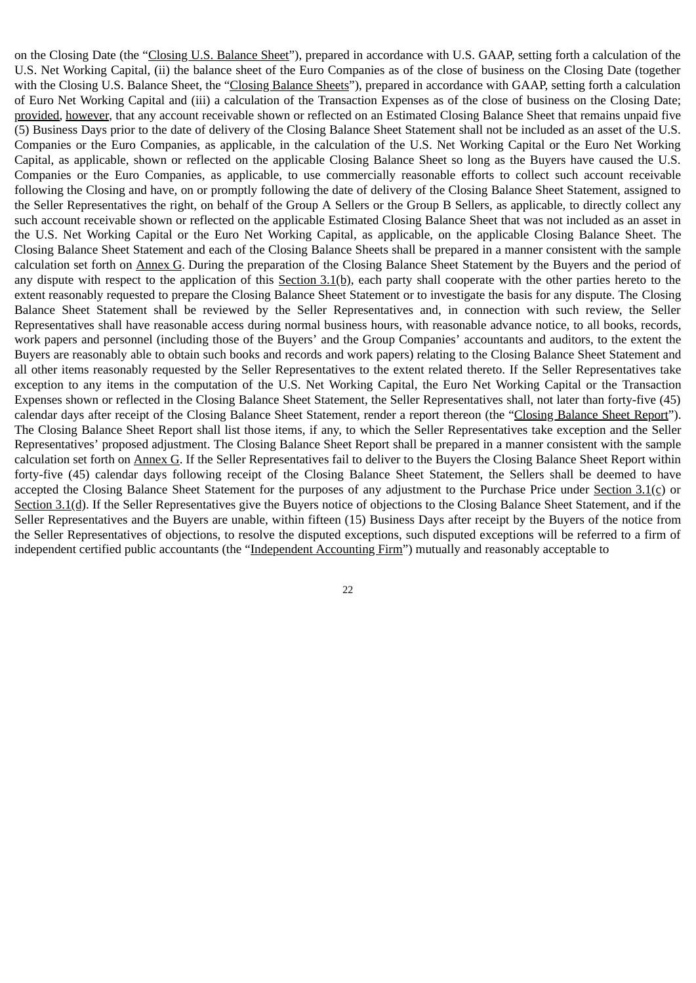on the Closing Date (the "Closing U.S. Balance Sheet"), prepared in accordance with U.S. GAAP, setting forth a calculation of the U.S. Net Working Capital, (ii) the balance sheet of the Euro Companies as of the close of business on the Closing Date (together with the Closing U.S. Balance Sheet, the "Closing Balance Sheets"), prepared in accordance with GAAP, setting forth a calculation of Euro Net Working Capital and (iii) a calculation of the Transaction Expenses as of the close of business on the Closing Date; provided, however, that any account receivable shown or reflected on an Estimated Closing Balance Sheet that remains unpaid five (5) Business Days prior to the date of delivery of the Closing Balance Sheet Statement shall not be included as an asset of the U.S. Companies or the Euro Companies, as applicable, in the calculation of the U.S. Net Working Capital or the Euro Net Working Capital, as applicable, shown or reflected on the applicable Closing Balance Sheet so long as the Buyers have caused the U.S. Companies or the Euro Companies, as applicable, to use commercially reasonable efforts to collect such account receivable following the Closing and have, on or promptly following the date of delivery of the Closing Balance Sheet Statement, assigned to the Seller Representatives the right, on behalf of the Group A Sellers or the Group B Sellers, as applicable, to directly collect any such account receivable shown or reflected on the applicable Estimated Closing Balance Sheet that was not included as an asset in the U.S. Net Working Capital or the Euro Net Working Capital, as applicable, on the applicable Closing Balance Sheet. The Closing Balance Sheet Statement and each of the Closing Balance Sheets shall be prepared in a manner consistent with the sample calculation set forth on Annex G. During the preparation of the Closing Balance Sheet Statement by the Buyers and the period of any dispute with respect to the application of this Section 3.1(b), each party shall cooperate with the other parties hereto to the extent reasonably requested to prepare the Closing Balance Sheet Statement or to investigate the basis for any dispute. The Closing Balance Sheet Statement shall be reviewed by the Seller Representatives and, in connection with such review, the Seller Representatives shall have reasonable access during normal business hours, with reasonable advance notice, to all books, records, work papers and personnel (including those of the Buyers' and the Group Companies' accountants and auditors, to the extent the Buyers are reasonably able to obtain such books and records and work papers) relating to the Closing Balance Sheet Statement and all other items reasonably requested by the Seller Representatives to the extent related thereto. If the Seller Representatives take exception to any items in the computation of the U.S. Net Working Capital, the Euro Net Working Capital or the Transaction Expenses shown or reflected in the Closing Balance Sheet Statement, the Seller Representatives shall, not later than forty-five (45) calendar days after receipt of the Closing Balance Sheet Statement, render a report thereon (the "Closing Balance Sheet Report"). The Closing Balance Sheet Report shall list those items, if any, to which the Seller Representatives take exception and the Seller Representatives' proposed adjustment. The Closing Balance Sheet Report shall be prepared in a manner consistent with the sample calculation set forth on Annex G. If the Seller Representatives fail to deliver to the Buyers the Closing Balance Sheet Report within forty-five (45) calendar days following receipt of the Closing Balance Sheet Statement, the Sellers shall be deemed to have accepted the Closing Balance Sheet Statement for the purposes of any adjustment to the Purchase Price under Section  $3.1(c)$  or Section 3.1(d). If the Seller Representatives give the Buyers notice of objections to the Closing Balance Sheet Statement, and if the Seller Representatives and the Buyers are unable, within fifteen (15) Business Days after receipt by the Buyers of the notice from the Seller Representatives of objections, to resolve the disputed exceptions, such disputed exceptions will be referred to a firm of independent certified public accountants (the "Independent Accounting Firm") mutually and reasonably acceptable to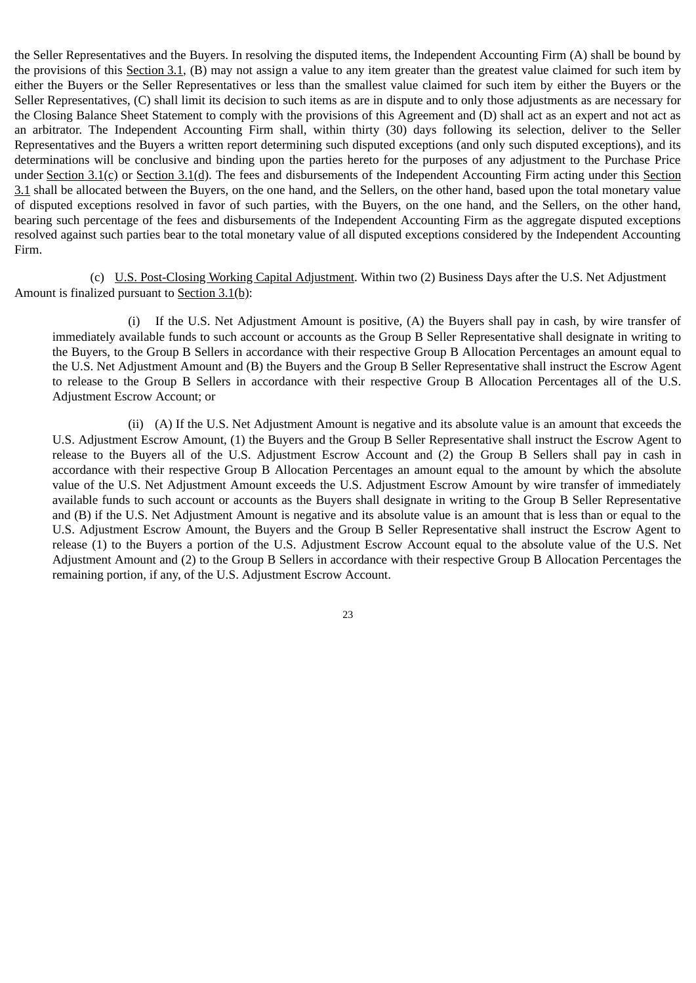the Seller Representatives and the Buyers. In resolving the disputed items, the Independent Accounting Firm (A) shall be bound by the provisions of this Section 3.1, (B) may not assign a value to any item greater than the greatest value claimed for such item by either the Buyers or the Seller Representatives or less than the smallest value claimed for such item by either the Buyers or the Seller Representatives, (C) shall limit its decision to such items as are in dispute and to only those adjustments as are necessary for the Closing Balance Sheet Statement to comply with the provisions of this Agreement and (D) shall act as an expert and not act as an arbitrator. The Independent Accounting Firm shall, within thirty (30) days following its selection, deliver to the Seller Representatives and the Buyers a written report determining such disputed exceptions (and only such disputed exceptions), and its determinations will be conclusive and binding upon the parties hereto for the purposes of any adjustment to the Purchase Price under Section 3.1(c) or Section 3.1(d). The fees and disbursements of the Independent Accounting Firm acting under this Section 3.1 shall be allocated between the Buyers, on the one hand, and the Sellers, on the other hand, based upon the total monetary value of disputed exceptions resolved in favor of such parties, with the Buyers, on the one hand, and the Sellers, on the other hand, bearing such percentage of the fees and disbursements of the Independent Accounting Firm as the aggregate disputed exceptions resolved against such parties bear to the total monetary value of all disputed exceptions considered by the Independent Accounting Firm.

(c) U.S. Post-Closing Working Capital Adjustment. Within two (2) Business Days after the U.S. Net Adjustment Amount is finalized pursuant to Section 3.1(b):

(i) If the U.S. Net Adjustment Amount is positive, (A) the Buyers shall pay in cash, by wire transfer of immediately available funds to such account or accounts as the Group B Seller Representative shall designate in writing to the Buyers, to the Group B Sellers in accordance with their respective Group B Allocation Percentages an amount equal to the U.S. Net Adjustment Amount and (B) the Buyers and the Group B Seller Representative shall instruct the Escrow Agent to release to the Group B Sellers in accordance with their respective Group B Allocation Percentages all of the U.S. Adjustment Escrow Account; or

(ii) (A) If the U.S. Net Adjustment Amount is negative and its absolute value is an amount that exceeds the U.S. Adjustment Escrow Amount, (1) the Buyers and the Group B Seller Representative shall instruct the Escrow Agent to release to the Buyers all of the U.S. Adjustment Escrow Account and (2) the Group B Sellers shall pay in cash in accordance with their respective Group B Allocation Percentages an amount equal to the amount by which the absolute value of the U.S. Net Adjustment Amount exceeds the U.S. Adjustment Escrow Amount by wire transfer of immediately available funds to such account or accounts as the Buyers shall designate in writing to the Group B Seller Representative and (B) if the U.S. Net Adjustment Amount is negative and its absolute value is an amount that is less than or equal to the U.S. Adjustment Escrow Amount, the Buyers and the Group B Seller Representative shall instruct the Escrow Agent to release (1) to the Buyers a portion of the U.S. Adjustment Escrow Account equal to the absolute value of the U.S. Net Adjustment Amount and (2) to the Group B Sellers in accordance with their respective Group B Allocation Percentages the remaining portion, if any, of the U.S. Adjustment Escrow Account.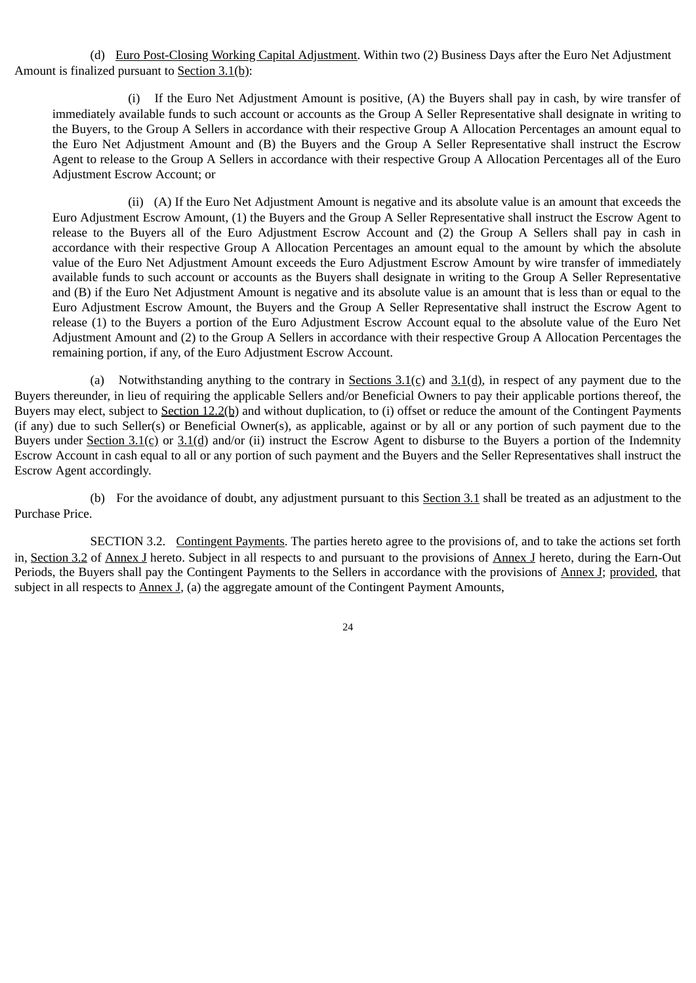(d) Euro Post-Closing Working Capital Adjustment. Within two (2) Business Days after the Euro Net Adjustment Amount is finalized pursuant to Section 3.1(b):

(i) If the Euro Net Adjustment Amount is positive, (A) the Buyers shall pay in cash, by wire transfer of immediately available funds to such account or accounts as the Group A Seller Representative shall designate in writing to the Buyers, to the Group A Sellers in accordance with their respective Group A Allocation Percentages an amount equal to the Euro Net Adjustment Amount and (B) the Buyers and the Group A Seller Representative shall instruct the Escrow Agent to release to the Group A Sellers in accordance with their respective Group A Allocation Percentages all of the Euro Adjustment Escrow Account; or

(ii) (A) If the Euro Net Adjustment Amount is negative and its absolute value is an amount that exceeds the Euro Adjustment Escrow Amount, (1) the Buyers and the Group A Seller Representative shall instruct the Escrow Agent to release to the Buyers all of the Euro Adjustment Escrow Account and (2) the Group A Sellers shall pay in cash in accordance with their respective Group A Allocation Percentages an amount equal to the amount by which the absolute value of the Euro Net Adjustment Amount exceeds the Euro Adjustment Escrow Amount by wire transfer of immediately available funds to such account or accounts as the Buyers shall designate in writing to the Group A Seller Representative and (B) if the Euro Net Adjustment Amount is negative and its absolute value is an amount that is less than or equal to the Euro Adjustment Escrow Amount, the Buyers and the Group A Seller Representative shall instruct the Escrow Agent to release (1) to the Buyers a portion of the Euro Adjustment Escrow Account equal to the absolute value of the Euro Net Adjustment Amount and (2) to the Group A Sellers in accordance with their respective Group A Allocation Percentages the remaining portion, if any, of the Euro Adjustment Escrow Account.

(a) Notwithstanding anything to the contrary in Sections  $3.1(c)$  and  $3.1(d)$ , in respect of any payment due to the Buyers thereunder, in lieu of requiring the applicable Sellers and/or Beneficial Owners to pay their applicable portions thereof, the Buyers may elect, subject to Section 12.2(b) and without duplication, to (i) offset or reduce the amount of the Contingent Payments (if any) due to such Seller(s) or Beneficial Owner(s), as applicable, against or by all or any portion of such payment due to the Buyers under Section 3.1(c) or  $3.1$ (d) and/or (ii) instruct the Escrow Agent to disburse to the Buyers a portion of the Indemnity Escrow Account in cash equal to all or any portion of such payment and the Buyers and the Seller Representatives shall instruct the Escrow Agent accordingly.

(b) For the avoidance of doubt, any adjustment pursuant to this Section 3.1 shall be treated as an adjustment to the Purchase Price.

SECTION 3.2. Contingent Payments. The parties hereto agree to the provisions of, and to take the actions set forth in, Section 3.2 of Annex J hereto. Subject in all respects to and pursuant to the provisions of Annex J hereto, during the Earn-Out Periods, the Buyers shall pay the Contingent Payments to the Sellers in accordance with the provisions of Annex J; provided, that subject in all respects to  $\Delta$ nnex J, (a) the aggregate amount of the Contingent Payment Amounts,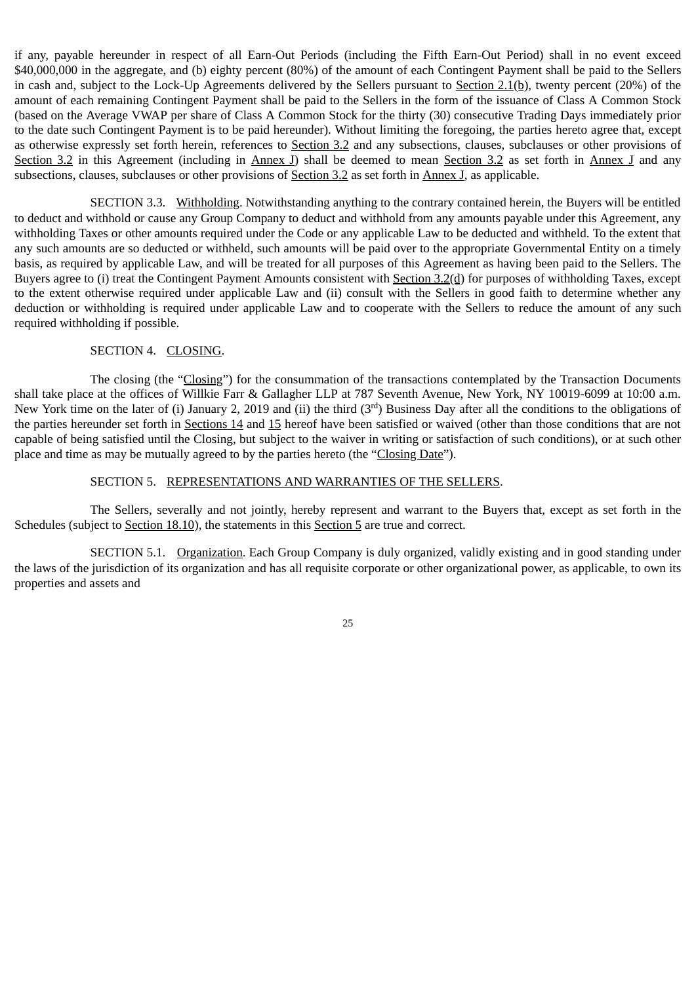if any, payable hereunder in respect of all Earn-Out Periods (including the Fifth Earn-Out Period) shall in no event exceed \$40,000,000 in the aggregate, and (b) eighty percent (80%) of the amount of each Contingent Payment shall be paid to the Sellers in cash and, subject to the Lock-Up Agreements delivered by the Sellers pursuant to Section 2.1(b), twenty percent (20%) of the amount of each remaining Contingent Payment shall be paid to the Sellers in the form of the issuance of Class A Common Stock (based on the Average VWAP per share of Class A Common Stock for the thirty (30) consecutive Trading Days immediately prior to the date such Contingent Payment is to be paid hereunder). Without limiting the foregoing, the parties hereto agree that, except as otherwise expressly set forth herein, references to Section 3.2 and any subsections, clauses, subclauses or other provisions of Section 3.2 in this Agreement (including in Annex J) shall be deemed to mean Section 3.2 as set forth in Annex J and any subsections, clauses, subclauses or other provisions of **Section 3.2** as set forth in **Annex J**, as applicable.

SECTION 3.3. Withholding. Notwithstanding anything to the contrary contained herein, the Buyers will be entitled to deduct and withhold or cause any Group Company to deduct and withhold from any amounts payable under this Agreement, any withholding Taxes or other amounts required under the Code or any applicable Law to be deducted and withheld. To the extent that any such amounts are so deducted or withheld, such amounts will be paid over to the appropriate Governmental Entity on a timely basis, as required by applicable Law, and will be treated for all purposes of this Agreement as having been paid to the Sellers. The Buyers agree to (i) treat the Contingent Payment Amounts consistent with Section 3.2(d) for purposes of withholding Taxes, except to the extent otherwise required under applicable Law and (ii) consult with the Sellers in good faith to determine whether any deduction or withholding is required under applicable Law and to cooperate with the Sellers to reduce the amount of any such required withholding if possible.

# SECTION 4. CLOSING.

The closing (the "Closing") for the consummation of the transactions contemplated by the Transaction Documents shall take place at the offices of Willkie Farr & Gallagher LLP at 787 Seventh Avenue, New York, NY 10019-6099 at 10:00 a.m. New York time on the later of (i) January 2, 2019 and (ii) the third (3<sup>rd</sup>) Business Day after all the conditions to the obligations of the parties hereunder set forth in Sections 14 and 15 hereof have been satisfied or waived (other than those conditions that are not capable of being satisfied until the Closing, but subject to the waiver in writing or satisfaction of such conditions), or at such other place and time as may be mutually agreed to by the parties hereto (the "Closing Date").

# SECTION 5. REPRESENTATIONS AND WARRANTIES OF THE SELLERS.

The Sellers, severally and not jointly, hereby represent and warrant to the Buyers that, except as set forth in the Schedules (subject to <u>Section 18.10</u>), the statements in this **Section 5** are true and correct.

SECTION 5.1. Organization. Each Group Company is duly organized, validly existing and in good standing under the laws of the jurisdiction of its organization and has all requisite corporate or other organizational power, as applicable, to own its properties and assets and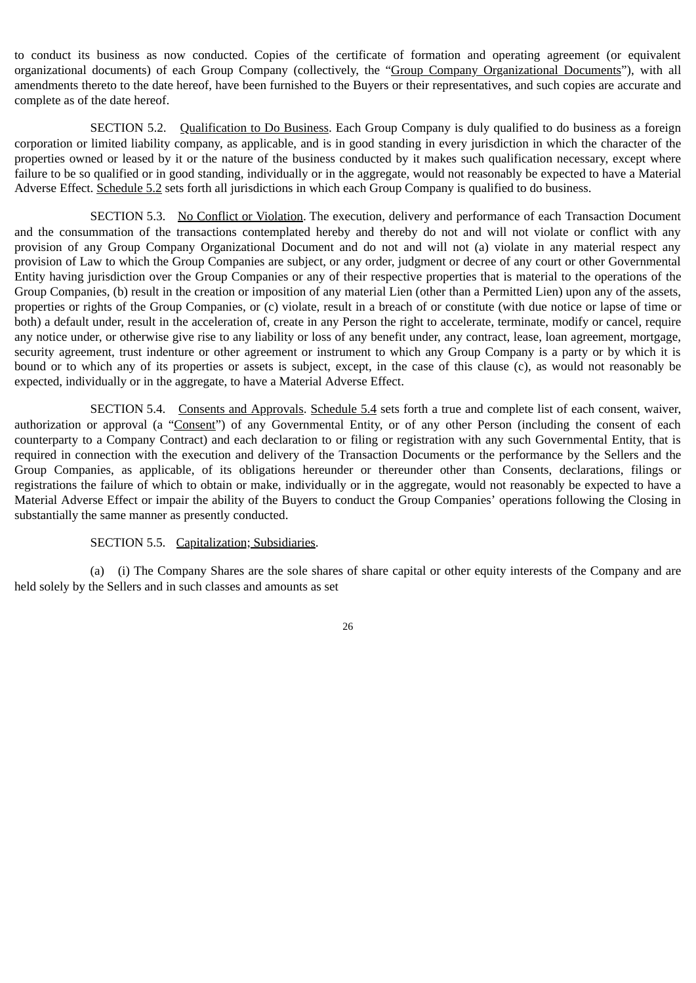to conduct its business as now conducted. Copies of the certificate of formation and operating agreement (or equivalent organizational documents) of each Group Company (collectively, the "Group Company Organizational Documents"), with all amendments thereto to the date hereof, have been furnished to the Buyers or their representatives, and such copies are accurate and complete as of the date hereof.

SECTION 5.2. Qualification to Do Business. Each Group Company is duly qualified to do business as a foreign corporation or limited liability company, as applicable, and is in good standing in every jurisdiction in which the character of the properties owned or leased by it or the nature of the business conducted by it makes such qualification necessary, except where failure to be so qualified or in good standing, individually or in the aggregate, would not reasonably be expected to have a Material Adverse Effect. Schedule 5.2 sets forth all jurisdictions in which each Group Company is qualified to do business.

SECTION 5.3. No Conflict or Violation. The execution, delivery and performance of each Transaction Document and the consummation of the transactions contemplated hereby and thereby do not and will not violate or conflict with any provision of any Group Company Organizational Document and do not and will not (a) violate in any material respect any provision of Law to which the Group Companies are subject, or any order, judgment or decree of any court or other Governmental Entity having jurisdiction over the Group Companies or any of their respective properties that is material to the operations of the Group Companies, (b) result in the creation or imposition of any material Lien (other than a Permitted Lien) upon any of the assets, properties or rights of the Group Companies, or (c) violate, result in a breach of or constitute (with due notice or lapse of time or both) a default under, result in the acceleration of, create in any Person the right to accelerate, terminate, modify or cancel, require any notice under, or otherwise give rise to any liability or loss of any benefit under, any contract, lease, loan agreement, mortgage, security agreement, trust indenture or other agreement or instrument to which any Group Company is a party or by which it is bound or to which any of its properties or assets is subject, except, in the case of this clause (c), as would not reasonably be expected, individually or in the aggregate, to have a Material Adverse Effect.

SECTION 5.4. Consents and Approvals. Schedule 5.4 sets forth a true and complete list of each consent, waiver, authorization or approval (a "Consent") of any Governmental Entity, or of any other Person (including the consent of each counterparty to a Company Contract) and each declaration to or filing or registration with any such Governmental Entity, that is required in connection with the execution and delivery of the Transaction Documents or the performance by the Sellers and the Group Companies, as applicable, of its obligations hereunder or thereunder other than Consents, declarations, filings or registrations the failure of which to obtain or make, individually or in the aggregate, would not reasonably be expected to have a Material Adverse Effect or impair the ability of the Buyers to conduct the Group Companies' operations following the Closing in substantially the same manner as presently conducted.

### SECTION 5.5. Capitalization; Subsidiaries.

(a) (i) The Company Shares are the sole shares of share capital or other equity interests of the Company and are held solely by the Sellers and in such classes and amounts as set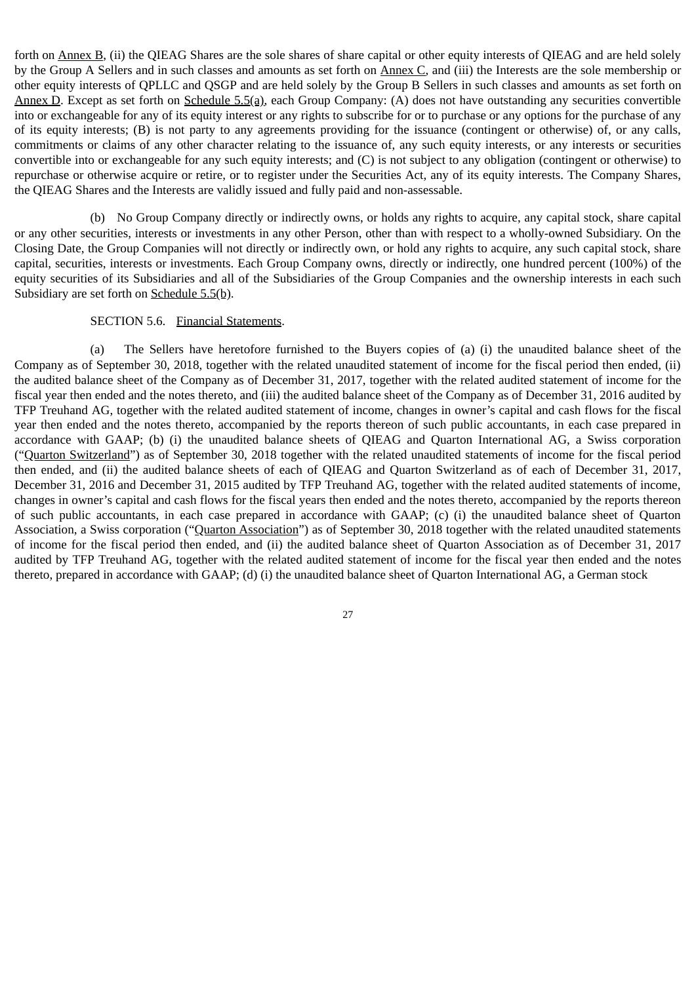forth on Annex B, (ii) the QIEAG Shares are the sole shares of share capital or other equity interests of QIEAG and are held solely by the Group A Sellers and in such classes and amounts as set forth on **Annex C**, and (iii) the Interests are the sole membership or other equity interests of QPLLC and QSGP and are held solely by the Group B Sellers in such classes and amounts as set forth on Annex D. Except as set forth on Schedule 5.5(a), each Group Company: (A) does not have outstanding any securities convertible into or exchangeable for any of its equity interest or any rights to subscribe for or to purchase or any options for the purchase of any of its equity interests; (B) is not party to any agreements providing for the issuance (contingent or otherwise) of, or any calls, commitments or claims of any other character relating to the issuance of, any such equity interests, or any interests or securities convertible into or exchangeable for any such equity interests; and (C) is not subject to any obligation (contingent or otherwise) to repurchase or otherwise acquire or retire, or to register under the Securities Act, any of its equity interests. The Company Shares, the QIEAG Shares and the Interests are validly issued and fully paid and non-assessable.

(b) No Group Company directly or indirectly owns, or holds any rights to acquire, any capital stock, share capital or any other securities, interests or investments in any other Person, other than with respect to a wholly-owned Subsidiary. On the Closing Date, the Group Companies will not directly or indirectly own, or hold any rights to acquire, any such capital stock, share capital, securities, interests or investments. Each Group Company owns, directly or indirectly, one hundred percent (100%) of the equity securities of its Subsidiaries and all of the Subsidiaries of the Group Companies and the ownership interests in each such Subsidiary are set forth on Schedule 5.5(b).

### SECTION 5.6. Financial Statements.

(a) The Sellers have heretofore furnished to the Buyers copies of (a) (i) the unaudited balance sheet of the Company as of September 30, 2018, together with the related unaudited statement of income for the fiscal period then ended, (ii) the audited balance sheet of the Company as of December 31, 2017, together with the related audited statement of income for the fiscal year then ended and the notes thereto, and (iii) the audited balance sheet of the Company as of December 31, 2016 audited by TFP Treuhand AG, together with the related audited statement of income, changes in owner's capital and cash flows for the fiscal year then ended and the notes thereto, accompanied by the reports thereon of such public accountants, in each case prepared in accordance with GAAP; (b) (i) the unaudited balance sheets of QIEAG and Quarton International AG, a Swiss corporation ("Quarton Switzerland") as of September 30, 2018 together with the related unaudited statements of income for the fiscal period then ended, and (ii) the audited balance sheets of each of QIEAG and Quarton Switzerland as of each of December 31, 2017, December 31, 2016 and December 31, 2015 audited by TFP Treuhand AG, together with the related audited statements of income, changes in owner's capital and cash flows for the fiscal years then ended and the notes thereto, accompanied by the reports thereon of such public accountants, in each case prepared in accordance with GAAP; (c) (i) the unaudited balance sheet of Quarton Association, a Swiss corporation ("Quarton Association") as of September 30, 2018 together with the related unaudited statements of income for the fiscal period then ended, and (ii) the audited balance sheet of Quarton Association as of December 31, 2017 audited by TFP Treuhand AG, together with the related audited statement of income for the fiscal year then ended and the notes thereto, prepared in accordance with GAAP; (d) (i) the unaudited balance sheet of Quarton International AG, a German stock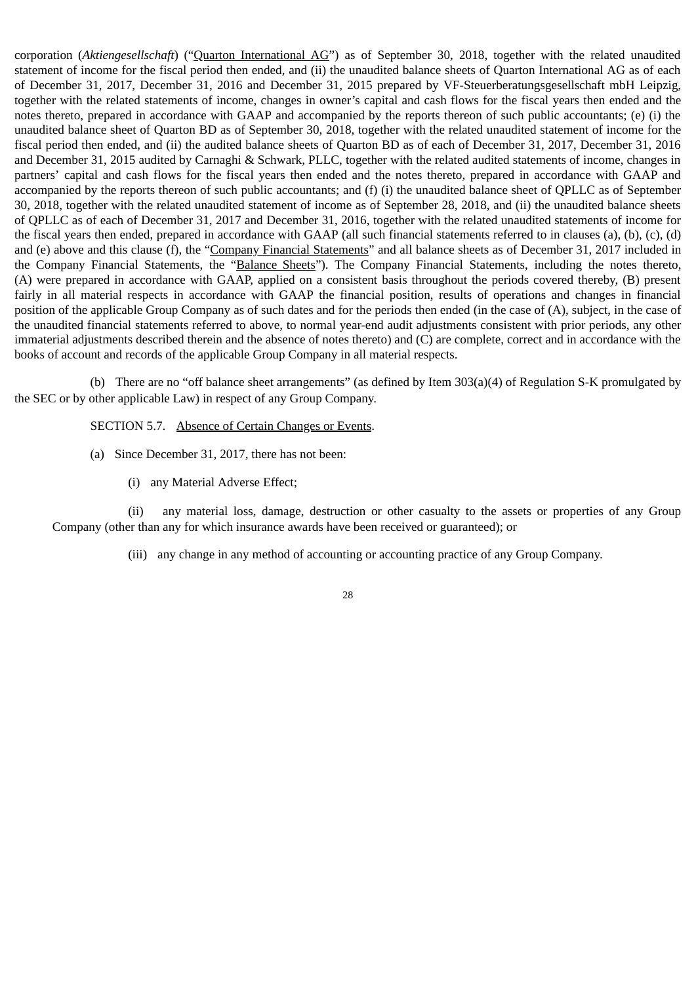corporation (*Aktiengesellschaft*) ("Quarton International AG") as of September 30, 2018, together with the related unaudited statement of income for the fiscal period then ended, and (ii) the unaudited balance sheets of Quarton International AG as of each of December 31, 2017, December 31, 2016 and December 31, 2015 prepared by VF-Steuerberatungsgesellschaft mbH Leipzig, together with the related statements of income, changes in owner's capital and cash flows for the fiscal years then ended and the notes thereto, prepared in accordance with GAAP and accompanied by the reports thereon of such public accountants; (e) (i) the unaudited balance sheet of Quarton BD as of September 30, 2018, together with the related unaudited statement of income for the fiscal period then ended, and (ii) the audited balance sheets of Quarton BD as of each of December 31, 2017, December 31, 2016 and December 31, 2015 audited by Carnaghi & Schwark, PLLC, together with the related audited statements of income, changes in partners' capital and cash flows for the fiscal years then ended and the notes thereto, prepared in accordance with GAAP and accompanied by the reports thereon of such public accountants; and (f) (i) the unaudited balance sheet of QPLLC as of September 30, 2018, together with the related unaudited statement of income as of September 28, 2018, and (ii) the unaudited balance sheets of QPLLC as of each of December 31, 2017 and December 31, 2016, together with the related unaudited statements of income for the fiscal years then ended, prepared in accordance with GAAP (all such financial statements referred to in clauses (a), (b), (c), (d) and (e) above and this clause (f), the "Company Financial Statements" and all balance sheets as of December 31, 2017 included in the Company Financial Statements, the "Balance Sheets"). The Company Financial Statements, including the notes thereto, (A) were prepared in accordance with GAAP, applied on a consistent basis throughout the periods covered thereby, (B) present fairly in all material respects in accordance with GAAP the financial position, results of operations and changes in financial position of the applicable Group Company as of such dates and for the periods then ended (in the case of (A), subject, in the case of the unaudited financial statements referred to above, to normal year-end audit adjustments consistent with prior periods, any other immaterial adjustments described therein and the absence of notes thereto) and (C) are complete, correct and in accordance with the books of account and records of the applicable Group Company in all material respects.

(b) There are no "off balance sheet arrangements" (as defined by Item 303(a)(4) of Regulation S-K promulgated by the SEC or by other applicable Law) in respect of any Group Company.

SECTION 5.7. Absence of Certain Changes or Events.

- (a) Since December 31, 2017, there has not been:
	- (i) any Material Adverse Effect;

(ii) any material loss, damage, destruction or other casualty to the assets or properties of any Group Company (other than any for which insurance awards have been received or guaranteed); or

(iii) any change in any method of accounting or accounting practice of any Group Company.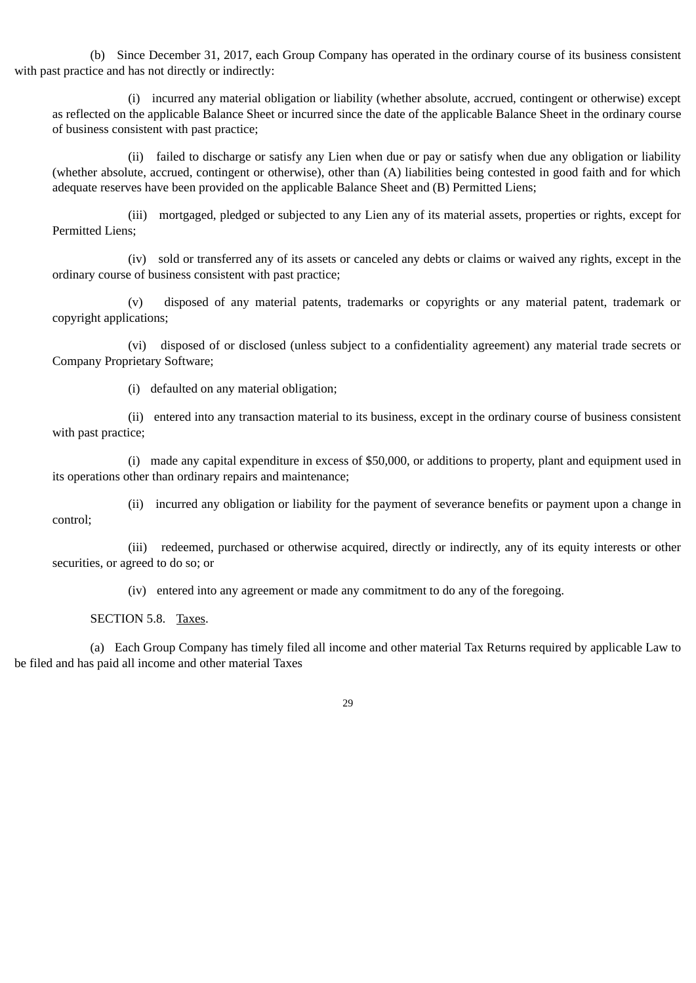(b) Since December 31, 2017, each Group Company has operated in the ordinary course of its business consistent with past practice and has not directly or indirectly:

(i) incurred any material obligation or liability (whether absolute, accrued, contingent or otherwise) except as reflected on the applicable Balance Sheet or incurred since the date of the applicable Balance Sheet in the ordinary course of business consistent with past practice;

(ii) failed to discharge or satisfy any Lien when due or pay or satisfy when due any obligation or liability (whether absolute, accrued, contingent or otherwise), other than (A) liabilities being contested in good faith and for which adequate reserves have been provided on the applicable Balance Sheet and (B) Permitted Liens;

(iii) mortgaged, pledged or subjected to any Lien any of its material assets, properties or rights, except for Permitted Liens;

(iv) sold or transferred any of its assets or canceled any debts or claims or waived any rights, except in the ordinary course of business consistent with past practice;

(v) disposed of any material patents, trademarks or copyrights or any material patent, trademark or copyright applications;

(vi) disposed of or disclosed (unless subject to a confidentiality agreement) any material trade secrets or Company Proprietary Software;

(i) defaulted on any material obligation;

(ii) entered into any transaction material to its business, except in the ordinary course of business consistent with past practice;

(i) made any capital expenditure in excess of \$50,000, or additions to property, plant and equipment used in its operations other than ordinary repairs and maintenance;

(ii) incurred any obligation or liability for the payment of severance benefits or payment upon a change in control;

(iii) redeemed, purchased or otherwise acquired, directly or indirectly, any of its equity interests or other securities, or agreed to do so; or

(iv) entered into any agreement or made any commitment to do any of the foregoing.

SECTION 5.8. Taxes.

(a) Each Group Company has timely filed all income and other material Tax Returns required by applicable Law to be filed and has paid all income and other material Taxes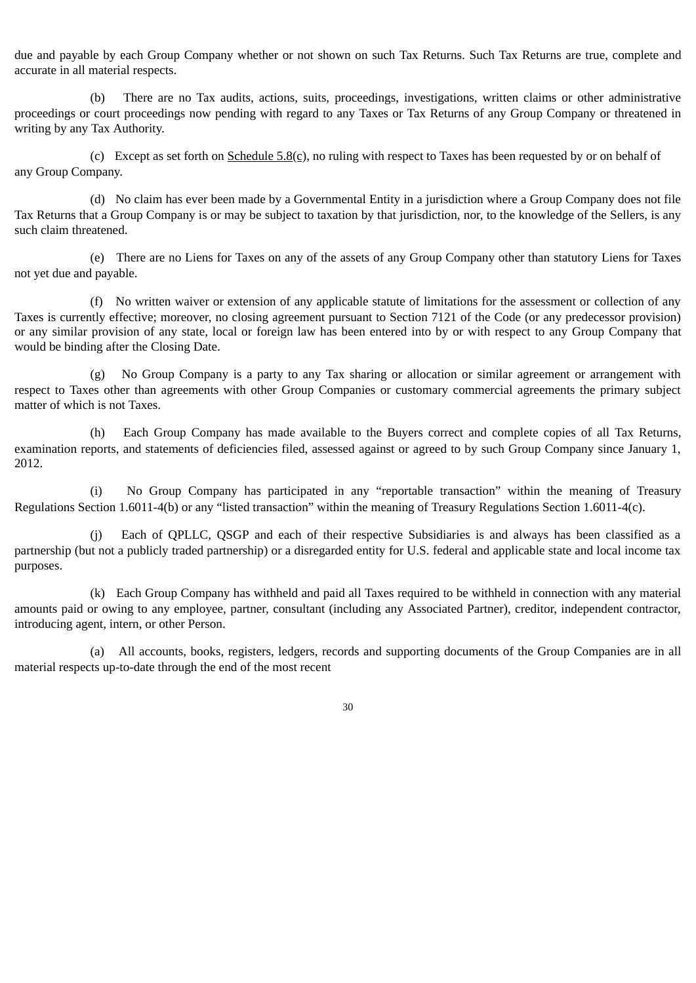due and payable by each Group Company whether or not shown on such Tax Returns. Such Tax Returns are true, complete and accurate in all material respects.

(b) There are no Tax audits, actions, suits, proceedings, investigations, written claims or other administrative proceedings or court proceedings now pending with regard to any Taxes or Tax Returns of any Group Company or threatened in writing by any Tax Authority.

(c) Except as set forth on  $S$ chedule  $5.8$ (c), no ruling with respect to Taxes has been requested by or on behalf of any Group Company.

(d) No claim has ever been made by a Governmental Entity in a jurisdiction where a Group Company does not file Tax Returns that a Group Company is or may be subject to taxation by that jurisdiction, nor, to the knowledge of the Sellers, is any such claim threatened.

(e) There are no Liens for Taxes on any of the assets of any Group Company other than statutory Liens for Taxes not yet due and payable.

(f) No written waiver or extension of any applicable statute of limitations for the assessment or collection of any Taxes is currently effective; moreover, no closing agreement pursuant to Section 7121 of the Code (or any predecessor provision) or any similar provision of any state, local or foreign law has been entered into by or with respect to any Group Company that would be binding after the Closing Date.

(g) No Group Company is a party to any Tax sharing or allocation or similar agreement or arrangement with respect to Taxes other than agreements with other Group Companies or customary commercial agreements the primary subject matter of which is not Taxes.

(h) Each Group Company has made available to the Buyers correct and complete copies of all Tax Returns, examination reports, and statements of deficiencies filed, assessed against or agreed to by such Group Company since January 1, 2012.

(i) No Group Company has participated in any "reportable transaction" within the meaning of Treasury Regulations Section 1.6011-4(b) or any "listed transaction" within the meaning of Treasury Regulations Section 1.6011-4(c).

(j) Each of QPLLC, QSGP and each of their respective Subsidiaries is and always has been classified as a partnership (but not a publicly traded partnership) or a disregarded entity for U.S. federal and applicable state and local income tax purposes.

(k) Each Group Company has withheld and paid all Taxes required to be withheld in connection with any material amounts paid or owing to any employee, partner, consultant (including any Associated Partner), creditor, independent contractor, introducing agent, intern, or other Person.

(a) All accounts, books, registers, ledgers, records and supporting documents of the Group Companies are in all material respects up-to-date through the end of the most recent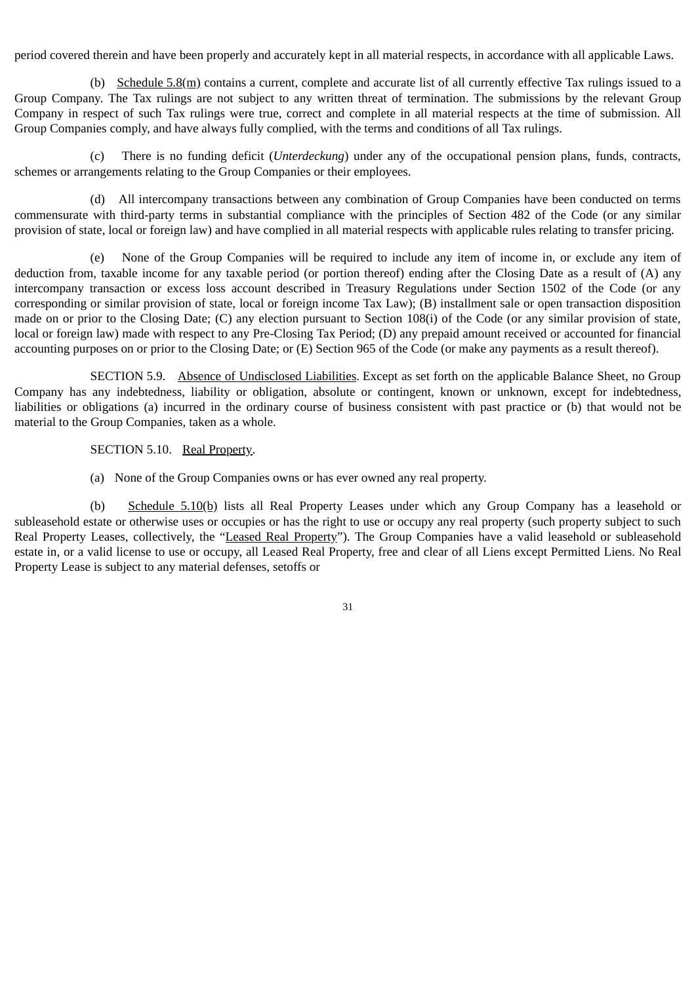period covered therein and have been properly and accurately kept in all material respects, in accordance with all applicable Laws.

(b) Schedule 5.8(m) contains a current, complete and accurate list of all currently effective Tax rulings issued to a Group Company. The Tax rulings are not subject to any written threat of termination. The submissions by the relevant Group Company in respect of such Tax rulings were true, correct and complete in all material respects at the time of submission. All Group Companies comply, and have always fully complied, with the terms and conditions of all Tax rulings.

(c) There is no funding deficit (*Unterdeckung*) under any of the occupational pension plans, funds, contracts, schemes or arrangements relating to the Group Companies or their employees.

(d) All intercompany transactions between any combination of Group Companies have been conducted on terms commensurate with third-party terms in substantial compliance with the principles of Section 482 of the Code (or any similar provision of state, local or foreign law) and have complied in all material respects with applicable rules relating to transfer pricing.

None of the Group Companies will be required to include any item of income in, or exclude any item of deduction from, taxable income for any taxable period (or portion thereof) ending after the Closing Date as a result of (A) any intercompany transaction or excess loss account described in Treasury Regulations under Section 1502 of the Code (or any corresponding or similar provision of state, local or foreign income Tax Law); (B) installment sale or open transaction disposition made on or prior to the Closing Date; (C) any election pursuant to Section 108(i) of the Code (or any similar provision of state, local or foreign law) made with respect to any Pre-Closing Tax Period; (D) any prepaid amount received or accounted for financial accounting purposes on or prior to the Closing Date; or (E) Section 965 of the Code (or make any payments as a result thereof).

SECTION 5.9. Absence of Undisclosed Liabilities. Except as set forth on the applicable Balance Sheet, no Group Company has any indebtedness, liability or obligation, absolute or contingent, known or unknown, except for indebtedness, liabilities or obligations (a) incurred in the ordinary course of business consistent with past practice or (b) that would not be material to the Group Companies, taken as a whole.

SECTION 5.10. Real Property.

(a) None of the Group Companies owns or has ever owned any real property.

(b) Schedule 5.10(b) lists all Real Property Leases under which any Group Company has a leasehold or subleasehold estate or otherwise uses or occupies or has the right to use or occupy any real property (such property subject to such Real Property Leases, collectively, the "Leased Real Property"). The Group Companies have a valid leasehold or subleasehold estate in, or a valid license to use or occupy, all Leased Real Property, free and clear of all Liens except Permitted Liens. No Real Property Lease is subject to any material defenses, setoffs or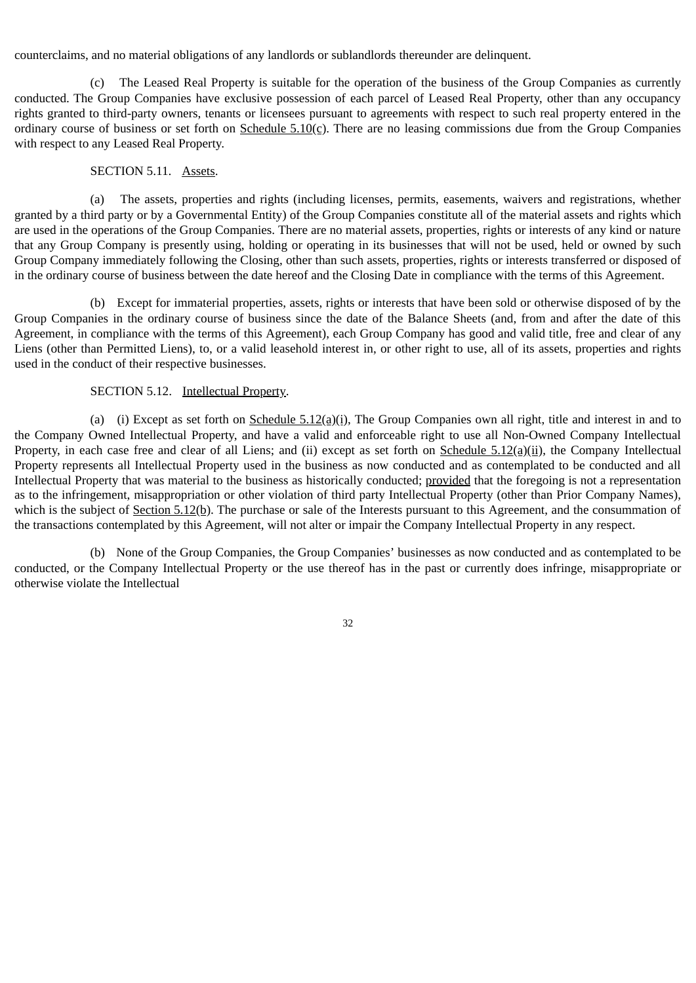counterclaims, and no material obligations of any landlords or sublandlords thereunder are delinquent.

(c) The Leased Real Property is suitable for the operation of the business of the Group Companies as currently conducted. The Group Companies have exclusive possession of each parcel of Leased Real Property, other than any occupancy rights granted to third-party owners, tenants or licensees pursuant to agreements with respect to such real property entered in the ordinary course of business or set forth on  $S$ chedule  $5.10(c)$ . There are no leasing commissions due from the Group Companies with respect to any Leased Real Property.

### SECTION 5.11. Assets.

(a) The assets, properties and rights (including licenses, permits, easements, waivers and registrations, whether granted by a third party or by a Governmental Entity) of the Group Companies constitute all of the material assets and rights which are used in the operations of the Group Companies. There are no material assets, properties, rights or interests of any kind or nature that any Group Company is presently using, holding or operating in its businesses that will not be used, held or owned by such Group Company immediately following the Closing, other than such assets, properties, rights or interests transferred or disposed of in the ordinary course of business between the date hereof and the Closing Date in compliance with the terms of this Agreement.

(b) Except for immaterial properties, assets, rights or interests that have been sold or otherwise disposed of by the Group Companies in the ordinary course of business since the date of the Balance Sheets (and, from and after the date of this Agreement, in compliance with the terms of this Agreement), each Group Company has good and valid title, free and clear of any Liens (other than Permitted Liens), to, or a valid leasehold interest in, or other right to use, all of its assets, properties and rights used in the conduct of their respective businesses.

#### SECTION 5.12. Intellectual Property.

(a) (i) Except as set forth on  $S$ chedule  $5.12$ (a)(i), The Group Companies own all right, title and interest in and to the Company Owned Intellectual Property, and have a valid and enforceable right to use all Non-Owned Company Intellectual Property, in each case free and clear of all Liens; and (ii) except as set forth on Schedule  $5.12(a)(ii)$ , the Company Intellectual Property represents all Intellectual Property used in the business as now conducted and as contemplated to be conducted and all Intellectual Property that was material to the business as historically conducted; provided that the foregoing is not a representation as to the infringement, misappropriation or other violation of third party Intellectual Property (other than Prior Company Names), which is the subject of Section 5.12(b). The purchase or sale of the Interests pursuant to this Agreement, and the consummation of the transactions contemplated by this Agreement, will not alter or impair the Company Intellectual Property in any respect.

(b) None of the Group Companies, the Group Companies' businesses as now conducted and as contemplated to be conducted, or the Company Intellectual Property or the use thereof has in the past or currently does infringe, misappropriate or otherwise violate the Intellectual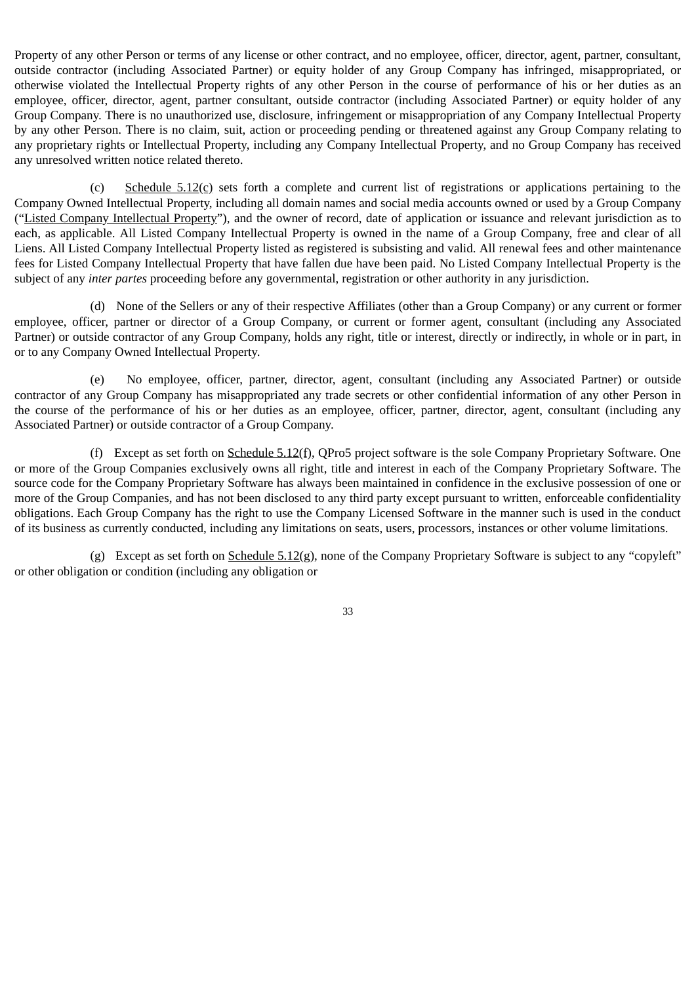Property of any other Person or terms of any license or other contract, and no employee, officer, director, agent, partner, consultant, outside contractor (including Associated Partner) or equity holder of any Group Company has infringed, misappropriated, or otherwise violated the Intellectual Property rights of any other Person in the course of performance of his or her duties as an employee, officer, director, agent, partner consultant, outside contractor (including Associated Partner) or equity holder of any Group Company. There is no unauthorized use, disclosure, infringement or misappropriation of any Company Intellectual Property by any other Person. There is no claim, suit, action or proceeding pending or threatened against any Group Company relating to any proprietary rights or Intellectual Property, including any Company Intellectual Property, and no Group Company has received any unresolved written notice related thereto.

(c) Schedule  $5.12$ (c) sets forth a complete and current list of registrations or applications pertaining to the Company Owned Intellectual Property, including all domain names and social media accounts owned or used by a Group Company ("Listed Company Intellectual Property"), and the owner of record, date of application or issuance and relevant jurisdiction as to each, as applicable. All Listed Company Intellectual Property is owned in the name of a Group Company, free and clear of all Liens. All Listed Company Intellectual Property listed as registered is subsisting and valid. All renewal fees and other maintenance fees for Listed Company Intellectual Property that have fallen due have been paid. No Listed Company Intellectual Property is the subject of any *inter partes* proceeding before any governmental, registration or other authority in any jurisdiction.

(d) None of the Sellers or any of their respective Affiliates (other than a Group Company) or any current or former employee, officer, partner or director of a Group Company, or current or former agent, consultant (including any Associated Partner) or outside contractor of any Group Company, holds any right, title or interest, directly or indirectly, in whole or in part, in or to any Company Owned Intellectual Property.

(e) No employee, officer, partner, director, agent, consultant (including any Associated Partner) or outside contractor of any Group Company has misappropriated any trade secrets or other confidential information of any other Person in the course of the performance of his or her duties as an employee, officer, partner, director, agent, consultant (including any Associated Partner) or outside contractor of a Group Company.

(f) Except as set forth on  $S$ chedule  $5.12$ (f), QPro5 project software is the sole Company Proprietary Software. One or more of the Group Companies exclusively owns all right, title and interest in each of the Company Proprietary Software. The source code for the Company Proprietary Software has always been maintained in confidence in the exclusive possession of one or more of the Group Companies, and has not been disclosed to any third party except pursuant to written, enforceable confidentiality obligations. Each Group Company has the right to use the Company Licensed Software in the manner such is used in the conduct of its business as currently conducted, including any limitations on seats, users, processors, instances or other volume limitations.

(g) Except as set forth on Schedule 5.12(g), none of the Company Proprietary Software is subject to any "copyleft" or other obligation or condition (including any obligation or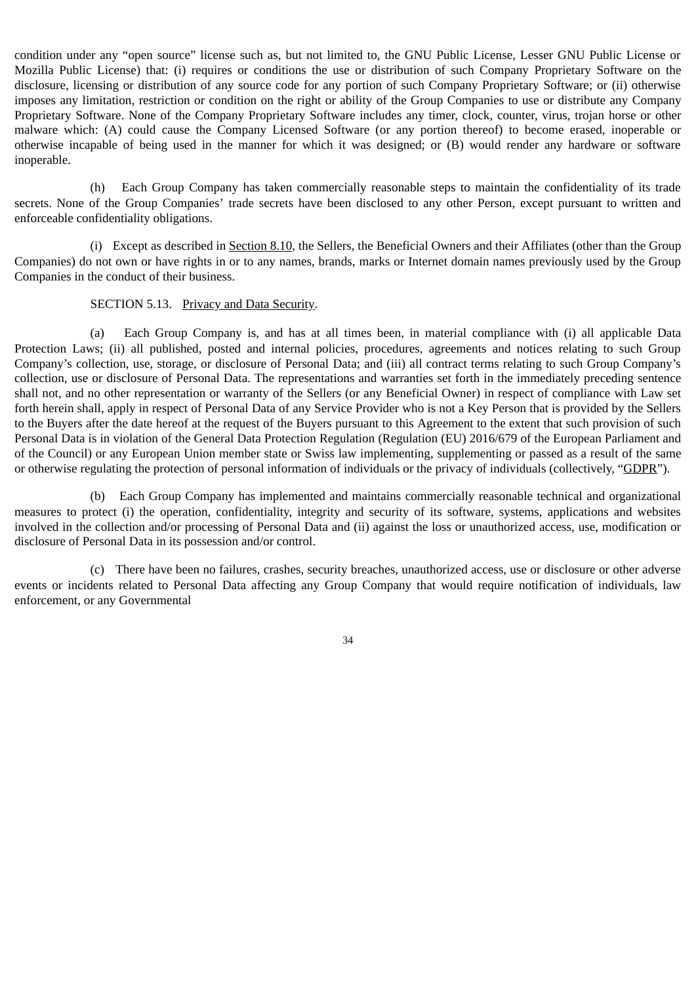condition under any "open source" license such as, but not limited to, the GNU Public License, Lesser GNU Public License or Mozilla Public License) that: (i) requires or conditions the use or distribution of such Company Proprietary Software on the disclosure, licensing or distribution of any source code for any portion of such Company Proprietary Software; or (ii) otherwise imposes any limitation, restriction or condition on the right or ability of the Group Companies to use or distribute any Company Proprietary Software. None of the Company Proprietary Software includes any timer, clock, counter, virus, trojan horse or other malware which: (A) could cause the Company Licensed Software (or any portion thereof) to become erased, inoperable or otherwise incapable of being used in the manner for which it was designed; or (B) would render any hardware or software inoperable.

(h) Each Group Company has taken commercially reasonable steps to maintain the confidentiality of its trade secrets. None of the Group Companies' trade secrets have been disclosed to any other Person, except pursuant to written and enforceable confidentiality obligations.

(i) Except as described in Section 8.10, the Sellers, the Beneficial Owners and their Affiliates (other than the Group Companies) do not own or have rights in or to any names, brands, marks or Internet domain names previously used by the Group Companies in the conduct of their business.

## SECTION 5.13. Privacy and Data Security.

(a) Each Group Company is, and has at all times been, in material compliance with (i) all applicable Data Protection Laws; (ii) all published, posted and internal policies, procedures, agreements and notices relating to such Group Company's collection, use, storage, or disclosure of Personal Data; and (iii) all contract terms relating to such Group Company's collection, use or disclosure of Personal Data. The representations and warranties set forth in the immediately preceding sentence shall not, and no other representation or warranty of the Sellers (or any Beneficial Owner) in respect of compliance with Law set forth herein shall, apply in respect of Personal Data of any Service Provider who is not a Key Person that is provided by the Sellers to the Buyers after the date hereof at the request of the Buyers pursuant to this Agreement to the extent that such provision of such Personal Data is in violation of the General Data Protection Regulation (Regulation (EU) 2016/679 of the European Parliament and of the Council) or any European Union member state or Swiss law implementing, supplementing or passed as a result of the same or otherwise regulating the protection of personal information of individuals or the privacy of individuals (collectively, "GDPR").

(b) Each Group Company has implemented and maintains commercially reasonable technical and organizational measures to protect (i) the operation, confidentiality, integrity and security of its software, systems, applications and websites involved in the collection and/or processing of Personal Data and (ii) against the loss or unauthorized access, use, modification or disclosure of Personal Data in its possession and/or control.

(c) There have been no failures, crashes, security breaches, unauthorized access, use or disclosure or other adverse events or incidents related to Personal Data affecting any Group Company that would require notification of individuals, law enforcement, or any Governmental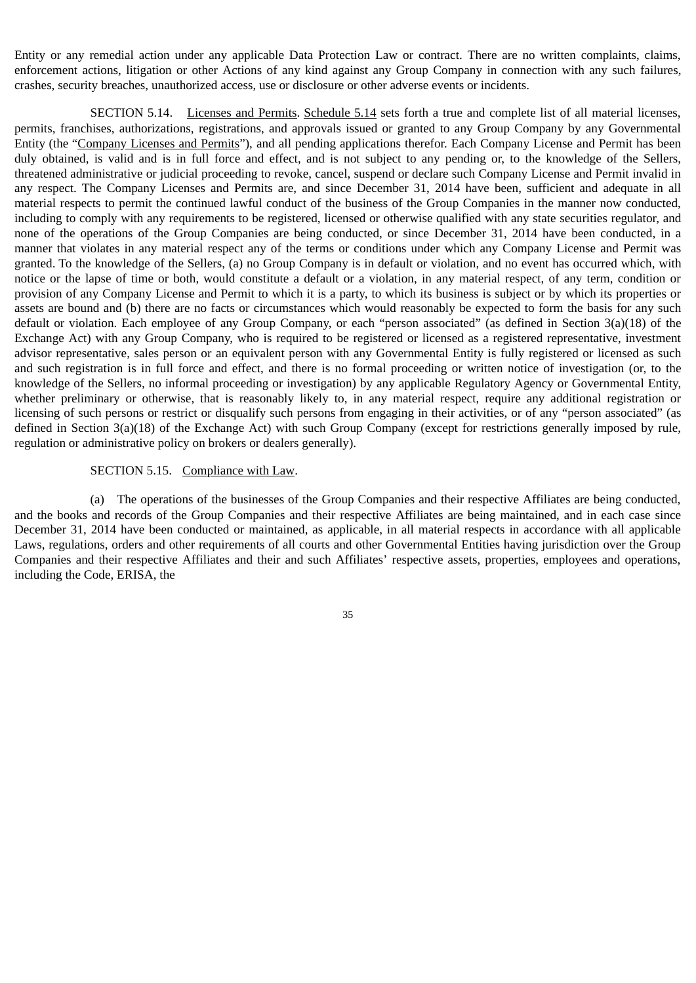Entity or any remedial action under any applicable Data Protection Law or contract. There are no written complaints, claims, enforcement actions, litigation or other Actions of any kind against any Group Company in connection with any such failures, crashes, security breaches, unauthorized access, use or disclosure or other adverse events or incidents.

SECTION 5.14. Licenses and Permits. Schedule 5.14 sets forth a true and complete list of all material licenses, permits, franchises, authorizations, registrations, and approvals issued or granted to any Group Company by any Governmental Entity (the "Company Licenses and Permits"), and all pending applications therefor. Each Company License and Permit has been duly obtained, is valid and is in full force and effect, and is not subject to any pending or, to the knowledge of the Sellers, threatened administrative or judicial proceeding to revoke, cancel, suspend or declare such Company License and Permit invalid in any respect. The Company Licenses and Permits are, and since December 31, 2014 have been, sufficient and adequate in all material respects to permit the continued lawful conduct of the business of the Group Companies in the manner now conducted, including to comply with any requirements to be registered, licensed or otherwise qualified with any state securities regulator, and none of the operations of the Group Companies are being conducted, or since December 31, 2014 have been conducted, in a manner that violates in any material respect any of the terms or conditions under which any Company License and Permit was granted. To the knowledge of the Sellers, (a) no Group Company is in default or violation, and no event has occurred which, with notice or the lapse of time or both, would constitute a default or a violation, in any material respect, of any term, condition or provision of any Company License and Permit to which it is a party, to which its business is subject or by which its properties or assets are bound and (b) there are no facts or circumstances which would reasonably be expected to form the basis for any such default or violation. Each employee of any Group Company, or each "person associated" (as defined in Section 3(a)(18) of the Exchange Act) with any Group Company, who is required to be registered or licensed as a registered representative, investment advisor representative, sales person or an equivalent person with any Governmental Entity is fully registered or licensed as such and such registration is in full force and effect, and there is no formal proceeding or written notice of investigation (or, to the knowledge of the Sellers, no informal proceeding or investigation) by any applicable Regulatory Agency or Governmental Entity, whether preliminary or otherwise, that is reasonably likely to, in any material respect, require any additional registration or licensing of such persons or restrict or disqualify such persons from engaging in their activities, or of any "person associated" (as defined in Section 3(a)(18) of the Exchange Act) with such Group Company (except for restrictions generally imposed by rule, regulation or administrative policy on brokers or dealers generally).

#### SECTION 5.15. Compliance with Law.

(a) The operations of the businesses of the Group Companies and their respective Affiliates are being conducted, and the books and records of the Group Companies and their respective Affiliates are being maintained, and in each case since December 31, 2014 have been conducted or maintained, as applicable, in all material respects in accordance with all applicable Laws, regulations, orders and other requirements of all courts and other Governmental Entities having jurisdiction over the Group Companies and their respective Affiliates and their and such Affiliates' respective assets, properties, employees and operations, including the Code, ERISA, the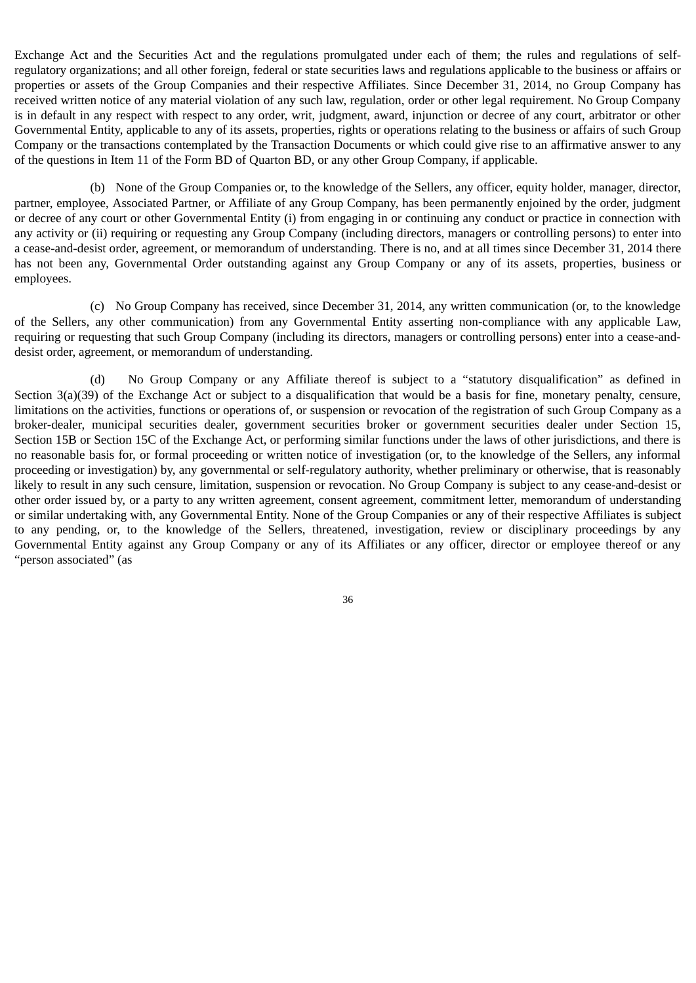Exchange Act and the Securities Act and the regulations promulgated under each of them; the rules and regulations of selfregulatory organizations; and all other foreign, federal or state securities laws and regulations applicable to the business or affairs or properties or assets of the Group Companies and their respective Affiliates. Since December 31, 2014, no Group Company has received written notice of any material violation of any such law, regulation, order or other legal requirement. No Group Company is in default in any respect with respect to any order, writ, judgment, award, injunction or decree of any court, arbitrator or other Governmental Entity, applicable to any of its assets, properties, rights or operations relating to the business or affairs of such Group Company or the transactions contemplated by the Transaction Documents or which could give rise to an affirmative answer to any of the questions in Item 11 of the Form BD of Quarton BD, or any other Group Company, if applicable.

(b) None of the Group Companies or, to the knowledge of the Sellers, any officer, equity holder, manager, director, partner, employee, Associated Partner, or Affiliate of any Group Company, has been permanently enjoined by the order, judgment or decree of any court or other Governmental Entity (i) from engaging in or continuing any conduct or practice in connection with any activity or (ii) requiring or requesting any Group Company (including directors, managers or controlling persons) to enter into a cease-and-desist order, agreement, or memorandum of understanding. There is no, and at all times since December 31, 2014 there has not been any, Governmental Order outstanding against any Group Company or any of its assets, properties, business or employees.

(c) No Group Company has received, since December 31, 2014, any written communication (or, to the knowledge of the Sellers, any other communication) from any Governmental Entity asserting non-compliance with any applicable Law, requiring or requesting that such Group Company (including its directors, managers or controlling persons) enter into a cease-anddesist order, agreement, or memorandum of understanding.

(d) No Group Company or any Affiliate thereof is subject to a "statutory disqualification" as defined in Section 3(a)(39) of the Exchange Act or subject to a disqualification that would be a basis for fine, monetary penalty, censure, limitations on the activities, functions or operations of, or suspension or revocation of the registration of such Group Company as a broker-dealer, municipal securities dealer, government securities broker or government securities dealer under Section 15, Section 15B or Section 15C of the Exchange Act, or performing similar functions under the laws of other jurisdictions, and there is no reasonable basis for, or formal proceeding or written notice of investigation (or, to the knowledge of the Sellers, any informal proceeding or investigation) by, any governmental or self-regulatory authority, whether preliminary or otherwise, that is reasonably likely to result in any such censure, limitation, suspension or revocation. No Group Company is subject to any cease-and-desist or other order issued by, or a party to any written agreement, consent agreement, commitment letter, memorandum of understanding or similar undertaking with, any Governmental Entity. None of the Group Companies or any of their respective Affiliates is subject to any pending, or, to the knowledge of the Sellers, threatened, investigation, review or disciplinary proceedings by any Governmental Entity against any Group Company or any of its Affiliates or any officer, director or employee thereof or any "person associated" (as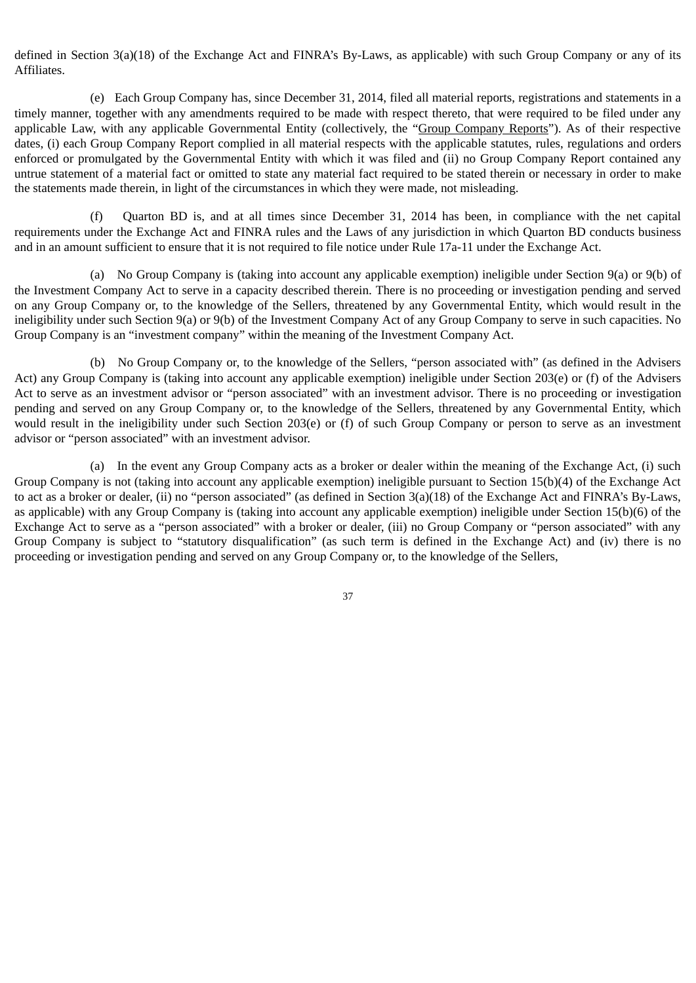defined in Section 3(a)(18) of the Exchange Act and FINRA's By-Laws, as applicable) with such Group Company or any of its Affiliates.

(e) Each Group Company has, since December 31, 2014, filed all material reports, registrations and statements in a timely manner, together with any amendments required to be made with respect thereto, that were required to be filed under any applicable Law, with any applicable Governmental Entity (collectively, the "Group Company Reports"). As of their respective dates, (i) each Group Company Report complied in all material respects with the applicable statutes, rules, regulations and orders enforced or promulgated by the Governmental Entity with which it was filed and (ii) no Group Company Report contained any untrue statement of a material fact or omitted to state any material fact required to be stated therein or necessary in order to make the statements made therein, in light of the circumstances in which they were made, not misleading.

(f) Quarton BD is, and at all times since December 31, 2014 has been, in compliance with the net capital requirements under the Exchange Act and FINRA rules and the Laws of any jurisdiction in which Quarton BD conducts business and in an amount sufficient to ensure that it is not required to file notice under Rule 17a-11 under the Exchange Act.

(a) No Group Company is (taking into account any applicable exemption) ineligible under Section 9(a) or 9(b) of the Investment Company Act to serve in a capacity described therein. There is no proceeding or investigation pending and served on any Group Company or, to the knowledge of the Sellers, threatened by any Governmental Entity, which would result in the ineligibility under such Section 9(a) or 9(b) of the Investment Company Act of any Group Company to serve in such capacities. No Group Company is an "investment company" within the meaning of the Investment Company Act.

(b) No Group Company or, to the knowledge of the Sellers, "person associated with" (as defined in the Advisers Act) any Group Company is (taking into account any applicable exemption) ineligible under Section 203(e) or (f) of the Advisers Act to serve as an investment advisor or "person associated" with an investment advisor. There is no proceeding or investigation pending and served on any Group Company or, to the knowledge of the Sellers, threatened by any Governmental Entity, which would result in the ineligibility under such Section 203(e) or (f) of such Group Company or person to serve as an investment advisor or "person associated" with an investment advisor.

(a) In the event any Group Company acts as a broker or dealer within the meaning of the Exchange Act, (i) such Group Company is not (taking into account any applicable exemption) ineligible pursuant to Section 15(b)(4) of the Exchange Act to act as a broker or dealer, (ii) no "person associated" (as defined in Section 3(a)(18) of the Exchange Act and FINRA's By-Laws, as applicable) with any Group Company is (taking into account any applicable exemption) ineligible under Section 15(b)(6) of the Exchange Act to serve as a "person associated" with a broker or dealer, (iii) no Group Company or "person associated" with any Group Company is subject to "statutory disqualification" (as such term is defined in the Exchange Act) and (iv) there is no proceeding or investigation pending and served on any Group Company or, to the knowledge of the Sellers,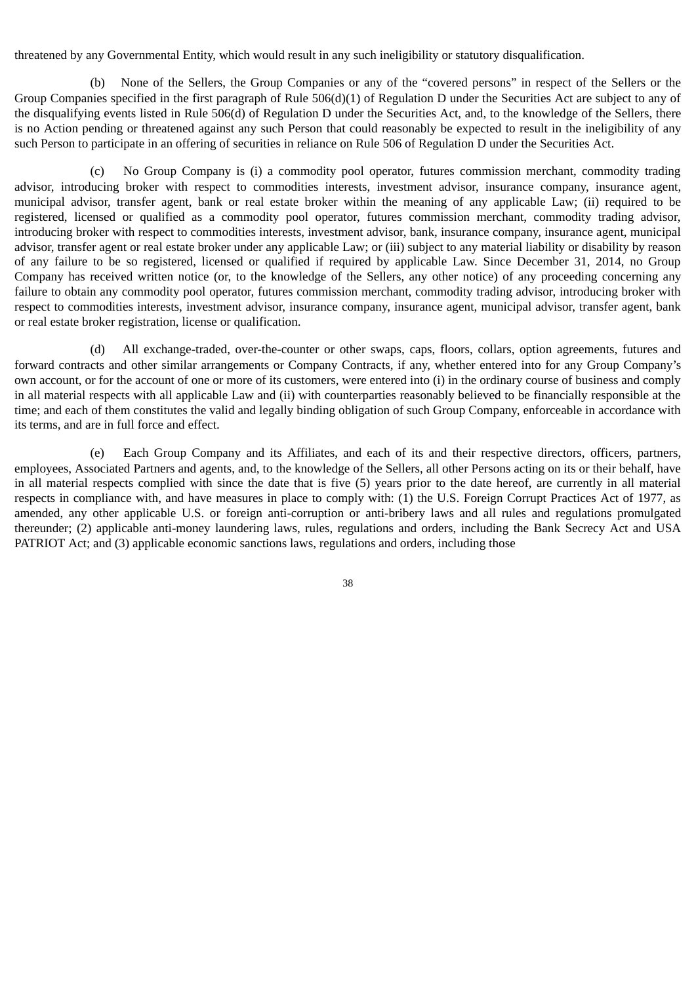threatened by any Governmental Entity, which would result in any such ineligibility or statutory disqualification.

(b) None of the Sellers, the Group Companies or any of the "covered persons" in respect of the Sellers or the Group Companies specified in the first paragraph of Rule 506(d)(1) of Regulation D under the Securities Act are subject to any of the disqualifying events listed in Rule 506(d) of Regulation D under the Securities Act, and, to the knowledge of the Sellers, there is no Action pending or threatened against any such Person that could reasonably be expected to result in the ineligibility of any such Person to participate in an offering of securities in reliance on Rule 506 of Regulation D under the Securities Act.

(c) No Group Company is (i) a commodity pool operator, futures commission merchant, commodity trading advisor, introducing broker with respect to commodities interests, investment advisor, insurance company, insurance agent, municipal advisor, transfer agent, bank or real estate broker within the meaning of any applicable Law; (ii) required to be registered, licensed or qualified as a commodity pool operator, futures commission merchant, commodity trading advisor, introducing broker with respect to commodities interests, investment advisor, bank, insurance company, insurance agent, municipal advisor, transfer agent or real estate broker under any applicable Law; or (iii) subject to any material liability or disability by reason of any failure to be so registered, licensed or qualified if required by applicable Law. Since December 31, 2014, no Group Company has received written notice (or, to the knowledge of the Sellers, any other notice) of any proceeding concerning any failure to obtain any commodity pool operator, futures commission merchant, commodity trading advisor, introducing broker with respect to commodities interests, investment advisor, insurance company, insurance agent, municipal advisor, transfer agent, bank or real estate broker registration, license or qualification.

(d) All exchange-traded, over-the-counter or other swaps, caps, floors, collars, option agreements, futures and forward contracts and other similar arrangements or Company Contracts, if any, whether entered into for any Group Company's own account, or for the account of one or more of its customers, were entered into (i) in the ordinary course of business and comply in all material respects with all applicable Law and (ii) with counterparties reasonably believed to be financially responsible at the time; and each of them constitutes the valid and legally binding obligation of such Group Company, enforceable in accordance with its terms, and are in full force and effect.

(e) Each Group Company and its Affiliates, and each of its and their respective directors, officers, partners, employees, Associated Partners and agents, and, to the knowledge of the Sellers, all other Persons acting on its or their behalf, have in all material respects complied with since the date that is five (5) years prior to the date hereof, are currently in all material respects in compliance with, and have measures in place to comply with: (1) the U.S. Foreign Corrupt Practices Act of 1977, as amended, any other applicable U.S. or foreign anti-corruption or anti-bribery laws and all rules and regulations promulgated thereunder; (2) applicable anti-money laundering laws, rules, regulations and orders, including the Bank Secrecy Act and USA PATRIOT Act; and (3) applicable economic sanctions laws, regulations and orders, including those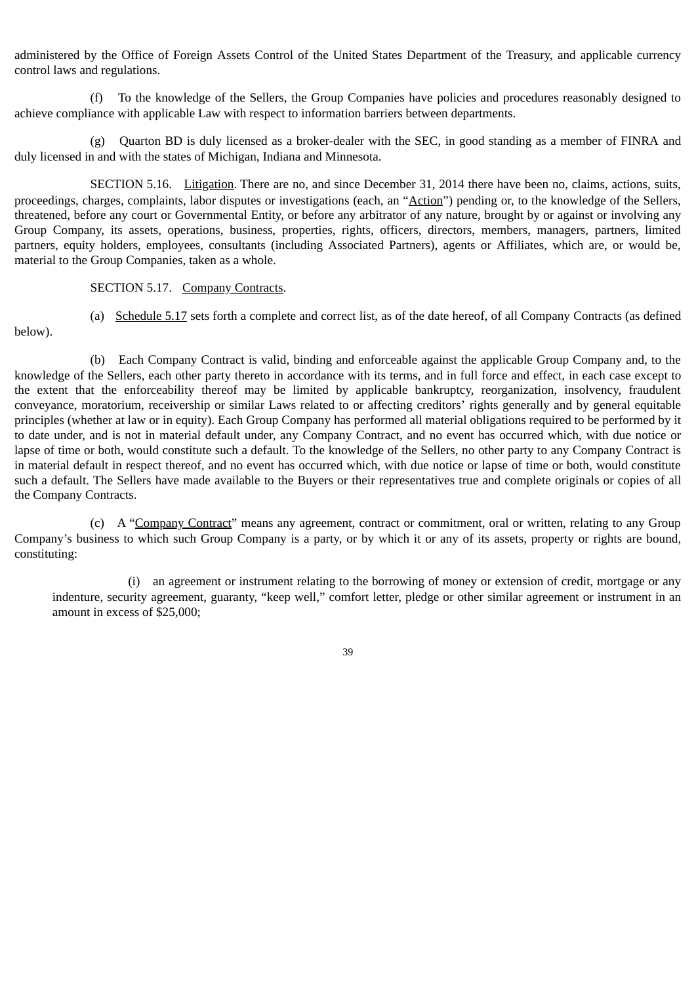administered by the Office of Foreign Assets Control of the United States Department of the Treasury, and applicable currency control laws and regulations.

(f) To the knowledge of the Sellers, the Group Companies have policies and procedures reasonably designed to achieve compliance with applicable Law with respect to information barriers between departments.

(g) Quarton BD is duly licensed as a broker-dealer with the SEC, in good standing as a member of FINRA and duly licensed in and with the states of Michigan, Indiana and Minnesota.

SECTION 5.16. Litigation. There are no, and since December 31, 2014 there have been no, claims, actions, suits, proceedings, charges, complaints, labor disputes or investigations (each, an "Action") pending or, to the knowledge of the Sellers, threatened, before any court or Governmental Entity, or before any arbitrator of any nature, brought by or against or involving any Group Company, its assets, operations, business, properties, rights, officers, directors, members, managers, partners, limited partners, equity holders, employees, consultants (including Associated Partners), agents or Affiliates, which are, or would be, material to the Group Companies, taken as a whole.

SECTION 5.17. Company Contracts.

below).

(a) Schedule 5.17 sets forth a complete and correct list, as of the date hereof, of all Company Contracts (as defined

(b) Each Company Contract is valid, binding and enforceable against the applicable Group Company and, to the knowledge of the Sellers, each other party thereto in accordance with its terms, and in full force and effect, in each case except to the extent that the enforceability thereof may be limited by applicable bankruptcy, reorganization, insolvency, fraudulent conveyance, moratorium, receivership or similar Laws related to or affecting creditors' rights generally and by general equitable principles (whether at law or in equity). Each Group Company has performed all material obligations required to be performed by it to date under, and is not in material default under, any Company Contract, and no event has occurred which, with due notice or lapse of time or both, would constitute such a default. To the knowledge of the Sellers, no other party to any Company Contract is in material default in respect thereof, and no event has occurred which, with due notice or lapse of time or both, would constitute such a default. The Sellers have made available to the Buyers or their representatives true and complete originals or copies of all the Company Contracts.

(c) A "Company Contract" means any agreement, contract or commitment, oral or written, relating to any Group Company's business to which such Group Company is a party, or by which it or any of its assets, property or rights are bound, constituting:

(i) an agreement or instrument relating to the borrowing of money or extension of credit, mortgage or any indenture, security agreement, guaranty, "keep well," comfort letter, pledge or other similar agreement or instrument in an amount in excess of \$25,000;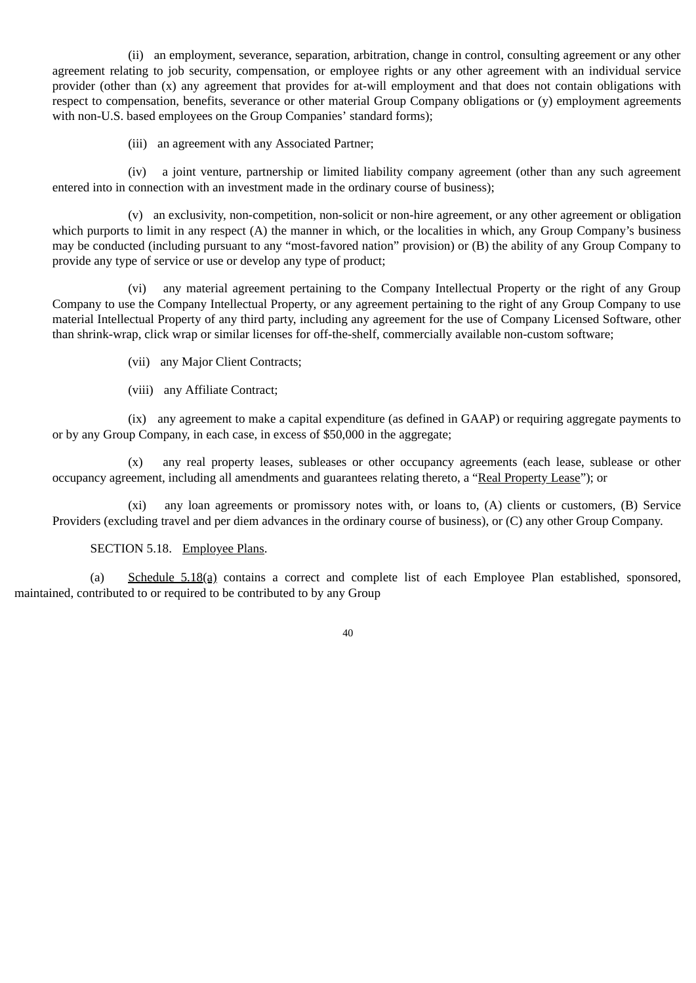(ii) an employment, severance, separation, arbitration, change in control, consulting agreement or any other agreement relating to job security, compensation, or employee rights or any other agreement with an individual service provider (other than (x) any agreement that provides for at-will employment and that does not contain obligations with respect to compensation, benefits, severance or other material Group Company obligations or (y) employment agreements with non-U.S. based employees on the Group Companies' standard forms);

(iii) an agreement with any Associated Partner;

(iv) a joint venture, partnership or limited liability company agreement (other than any such agreement entered into in connection with an investment made in the ordinary course of business);

(v) an exclusivity, non-competition, non-solicit or non-hire agreement, or any other agreement or obligation which purports to limit in any respect (A) the manner in which, or the localities in which, any Group Company's business may be conducted (including pursuant to any "most-favored nation" provision) or (B) the ability of any Group Company to provide any type of service or use or develop any type of product;

(vi) any material agreement pertaining to the Company Intellectual Property or the right of any Group Company to use the Company Intellectual Property, or any agreement pertaining to the right of any Group Company to use material Intellectual Property of any third party, including any agreement for the use of Company Licensed Software, other than shrink-wrap, click wrap or similar licenses for off-the-shelf, commercially available non-custom software;

(vii) any Major Client Contracts;

(viii) any Affiliate Contract;

(ix) any agreement to make a capital expenditure (as defined in GAAP) or requiring aggregate payments to or by any Group Company, in each case, in excess of \$50,000 in the aggregate;

(x) any real property leases, subleases or other occupancy agreements (each lease, sublease or other occupancy agreement, including all amendments and guarantees relating thereto, a "Real Property Lease"); or

(xi) any loan agreements or promissory notes with, or loans to, (A) clients or customers, (B) Service Providers (excluding travel and per diem advances in the ordinary course of business), or (C) any other Group Company.

## SECTION 5.18. Employee Plans.

(a) Schedule 5.18(a) contains a correct and complete list of each Employee Plan established, sponsored, maintained, contributed to or required to be contributed to by any Group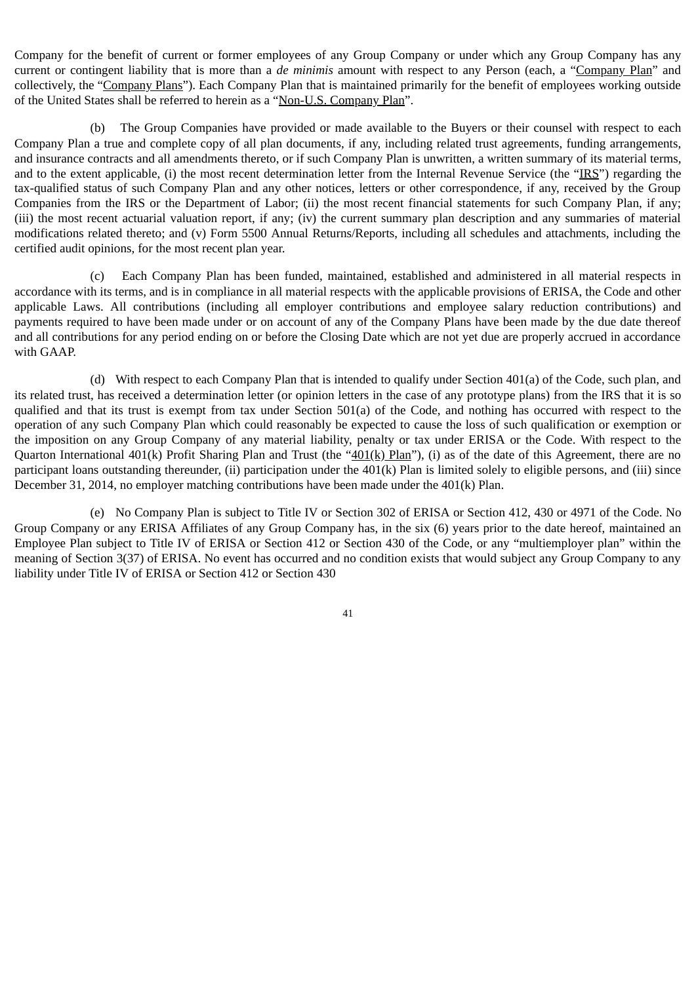Company for the benefit of current or former employees of any Group Company or under which any Group Company has any current or contingent liability that is more than a *de minimis* amount with respect to any Person (each, a "Company Plan" and collectively, the "Company Plans"). Each Company Plan that is maintained primarily for the benefit of employees working outside of the United States shall be referred to herein as a "Non-U.S. Company Plan".

(b) The Group Companies have provided or made available to the Buyers or their counsel with respect to each Company Plan a true and complete copy of all plan documents, if any, including related trust agreements, funding arrangements, and insurance contracts and all amendments thereto, or if such Company Plan is unwritten, a written summary of its material terms, and to the extent applicable, (i) the most recent determination letter from the Internal Revenue Service (the "IRS") regarding the tax-qualified status of such Company Plan and any other notices, letters or other correspondence, if any, received by the Group Companies from the IRS or the Department of Labor; (ii) the most recent financial statements for such Company Plan, if any; (iii) the most recent actuarial valuation report, if any; (iv) the current summary plan description and any summaries of material modifications related thereto; and (v) Form 5500 Annual Returns/Reports, including all schedules and attachments, including the certified audit opinions, for the most recent plan year.

(c) Each Company Plan has been funded, maintained, established and administered in all material respects in accordance with its terms, and is in compliance in all material respects with the applicable provisions of ERISA, the Code and other applicable Laws. All contributions (including all employer contributions and employee salary reduction contributions) and payments required to have been made under or on account of any of the Company Plans have been made by the due date thereof and all contributions for any period ending on or before the Closing Date which are not yet due are properly accrued in accordance with GAAP.

(d) With respect to each Company Plan that is intended to qualify under Section 401(a) of the Code, such plan, and its related trust, has received a determination letter (or opinion letters in the case of any prototype plans) from the IRS that it is so qualified and that its trust is exempt from tax under Section 501(a) of the Code, and nothing has occurred with respect to the operation of any such Company Plan which could reasonably be expected to cause the loss of such qualification or exemption or the imposition on any Group Company of any material liability, penalty or tax under ERISA or the Code. With respect to the Quarton International 401(k) Profit Sharing Plan and Trust (the "401(k) Plan"), (i) as of the date of this Agreement, there are no participant loans outstanding thereunder, (ii) participation under the 401(k) Plan is limited solely to eligible persons, and (iii) since December 31, 2014, no employer matching contributions have been made under the 401(k) Plan.

(e) No Company Plan is subject to Title IV or Section 302 of ERISA or Section 412, 430 or 4971 of the Code. No Group Company or any ERISA Affiliates of any Group Company has, in the six (6) years prior to the date hereof, maintained an Employee Plan subject to Title IV of ERISA or Section 412 or Section 430 of the Code, or any "multiemployer plan" within the meaning of Section 3(37) of ERISA. No event has occurred and no condition exists that would subject any Group Company to any liability under Title IV of ERISA or Section 412 or Section 430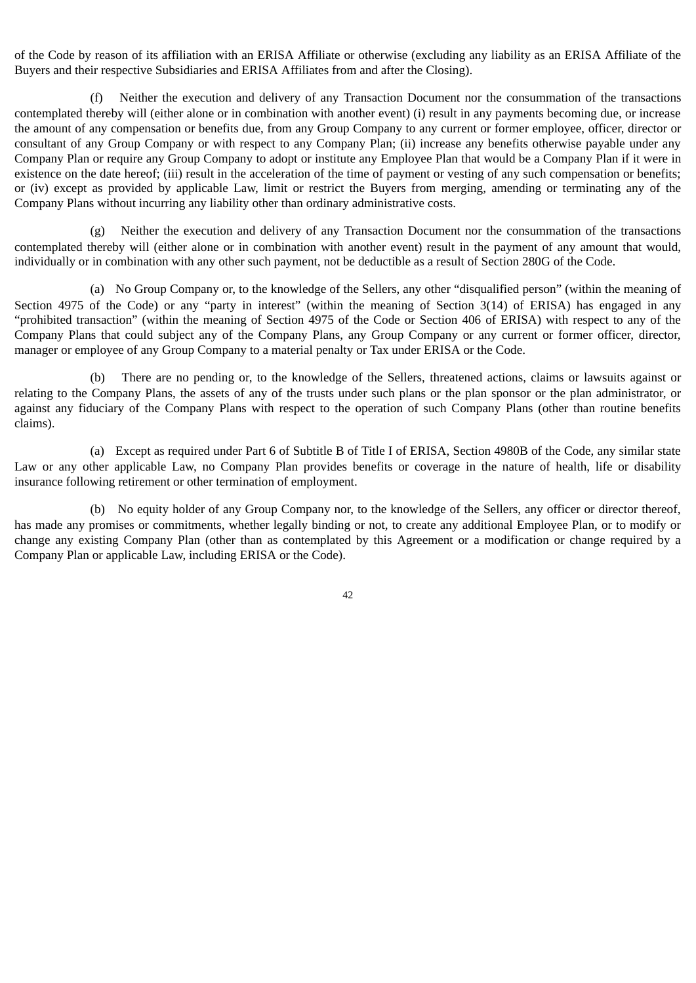of the Code by reason of its affiliation with an ERISA Affiliate or otherwise (excluding any liability as an ERISA Affiliate of the Buyers and their respective Subsidiaries and ERISA Affiliates from and after the Closing).

(f) Neither the execution and delivery of any Transaction Document nor the consummation of the transactions contemplated thereby will (either alone or in combination with another event) (i) result in any payments becoming due, or increase the amount of any compensation or benefits due, from any Group Company to any current or former employee, officer, director or consultant of any Group Company or with respect to any Company Plan; (ii) increase any benefits otherwise payable under any Company Plan or require any Group Company to adopt or institute any Employee Plan that would be a Company Plan if it were in existence on the date hereof; (iii) result in the acceleration of the time of payment or vesting of any such compensation or benefits; or (iv) except as provided by applicable Law, limit or restrict the Buyers from merging, amending or terminating any of the Company Plans without incurring any liability other than ordinary administrative costs.

(g) Neither the execution and delivery of any Transaction Document nor the consummation of the transactions contemplated thereby will (either alone or in combination with another event) result in the payment of any amount that would, individually or in combination with any other such payment, not be deductible as a result of Section 280G of the Code.

(a) No Group Company or, to the knowledge of the Sellers, any other "disqualified person" (within the meaning of Section 4975 of the Code) or any "party in interest" (within the meaning of Section 3(14) of ERISA) has engaged in any "prohibited transaction" (within the meaning of Section 4975 of the Code or Section 406 of ERISA) with respect to any of the Company Plans that could subject any of the Company Plans, any Group Company or any current or former officer, director, manager or employee of any Group Company to a material penalty or Tax under ERISA or the Code.

(b) There are no pending or, to the knowledge of the Sellers, threatened actions, claims or lawsuits against or relating to the Company Plans, the assets of any of the trusts under such plans or the plan sponsor or the plan administrator, or against any fiduciary of the Company Plans with respect to the operation of such Company Plans (other than routine benefits claims).

(a) Except as required under Part 6 of Subtitle B of Title I of ERISA, Section 4980B of the Code, any similar state Law or any other applicable Law, no Company Plan provides benefits or coverage in the nature of health, life or disability insurance following retirement or other termination of employment.

(b) No equity holder of any Group Company nor, to the knowledge of the Sellers, any officer or director thereof, has made any promises or commitments, whether legally binding or not, to create any additional Employee Plan, or to modify or change any existing Company Plan (other than as contemplated by this Agreement or a modification or change required by a Company Plan or applicable Law, including ERISA or the Code).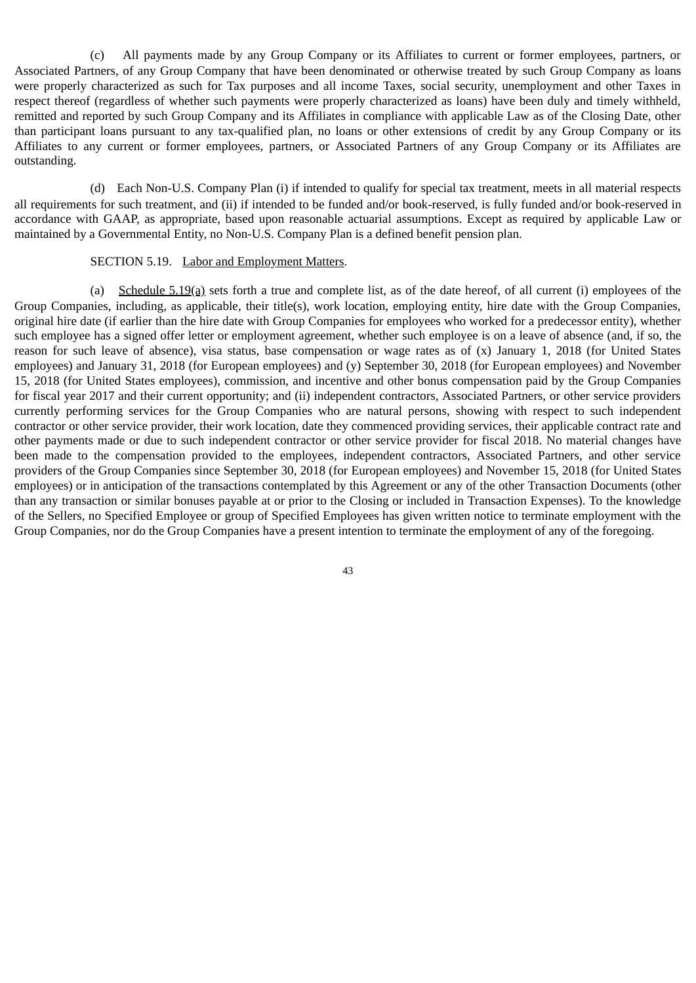(c) All payments made by any Group Company or its Affiliates to current or former employees, partners, or Associated Partners, of any Group Company that have been denominated or otherwise treated by such Group Company as loans were properly characterized as such for Tax purposes and all income Taxes, social security, unemployment and other Taxes in respect thereof (regardless of whether such payments were properly characterized as loans) have been duly and timely withheld, remitted and reported by such Group Company and its Affiliates in compliance with applicable Law as of the Closing Date, other than participant loans pursuant to any tax-qualified plan, no loans or other extensions of credit by any Group Company or its Affiliates to any current or former employees, partners, or Associated Partners of any Group Company or its Affiliates are outstanding.

(d) Each Non-U.S. Company Plan (i) if intended to qualify for special tax treatment, meets in all material respects all requirements for such treatment, and (ii) if intended to be funded and/or book-reserved, is fully funded and/or book-reserved in accordance with GAAP, as appropriate, based upon reasonable actuarial assumptions. Except as required by applicable Law or maintained by a Governmental Entity, no Non-U.S. Company Plan is a defined benefit pension plan.

### SECTION 5.19. Labor and Employment Matters.

(a) Schedule 5.19(a) sets forth a true and complete list, as of the date hereof, of all current (i) employees of the Group Companies, including, as applicable, their title(s), work location, employing entity, hire date with the Group Companies, original hire date (if earlier than the hire date with Group Companies for employees who worked for a predecessor entity), whether such employee has a signed offer letter or employment agreement, whether such employee is on a leave of absence (and, if so, the reason for such leave of absence), visa status, base compensation or wage rates as of (x) January 1, 2018 (for United States employees) and January 31, 2018 (for European employees) and (y) September 30, 2018 (for European employees) and November 15, 2018 (for United States employees), commission, and incentive and other bonus compensation paid by the Group Companies for fiscal year 2017 and their current opportunity; and (ii) independent contractors, Associated Partners, or other service providers currently performing services for the Group Companies who are natural persons, showing with respect to such independent contractor or other service provider, their work location, date they commenced providing services, their applicable contract rate and other payments made or due to such independent contractor or other service provider for fiscal 2018. No material changes have been made to the compensation provided to the employees, independent contractors, Associated Partners, and other service providers of the Group Companies since September 30, 2018 (for European employees) and November 15, 2018 (for United States employees) or in anticipation of the transactions contemplated by this Agreement or any of the other Transaction Documents (other than any transaction or similar bonuses payable at or prior to the Closing or included in Transaction Expenses). To the knowledge of the Sellers, no Specified Employee or group of Specified Employees has given written notice to terminate employment with the Group Companies, nor do the Group Companies have a present intention to terminate the employment of any of the foregoing.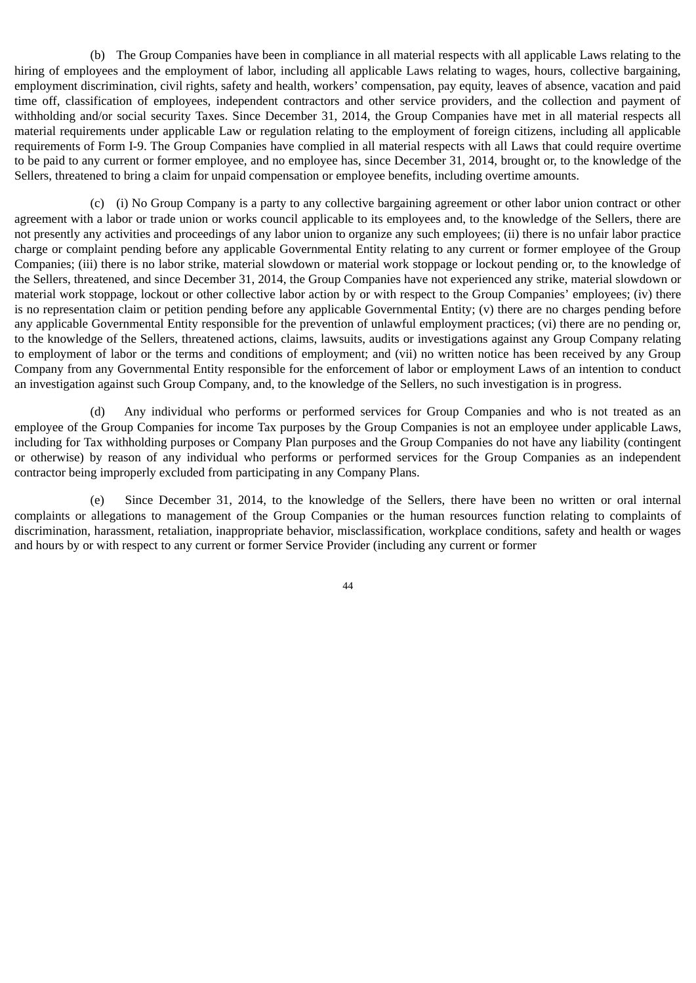(b) The Group Companies have been in compliance in all material respects with all applicable Laws relating to the hiring of employees and the employment of labor, including all applicable Laws relating to wages, hours, collective bargaining, employment discrimination, civil rights, safety and health, workers' compensation, pay equity, leaves of absence, vacation and paid time off, classification of employees, independent contractors and other service providers, and the collection and payment of withholding and/or social security Taxes. Since December 31, 2014, the Group Companies have met in all material respects all material requirements under applicable Law or regulation relating to the employment of foreign citizens, including all applicable requirements of Form I-9. The Group Companies have complied in all material respects with all Laws that could require overtime to be paid to any current or former employee, and no employee has, since December 31, 2014, brought or, to the knowledge of the Sellers, threatened to bring a claim for unpaid compensation or employee benefits, including overtime amounts.

(c) (i) No Group Company is a party to any collective bargaining agreement or other labor union contract or other agreement with a labor or trade union or works council applicable to its employees and, to the knowledge of the Sellers, there are not presently any activities and proceedings of any labor union to organize any such employees; (ii) there is no unfair labor practice charge or complaint pending before any applicable Governmental Entity relating to any current or former employee of the Group Companies; (iii) there is no labor strike, material slowdown or material work stoppage or lockout pending or, to the knowledge of the Sellers, threatened, and since December 31, 2014, the Group Companies have not experienced any strike, material slowdown or material work stoppage, lockout or other collective labor action by or with respect to the Group Companies' employees; (iv) there is no representation claim or petition pending before any applicable Governmental Entity; (v) there are no charges pending before any applicable Governmental Entity responsible for the prevention of unlawful employment practices; (vi) there are no pending or, to the knowledge of the Sellers, threatened actions, claims, lawsuits, audits or investigations against any Group Company relating to employment of labor or the terms and conditions of employment; and (vii) no written notice has been received by any Group Company from any Governmental Entity responsible for the enforcement of labor or employment Laws of an intention to conduct an investigation against such Group Company, and, to the knowledge of the Sellers, no such investigation is in progress.

(d) Any individual who performs or performed services for Group Companies and who is not treated as an employee of the Group Companies for income Tax purposes by the Group Companies is not an employee under applicable Laws, including for Tax withholding purposes or Company Plan purposes and the Group Companies do not have any liability (contingent or otherwise) by reason of any individual who performs or performed services for the Group Companies as an independent contractor being improperly excluded from participating in any Company Plans.

(e) Since December 31, 2014, to the knowledge of the Sellers, there have been no written or oral internal complaints or allegations to management of the Group Companies or the human resources function relating to complaints of discrimination, harassment, retaliation, inappropriate behavior, misclassification, workplace conditions, safety and health or wages and hours by or with respect to any current or former Service Provider (including any current or former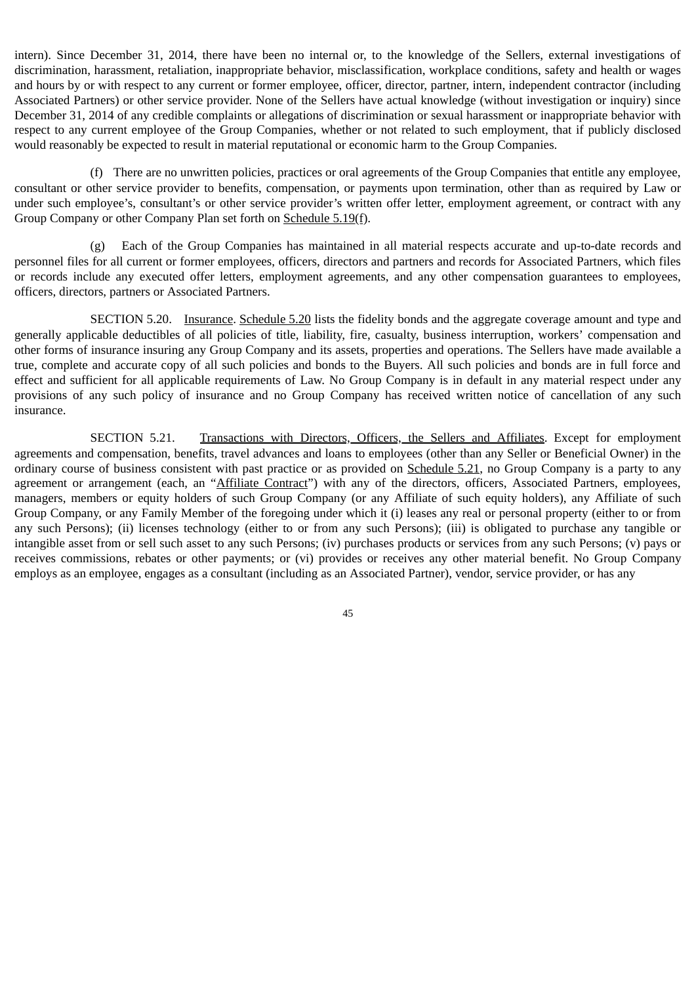intern). Since December 31, 2014, there have been no internal or, to the knowledge of the Sellers, external investigations of discrimination, harassment, retaliation, inappropriate behavior, misclassification, workplace conditions, safety and health or wages and hours by or with respect to any current or former employee, officer, director, partner, intern, independent contractor (including Associated Partners) or other service provider. None of the Sellers have actual knowledge (without investigation or inquiry) since December 31, 2014 of any credible complaints or allegations of discrimination or sexual harassment or inappropriate behavior with respect to any current employee of the Group Companies, whether or not related to such employment, that if publicly disclosed would reasonably be expected to result in material reputational or economic harm to the Group Companies.

(f) There are no unwritten policies, practices or oral agreements of the Group Companies that entitle any employee, consultant or other service provider to benefits, compensation, or payments upon termination, other than as required by Law or under such employee's, consultant's or other service provider's written offer letter, employment agreement, or contract with any Group Company or other Company Plan set forth on Schedule 5.19(f).

(g) Each of the Group Companies has maintained in all material respects accurate and up-to-date records and personnel files for all current or former employees, officers, directors and partners and records for Associated Partners, which files or records include any executed offer letters, employment agreements, and any other compensation guarantees to employees, officers, directors, partners or Associated Partners.

SECTION 5.20. Insurance. Schedule 5.20 lists the fidelity bonds and the aggregate coverage amount and type and generally applicable deductibles of all policies of title, liability, fire, casualty, business interruption, workers' compensation and other forms of insurance insuring any Group Company and its assets, properties and operations. The Sellers have made available a true, complete and accurate copy of all such policies and bonds to the Buyers. All such policies and bonds are in full force and effect and sufficient for all applicable requirements of Law. No Group Company is in default in any material respect under any provisions of any such policy of insurance and no Group Company has received written notice of cancellation of any such insurance.

SECTION 5.21. Transactions with Directors, Officers, the Sellers and Affiliates. Except for employment agreements and compensation, benefits, travel advances and loans to employees (other than any Seller or Beneficial Owner) in the ordinary course of business consistent with past practice or as provided on Schedule 5.21, no Group Company is a party to any agreement or arrangement (each, an "Affiliate Contract") with any of the directors, officers, Associated Partners, employees, managers, members or equity holders of such Group Company (or any Affiliate of such equity holders), any Affiliate of such Group Company, or any Family Member of the foregoing under which it (i) leases any real or personal property (either to or from any such Persons); (ii) licenses technology (either to or from any such Persons); (iii) is obligated to purchase any tangible or intangible asset from or sell such asset to any such Persons; (iv) purchases products or services from any such Persons; (v) pays or receives commissions, rebates or other payments; or (vi) provides or receives any other material benefit. No Group Company employs as an employee, engages as a consultant (including as an Associated Partner), vendor, service provider, or has any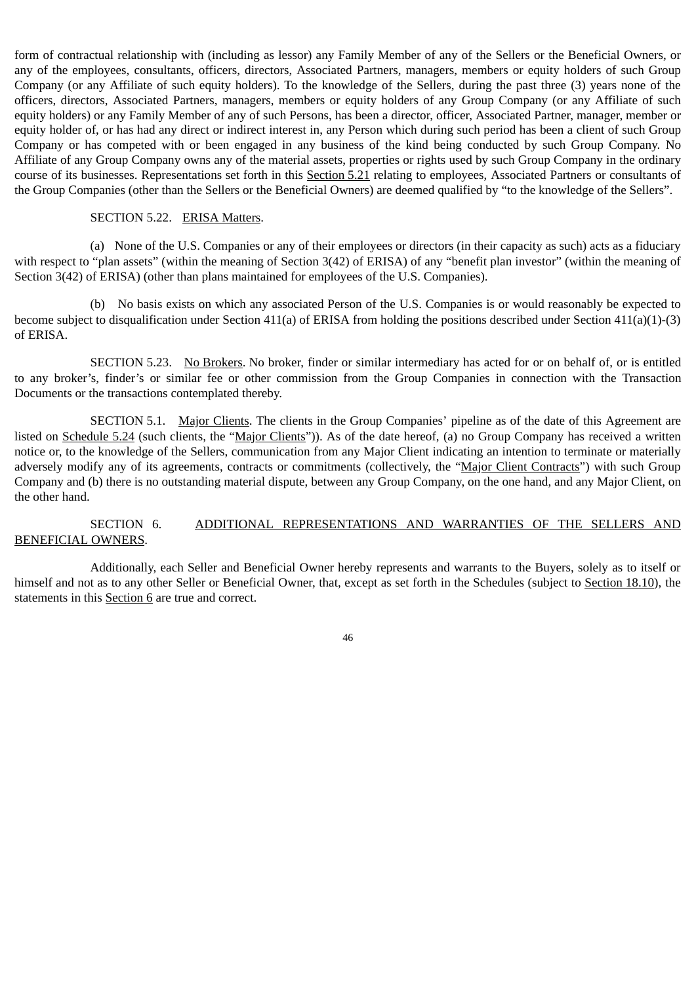form of contractual relationship with (including as lessor) any Family Member of any of the Sellers or the Beneficial Owners, or any of the employees, consultants, officers, directors, Associated Partners, managers, members or equity holders of such Group Company (or any Affiliate of such equity holders). To the knowledge of the Sellers, during the past three (3) years none of the officers, directors, Associated Partners, managers, members or equity holders of any Group Company (or any Affiliate of such equity holders) or any Family Member of any of such Persons, has been a director, officer, Associated Partner, manager, member or equity holder of, or has had any direct or indirect interest in, any Person which during such period has been a client of such Group Company or has competed with or been engaged in any business of the kind being conducted by such Group Company. No Affiliate of any Group Company owns any of the material assets, properties or rights used by such Group Company in the ordinary course of its businesses. Representations set forth in this Section 5.21 relating to employees, Associated Partners or consultants of the Group Companies (other than the Sellers or the Beneficial Owners) are deemed qualified by "to the knowledge of the Sellers".

#### SECTION 5.22. ERISA Matters.

(a) None of the U.S. Companies or any of their employees or directors (in their capacity as such) acts as a fiduciary with respect to "plan assets" (within the meaning of Section 3(42) of ERISA) of any "benefit plan investor" (within the meaning of Section 3(42) of ERISA) (other than plans maintained for employees of the U.S. Companies).

(b) No basis exists on which any associated Person of the U.S. Companies is or would reasonably be expected to become subject to disqualification under Section 411(a) of ERISA from holding the positions described under Section 411(a)(1)-(3) of ERISA.

SECTION 5.23. No Brokers. No broker, finder or similar intermediary has acted for or on behalf of, or is entitled to any broker's, finder's or similar fee or other commission from the Group Companies in connection with the Transaction Documents or the transactions contemplated thereby.

SECTION 5.1. Major Clients. The clients in the Group Companies' pipeline as of the date of this Agreement are listed on Schedule 5.24 (such clients, the "Major Clients")). As of the date hereof, (a) no Group Company has received a written notice or, to the knowledge of the Sellers, communication from any Major Client indicating an intention to terminate or materially adversely modify any of its agreements, contracts or commitments (collectively, the "Major Client Contracts") with such Group Company and (b) there is no outstanding material dispute, between any Group Company, on the one hand, and any Major Client, on the other hand.

# SECTION 6. ADDITIONAL REPRESENTATIONS AND WARRANTIES OF THE SELLERS AND BENEFICIAL OWNERS.

Additionally, each Seller and Beneficial Owner hereby represents and warrants to the Buyers, solely as to itself or himself and not as to any other Seller or Beneficial Owner, that, except as set forth in the Schedules (subject to Section 18.10), the statements in this Section 6 are true and correct.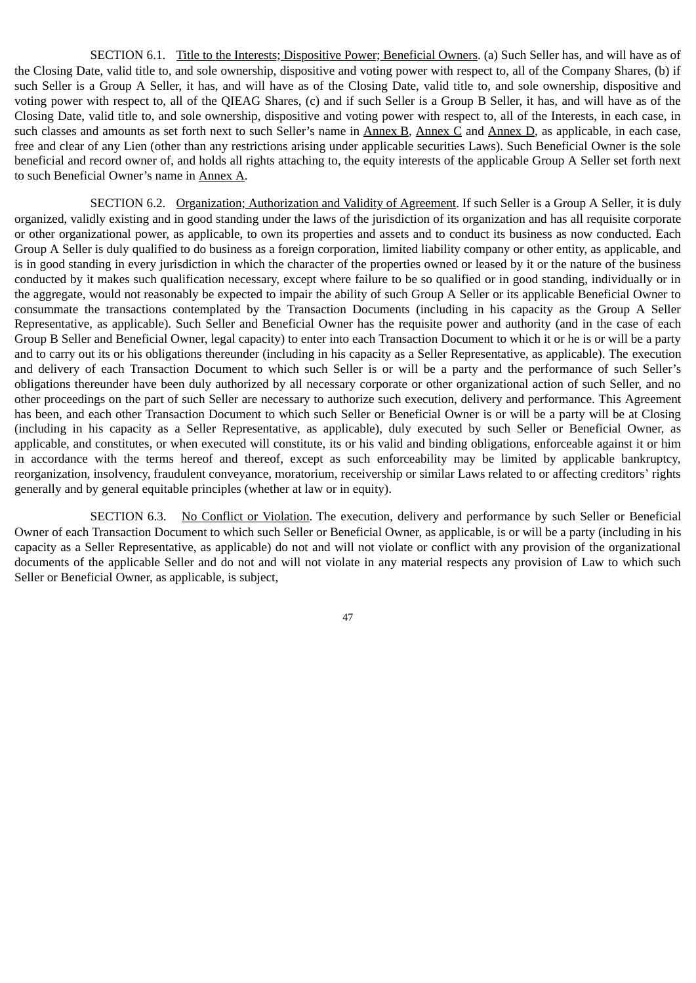SECTION 6.1. Title to the Interests; Dispositive Power; Beneficial Owners. (a) Such Seller has, and will have as of the Closing Date, valid title to, and sole ownership, dispositive and voting power with respect to, all of the Company Shares, (b) if such Seller is a Group A Seller, it has, and will have as of the Closing Date, valid title to, and sole ownership, dispositive and voting power with respect to, all of the QIEAG Shares, (c) and if such Seller is a Group B Seller, it has, and will have as of the Closing Date, valid title to, and sole ownership, dispositive and voting power with respect to, all of the Interests, in each case, in such classes and amounts as set forth next to such Seller's name in Annex B, Annex C and Annex D, as applicable, in each case, free and clear of any Lien (other than any restrictions arising under applicable securities Laws). Such Beneficial Owner is the sole beneficial and record owner of, and holds all rights attaching to, the equity interests of the applicable Group A Seller set forth next to such Beneficial Owner's name in Annex A.

SECTION 6.2. Organization; Authorization and Validity of Agreement. If such Seller is a Group A Seller, it is duly organized, validly existing and in good standing under the laws of the jurisdiction of its organization and has all requisite corporate or other organizational power, as applicable, to own its properties and assets and to conduct its business as now conducted. Each Group A Seller is duly qualified to do business as a foreign corporation, limited liability company or other entity, as applicable, and is in good standing in every jurisdiction in which the character of the properties owned or leased by it or the nature of the business conducted by it makes such qualification necessary, except where failure to be so qualified or in good standing, individually or in the aggregate, would not reasonably be expected to impair the ability of such Group A Seller or its applicable Beneficial Owner to consummate the transactions contemplated by the Transaction Documents (including in his capacity as the Group A Seller Representative, as applicable). Such Seller and Beneficial Owner has the requisite power and authority (and in the case of each Group B Seller and Beneficial Owner, legal capacity) to enter into each Transaction Document to which it or he is or will be a party and to carry out its or his obligations thereunder (including in his capacity as a Seller Representative, as applicable). The execution and delivery of each Transaction Document to which such Seller is or will be a party and the performance of such Seller's obligations thereunder have been duly authorized by all necessary corporate or other organizational action of such Seller, and no other proceedings on the part of such Seller are necessary to authorize such execution, delivery and performance. This Agreement has been, and each other Transaction Document to which such Seller or Beneficial Owner is or will be a party will be at Closing (including in his capacity as a Seller Representative, as applicable), duly executed by such Seller or Beneficial Owner, as applicable, and constitutes, or when executed will constitute, its or his valid and binding obligations, enforceable against it or him in accordance with the terms hereof and thereof, except as such enforceability may be limited by applicable bankruptcy, reorganization, insolvency, fraudulent conveyance, moratorium, receivership or similar Laws related to or affecting creditors' rights generally and by general equitable principles (whether at law or in equity).

SECTION 6.3. No Conflict or Violation. The execution, delivery and performance by such Seller or Beneficial Owner of each Transaction Document to which such Seller or Beneficial Owner, as applicable, is or will be a party (including in his capacity as a Seller Representative, as applicable) do not and will not violate or conflict with any provision of the organizational documents of the applicable Seller and do not and will not violate in any material respects any provision of Law to which such Seller or Beneficial Owner, as applicable, is subject,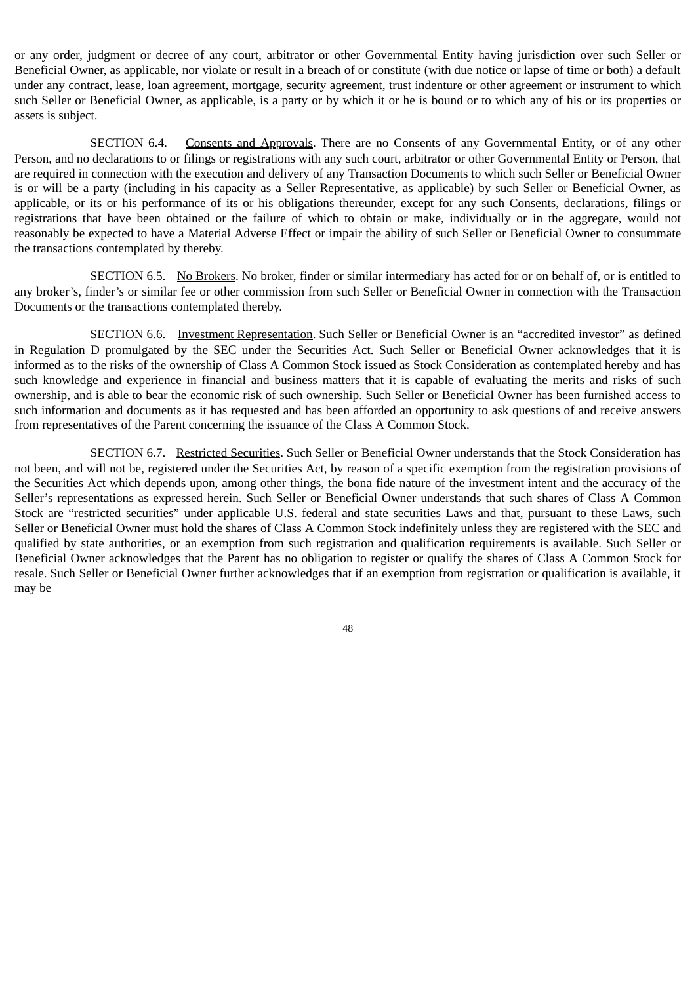or any order, judgment or decree of any court, arbitrator or other Governmental Entity having jurisdiction over such Seller or Beneficial Owner, as applicable, nor violate or result in a breach of or constitute (with due notice or lapse of time or both) a default under any contract, lease, loan agreement, mortgage, security agreement, trust indenture or other agreement or instrument to which such Seller or Beneficial Owner, as applicable, is a party or by which it or he is bound or to which any of his or its properties or assets is subject.

SECTION 6.4. Consents and Approvals. There are no Consents of any Governmental Entity, or of any other Person, and no declarations to or filings or registrations with any such court, arbitrator or other Governmental Entity or Person, that are required in connection with the execution and delivery of any Transaction Documents to which such Seller or Beneficial Owner is or will be a party (including in his capacity as a Seller Representative, as applicable) by such Seller or Beneficial Owner, as applicable, or its or his performance of its or his obligations thereunder, except for any such Consents, declarations, filings or registrations that have been obtained or the failure of which to obtain or make, individually or in the aggregate, would not reasonably be expected to have a Material Adverse Effect or impair the ability of such Seller or Beneficial Owner to consummate the transactions contemplated by thereby.

SECTION 6.5. No Brokers. No broker, finder or similar intermediary has acted for or on behalf of, or is entitled to any broker's, finder's or similar fee or other commission from such Seller or Beneficial Owner in connection with the Transaction Documents or the transactions contemplated thereby.

SECTION 6.6. Investment Representation. Such Seller or Beneficial Owner is an "accredited investor" as defined in Regulation D promulgated by the SEC under the Securities Act. Such Seller or Beneficial Owner acknowledges that it is informed as to the risks of the ownership of Class A Common Stock issued as Stock Consideration as contemplated hereby and has such knowledge and experience in financial and business matters that it is capable of evaluating the merits and risks of such ownership, and is able to bear the economic risk of such ownership. Such Seller or Beneficial Owner has been furnished access to such information and documents as it has requested and has been afforded an opportunity to ask questions of and receive answers from representatives of the Parent concerning the issuance of the Class A Common Stock.

SECTION 6.7. Restricted Securities. Such Seller or Beneficial Owner understands that the Stock Consideration has not been, and will not be, registered under the Securities Act, by reason of a specific exemption from the registration provisions of the Securities Act which depends upon, among other things, the bona fide nature of the investment intent and the accuracy of the Seller's representations as expressed herein. Such Seller or Beneficial Owner understands that such shares of Class A Common Stock are "restricted securities" under applicable U.S. federal and state securities Laws and that, pursuant to these Laws, such Seller or Beneficial Owner must hold the shares of Class A Common Stock indefinitely unless they are registered with the SEC and qualified by state authorities, or an exemption from such registration and qualification requirements is available. Such Seller or Beneficial Owner acknowledges that the Parent has no obligation to register or qualify the shares of Class A Common Stock for resale. Such Seller or Beneficial Owner further acknowledges that if an exemption from registration or qualification is available, it may be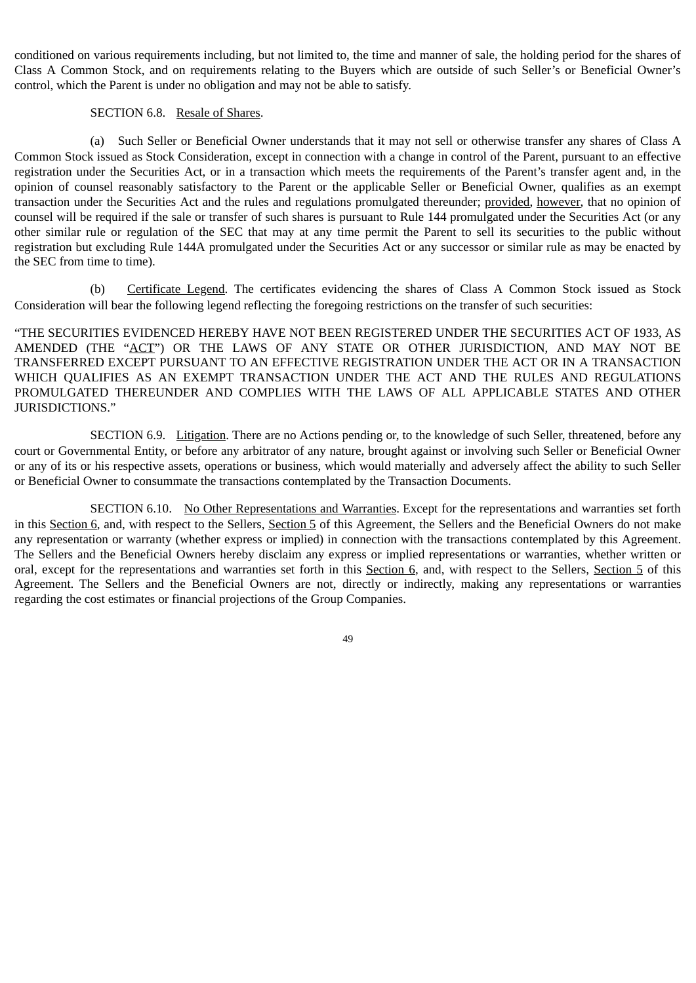conditioned on various requirements including, but not limited to, the time and manner of sale, the holding period for the shares of Class A Common Stock, and on requirements relating to the Buyers which are outside of such Seller's or Beneficial Owner's control, which the Parent is under no obligation and may not be able to satisfy.

### SECTION 6.8. Resale of Shares.

(a) Such Seller or Beneficial Owner understands that it may not sell or otherwise transfer any shares of Class A Common Stock issued as Stock Consideration, except in connection with a change in control of the Parent, pursuant to an effective registration under the Securities Act, or in a transaction which meets the requirements of the Parent's transfer agent and, in the opinion of counsel reasonably satisfactory to the Parent or the applicable Seller or Beneficial Owner, qualifies as an exempt transaction under the Securities Act and the rules and regulations promulgated thereunder; provided, however, that no opinion of counsel will be required if the sale or transfer of such shares is pursuant to Rule 144 promulgated under the Securities Act (or any other similar rule or regulation of the SEC that may at any time permit the Parent to sell its securities to the public without registration but excluding Rule 144A promulgated under the Securities Act or any successor or similar rule as may be enacted by the SEC from time to time).

(b) Certificate Legend. The certificates evidencing the shares of Class A Common Stock issued as Stock Consideration will bear the following legend reflecting the foregoing restrictions on the transfer of such securities:

"THE SECURITIES EVIDENCED HEREBY HAVE NOT BEEN REGISTERED UNDER THE SECURITIES ACT OF 1933, AS AMENDED (THE "ACT") OR THE LAWS OF ANY STATE OR OTHER JURISDICTION, AND MAY NOT BE TRANSFERRED EXCEPT PURSUANT TO AN EFFECTIVE REGISTRATION UNDER THE ACT OR IN A TRANSACTION WHICH QUALIFIES AS AN EXEMPT TRANSACTION UNDER THE ACT AND THE RULES AND REGULATIONS PROMULGATED THEREUNDER AND COMPLIES WITH THE LAWS OF ALL APPLICABLE STATES AND OTHER JURISDICTIONS."

SECTION 6.9. Litigation. There are no Actions pending or, to the knowledge of such Seller, threatened, before any court or Governmental Entity, or before any arbitrator of any nature, brought against or involving such Seller or Beneficial Owner or any of its or his respective assets, operations or business, which would materially and adversely affect the ability to such Seller or Beneficial Owner to consummate the transactions contemplated by the Transaction Documents.

SECTION 6.10. No Other Representations and Warranties. Except for the representations and warranties set forth in this Section 6, and, with respect to the Sellers, Section 5 of this Agreement, the Sellers and the Beneficial Owners do not make any representation or warranty (whether express or implied) in connection with the transactions contemplated by this Agreement. The Sellers and the Beneficial Owners hereby disclaim any express or implied representations or warranties, whether written or oral, except for the representations and warranties set forth in this Section 6, and, with respect to the Sellers, Section 5 of this Agreement. The Sellers and the Beneficial Owners are not, directly or indirectly, making any representations or warranties regarding the cost estimates or financial projections of the Group Companies.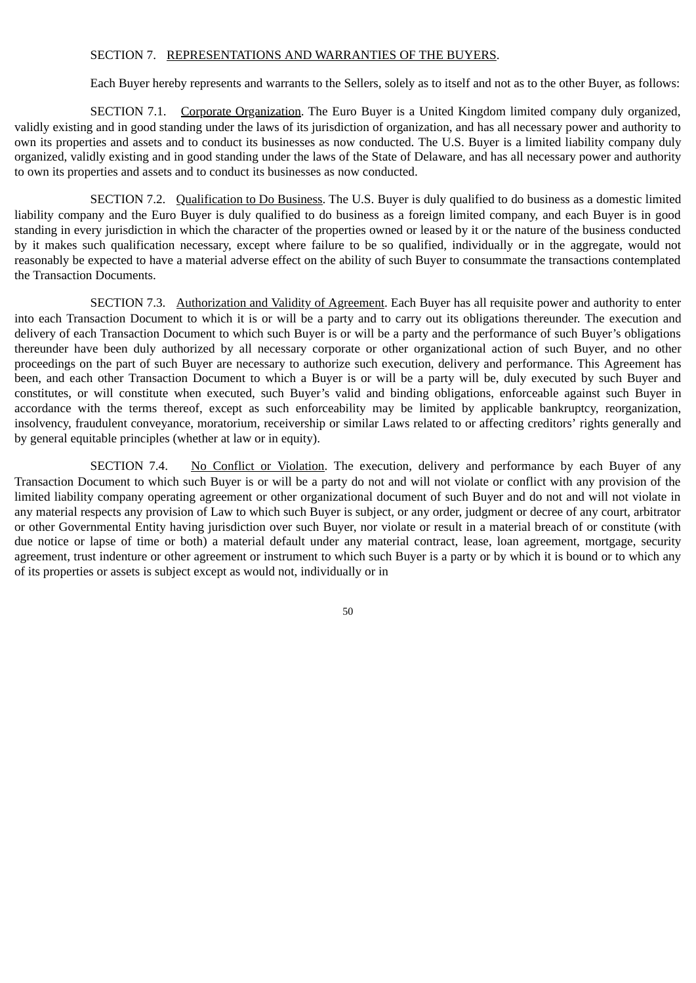#### SECTION 7. REPRESENTATIONS AND WARRANTIES OF THE BUYERS.

Each Buyer hereby represents and warrants to the Sellers, solely as to itself and not as to the other Buyer, as follows:

SECTION 7.1. Corporate Organization. The Euro Buyer is a United Kingdom limited company duly organized, validly existing and in good standing under the laws of its jurisdiction of organization, and has all necessary power and authority to own its properties and assets and to conduct its businesses as now conducted. The U.S. Buyer is a limited liability company duly organized, validly existing and in good standing under the laws of the State of Delaware, and has all necessary power and authority to own its properties and assets and to conduct its businesses as now conducted.

SECTION 7.2. Qualification to Do Business. The U.S. Buyer is duly qualified to do business as a domestic limited liability company and the Euro Buyer is duly qualified to do business as a foreign limited company, and each Buyer is in good standing in every jurisdiction in which the character of the properties owned or leased by it or the nature of the business conducted by it makes such qualification necessary, except where failure to be so qualified, individually or in the aggregate, would not reasonably be expected to have a material adverse effect on the ability of such Buyer to consummate the transactions contemplated the Transaction Documents.

SECTION 7.3. Authorization and Validity of Agreement. Each Buyer has all requisite power and authority to enter into each Transaction Document to which it is or will be a party and to carry out its obligations thereunder. The execution and delivery of each Transaction Document to which such Buyer is or will be a party and the performance of such Buyer's obligations thereunder have been duly authorized by all necessary corporate or other organizational action of such Buyer, and no other proceedings on the part of such Buyer are necessary to authorize such execution, delivery and performance. This Agreement has been, and each other Transaction Document to which a Buyer is or will be a party will be, duly executed by such Buyer and constitutes, or will constitute when executed, such Buyer's valid and binding obligations, enforceable against such Buyer in accordance with the terms thereof, except as such enforceability may be limited by applicable bankruptcy, reorganization, insolvency, fraudulent conveyance, moratorium, receivership or similar Laws related to or affecting creditors' rights generally and by general equitable principles (whether at law or in equity).

SECTION 7.4. No Conflict or Violation. The execution, delivery and performance by each Buyer of any Transaction Document to which such Buyer is or will be a party do not and will not violate or conflict with any provision of the limited liability company operating agreement or other organizational document of such Buyer and do not and will not violate in any material respects any provision of Law to which such Buyer is subject, or any order, judgment or decree of any court, arbitrator or other Governmental Entity having jurisdiction over such Buyer, nor violate or result in a material breach of or constitute (with due notice or lapse of time or both) a material default under any material contract, lease, loan agreement, mortgage, security agreement, trust indenture or other agreement or instrument to which such Buyer is a party or by which it is bound or to which any of its properties or assets is subject except as would not, individually or in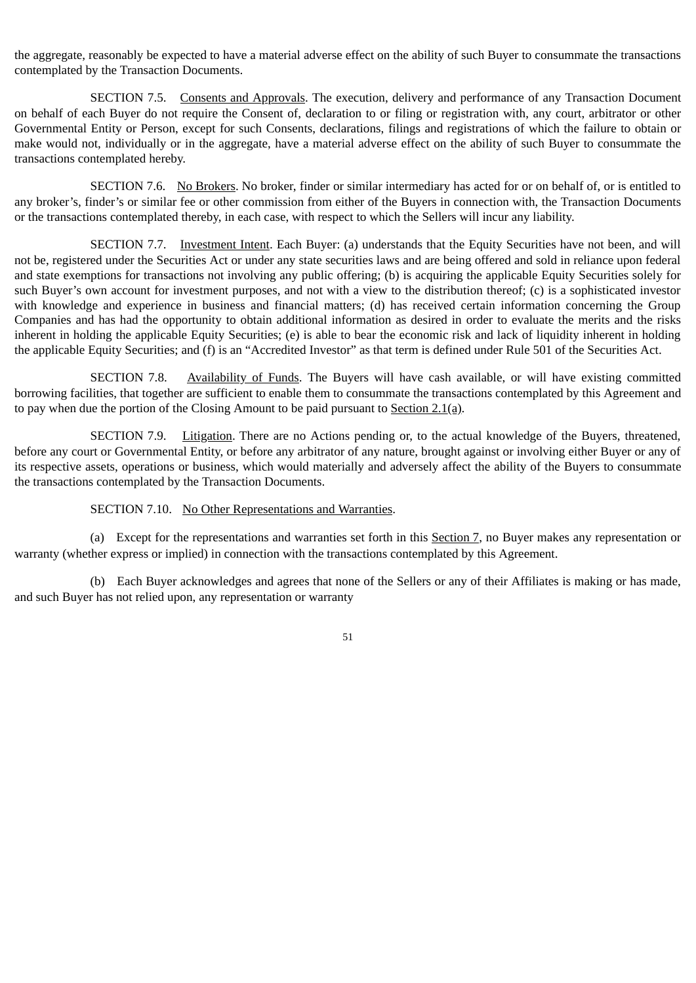the aggregate, reasonably be expected to have a material adverse effect on the ability of such Buyer to consummate the transactions contemplated by the Transaction Documents.

SECTION 7.5. Consents and Approvals. The execution, delivery and performance of any Transaction Document on behalf of each Buyer do not require the Consent of, declaration to or filing or registration with, any court, arbitrator or other Governmental Entity or Person, except for such Consents, declarations, filings and registrations of which the failure to obtain or make would not, individually or in the aggregate, have a material adverse effect on the ability of such Buyer to consummate the transactions contemplated hereby.

SECTION 7.6. No Brokers. No broker, finder or similar intermediary has acted for or on behalf of, or is entitled to any broker's, finder's or similar fee or other commission from either of the Buyers in connection with, the Transaction Documents or the transactions contemplated thereby, in each case, with respect to which the Sellers will incur any liability.

SECTION 7.7. Investment Intent. Each Buyer: (a) understands that the Equity Securities have not been, and will not be, registered under the Securities Act or under any state securities laws and are being offered and sold in reliance upon federal and state exemptions for transactions not involving any public offering; (b) is acquiring the applicable Equity Securities solely for such Buyer's own account for investment purposes, and not with a view to the distribution thereof; (c) is a sophisticated investor with knowledge and experience in business and financial matters; (d) has received certain information concerning the Group Companies and has had the opportunity to obtain additional information as desired in order to evaluate the merits and the risks inherent in holding the applicable Equity Securities; (e) is able to bear the economic risk and lack of liquidity inherent in holding the applicable Equity Securities; and (f) is an "Accredited Investor" as that term is defined under Rule 501 of the Securities Act.

SECTION 7.8. Availability of Funds. The Buyers will have cash available, or will have existing committed borrowing facilities, that together are sufficient to enable them to consummate the transactions contemplated by this Agreement and to pay when due the portion of the Closing Amount to be paid pursuant to Section 2.1(a).

SECTION 7.9. Litigation. There are no Actions pending or, to the actual knowledge of the Buyers, threatened, before any court or Governmental Entity, or before any arbitrator of any nature, brought against or involving either Buyer or any of its respective assets, operations or business, which would materially and adversely affect the ability of the Buyers to consummate the transactions contemplated by the Transaction Documents.

# SECTION 7.10. No Other Representations and Warranties.

(a) Except for the representations and warranties set forth in this Section 7, no Buyer makes any representation or warranty (whether express or implied) in connection with the transactions contemplated by this Agreement.

(b) Each Buyer acknowledges and agrees that none of the Sellers or any of their Affiliates is making or has made, and such Buyer has not relied upon, any representation or warranty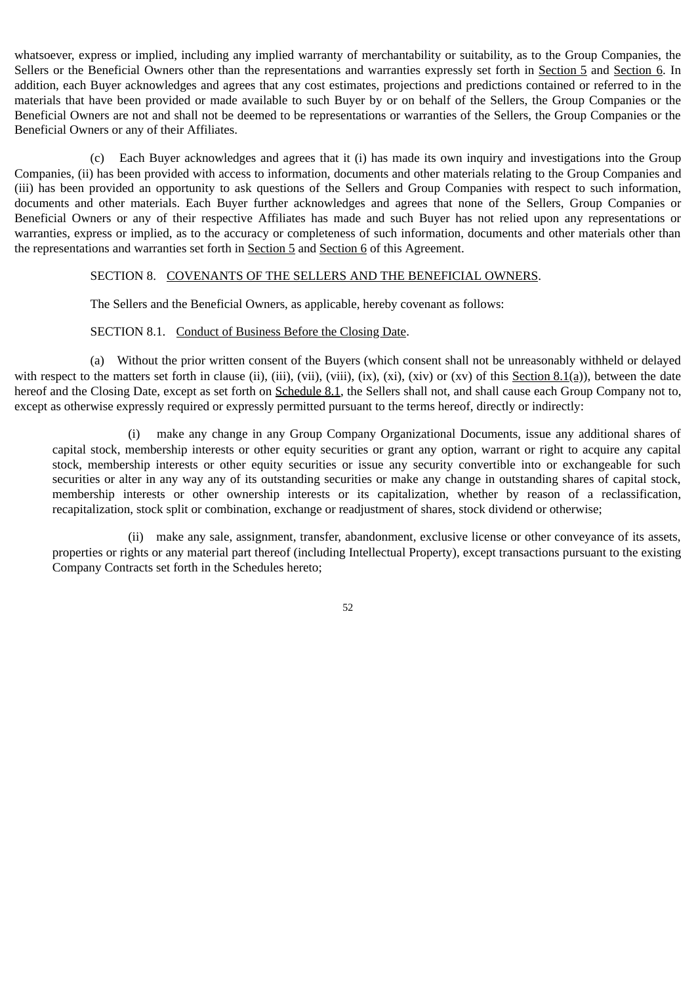whatsoever, express or implied, including any implied warranty of merchantability or suitability, as to the Group Companies, the Sellers or the Beneficial Owners other than the representations and warranties expressly set forth in Section 5 and Section 6. In addition, each Buyer acknowledges and agrees that any cost estimates, projections and predictions contained or referred to in the materials that have been provided or made available to such Buyer by or on behalf of the Sellers, the Group Companies or the Beneficial Owners are not and shall not be deemed to be representations or warranties of the Sellers, the Group Companies or the Beneficial Owners or any of their Affiliates.

(c) Each Buyer acknowledges and agrees that it (i) has made its own inquiry and investigations into the Group Companies, (ii) has been provided with access to information, documents and other materials relating to the Group Companies and (iii) has been provided an opportunity to ask questions of the Sellers and Group Companies with respect to such information, documents and other materials. Each Buyer further acknowledges and agrees that none of the Sellers, Group Companies or Beneficial Owners or any of their respective Affiliates has made and such Buyer has not relied upon any representations or warranties, express or implied, as to the accuracy or completeness of such information, documents and other materials other than the representations and warranties set forth in Section 5 and Section 6 of this Agreement.

#### SECTION 8. COVENANTS OF THE SELLERS AND THE BENEFICIAL OWNERS.

The Sellers and the Beneficial Owners, as applicable, hereby covenant as follows:

# SECTION 8.1. Conduct of Business Before the Closing Date.

(a) Without the prior written consent of the Buyers (which consent shall not be unreasonably withheld or delayed with respect to the matters set forth in clause (ii), (iii), (vii), (viii), (ix), (xi), (xiv) or (xv) of this Section  $8.1(a)$ ), between the date hereof and the Closing Date, except as set forth on Schedule 8.1, the Sellers shall not, and shall cause each Group Company not to, except as otherwise expressly required or expressly permitted pursuant to the terms hereof, directly or indirectly:

(i) make any change in any Group Company Organizational Documents, issue any additional shares of capital stock, membership interests or other equity securities or grant any option, warrant or right to acquire any capital stock, membership interests or other equity securities or issue any security convertible into or exchangeable for such securities or alter in any way any of its outstanding securities or make any change in outstanding shares of capital stock, membership interests or other ownership interests or its capitalization, whether by reason of a reclassification, recapitalization, stock split or combination, exchange or readjustment of shares, stock dividend or otherwise;

(ii) make any sale, assignment, transfer, abandonment, exclusive license or other conveyance of its assets, properties or rights or any material part thereof (including Intellectual Property), except transactions pursuant to the existing Company Contracts set forth in the Schedules hereto;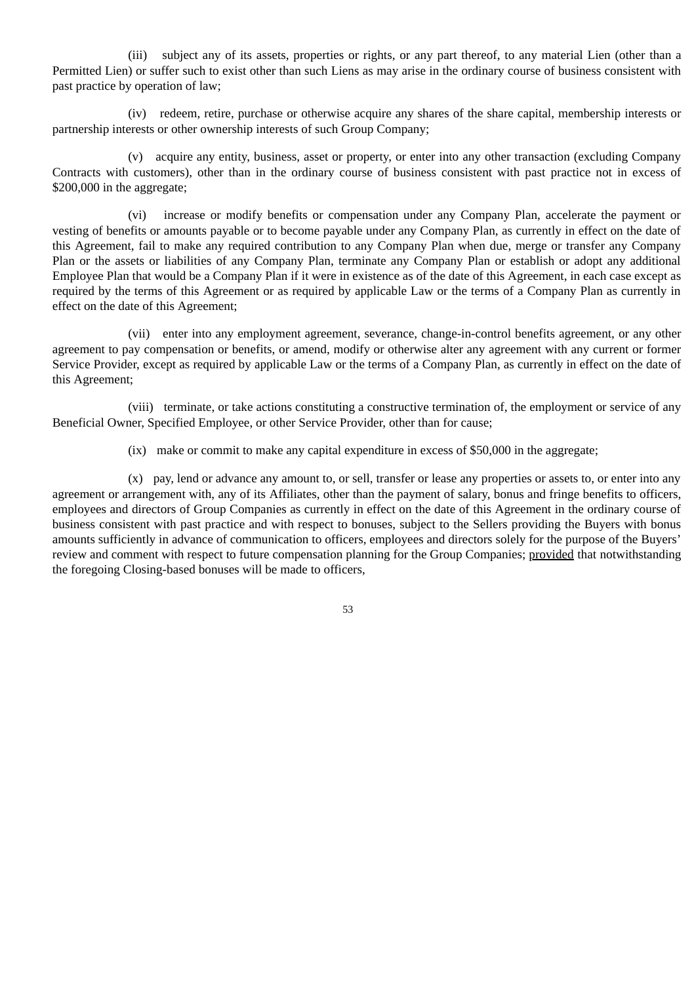(iii) subject any of its assets, properties or rights, or any part thereof, to any material Lien (other than a Permitted Lien) or suffer such to exist other than such Liens as may arise in the ordinary course of business consistent with past practice by operation of law;

(iv) redeem, retire, purchase or otherwise acquire any shares of the share capital, membership interests or partnership interests or other ownership interests of such Group Company;

(v) acquire any entity, business, asset or property, or enter into any other transaction (excluding Company Contracts with customers), other than in the ordinary course of business consistent with past practice not in excess of \$200,000 in the aggregate;

(vi) increase or modify benefits or compensation under any Company Plan, accelerate the payment or vesting of benefits or amounts payable or to become payable under any Company Plan, as currently in effect on the date of this Agreement, fail to make any required contribution to any Company Plan when due, merge or transfer any Company Plan or the assets or liabilities of any Company Plan, terminate any Company Plan or establish or adopt any additional Employee Plan that would be a Company Plan if it were in existence as of the date of this Agreement, in each case except as required by the terms of this Agreement or as required by applicable Law or the terms of a Company Plan as currently in effect on the date of this Agreement;

(vii) enter into any employment agreement, severance, change-in-control benefits agreement, or any other agreement to pay compensation or benefits, or amend, modify or otherwise alter any agreement with any current or former Service Provider, except as required by applicable Law or the terms of a Company Plan, as currently in effect on the date of this Agreement;

(viii) terminate, or take actions constituting a constructive termination of, the employment or service of any Beneficial Owner, Specified Employee, or other Service Provider, other than for cause;

(ix) make or commit to make any capital expenditure in excess of \$50,000 in the aggregate;

(x) pay, lend or advance any amount to, or sell, transfer or lease any properties or assets to, or enter into any agreement or arrangement with, any of its Affiliates, other than the payment of salary, bonus and fringe benefits to officers, employees and directors of Group Companies as currently in effect on the date of this Agreement in the ordinary course of business consistent with past practice and with respect to bonuses, subject to the Sellers providing the Buyers with bonus amounts sufficiently in advance of communication to officers, employees and directors solely for the purpose of the Buyers' review and comment with respect to future compensation planning for the Group Companies; provided that notwithstanding the foregoing Closing-based bonuses will be made to officers,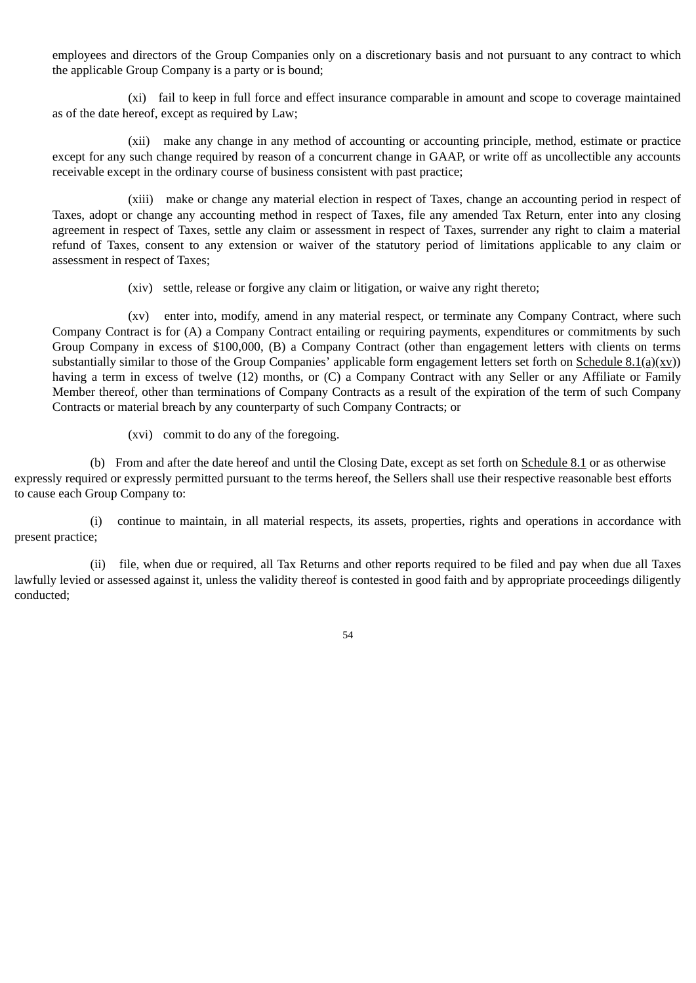employees and directors of the Group Companies only on a discretionary basis and not pursuant to any contract to which the applicable Group Company is a party or is bound;

(xi) fail to keep in full force and effect insurance comparable in amount and scope to coverage maintained as of the date hereof, except as required by Law;

(xii) make any change in any method of accounting or accounting principle, method, estimate or practice except for any such change required by reason of a concurrent change in GAAP, or write off as uncollectible any accounts receivable except in the ordinary course of business consistent with past practice;

(xiii) make or change any material election in respect of Taxes, change an accounting period in respect of Taxes, adopt or change any accounting method in respect of Taxes, file any amended Tax Return, enter into any closing agreement in respect of Taxes, settle any claim or assessment in respect of Taxes, surrender any right to claim a material refund of Taxes, consent to any extension or waiver of the statutory period of limitations applicable to any claim or assessment in respect of Taxes;

(xiv) settle, release or forgive any claim or litigation, or waive any right thereto;

(xv) enter into, modify, amend in any material respect, or terminate any Company Contract, where such Company Contract is for (A) a Company Contract entailing or requiring payments, expenditures or commitments by such Group Company in excess of \$100,000, (B) a Company Contract (other than engagement letters with clients on terms substantially similar to those of the Group Companies' applicable form engagement letters set forth on Schedule  $8.1(a)(xy)$ ) having a term in excess of twelve (12) months, or (C) a Company Contract with any Seller or any Affiliate or Family Member thereof, other than terminations of Company Contracts as a result of the expiration of the term of such Company Contracts or material breach by any counterparty of such Company Contracts; or

(xvi) commit to do any of the foregoing.

(b) From and after the date hereof and until the Closing Date, except as set forth on Schedule 8.1 or as otherwise expressly required or expressly permitted pursuant to the terms hereof, the Sellers shall use their respective reasonable best efforts to cause each Group Company to:

(i) continue to maintain, in all material respects, its assets, properties, rights and operations in accordance with present practice;

(ii) file, when due or required, all Tax Returns and other reports required to be filed and pay when due all Taxes lawfully levied or assessed against it, unless the validity thereof is contested in good faith and by appropriate proceedings diligently conducted;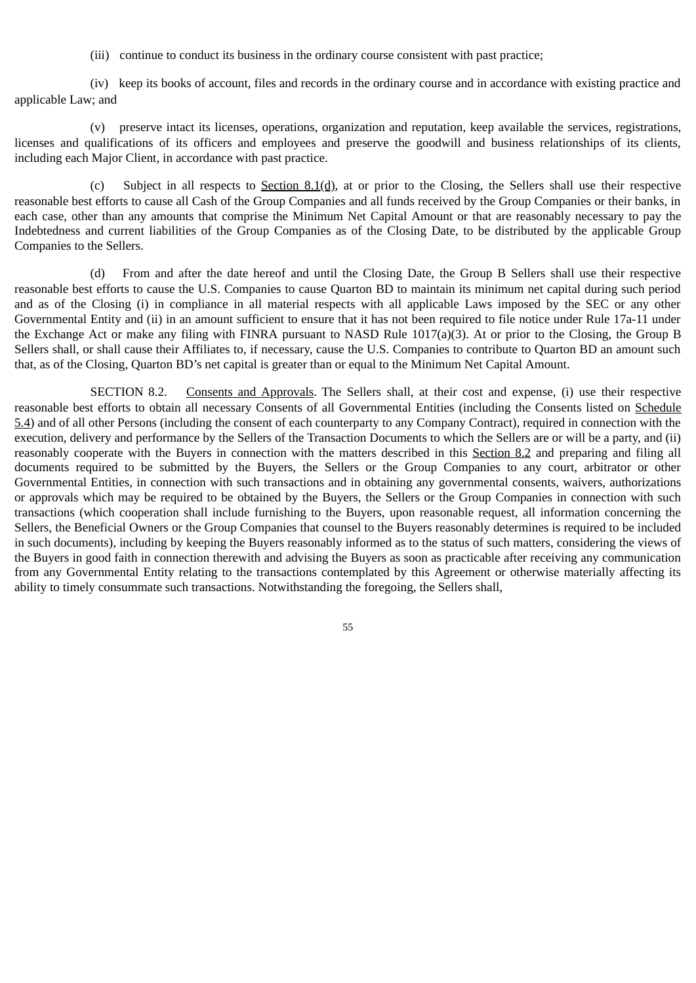(iii) continue to conduct its business in the ordinary course consistent with past practice;

(iv) keep its books of account, files and records in the ordinary course and in accordance with existing practice and applicable Law; and

(v) preserve intact its licenses, operations, organization and reputation, keep available the services, registrations, licenses and qualifications of its officers and employees and preserve the goodwill and business relationships of its clients, including each Major Client, in accordance with past practice.

(c) Subject in all respects to Section 8.1(d), at or prior to the Closing, the Sellers shall use their respective reasonable best efforts to cause all Cash of the Group Companies and all funds received by the Group Companies or their banks, in each case, other than any amounts that comprise the Minimum Net Capital Amount or that are reasonably necessary to pay the Indebtedness and current liabilities of the Group Companies as of the Closing Date, to be distributed by the applicable Group Companies to the Sellers.

(d) From and after the date hereof and until the Closing Date, the Group B Sellers shall use their respective reasonable best efforts to cause the U.S. Companies to cause Quarton BD to maintain its minimum net capital during such period and as of the Closing (i) in compliance in all material respects with all applicable Laws imposed by the SEC or any other Governmental Entity and (ii) in an amount sufficient to ensure that it has not been required to file notice under Rule 17a-11 under the Exchange Act or make any filing with FINRA pursuant to NASD Rule 1017(a)(3). At or prior to the Closing, the Group B Sellers shall, or shall cause their Affiliates to, if necessary, cause the U.S. Companies to contribute to Quarton BD an amount such that, as of the Closing, Quarton BD's net capital is greater than or equal to the Minimum Net Capital Amount.

SECTION 8.2. Consents and Approvals. The Sellers shall, at their cost and expense, (i) use their respective reasonable best efforts to obtain all necessary Consents of all Governmental Entities (including the Consents listed on Schedule 5.4) and of all other Persons (including the consent of each counterparty to any Company Contract), required in connection with the execution, delivery and performance by the Sellers of the Transaction Documents to which the Sellers are or will be a party, and (ii) reasonably cooperate with the Buyers in connection with the matters described in this Section 8.2 and preparing and filing all documents required to be submitted by the Buyers, the Sellers or the Group Companies to any court, arbitrator or other Governmental Entities, in connection with such transactions and in obtaining any governmental consents, waivers, authorizations or approvals which may be required to be obtained by the Buyers, the Sellers or the Group Companies in connection with such transactions (which cooperation shall include furnishing to the Buyers, upon reasonable request, all information concerning the Sellers, the Beneficial Owners or the Group Companies that counsel to the Buyers reasonably determines is required to be included in such documents), including by keeping the Buyers reasonably informed as to the status of such matters, considering the views of the Buyers in good faith in connection therewith and advising the Buyers as soon as practicable after receiving any communication from any Governmental Entity relating to the transactions contemplated by this Agreement or otherwise materially affecting its ability to timely consummate such transactions. Notwithstanding the foregoing, the Sellers shall,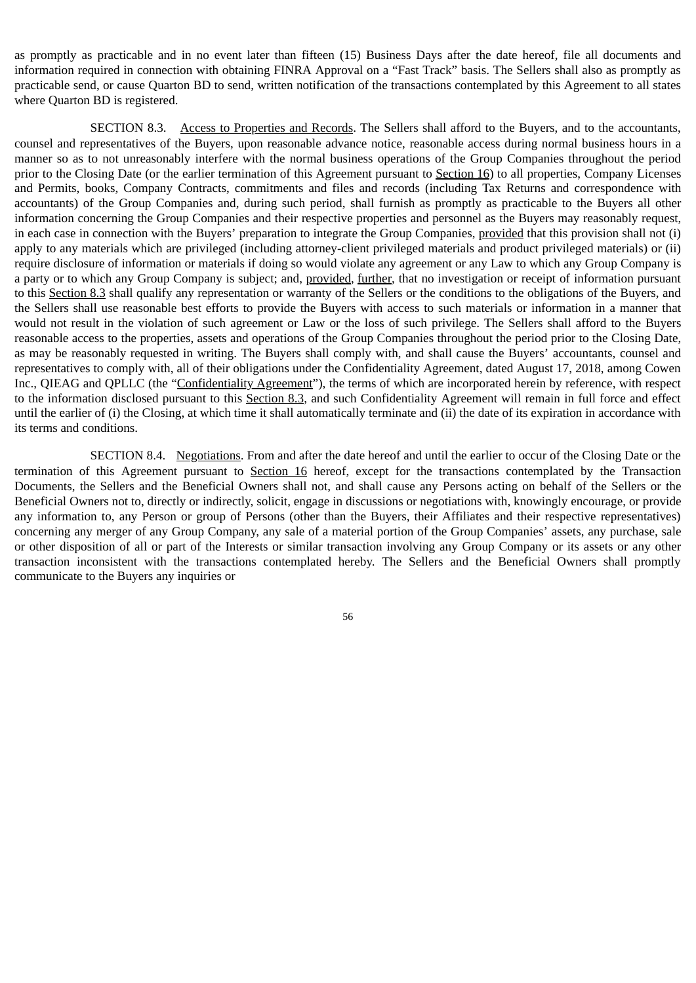as promptly as practicable and in no event later than fifteen (15) Business Days after the date hereof, file all documents and information required in connection with obtaining FINRA Approval on a "Fast Track" basis. The Sellers shall also as promptly as practicable send, or cause Quarton BD to send, written notification of the transactions contemplated by this Agreement to all states where Quarton BD is registered.

SECTION 8.3. Access to Properties and Records. The Sellers shall afford to the Buyers, and to the accountants, counsel and representatives of the Buyers, upon reasonable advance notice, reasonable access during normal business hours in a manner so as to not unreasonably interfere with the normal business operations of the Group Companies throughout the period prior to the Closing Date (or the earlier termination of this Agreement pursuant to Section 16) to all properties, Company Licenses and Permits, books, Company Contracts, commitments and files and records (including Tax Returns and correspondence with accountants) of the Group Companies and, during such period, shall furnish as promptly as practicable to the Buyers all other information concerning the Group Companies and their respective properties and personnel as the Buyers may reasonably request, in each case in connection with the Buyers' preparation to integrate the Group Companies, provided that this provision shall not (i) apply to any materials which are privileged (including attorney-client privileged materials and product privileged materials) or (ii) require disclosure of information or materials if doing so would violate any agreement or any Law to which any Group Company is a party or to which any Group Company is subject; and, provided, further, that no investigation or receipt of information pursuant to this Section 8.3 shall qualify any representation or warranty of the Sellers or the conditions to the obligations of the Buyers, and the Sellers shall use reasonable best efforts to provide the Buyers with access to such materials or information in a manner that would not result in the violation of such agreement or Law or the loss of such privilege. The Sellers shall afford to the Buyers reasonable access to the properties, assets and operations of the Group Companies throughout the period prior to the Closing Date, as may be reasonably requested in writing. The Buyers shall comply with, and shall cause the Buyers' accountants, counsel and representatives to comply with, all of their obligations under the Confidentiality Agreement, dated August 17, 2018, among Cowen Inc., QIEAG and QPLLC (the "Confidentiality Agreement"), the terms of which are incorporated herein by reference, with respect to the information disclosed pursuant to this Section 8.3, and such Confidentiality Agreement will remain in full force and effect until the earlier of (i) the Closing, at which time it shall automatically terminate and (ii) the date of its expiration in accordance with its terms and conditions.

SECTION 8.4. Negotiations. From and after the date hereof and until the earlier to occur of the Closing Date or the termination of this Agreement pursuant to Section 16 hereof, except for the transactions contemplated by the Transaction Documents, the Sellers and the Beneficial Owners shall not, and shall cause any Persons acting on behalf of the Sellers or the Beneficial Owners not to, directly or indirectly, solicit, engage in discussions or negotiations with, knowingly encourage, or provide any information to, any Person or group of Persons (other than the Buyers, their Affiliates and their respective representatives) concerning any merger of any Group Company, any sale of a material portion of the Group Companies' assets, any purchase, sale or other disposition of all or part of the Interests or similar transaction involving any Group Company or its assets or any other transaction inconsistent with the transactions contemplated hereby. The Sellers and the Beneficial Owners shall promptly communicate to the Buyers any inquiries or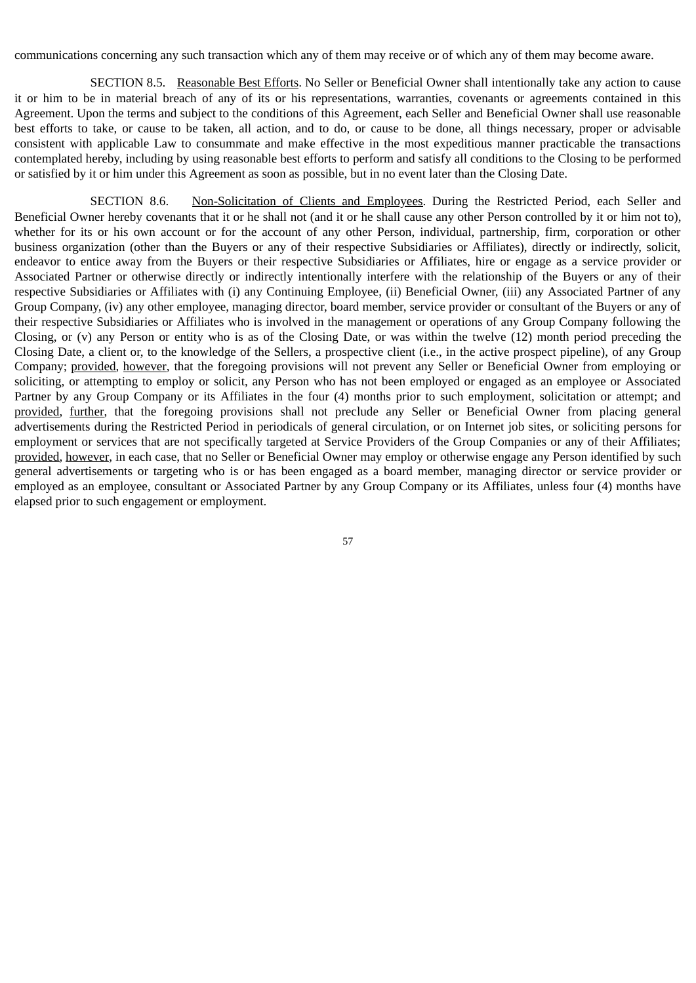communications concerning any such transaction which any of them may receive or of which any of them may become aware.

SECTION 8.5. Reasonable Best Efforts. No Seller or Beneficial Owner shall intentionally take any action to cause it or him to be in material breach of any of its or his representations, warranties, covenants or agreements contained in this Agreement. Upon the terms and subject to the conditions of this Agreement, each Seller and Beneficial Owner shall use reasonable best efforts to take, or cause to be taken, all action, and to do, or cause to be done, all things necessary, proper or advisable consistent with applicable Law to consummate and make effective in the most expeditious manner practicable the transactions contemplated hereby, including by using reasonable best efforts to perform and satisfy all conditions to the Closing to be performed or satisfied by it or him under this Agreement as soon as possible, but in no event later than the Closing Date.

SECTION 8.6. Non-Solicitation of Clients and Employees. During the Restricted Period, each Seller and Beneficial Owner hereby covenants that it or he shall not (and it or he shall cause any other Person controlled by it or him not to), whether for its or his own account or for the account of any other Person, individual, partnership, firm, corporation or other business organization (other than the Buyers or any of their respective Subsidiaries or Affiliates), directly or indirectly, solicit, endeavor to entice away from the Buyers or their respective Subsidiaries or Affiliates, hire or engage as a service provider or Associated Partner or otherwise directly or indirectly intentionally interfere with the relationship of the Buyers or any of their respective Subsidiaries or Affiliates with (i) any Continuing Employee, (ii) Beneficial Owner, (iii) any Associated Partner of any Group Company, (iv) any other employee, managing director, board member, service provider or consultant of the Buyers or any of their respective Subsidiaries or Affiliates who is involved in the management or operations of any Group Company following the Closing, or (v) any Person or entity who is as of the Closing Date, or was within the twelve (12) month period preceding the Closing Date, a client or, to the knowledge of the Sellers, a prospective client (i.e., in the active prospect pipeline), of any Group Company; provided, however, that the foregoing provisions will not prevent any Seller or Beneficial Owner from employing or soliciting, or attempting to employ or solicit, any Person who has not been employed or engaged as an employee or Associated Partner by any Group Company or its Affiliates in the four (4) months prior to such employment, solicitation or attempt; and provided, further, that the foregoing provisions shall not preclude any Seller or Beneficial Owner from placing general advertisements during the Restricted Period in periodicals of general circulation, or on Internet job sites, or soliciting persons for employment or services that are not specifically targeted at Service Providers of the Group Companies or any of their Affiliates; provided, however, in each case, that no Seller or Beneficial Owner may employ or otherwise engage any Person identified by such general advertisements or targeting who is or has been engaged as a board member, managing director or service provider or employed as an employee, consultant or Associated Partner by any Group Company or its Affiliates, unless four (4) months have elapsed prior to such engagement or employment.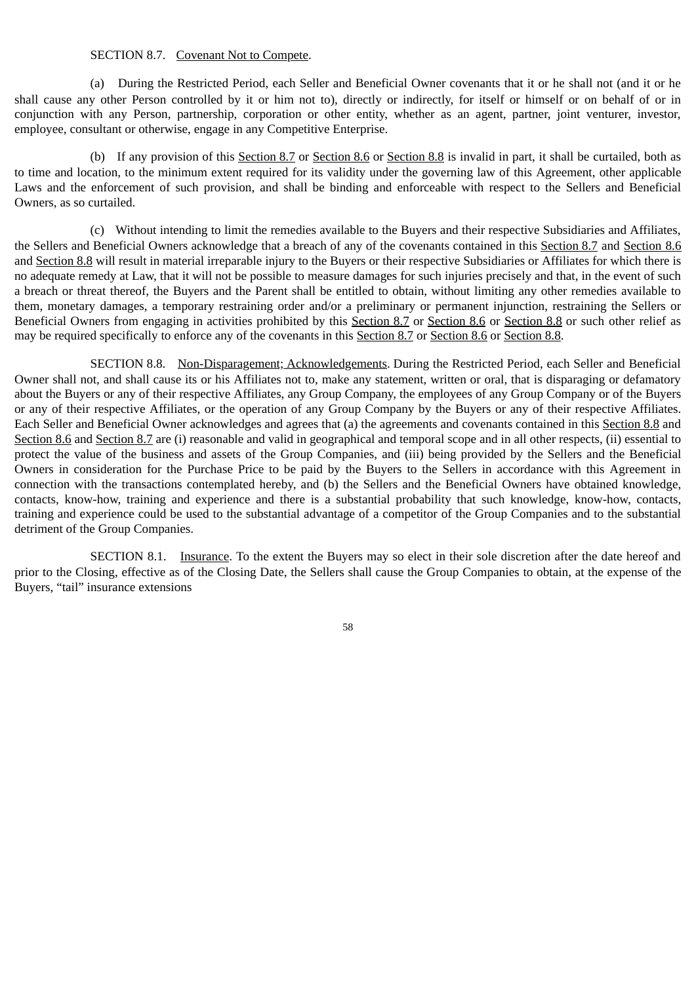### SECTION 8.7. Covenant Not to Compete.

(a) During the Restricted Period, each Seller and Beneficial Owner covenants that it or he shall not (and it or he shall cause any other Person controlled by it or him not to), directly or indirectly, for itself or himself or on behalf of or in conjunction with any Person, partnership, corporation or other entity, whether as an agent, partner, joint venturer, investor, employee, consultant or otherwise, engage in any Competitive Enterprise.

(b) If any provision of this Section 8.7 or Section 8.6 or Section 8.8 is invalid in part, it shall be curtailed, both as to time and location, to the minimum extent required for its validity under the governing law of this Agreement, other applicable Laws and the enforcement of such provision, and shall be binding and enforceable with respect to the Sellers and Beneficial Owners, as so curtailed.

(c) Without intending to limit the remedies available to the Buyers and their respective Subsidiaries and Affiliates, the Sellers and Beneficial Owners acknowledge that a breach of any of the covenants contained in this Section 8.7 and Section 8.6 and Section 8.8 will result in material irreparable injury to the Buyers or their respective Subsidiaries or Affiliates for which there is no adequate remedy at Law, that it will not be possible to measure damages for such injuries precisely and that, in the event of such a breach or threat thereof, the Buyers and the Parent shall be entitled to obtain, without limiting any other remedies available to them, monetary damages, a temporary restraining order and/or a preliminary or permanent injunction, restraining the Sellers or Beneficial Owners from engaging in activities prohibited by this Section 8.7 or Section 8.6 or Section 8.8 or such other relief as may be required specifically to enforce any of the covenants in this Section 8.7 or Section 8.6 or Section 8.8.

SECTION 8.8. Non-Disparagement; Acknowledgements. During the Restricted Period, each Seller and Beneficial Owner shall not, and shall cause its or his Affiliates not to, make any statement, written or oral, that is disparaging or defamatory about the Buyers or any of their respective Affiliates, any Group Company, the employees of any Group Company or of the Buyers or any of their respective Affiliates, or the operation of any Group Company by the Buyers or any of their respective Affiliates. Each Seller and Beneficial Owner acknowledges and agrees that (a) the agreements and covenants contained in this Section 8.8 and Section 8.6 and Section 8.7 are (i) reasonable and valid in geographical and temporal scope and in all other respects, (ii) essential to protect the value of the business and assets of the Group Companies, and (iii) being provided by the Sellers and the Beneficial Owners in consideration for the Purchase Price to be paid by the Buyers to the Sellers in accordance with this Agreement in connection with the transactions contemplated hereby, and (b) the Sellers and the Beneficial Owners have obtained knowledge, contacts, know-how, training and experience and there is a substantial probability that such knowledge, know-how, contacts, training and experience could be used to the substantial advantage of a competitor of the Group Companies and to the substantial detriment of the Group Companies.

SECTION 8.1. Insurance. To the extent the Buyers may so elect in their sole discretion after the date hereof and prior to the Closing, effective as of the Closing Date, the Sellers shall cause the Group Companies to obtain, at the expense of the Buyers, "tail" insurance extensions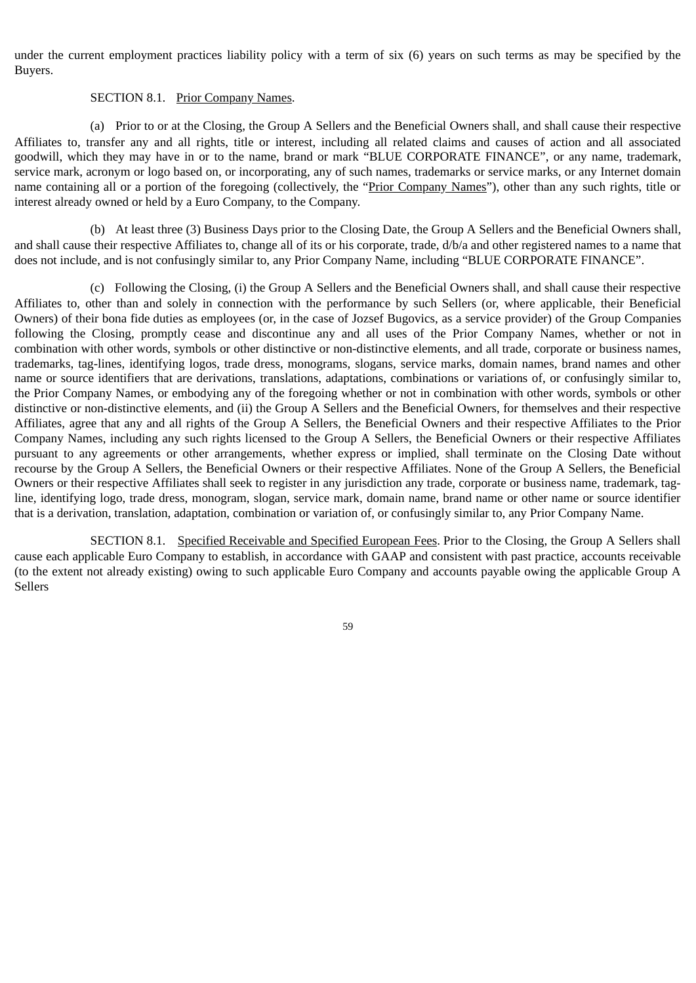under the current employment practices liability policy with a term of six (6) years on such terms as may be specified by the Buyers.

# SECTION 8.1. Prior Company Names.

(a) Prior to or at the Closing, the Group A Sellers and the Beneficial Owners shall, and shall cause their respective Affiliates to, transfer any and all rights, title or interest, including all related claims and causes of action and all associated goodwill, which they may have in or to the name, brand or mark "BLUE CORPORATE FINANCE", or any name, trademark, service mark, acronym or logo based on, or incorporating, any of such names, trademarks or service marks, or any Internet domain name containing all or a portion of the foregoing (collectively, the "Prior Company Names"), other than any such rights, title or interest already owned or held by a Euro Company, to the Company.

(b) At least three (3) Business Days prior to the Closing Date, the Group A Sellers and the Beneficial Owners shall, and shall cause their respective Affiliates to, change all of its or his corporate, trade, d/b/a and other registered names to a name that does not include, and is not confusingly similar to, any Prior Company Name, including "BLUE CORPORATE FINANCE".

(c) Following the Closing, (i) the Group A Sellers and the Beneficial Owners shall, and shall cause their respective Affiliates to, other than and solely in connection with the performance by such Sellers (or, where applicable, their Beneficial Owners) of their bona fide duties as employees (or, in the case of Jozsef Bugovics, as a service provider) of the Group Companies following the Closing, promptly cease and discontinue any and all uses of the Prior Company Names, whether or not in combination with other words, symbols or other distinctive or non-distinctive elements, and all trade, corporate or business names, trademarks, tag-lines, identifying logos, trade dress, monograms, slogans, service marks, domain names, brand names and other name or source identifiers that are derivations, translations, adaptations, combinations or variations of, or confusingly similar to, the Prior Company Names, or embodying any of the foregoing whether or not in combination with other words, symbols or other distinctive or non-distinctive elements, and (ii) the Group A Sellers and the Beneficial Owners, for themselves and their respective Affiliates, agree that any and all rights of the Group A Sellers, the Beneficial Owners and their respective Affiliates to the Prior Company Names, including any such rights licensed to the Group A Sellers, the Beneficial Owners or their respective Affiliates pursuant to any agreements or other arrangements, whether express or implied, shall terminate on the Closing Date without recourse by the Group A Sellers, the Beneficial Owners or their respective Affiliates. None of the Group A Sellers, the Beneficial Owners or their respective Affiliates shall seek to register in any jurisdiction any trade, corporate or business name, trademark, tagline, identifying logo, trade dress, monogram, slogan, service mark, domain name, brand name or other name or source identifier that is a derivation, translation, adaptation, combination or variation of, or confusingly similar to, any Prior Company Name.

SECTION 8.1. Specified Receivable and Specified European Fees. Prior to the Closing, the Group A Sellers shall cause each applicable Euro Company to establish, in accordance with GAAP and consistent with past practice, accounts receivable (to the extent not already existing) owing to such applicable Euro Company and accounts payable owing the applicable Group A Sellers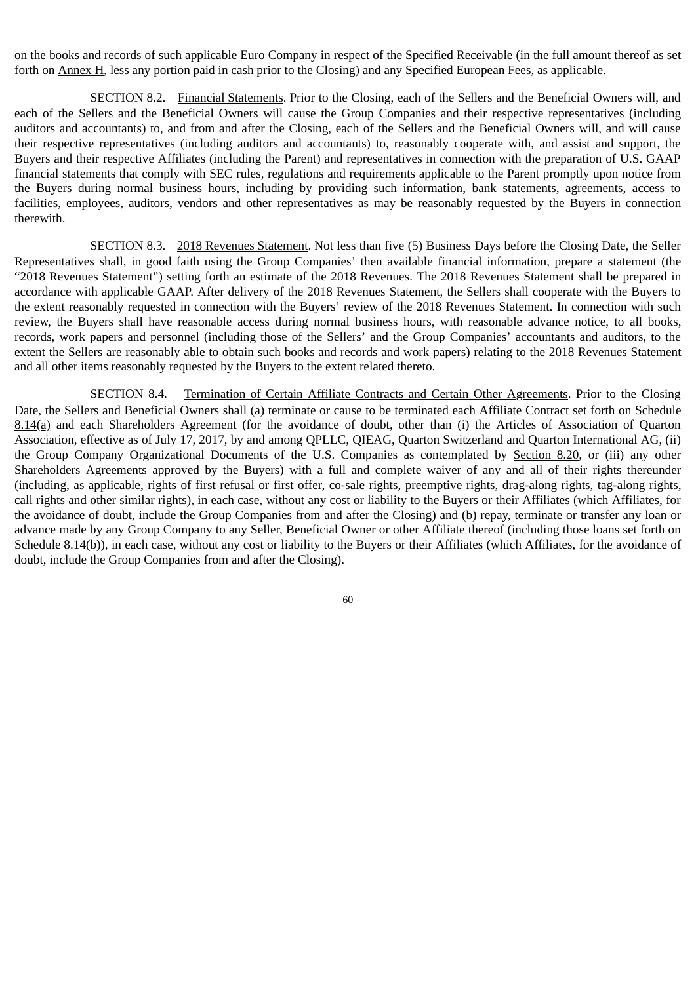on the books and records of such applicable Euro Company in respect of the Specified Receivable (in the full amount thereof as set forth on Annex H, less any portion paid in cash prior to the Closing) and any Specified European Fees, as applicable.

SECTION 8.2. Financial Statements. Prior to the Closing, each of the Sellers and the Beneficial Owners will, and each of the Sellers and the Beneficial Owners will cause the Group Companies and their respective representatives (including auditors and accountants) to, and from and after the Closing, each of the Sellers and the Beneficial Owners will, and will cause their respective representatives (including auditors and accountants) to, reasonably cooperate with, and assist and support, the Buyers and their respective Affiliates (including the Parent) and representatives in connection with the preparation of U.S. GAAP financial statements that comply with SEC rules, regulations and requirements applicable to the Parent promptly upon notice from the Buyers during normal business hours, including by providing such information, bank statements, agreements, access to facilities, employees, auditors, vendors and other representatives as may be reasonably requested by the Buyers in connection therewith.

SECTION 8.3. 2018 Revenues Statement. Not less than five (5) Business Days before the Closing Date, the Seller Representatives shall, in good faith using the Group Companies' then available financial information, prepare a statement (the "2018 Revenues Statement") setting forth an estimate of the 2018 Revenues. The 2018 Revenues Statement shall be prepared in accordance with applicable GAAP. After delivery of the 2018 Revenues Statement, the Sellers shall cooperate with the Buyers to the extent reasonably requested in connection with the Buyers' review of the 2018 Revenues Statement. In connection with such review, the Buyers shall have reasonable access during normal business hours, with reasonable advance notice, to all books, records, work papers and personnel (including those of the Sellers' and the Group Companies' accountants and auditors, to the extent the Sellers are reasonably able to obtain such books and records and work papers) relating to the 2018 Revenues Statement and all other items reasonably requested by the Buyers to the extent related thereto.

SECTION 8.4. Termination of Certain Affiliate Contracts and Certain Other Agreements. Prior to the Closing Date, the Sellers and Beneficial Owners shall (a) terminate or cause to be terminated each Affiliate Contract set forth on Schedule 8.14(a) and each Shareholders Agreement (for the avoidance of doubt, other than (i) the Articles of Association of Quarton Association, effective as of July 17, 2017, by and among QPLLC, QIEAG, Quarton Switzerland and Quarton International AG, (ii) the Group Company Organizational Documents of the U.S. Companies as contemplated by Section 8.20, or (iii) any other Shareholders Agreements approved by the Buyers) with a full and complete waiver of any and all of their rights thereunder (including, as applicable, rights of first refusal or first offer, co-sale rights, preemptive rights, drag-along rights, tag-along rights, call rights and other similar rights), in each case, without any cost or liability to the Buyers or their Affiliates (which Affiliates, for the avoidance of doubt, include the Group Companies from and after the Closing) and (b) repay, terminate or transfer any loan or advance made by any Group Company to any Seller, Beneficial Owner or other Affiliate thereof (including those loans set forth on Schedule 8.14(b)), in each case, without any cost or liability to the Buyers or their Affiliates (which Affiliates, for the avoidance of doubt, include the Group Companies from and after the Closing).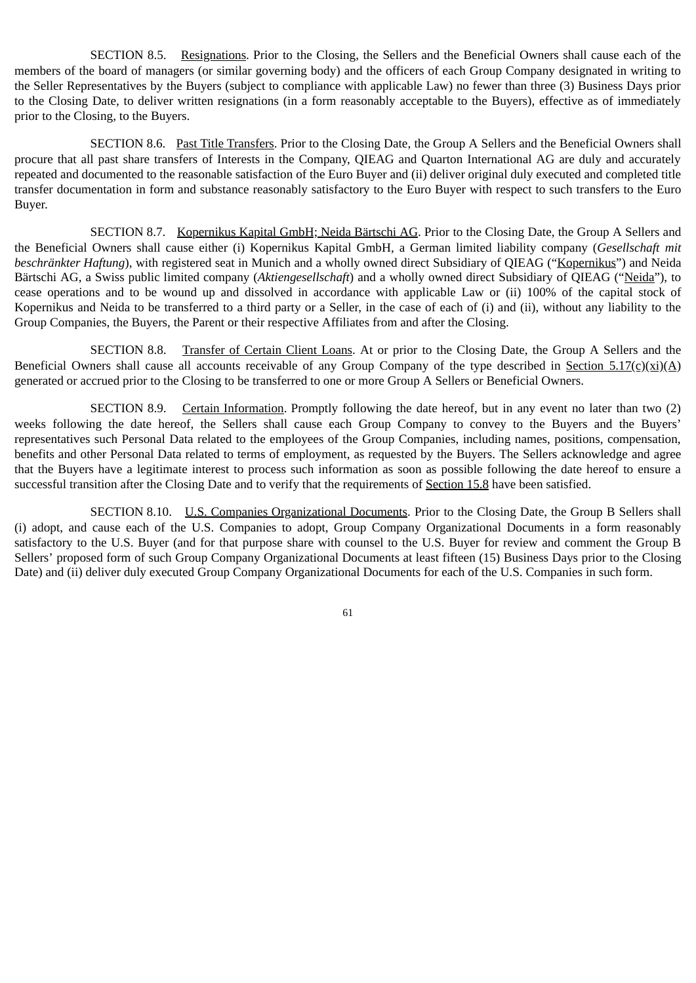SECTION 8.5. Resignations. Prior to the Closing, the Sellers and the Beneficial Owners shall cause each of the members of the board of managers (or similar governing body) and the officers of each Group Company designated in writing to the Seller Representatives by the Buyers (subject to compliance with applicable Law) no fewer than three (3) Business Days prior to the Closing Date, to deliver written resignations (in a form reasonably acceptable to the Buyers), effective as of immediately prior to the Closing, to the Buyers.

SECTION 8.6. Past Title Transfers. Prior to the Closing Date, the Group A Sellers and the Beneficial Owners shall procure that all past share transfers of Interests in the Company, QIEAG and Quarton International AG are duly and accurately repeated and documented to the reasonable satisfaction of the Euro Buyer and (ii) deliver original duly executed and completed title transfer documentation in form and substance reasonably satisfactory to the Euro Buyer with respect to such transfers to the Euro Buyer.

SECTION 8.7. Kopernikus Kapital GmbH; Neida Bärtschi AG. Prior to the Closing Date, the Group A Sellers and the Beneficial Owners shall cause either (i) Kopernikus Kapital GmbH, a German limited liability company (*Gesellschaft mit beschränkter Haftung*), with registered seat in Munich and a wholly owned direct Subsidiary of QIEAG ("Kopernikus") and Neida Bärtschi AG, a Swiss public limited company (*Aktiengesellschaft*) and a wholly owned direct Subsidiary of QIEAG ("Neida"), to cease operations and to be wound up and dissolved in accordance with applicable Law or (ii) 100% of the capital stock of Kopernikus and Neida to be transferred to a third party or a Seller, in the case of each of (i) and (ii), without any liability to the Group Companies, the Buyers, the Parent or their respective Affiliates from and after the Closing.

SECTION 8.8. Transfer of Certain Client Loans. At or prior to the Closing Date, the Group A Sellers and the Beneficial Owners shall cause all accounts receivable of any Group Company of the type described in Section 5.17(c)(xi)(A) generated or accrued prior to the Closing to be transferred to one or more Group A Sellers or Beneficial Owners.

SECTION 8.9. Certain Information. Promptly following the date hereof, but in any event no later than two (2) weeks following the date hereof, the Sellers shall cause each Group Company to convey to the Buyers and the Buyers' representatives such Personal Data related to the employees of the Group Companies, including names, positions, compensation, benefits and other Personal Data related to terms of employment, as requested by the Buyers. The Sellers acknowledge and agree that the Buyers have a legitimate interest to process such information as soon as possible following the date hereof to ensure a successful transition after the Closing Date and to verify that the requirements of Section 15.8 have been satisfied.

SECTION 8.10. U.S. Companies Organizational Documents. Prior to the Closing Date, the Group B Sellers shall (i) adopt, and cause each of the U.S. Companies to adopt, Group Company Organizational Documents in a form reasonably satisfactory to the U.S. Buyer (and for that purpose share with counsel to the U.S. Buyer for review and comment the Group B Sellers' proposed form of such Group Company Organizational Documents at least fifteen (15) Business Days prior to the Closing Date) and (ii) deliver duly executed Group Company Organizational Documents for each of the U.S. Companies in such form.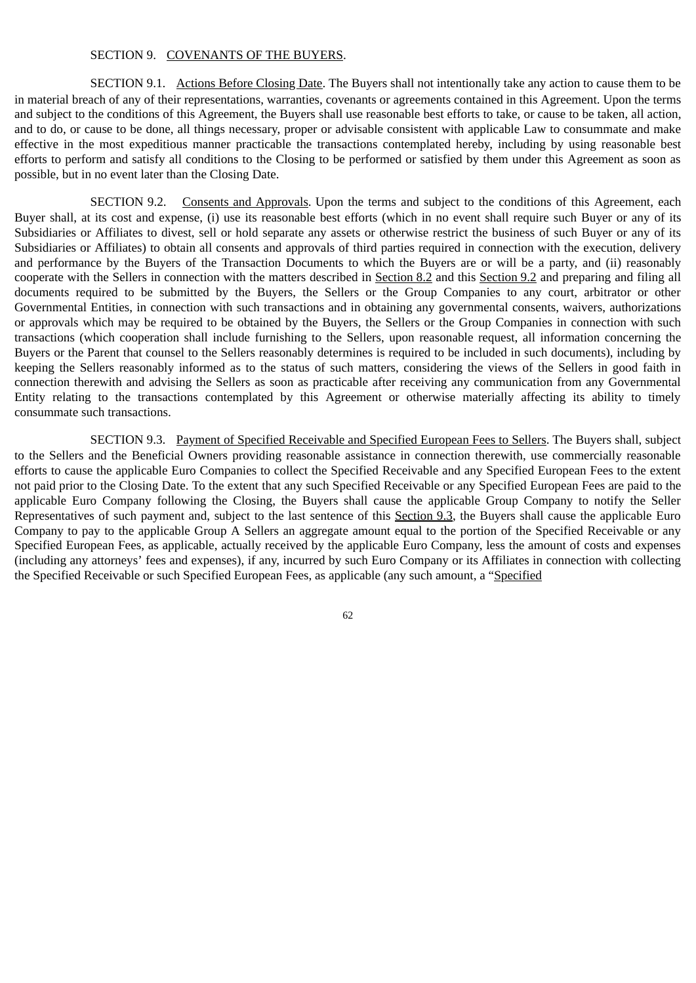#### SECTION 9. COVENANTS OF THE BUYERS.

SECTION 9.1. Actions Before Closing Date. The Buyers shall not intentionally take any action to cause them to be in material breach of any of their representations, warranties, covenants or agreements contained in this Agreement. Upon the terms and subject to the conditions of this Agreement, the Buyers shall use reasonable best efforts to take, or cause to be taken, all action, and to do, or cause to be done, all things necessary, proper or advisable consistent with applicable Law to consummate and make effective in the most expeditious manner practicable the transactions contemplated hereby, including by using reasonable best efforts to perform and satisfy all conditions to the Closing to be performed or satisfied by them under this Agreement as soon as possible, but in no event later than the Closing Date.

SECTION 9.2. Consents and Approvals. Upon the terms and subject to the conditions of this Agreement, each Buyer shall, at its cost and expense, (i) use its reasonable best efforts (which in no event shall require such Buyer or any of its Subsidiaries or Affiliates to divest, sell or hold separate any assets or otherwise restrict the business of such Buyer or any of its Subsidiaries or Affiliates) to obtain all consents and approvals of third parties required in connection with the execution, delivery and performance by the Buyers of the Transaction Documents to which the Buyers are or will be a party, and (ii) reasonably cooperate with the Sellers in connection with the matters described in Section 8.2 and this Section 9.2 and preparing and filing all documents required to be submitted by the Buyers, the Sellers or the Group Companies to any court, arbitrator or other Governmental Entities, in connection with such transactions and in obtaining any governmental consents, waivers, authorizations or approvals which may be required to be obtained by the Buyers, the Sellers or the Group Companies in connection with such transactions (which cooperation shall include furnishing to the Sellers, upon reasonable request, all information concerning the Buyers or the Parent that counsel to the Sellers reasonably determines is required to be included in such documents), including by keeping the Sellers reasonably informed as to the status of such matters, considering the views of the Sellers in good faith in connection therewith and advising the Sellers as soon as practicable after receiving any communication from any Governmental Entity relating to the transactions contemplated by this Agreement or otherwise materially affecting its ability to timely consummate such transactions.

SECTION 9.3. Payment of Specified Receivable and Specified European Fees to Sellers. The Buyers shall, subject to the Sellers and the Beneficial Owners providing reasonable assistance in connection therewith, use commercially reasonable efforts to cause the applicable Euro Companies to collect the Specified Receivable and any Specified European Fees to the extent not paid prior to the Closing Date. To the extent that any such Specified Receivable or any Specified European Fees are paid to the applicable Euro Company following the Closing, the Buyers shall cause the applicable Group Company to notify the Seller Representatives of such payment and, subject to the last sentence of this Section 9.3, the Buyers shall cause the applicable Euro Company to pay to the applicable Group A Sellers an aggregate amount equal to the portion of the Specified Receivable or any Specified European Fees, as applicable, actually received by the applicable Euro Company, less the amount of costs and expenses (including any attorneys' fees and expenses), if any, incurred by such Euro Company or its Affiliates in connection with collecting the Specified Receivable or such Specified European Fees, as applicable (any such amount, a "Specified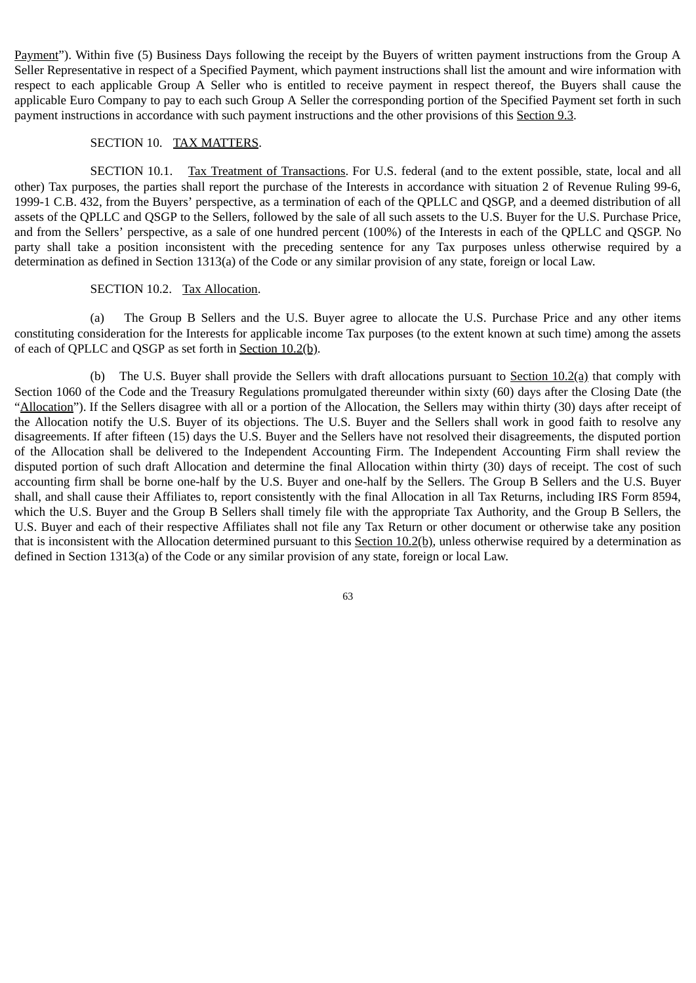Payment"). Within five (5) Business Days following the receipt by the Buyers of written payment instructions from the Group A Seller Representative in respect of a Specified Payment, which payment instructions shall list the amount and wire information with respect to each applicable Group A Seller who is entitled to receive payment in respect thereof, the Buyers shall cause the applicable Euro Company to pay to each such Group A Seller the corresponding portion of the Specified Payment set forth in such payment instructions in accordance with such payment instructions and the other provisions of this Section 9.3.

#### SECTION 10. TAX MATTERS.

SECTION 10.1. Tax Treatment of Transactions. For U.S. federal (and to the extent possible, state, local and all other) Tax purposes, the parties shall report the purchase of the Interests in accordance with situation 2 of Revenue Ruling 99-6, 1999-1 C.B. 432, from the Buyers' perspective, as a termination of each of the QPLLC and QSGP, and a deemed distribution of all assets of the QPLLC and QSGP to the Sellers, followed by the sale of all such assets to the U.S. Buyer for the U.S. Purchase Price, and from the Sellers' perspective, as a sale of one hundred percent (100%) of the Interests in each of the QPLLC and QSGP. No party shall take a position inconsistent with the preceding sentence for any Tax purposes unless otherwise required by a determination as defined in Section 1313(a) of the Code or any similar provision of any state, foreign or local Law.

#### SECTION 10.2. Tax Allocation.

(a) The Group B Sellers and the U.S. Buyer agree to allocate the U.S. Purchase Price and any other items constituting consideration for the Interests for applicable income Tax purposes (to the extent known at such time) among the assets of each of QPLLC and QSGP as set forth in Section 10.2(b).

(b) The U.S. Buyer shall provide the Sellers with draft allocations pursuant to Section  $10.2(a)$  that comply with Section 1060 of the Code and the Treasury Regulations promulgated thereunder within sixty (60) days after the Closing Date (the "Allocation"). If the Sellers disagree with all or a portion of the Allocation, the Sellers may within thirty (30) days after receipt of the Allocation notify the U.S. Buyer of its objections. The U.S. Buyer and the Sellers shall work in good faith to resolve any disagreements. If after fifteen (15) days the U.S. Buyer and the Sellers have not resolved their disagreements, the disputed portion of the Allocation shall be delivered to the Independent Accounting Firm. The Independent Accounting Firm shall review the disputed portion of such draft Allocation and determine the final Allocation within thirty (30) days of receipt. The cost of such accounting firm shall be borne one-half by the U.S. Buyer and one-half by the Sellers. The Group B Sellers and the U.S. Buyer shall, and shall cause their Affiliates to, report consistently with the final Allocation in all Tax Returns, including IRS Form 8594, which the U.S. Buyer and the Group B Sellers shall timely file with the appropriate Tax Authority, and the Group B Sellers, the U.S. Buyer and each of their respective Affiliates shall not file any Tax Return or other document or otherwise take any position that is inconsistent with the Allocation determined pursuant to this Section 10.2(b), unless otherwise required by a determination as defined in Section 1313(a) of the Code or any similar provision of any state, foreign or local Law.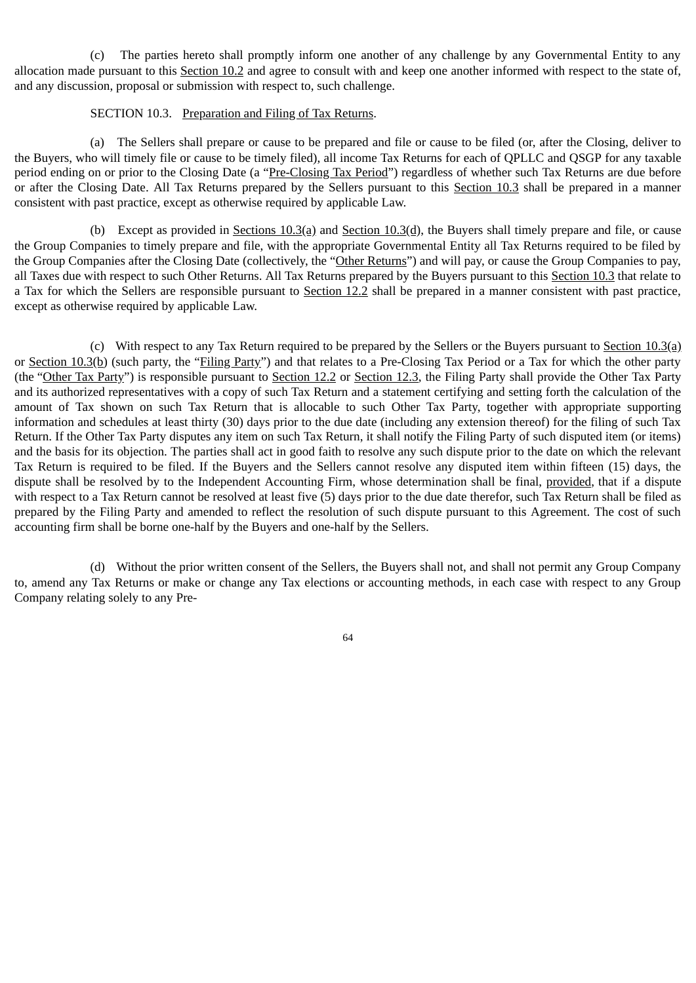(c) The parties hereto shall promptly inform one another of any challenge by any Governmental Entity to any allocation made pursuant to this Section 10.2 and agree to consult with and keep one another informed with respect to the state of, and any discussion, proposal or submission with respect to, such challenge.

#### SECTION 10.3. Preparation and Filing of Tax Returns.

(a) The Sellers shall prepare or cause to be prepared and file or cause to be filed (or, after the Closing, deliver to the Buyers, who will timely file or cause to be timely filed), all income Tax Returns for each of QPLLC and QSGP for any taxable period ending on or prior to the Closing Date (a "Pre-Closing Tax Period") regardless of whether such Tax Returns are due before or after the Closing Date. All Tax Returns prepared by the Sellers pursuant to this Section 10.3 shall be prepared in a manner consistent with past practice, except as otherwise required by applicable Law.

(b) Except as provided in Sections  $10.3(q)$  and Section  $10.3(q)$ , the Buyers shall timely prepare and file, or cause the Group Companies to timely prepare and file, with the appropriate Governmental Entity all Tax Returns required to be filed by the Group Companies after the Closing Date (collectively, the "Other Returns") and will pay, or cause the Group Companies to pay, all Taxes due with respect to such Other Returns. All Tax Returns prepared by the Buyers pursuant to this Section 10.3 that relate to a Tax for which the Sellers are responsible pursuant to Section 12.2 shall be prepared in a manner consistent with past practice, except as otherwise required by applicable Law.

(c) With respect to any Tax Return required to be prepared by the Sellers or the Buyers pursuant to Section  $10.3(q)$ or Section 10.3(b) (such party, the "Filing Party") and that relates to a Pre-Closing Tax Period or a Tax for which the other party (the "Other Tax Party") is responsible pursuant to Section 12.2 or Section 12.3, the Filing Party shall provide the Other Tax Party and its authorized representatives with a copy of such Tax Return and a statement certifying and setting forth the calculation of the amount of Tax shown on such Tax Return that is allocable to such Other Tax Party, together with appropriate supporting information and schedules at least thirty (30) days prior to the due date (including any extension thereof) for the filing of such Tax Return. If the Other Tax Party disputes any item on such Tax Return, it shall notify the Filing Party of such disputed item (or items) and the basis for its objection. The parties shall act in good faith to resolve any such dispute prior to the date on which the relevant Tax Return is required to be filed. If the Buyers and the Sellers cannot resolve any disputed item within fifteen (15) days, the dispute shall be resolved by to the Independent Accounting Firm, whose determination shall be final, provided, that if a dispute with respect to a Tax Return cannot be resolved at least five (5) days prior to the due date therefor, such Tax Return shall be filed as prepared by the Filing Party and amended to reflect the resolution of such dispute pursuant to this Agreement. The cost of such accounting firm shall be borne one-half by the Buyers and one-half by the Sellers.

(d) Without the prior written consent of the Sellers, the Buyers shall not, and shall not permit any Group Company to, amend any Tax Returns or make or change any Tax elections or accounting methods, in each case with respect to any Group Company relating solely to any Pre-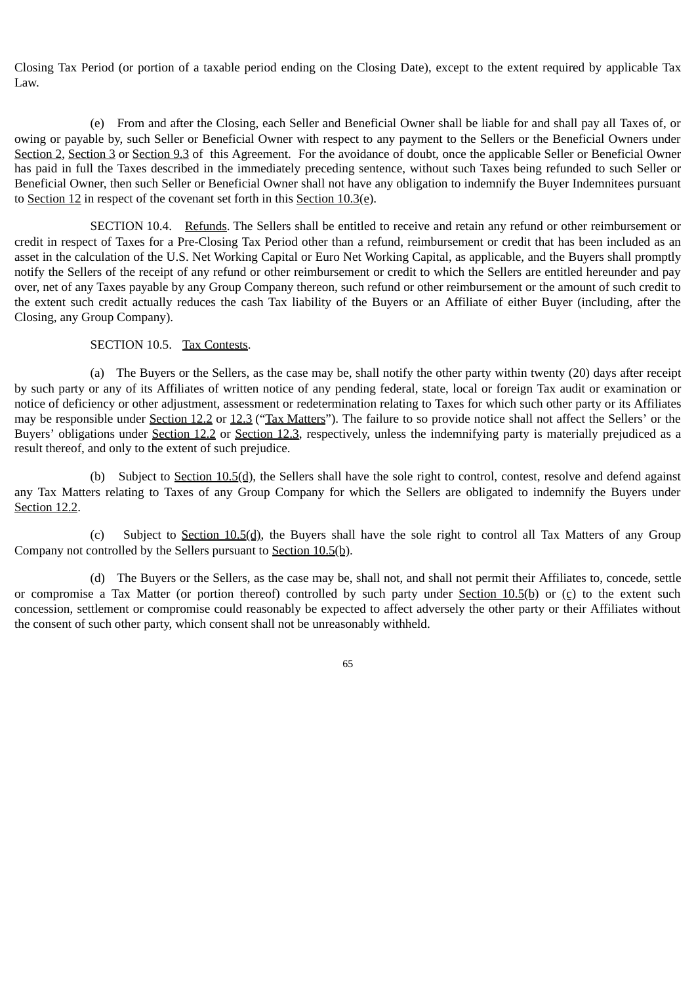Closing Tax Period (or portion of a taxable period ending on the Closing Date), except to the extent required by applicable Tax Law.

(e) From and after the Closing, each Seller and Beneficial Owner shall be liable for and shall pay all Taxes of, or owing or payable by, such Seller or Beneficial Owner with respect to any payment to the Sellers or the Beneficial Owners under Section 2, Section 3 or Section 9.3 of this Agreement. For the avoidance of doubt, once the applicable Seller or Beneficial Owner has paid in full the Taxes described in the immediately preceding sentence, without such Taxes being refunded to such Seller or Beneficial Owner, then such Seller or Beneficial Owner shall not have any obligation to indemnify the Buyer Indemnitees pursuant to Section 12 in respect of the covenant set forth in this Section 10.3(e).

SECTION 10.4. Refunds. The Sellers shall be entitled to receive and retain any refund or other reimbursement or credit in respect of Taxes for a Pre-Closing Tax Period other than a refund, reimbursement or credit that has been included as an asset in the calculation of the U.S. Net Working Capital or Euro Net Working Capital, as applicable, and the Buyers shall promptly notify the Sellers of the receipt of any refund or other reimbursement or credit to which the Sellers are entitled hereunder and pay over, net of any Taxes payable by any Group Company thereon, such refund or other reimbursement or the amount of such credit to the extent such credit actually reduces the cash Tax liability of the Buyers or an Affiliate of either Buyer (including, after the Closing, any Group Company).

### SECTION 10.5. Tax Contests.

(a) The Buyers or the Sellers, as the case may be, shall notify the other party within twenty (20) days after receipt by such party or any of its Affiliates of written notice of any pending federal, state, local or foreign Tax audit or examination or notice of deficiency or other adjustment, assessment or redetermination relating to Taxes for which such other party or its Affiliates may be responsible under Section 12.2 or 12.3 ("Tax Matters"). The failure to so provide notice shall not affect the Sellers' or the Buyers' obligations under Section 12.2 or Section 12.3, respectively, unless the indemnifying party is materially prejudiced as a result thereof, and only to the extent of such prejudice.

(b) Subject to Section  $10.5(d)$ , the Sellers shall have the sole right to control, contest, resolve and defend against any Tax Matters relating to Taxes of any Group Company for which the Sellers are obligated to indemnify the Buyers under Section 12.2.

(c) Subject to Section  $10.5(d)$ , the Buyers shall have the sole right to control all Tax Matters of any Group Company not controlled by the Sellers pursuant to Section 10.5(b).

(d) The Buyers or the Sellers, as the case may be, shall not, and shall not permit their Affiliates to, concede, settle or compromise a Tax Matter (or portion thereof) controlled by such party under Section 10.5(b) or (c) to the extent such concession, settlement or compromise could reasonably be expected to affect adversely the other party or their Affiliates without the consent of such other party, which consent shall not be unreasonably withheld.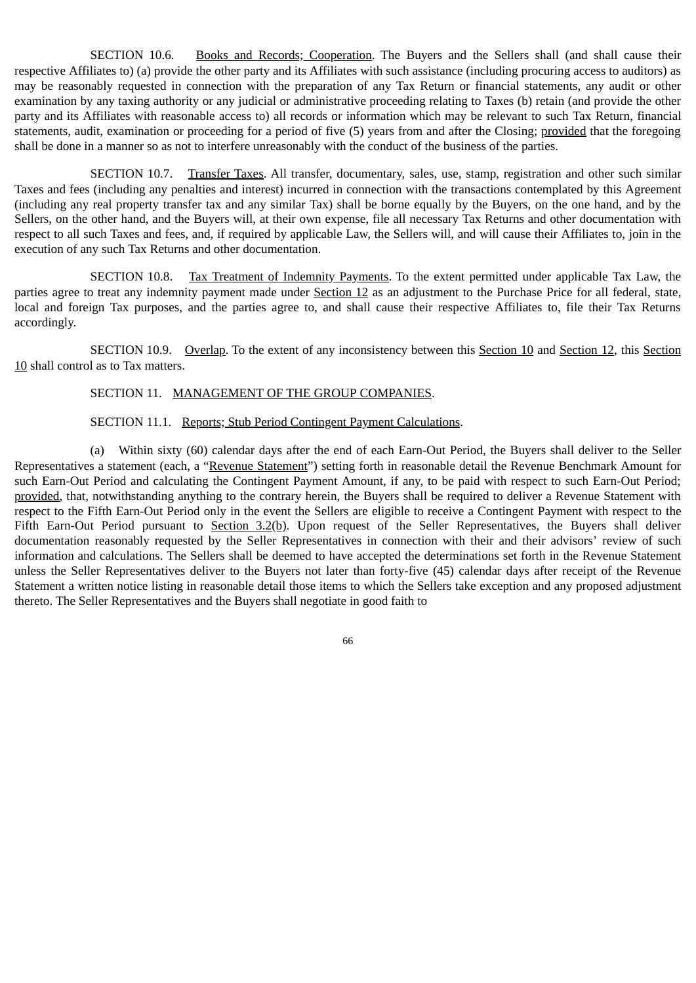SECTION 10.6. Books and Records; Cooperation. The Buyers and the Sellers shall (and shall cause their respective Affiliates to) (a) provide the other party and its Affiliates with such assistance (including procuring access to auditors) as may be reasonably requested in connection with the preparation of any Tax Return or financial statements, any audit or other examination by any taxing authority or any judicial or administrative proceeding relating to Taxes (b) retain (and provide the other party and its Affiliates with reasonable access to) all records or information which may be relevant to such Tax Return, financial statements, audit, examination or proceeding for a period of five (5) years from and after the Closing; provided that the foregoing shall be done in a manner so as not to interfere unreasonably with the conduct of the business of the parties.

SECTION 10.7. Transfer Taxes. All transfer, documentary, sales, use, stamp, registration and other such similar Taxes and fees (including any penalties and interest) incurred in connection with the transactions contemplated by this Agreement (including any real property transfer tax and any similar Tax) shall be borne equally by the Buyers, on the one hand, and by the Sellers, on the other hand, and the Buyers will, at their own expense, file all necessary Tax Returns and other documentation with respect to all such Taxes and fees, and, if required by applicable Law, the Sellers will, and will cause their Affiliates to, join in the execution of any such Tax Returns and other documentation.

SECTION 10.8. Tax Treatment of Indemnity Payments. To the extent permitted under applicable Tax Law, the parties agree to treat any indemnity payment made under Section 12 as an adjustment to the Purchase Price for all federal, state, local and foreign Tax purposes, and the parties agree to, and shall cause their respective Affiliates to, file their Tax Returns accordingly.

SECTION 10.9. Overlap. To the extent of any inconsistency between this Section 10 and Section 12, this Section 10 shall control as to Tax matters.

#### SECTION 11. MANAGEMENT OF THE GROUP COMPANIES.

#### SECTION 11.1. Reports; Stub Period Contingent Payment Calculations.

(a) Within sixty (60) calendar days after the end of each Earn-Out Period, the Buyers shall deliver to the Seller Representatives a statement (each, a "Revenue Statement") setting forth in reasonable detail the Revenue Benchmark Amount for such Earn-Out Period and calculating the Contingent Payment Amount, if any, to be paid with respect to such Earn-Out Period; provided, that, notwithstanding anything to the contrary herein, the Buyers shall be required to deliver a Revenue Statement with respect to the Fifth Earn-Out Period only in the event the Sellers are eligible to receive a Contingent Payment with respect to the Fifth Earn-Out Period pursuant to Section 3.2(b). Upon request of the Seller Representatives, the Buyers shall deliver documentation reasonably requested by the Seller Representatives in connection with their and their advisors' review of such information and calculations. The Sellers shall be deemed to have accepted the determinations set forth in the Revenue Statement unless the Seller Representatives deliver to the Buyers not later than forty-five (45) calendar days after receipt of the Revenue Statement a written notice listing in reasonable detail those items to which the Sellers take exception and any proposed adjustment thereto. The Seller Representatives and the Buyers shall negotiate in good faith to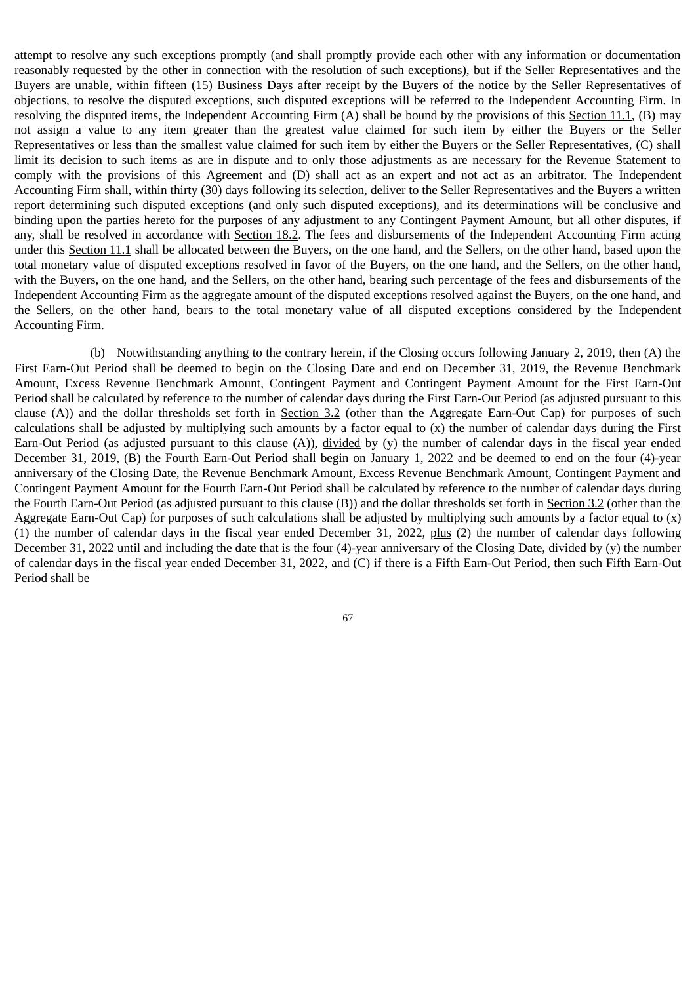attempt to resolve any such exceptions promptly (and shall promptly provide each other with any information or documentation reasonably requested by the other in connection with the resolution of such exceptions), but if the Seller Representatives and the Buyers are unable, within fifteen (15) Business Days after receipt by the Buyers of the notice by the Seller Representatives of objections, to resolve the disputed exceptions, such disputed exceptions will be referred to the Independent Accounting Firm. In resolving the disputed items, the Independent Accounting Firm (A) shall be bound by the provisions of this Section 11.1, (B) may not assign a value to any item greater than the greatest value claimed for such item by either the Buyers or the Seller Representatives or less than the smallest value claimed for such item by either the Buyers or the Seller Representatives, (C) shall limit its decision to such items as are in dispute and to only those adjustments as are necessary for the Revenue Statement to comply with the provisions of this Agreement and (D) shall act as an expert and not act as an arbitrator. The Independent Accounting Firm shall, within thirty (30) days following its selection, deliver to the Seller Representatives and the Buyers a written report determining such disputed exceptions (and only such disputed exceptions), and its determinations will be conclusive and binding upon the parties hereto for the purposes of any adjustment to any Contingent Payment Amount, but all other disputes, if any, shall be resolved in accordance with Section 18.2. The fees and disbursements of the Independent Accounting Firm acting under this Section 11.1 shall be allocated between the Buyers, on the one hand, and the Sellers, on the other hand, based upon the total monetary value of disputed exceptions resolved in favor of the Buyers, on the one hand, and the Sellers, on the other hand, with the Buyers, on the one hand, and the Sellers, on the other hand, bearing such percentage of the fees and disbursements of the Independent Accounting Firm as the aggregate amount of the disputed exceptions resolved against the Buyers, on the one hand, and the Sellers, on the other hand, bears to the total monetary value of all disputed exceptions considered by the Independent Accounting Firm.

(b) Notwithstanding anything to the contrary herein, if the Closing occurs following January 2, 2019, then (A) the First Earn-Out Period shall be deemed to begin on the Closing Date and end on December 31, 2019, the Revenue Benchmark Amount, Excess Revenue Benchmark Amount, Contingent Payment and Contingent Payment Amount for the First Earn-Out Period shall be calculated by reference to the number of calendar days during the First Earn-Out Period (as adjusted pursuant to this clause  $(A)$ ) and the dollar thresholds set forth in Section 3.2 (other than the Aggregate Earn-Out Cap) for purposes of such calculations shall be adjusted by multiplying such amounts by a factor equal to  $(x)$  the number of calendar days during the First Earn-Out Period (as adjusted pursuant to this clause  $(A)$ ), divided by (y) the number of calendar days in the fiscal year ended December 31, 2019, (B) the Fourth Earn-Out Period shall begin on January 1, 2022 and be deemed to end on the four (4)-year anniversary of the Closing Date, the Revenue Benchmark Amount, Excess Revenue Benchmark Amount, Contingent Payment and Contingent Payment Amount for the Fourth Earn-Out Period shall be calculated by reference to the number of calendar days during the Fourth Earn-Out Period (as adjusted pursuant to this clause (B)) and the dollar thresholds set forth in Section 3.2 (other than the Aggregate Earn-Out Cap) for purposes of such calculations shall be adjusted by multiplying such amounts by a factor equal to (x) (1) the number of calendar days in the fiscal year ended December 31, 2022, plus (2) the number of calendar days following December 31, 2022 until and including the date that is the four (4)-year anniversary of the Closing Date, divided by (y) the number of calendar days in the fiscal year ended December 31, 2022, and (C) if there is a Fifth Earn-Out Period, then such Fifth Earn-Out Period shall be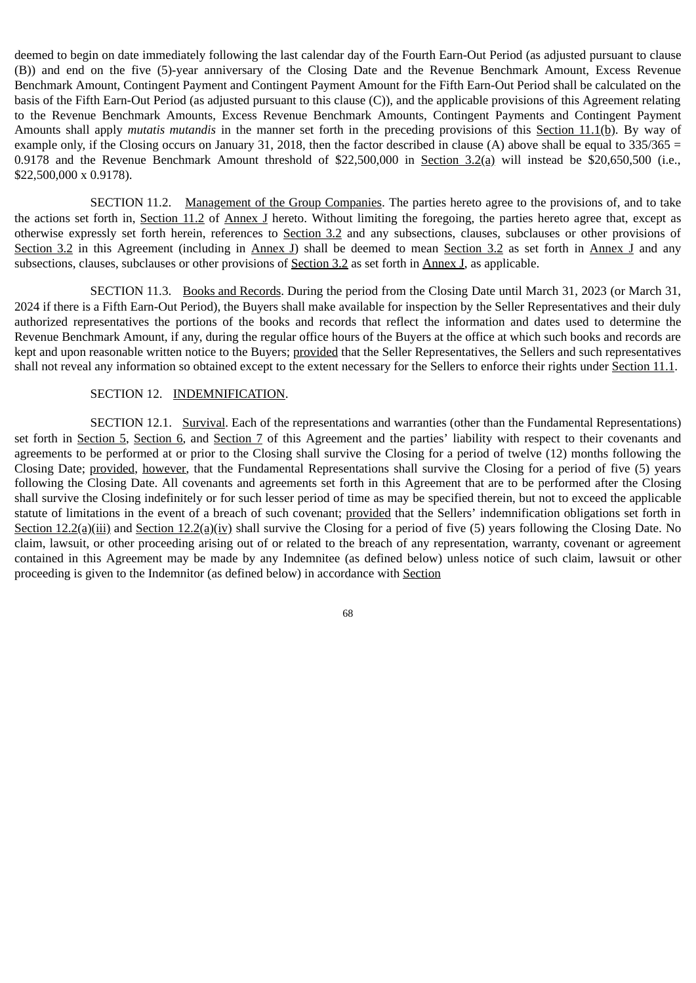deemed to begin on date immediately following the last calendar day of the Fourth Earn-Out Period (as adjusted pursuant to clause (B)) and end on the five (5)-year anniversary of the Closing Date and the Revenue Benchmark Amount, Excess Revenue Benchmark Amount, Contingent Payment and Contingent Payment Amount for the Fifth Earn-Out Period shall be calculated on the basis of the Fifth Earn-Out Period (as adjusted pursuant to this clause (C)), and the applicable provisions of this Agreement relating to the Revenue Benchmark Amounts, Excess Revenue Benchmark Amounts, Contingent Payments and Contingent Payment Amounts shall apply *mutatis mutandis* in the manner set forth in the preceding provisions of this Section 11.1(b). By way of example only, if the Closing occurs on January 31, 2018, then the factor described in clause (A) above shall be equal to  $335/365 =$ 0.9178 and the Revenue Benchmark Amount threshold of \$22,500,000 in Section 3.2(a) will instead be \$20,650,500 (i.e., \$22,500,000 x 0.9178).

SECTION 11.2. Management of the Group Companies. The parties hereto agree to the provisions of, and to take the actions set forth in, Section 11.2 of Annex J hereto. Without limiting the foregoing, the parties hereto agree that, except as otherwise expressly set forth herein, references to Section 3.2 and any subsections, clauses, subclauses or other provisions of Section 3.2 in this Agreement (including in Annex J) shall be deemed to mean Section 3.2 as set forth in Annex J and any subsections, clauses, subclauses or other provisions of **Section 3.2** as set forth in **Annex J**, as applicable.

SECTION 11.3. Books and Records. During the period from the Closing Date until March 31, 2023 (or March 31, 2024 if there is a Fifth Earn-Out Period), the Buyers shall make available for inspection by the Seller Representatives and their duly authorized representatives the portions of the books and records that reflect the information and dates used to determine the Revenue Benchmark Amount, if any, during the regular office hours of the Buyers at the office at which such books and records are kept and upon reasonable written notice to the Buyers; provided that the Seller Representatives, the Sellers and such representatives shall not reveal any information so obtained except to the extent necessary for the Sellers to enforce their rights under Section 11.1.

#### SECTION 12. INDEMNIFICATION.

SECTION 12.1. Survival. Each of the representations and warranties (other than the Fundamental Representations) set forth in Section 5, Section 6, and Section 7 of this Agreement and the parties' liability with respect to their covenants and agreements to be performed at or prior to the Closing shall survive the Closing for a period of twelve (12) months following the Closing Date; provided, however, that the Fundamental Representations shall survive the Closing for a period of five (5) years following the Closing Date. All covenants and agreements set forth in this Agreement that are to be performed after the Closing shall survive the Closing indefinitely or for such lesser period of time as may be specified therein, but not to exceed the applicable statute of limitations in the event of a breach of such covenant; provided that the Sellers' indemnification obligations set forth in Section  $12.2(a)$ (iii) and Section  $12.2(a)$ (iv) shall survive the Closing for a period of five (5) years following the Closing Date. No claim, lawsuit, or other proceeding arising out of or related to the breach of any representation, warranty, covenant or agreement contained in this Agreement may be made by any Indemnitee (as defined below) unless notice of such claim, lawsuit or other proceeding is given to the Indemnitor (as defined below) in accordance with Section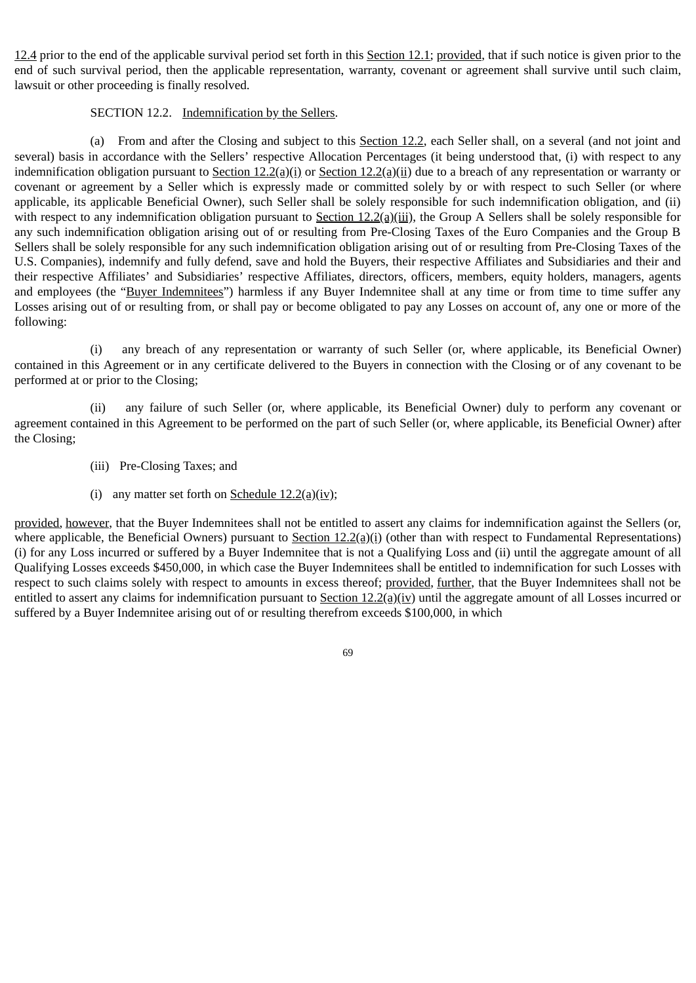12.4 prior to the end of the applicable survival period set forth in this Section 12.1; provided, that if such notice is given prior to the end of such survival period, then the applicable representation, warranty, covenant or agreement shall survive until such claim, lawsuit or other proceeding is finally resolved.

### SECTION 12.2. Indemnification by the Sellers.

(a) From and after the Closing and subject to this Section 12.2, each Seller shall, on a several (and not joint and several) basis in accordance with the Sellers' respective Allocation Percentages (it being understood that, (i) with respect to any indemnification obligation pursuant to Section  $12.2(a)(i)$  or Section  $12.2(a)(ii)$  due to a breach of any representation or warranty or covenant or agreement by a Seller which is expressly made or committed solely by or with respect to such Seller (or where applicable, its applicable Beneficial Owner), such Seller shall be solely responsible for such indemnification obligation, and (ii) with respect to any indemnification obligation pursuant to Section  $12.2(q)(iii)$ , the Group A Sellers shall be solely responsible for any such indemnification obligation arising out of or resulting from Pre-Closing Taxes of the Euro Companies and the Group B Sellers shall be solely responsible for any such indemnification obligation arising out of or resulting from Pre-Closing Taxes of the U.S. Companies), indemnify and fully defend, save and hold the Buyers, their respective Affiliates and Subsidiaries and their and their respective Affiliates' and Subsidiaries' respective Affiliates, directors, officers, members, equity holders, managers, agents and employees (the "Buyer Indemnitees") harmless if any Buyer Indemnitee shall at any time or from time to time suffer any Losses arising out of or resulting from, or shall pay or become obligated to pay any Losses on account of, any one or more of the following:

(i) any breach of any representation or warranty of such Seller (or, where applicable, its Beneficial Owner) contained in this Agreement or in any certificate delivered to the Buyers in connection with the Closing or of any covenant to be performed at or prior to the Closing;

(ii) any failure of such Seller (or, where applicable, its Beneficial Owner) duly to perform any covenant or agreement contained in this Agreement to be performed on the part of such Seller (or, where applicable, its Beneficial Owner) after the Closing;

- (iii) Pre-Closing Taxes; and
- (i) any matter set forth on Schedule 12.2(a)(iv);

provided, however, that the Buyer Indemnitees shall not be entitled to assert any claims for indemnification against the Sellers (or, where applicable, the Beneficial Owners) pursuant to Section  $12.2(a)(i)$  (other than with respect to Fundamental Representations) (i) for any Loss incurred or suffered by a Buyer Indemnitee that is not a Qualifying Loss and (ii) until the aggregate amount of all Qualifying Losses exceeds \$450,000, in which case the Buyer Indemnitees shall be entitled to indemnification for such Losses with respect to such claims solely with respect to amounts in excess thereof; provided, further, that the Buyer Indemnitees shall not be entitled to assert any claims for indemnification pursuant to Section 12.2(a)(iv) until the aggregate amount of all Losses incurred or suffered by a Buyer Indemnitee arising out of or resulting therefrom exceeds \$100,000, in which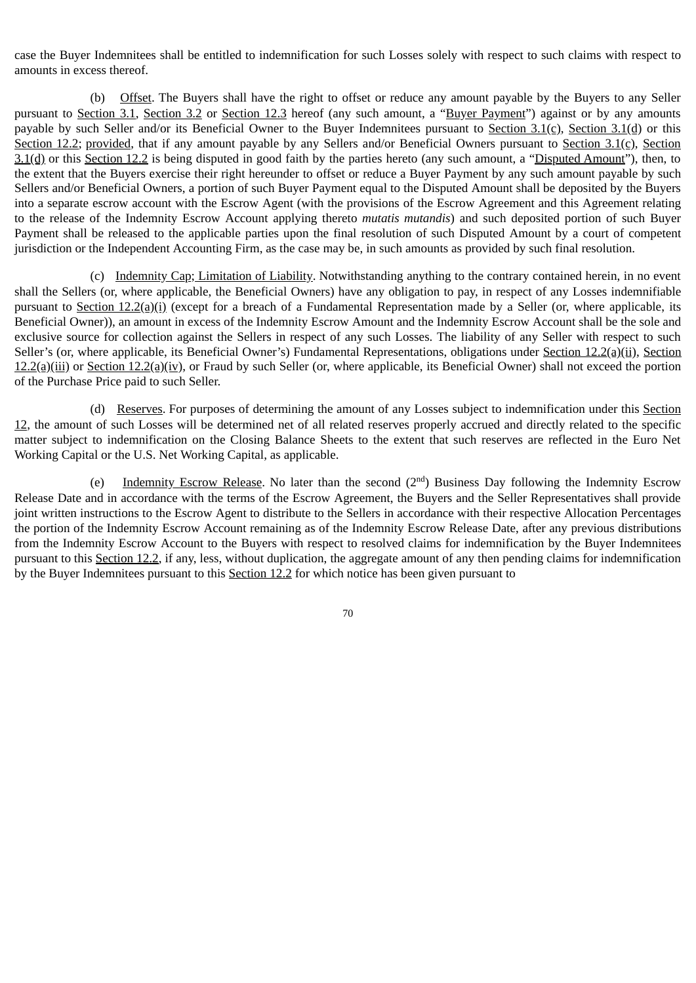case the Buyer Indemnitees shall be entitled to indemnification for such Losses solely with respect to such claims with respect to amounts in excess thereof.

(b) Offset. The Buyers shall have the right to offset or reduce any amount payable by the Buyers to any Seller pursuant to Section 3.1, Section 3.2 or Section 12.3 hereof (any such amount, a "Buyer Payment") against or by any amounts payable by such Seller and/or its Beneficial Owner to the Buyer Indemnitees pursuant to Section 3.1(c), Section 3.1(d) or this Section 12.2; provided, that if any amount payable by any Sellers and/or Beneficial Owners pursuant to Section 3.1(c), Section  $3.1(d)$  or this Section 12.2 is being disputed in good faith by the parties hereto (any such amount, a "Disputed Amount"), then, to the extent that the Buyers exercise their right hereunder to offset or reduce a Buyer Payment by any such amount payable by such Sellers and/or Beneficial Owners, a portion of such Buyer Payment equal to the Disputed Amount shall be deposited by the Buyers into a separate escrow account with the Escrow Agent (with the provisions of the Escrow Agreement and this Agreement relating to the release of the Indemnity Escrow Account applying thereto *mutatis mutandis*) and such deposited portion of such Buyer Payment shall be released to the applicable parties upon the final resolution of such Disputed Amount by a court of competent jurisdiction or the Independent Accounting Firm, as the case may be, in such amounts as provided by such final resolution.

(c) Indemnity Cap; Limitation of Liability. Notwithstanding anything to the contrary contained herein, in no event shall the Sellers (or, where applicable, the Beneficial Owners) have any obligation to pay, in respect of any Losses indemnifiable pursuant to Section 12.2(a)(i) (except for a breach of a Fundamental Representation made by a Seller (or, where applicable, its Beneficial Owner)), an amount in excess of the Indemnity Escrow Amount and the Indemnity Escrow Account shall be the sole and exclusive source for collection against the Sellers in respect of any such Losses. The liability of any Seller with respect to such Seller's (or, where applicable, its Beneficial Owner's) Fundamental Representations, obligations under Section 12.2(a)(ii), Section  $12.2(a)$ (iii) or Section  $12.2(a)$ (iv), or Fraud by such Seller (or, where applicable, its Beneficial Owner) shall not exceed the portion of the Purchase Price paid to such Seller.

(d) Reserves. For purposes of determining the amount of any Losses subject to indemnification under this Section 12, the amount of such Losses will be determined net of all related reserves properly accrued and directly related to the specific matter subject to indemnification on the Closing Balance Sheets to the extent that such reserves are reflected in the Euro Net Working Capital or the U.S. Net Working Capital, as applicable.

(e) Indemnity Escrow Release. No later than the second  $(2<sup>nd</sup>)$  Business Day following the Indemnity Escrow Release Date and in accordance with the terms of the Escrow Agreement, the Buyers and the Seller Representatives shall provide joint written instructions to the Escrow Agent to distribute to the Sellers in accordance with their respective Allocation Percentages the portion of the Indemnity Escrow Account remaining as of the Indemnity Escrow Release Date, after any previous distributions from the Indemnity Escrow Account to the Buyers with respect to resolved claims for indemnification by the Buyer Indemnitees pursuant to this Section 12.2, if any, less, without duplication, the aggregate amount of any then pending claims for indemnification by the Buyer Indemnitees pursuant to this Section 12.2 for which notice has been given pursuant to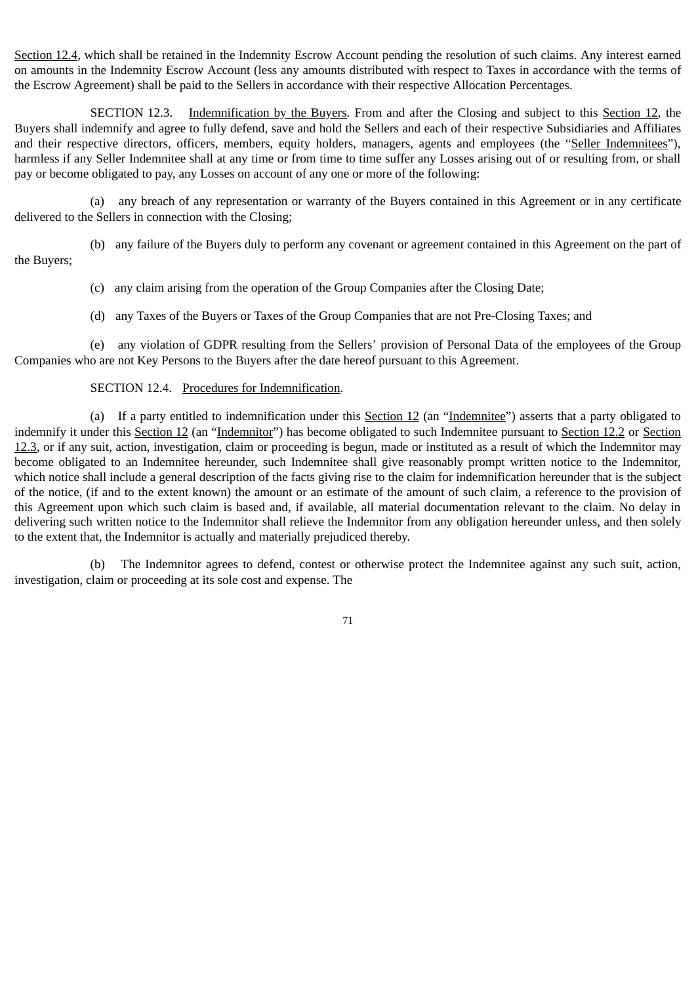Section 12.4, which shall be retained in the Indemnity Escrow Account pending the resolution of such claims. Any interest earned on amounts in the Indemnity Escrow Account (less any amounts distributed with respect to Taxes in accordance with the terms of the Escrow Agreement) shall be paid to the Sellers in accordance with their respective Allocation Percentages.

SECTION 12.3. Indemnification by the Buyers. From and after the Closing and subject to this Section 12, the Buyers shall indemnify and agree to fully defend, save and hold the Sellers and each of their respective Subsidiaries and Affiliates and their respective directors, officers, members, equity holders, managers, agents and employees (the "Seller Indemnitees"), harmless if any Seller Indemnitee shall at any time or from time to time suffer any Losses arising out of or resulting from, or shall pay or become obligated to pay, any Losses on account of any one or more of the following:

(a) any breach of any representation or warranty of the Buyers contained in this Agreement or in any certificate delivered to the Sellers in connection with the Closing;

(b) any failure of the Buyers duly to perform any covenant or agreement contained in this Agreement on the part of the Buyers;

(c) any claim arising from the operation of the Group Companies after the Closing Date;

(d) any Taxes of the Buyers or Taxes of the Group Companies that are not Pre-Closing Taxes; and

(e) any violation of GDPR resulting from the Sellers' provision of Personal Data of the employees of the Group Companies who are not Key Persons to the Buyers after the date hereof pursuant to this Agreement.

# SECTION 12.4. Procedures for Indemnification.

(a) If a party entitled to indemnification under this Section 12 (an "Indemnitee") asserts that a party obligated to indemnify it under this Section 12 (an "Indemnitor") has become obligated to such Indemnitee pursuant to Section 12.2 or Section 12.3, or if any suit, action, investigation, claim or proceeding is begun, made or instituted as a result of which the Indemnitor may become obligated to an Indemnitee hereunder, such Indemnitee shall give reasonably prompt written notice to the Indemnitor, which notice shall include a general description of the facts giving rise to the claim for indemnification hereunder that is the subject of the notice, (if and to the extent known) the amount or an estimate of the amount of such claim, a reference to the provision of this Agreement upon which such claim is based and, if available, all material documentation relevant to the claim. No delay in delivering such written notice to the Indemnitor shall relieve the Indemnitor from any obligation hereunder unless, and then solely to the extent that, the Indemnitor is actually and materially prejudiced thereby.

(b) The Indemnitor agrees to defend, contest or otherwise protect the Indemnitee against any such suit, action, investigation, claim or proceeding at its sole cost and expense. The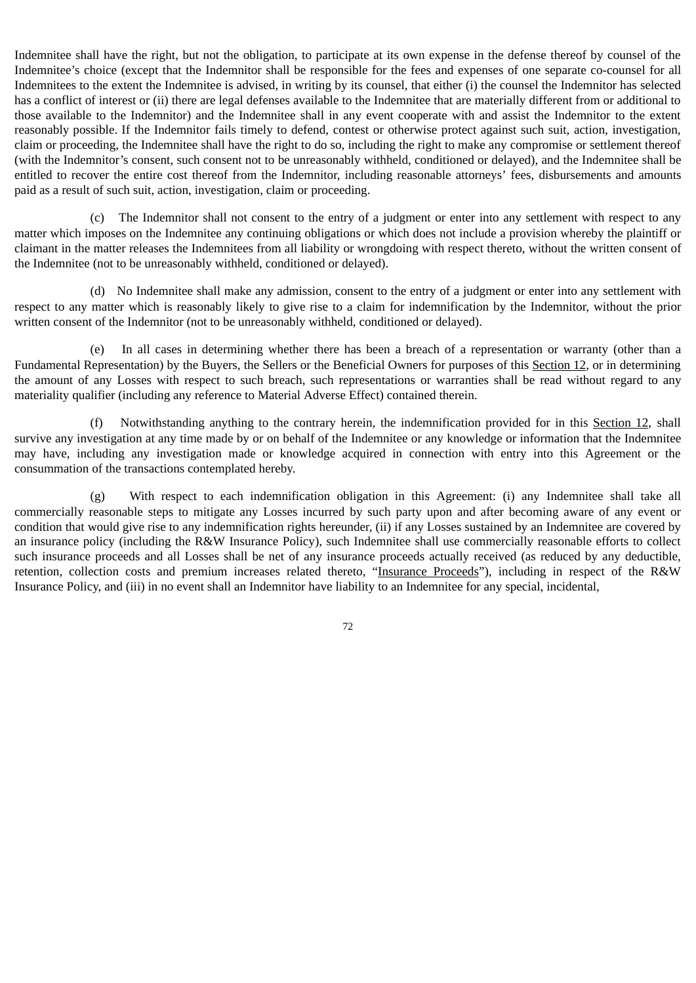Indemnitee shall have the right, but not the obligation, to participate at its own expense in the defense thereof by counsel of the Indemnitee's choice (except that the Indemnitor shall be responsible for the fees and expenses of one separate co-counsel for all Indemnitees to the extent the Indemnitee is advised, in writing by its counsel, that either (i) the counsel the Indemnitor has selected has a conflict of interest or (ii) there are legal defenses available to the Indemnitee that are materially different from or additional to those available to the Indemnitor) and the Indemnitee shall in any event cooperate with and assist the Indemnitor to the extent reasonably possible. If the Indemnitor fails timely to defend, contest or otherwise protect against such suit, action, investigation, claim or proceeding, the Indemnitee shall have the right to do so, including the right to make any compromise or settlement thereof (with the Indemnitor's consent, such consent not to be unreasonably withheld, conditioned or delayed), and the Indemnitee shall be entitled to recover the entire cost thereof from the Indemnitor, including reasonable attorneys' fees, disbursements and amounts paid as a result of such suit, action, investigation, claim or proceeding.

(c) The Indemnitor shall not consent to the entry of a judgment or enter into any settlement with respect to any matter which imposes on the Indemnitee any continuing obligations or which does not include a provision whereby the plaintiff or claimant in the matter releases the Indemnitees from all liability or wrongdoing with respect thereto, without the written consent of the Indemnitee (not to be unreasonably withheld, conditioned or delayed).

(d) No Indemnitee shall make any admission, consent to the entry of a judgment or enter into any settlement with respect to any matter which is reasonably likely to give rise to a claim for indemnification by the Indemnitor, without the prior written consent of the Indemnitor (not to be unreasonably withheld, conditioned or delayed).

(e) In all cases in determining whether there has been a breach of a representation or warranty (other than a Fundamental Representation) by the Buyers, the Sellers or the Beneficial Owners for purposes of this Section 12, or in determining the amount of any Losses with respect to such breach, such representations or warranties shall be read without regard to any materiality qualifier (including any reference to Material Adverse Effect) contained therein.

(f) Notwithstanding anything to the contrary herein, the indemnification provided for in this Section 12, shall survive any investigation at any time made by or on behalf of the Indemnitee or any knowledge or information that the Indemnitee may have, including any investigation made or knowledge acquired in connection with entry into this Agreement or the consummation of the transactions contemplated hereby.

(g) With respect to each indemnification obligation in this Agreement: (i) any Indemnitee shall take all commercially reasonable steps to mitigate any Losses incurred by such party upon and after becoming aware of any event or condition that would give rise to any indemnification rights hereunder, (ii) if any Losses sustained by an Indemnitee are covered by an insurance policy (including the R&W Insurance Policy), such Indemnitee shall use commercially reasonable efforts to collect such insurance proceeds and all Losses shall be net of any insurance proceeds actually received (as reduced by any deductible, retention, collection costs and premium increases related thereto, "Insurance Proceeds"), including in respect of the R&W Insurance Policy, and (iii) in no event shall an Indemnitor have liability to an Indemnitee for any special, incidental,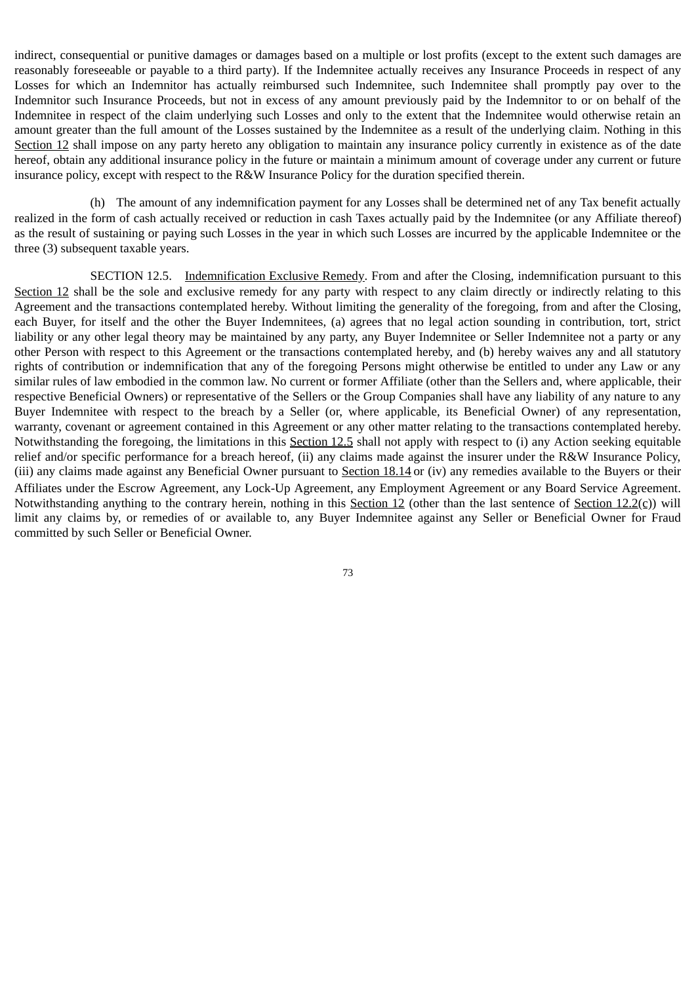indirect, consequential or punitive damages or damages based on a multiple or lost profits (except to the extent such damages are reasonably foreseeable or payable to a third party). If the Indemnitee actually receives any Insurance Proceeds in respect of any Losses for which an Indemnitor has actually reimbursed such Indemnitee, such Indemnitee shall promptly pay over to the Indemnitor such Insurance Proceeds, but not in excess of any amount previously paid by the Indemnitor to or on behalf of the Indemnitee in respect of the claim underlying such Losses and only to the extent that the Indemnitee would otherwise retain an amount greater than the full amount of the Losses sustained by the Indemnitee as a result of the underlying claim. Nothing in this Section 12 shall impose on any party hereto any obligation to maintain any insurance policy currently in existence as of the date hereof, obtain any additional insurance policy in the future or maintain a minimum amount of coverage under any current or future insurance policy, except with respect to the R&W Insurance Policy for the duration specified therein.

(h) The amount of any indemnification payment for any Losses shall be determined net of any Tax benefit actually realized in the form of cash actually received or reduction in cash Taxes actually paid by the Indemnitee (or any Affiliate thereof) as the result of sustaining or paying such Losses in the year in which such Losses are incurred by the applicable Indemnitee or the three (3) subsequent taxable years.

SECTION 12.5. Indemnification Exclusive Remedy. From and after the Closing, indemnification pursuant to this Section 12 shall be the sole and exclusive remedy for any party with respect to any claim directly or indirectly relating to this Agreement and the transactions contemplated hereby. Without limiting the generality of the foregoing, from and after the Closing, each Buyer, for itself and the other the Buyer Indemnitees, (a) agrees that no legal action sounding in contribution, tort, strict liability or any other legal theory may be maintained by any party, any Buyer Indemnitee or Seller Indemnitee not a party or any other Person with respect to this Agreement or the transactions contemplated hereby, and (b) hereby waives any and all statutory rights of contribution or indemnification that any of the foregoing Persons might otherwise be entitled to under any Law or any similar rules of law embodied in the common law. No current or former Affiliate (other than the Sellers and, where applicable, their respective Beneficial Owners) or representative of the Sellers or the Group Companies shall have any liability of any nature to any Buyer Indemnitee with respect to the breach by a Seller (or, where applicable, its Beneficial Owner) of any representation, warranty, covenant or agreement contained in this Agreement or any other matter relating to the transactions contemplated hereby. Notwithstanding the foregoing, the limitations in this Section 12.5 shall not apply with respect to (i) any Action seeking equitable relief and/or specific performance for a breach hereof, (ii) any claims made against the insurer under the R&W Insurance Policy, (iii) any claims made against any Beneficial Owner pursuant to Section  $18.14$  or (iv) any remedies available to the Buyers or their Affiliates under the Escrow Agreement, any Lock-Up Agreement, any Employment Agreement or any Board Service Agreement. Notwithstanding anything to the contrary herein, nothing in this Section 12 (other than the last sentence of Section 12.2(c)) will limit any claims by, or remedies of or available to, any Buyer Indemnitee against any Seller or Beneficial Owner for Fraud committed by such Seller or Beneficial Owner.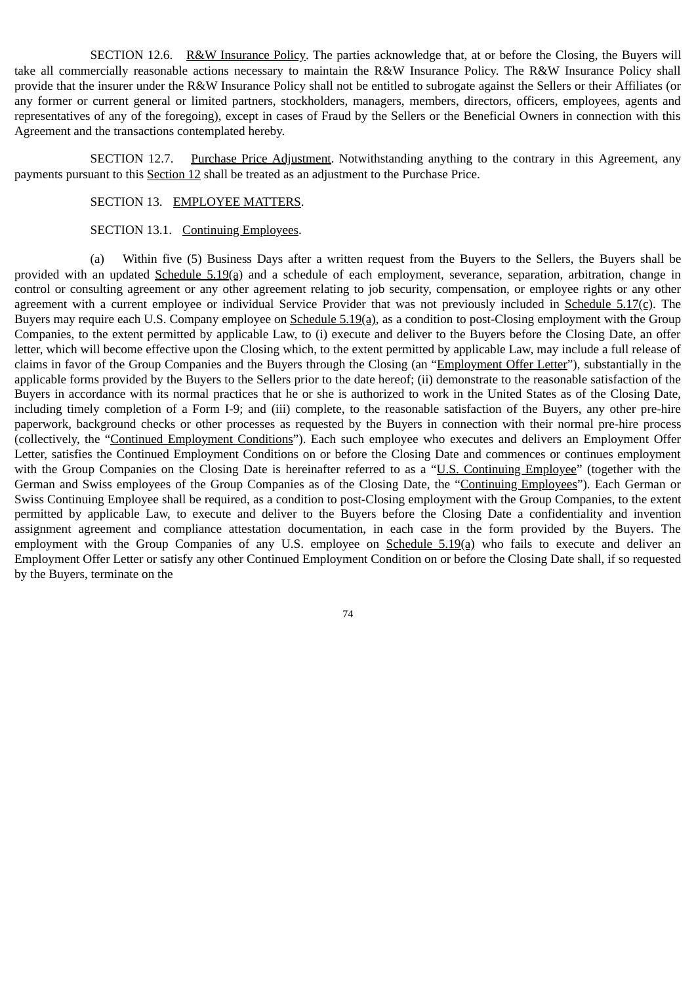SECTION 12.6. R&W Insurance Policy. The parties acknowledge that, at or before the Closing, the Buyers will take all commercially reasonable actions necessary to maintain the R&W Insurance Policy. The R&W Insurance Policy shall provide that the insurer under the R&W Insurance Policy shall not be entitled to subrogate against the Sellers or their Affiliates (or any former or current general or limited partners, stockholders, managers, members, directors, officers, employees, agents and representatives of any of the foregoing), except in cases of Fraud by the Sellers or the Beneficial Owners in connection with this Agreement and the transactions contemplated hereby.

SECTION 12.7. Purchase Price Adjustment. Notwithstanding anything to the contrary in this Agreement, any payments pursuant to this Section 12 shall be treated as an adjustment to the Purchase Price.

## SECTION 13. EMPLOYEE MATTERS.

#### SECTION 13.1. Continuing Employees.

(a) Within five (5) Business Days after a written request from the Buyers to the Sellers, the Buyers shall be provided with an updated Schedule 5.19(a) and a schedule of each employment, severance, separation, arbitration, change in control or consulting agreement or any other agreement relating to job security, compensation, or employee rights or any other agreement with a current employee or individual Service Provider that was not previously included in Schedule 5.17(c). The Buyers may require each U.S. Company employee on Schedule 5.19(a), as a condition to post-Closing employment with the Group Companies, to the extent permitted by applicable Law, to (i) execute and deliver to the Buyers before the Closing Date, an offer letter, which will become effective upon the Closing which, to the extent permitted by applicable Law, may include a full release of claims in favor of the Group Companies and the Buyers through the Closing (an "Employment Offer Letter"), substantially in the applicable forms provided by the Buyers to the Sellers prior to the date hereof; (ii) demonstrate to the reasonable satisfaction of the Buyers in accordance with its normal practices that he or she is authorized to work in the United States as of the Closing Date, including timely completion of a Form I-9; and (iii) complete, to the reasonable satisfaction of the Buyers, any other pre-hire paperwork, background checks or other processes as requested by the Buyers in connection with their normal pre-hire process (collectively, the "Continued Employment Conditions"). Each such employee who executes and delivers an Employment Offer Letter, satisfies the Continued Employment Conditions on or before the Closing Date and commences or continues employment with the Group Companies on the Closing Date is hereinafter referred to as a "U.S. Continuing Employee" (together with the German and Swiss employees of the Group Companies as of the Closing Date, the "Continuing Employees"). Each German or Swiss Continuing Employee shall be required, as a condition to post-Closing employment with the Group Companies, to the extent permitted by applicable Law, to execute and deliver to the Buyers before the Closing Date a confidentiality and invention assignment agreement and compliance attestation documentation, in each case in the form provided by the Buyers. The employment with the Group Companies of any U.S. employee on Schedule 5.19(a) who fails to execute and deliver an Employment Offer Letter or satisfy any other Continued Employment Condition on or before the Closing Date shall, if so requested by the Buyers, terminate on the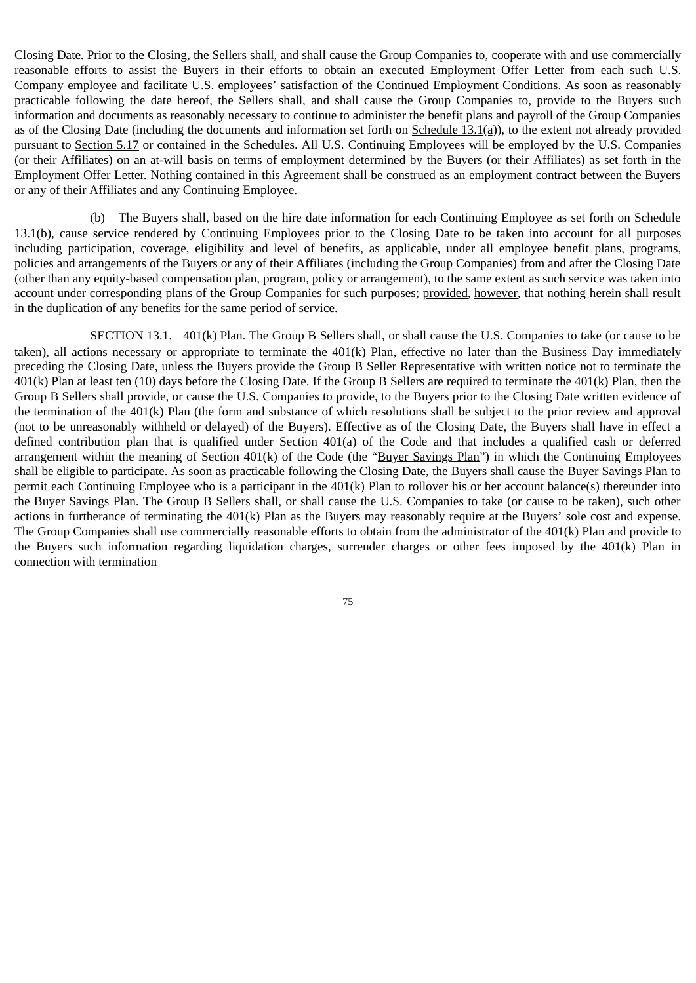Closing Date. Prior to the Closing, the Sellers shall, and shall cause the Group Companies to, cooperate with and use commercially reasonable efforts to assist the Buyers in their efforts to obtain an executed Employment Offer Letter from each such U.S. Company employee and facilitate U.S. employees' satisfaction of the Continued Employment Conditions. As soon as reasonably practicable following the date hereof, the Sellers shall, and shall cause the Group Companies to, provide to the Buyers such information and documents as reasonably necessary to continue to administer the benefit plans and payroll of the Group Companies as of the Closing Date (including the documents and information set forth on  $S$ chedule  $13.1(a)$ ), to the extent not already provided pursuant to Section 5.17 or contained in the Schedules. All U.S. Continuing Employees will be employed by the U.S. Companies (or their Affiliates) on an at-will basis on terms of employment determined by the Buyers (or their Affiliates) as set forth in the Employment Offer Letter. Nothing contained in this Agreement shall be construed as an employment contract between the Buyers or any of their Affiliates and any Continuing Employee.

(b) The Buyers shall, based on the hire date information for each Continuing Employee as set forth on Schedule 13.1(b), cause service rendered by Continuing Employees prior to the Closing Date to be taken into account for all purposes including participation, coverage, eligibility and level of benefits, as applicable, under all employee benefit plans, programs, policies and arrangements of the Buyers or any of their Affiliates (including the Group Companies) from and after the Closing Date (other than any equity-based compensation plan, program, policy or arrangement), to the same extent as such service was taken into account under corresponding plans of the Group Companies for such purposes; provided, however, that nothing herein shall result in the duplication of any benefits for the same period of service.

SECTION 13.1.  $\frac{401(k)}{P \cdot \text{tan}}$ . The Group B Sellers shall, or shall cause the U.S. Companies to take (or cause to be taken), all actions necessary or appropriate to terminate the 401(k) Plan, effective no later than the Business Day immediately preceding the Closing Date, unless the Buyers provide the Group B Seller Representative with written notice not to terminate the 401(k) Plan at least ten (10) days before the Closing Date. If the Group B Sellers are required to terminate the 401(k) Plan, then the Group B Sellers shall provide, or cause the U.S. Companies to provide, to the Buyers prior to the Closing Date written evidence of the termination of the 401(k) Plan (the form and substance of which resolutions shall be subject to the prior review and approval (not to be unreasonably withheld or delayed) of the Buyers). Effective as of the Closing Date, the Buyers shall have in effect a defined contribution plan that is qualified under Section 401(a) of the Code and that includes a qualified cash or deferred arrangement within the meaning of Section 401(k) of the Code (the "Buyer Savings Plan") in which the Continuing Employees shall be eligible to participate. As soon as practicable following the Closing Date, the Buyers shall cause the Buyer Savings Plan to permit each Continuing Employee who is a participant in the 401(k) Plan to rollover his or her account balance(s) thereunder into the Buyer Savings Plan. The Group B Sellers shall, or shall cause the U.S. Companies to take (or cause to be taken), such other actions in furtherance of terminating the 401(k) Plan as the Buyers may reasonably require at the Buyers' sole cost and expense. The Group Companies shall use commercially reasonable efforts to obtain from the administrator of the 401(k) Plan and provide to the Buyers such information regarding liquidation charges, surrender charges or other fees imposed by the 401(k) Plan in connection with termination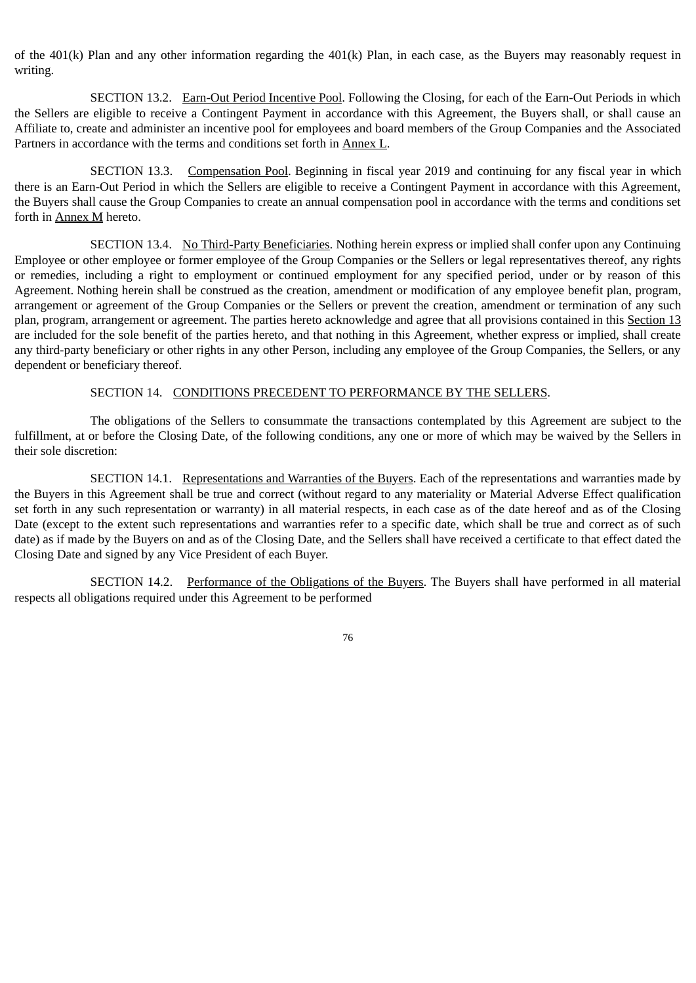of the 401(k) Plan and any other information regarding the 401(k) Plan, in each case, as the Buyers may reasonably request in writing.

SECTION 13.2. Earn-Out Period Incentive Pool. Following the Closing, for each of the Earn-Out Periods in which the Sellers are eligible to receive a Contingent Payment in accordance with this Agreement, the Buyers shall, or shall cause an Affiliate to, create and administer an incentive pool for employees and board members of the Group Companies and the Associated Partners in accordance with the terms and conditions set forth in Annex L.

SECTION 13.3. Compensation Pool. Beginning in fiscal year 2019 and continuing for any fiscal year in which there is an Earn-Out Period in which the Sellers are eligible to receive a Contingent Payment in accordance with this Agreement, the Buyers shall cause the Group Companies to create an annual compensation pool in accordance with the terms and conditions set forth in Annex M hereto.

SECTION 13.4. No Third-Party Beneficiaries. Nothing herein express or implied shall confer upon any Continuing Employee or other employee or former employee of the Group Companies or the Sellers or legal representatives thereof, any rights or remedies, including a right to employment or continued employment for any specified period, under or by reason of this Agreement. Nothing herein shall be construed as the creation, amendment or modification of any employee benefit plan, program, arrangement or agreement of the Group Companies or the Sellers or prevent the creation, amendment or termination of any such plan, program, arrangement or agreement. The parties hereto acknowledge and agree that all provisions contained in this Section 13 are included for the sole benefit of the parties hereto, and that nothing in this Agreement, whether express or implied, shall create any third-party beneficiary or other rights in any other Person, including any employee of the Group Companies, the Sellers, or any dependent or beneficiary thereof.

## SECTION 14. CONDITIONS PRECEDENT TO PERFORMANCE BY THE SELLERS.

The obligations of the Sellers to consummate the transactions contemplated by this Agreement are subject to the fulfillment, at or before the Closing Date, of the following conditions, any one or more of which may be waived by the Sellers in their sole discretion:

SECTION 14.1. Representations and Warranties of the Buyers. Each of the representations and warranties made by the Buyers in this Agreement shall be true and correct (without regard to any materiality or Material Adverse Effect qualification set forth in any such representation or warranty) in all material respects, in each case as of the date hereof and as of the Closing Date (except to the extent such representations and warranties refer to a specific date, which shall be true and correct as of such date) as if made by the Buyers on and as of the Closing Date, and the Sellers shall have received a certificate to that effect dated the Closing Date and signed by any Vice President of each Buyer.

SECTION 14.2. Performance of the Obligations of the Buyers. The Buyers shall have performed in all material respects all obligations required under this Agreement to be performed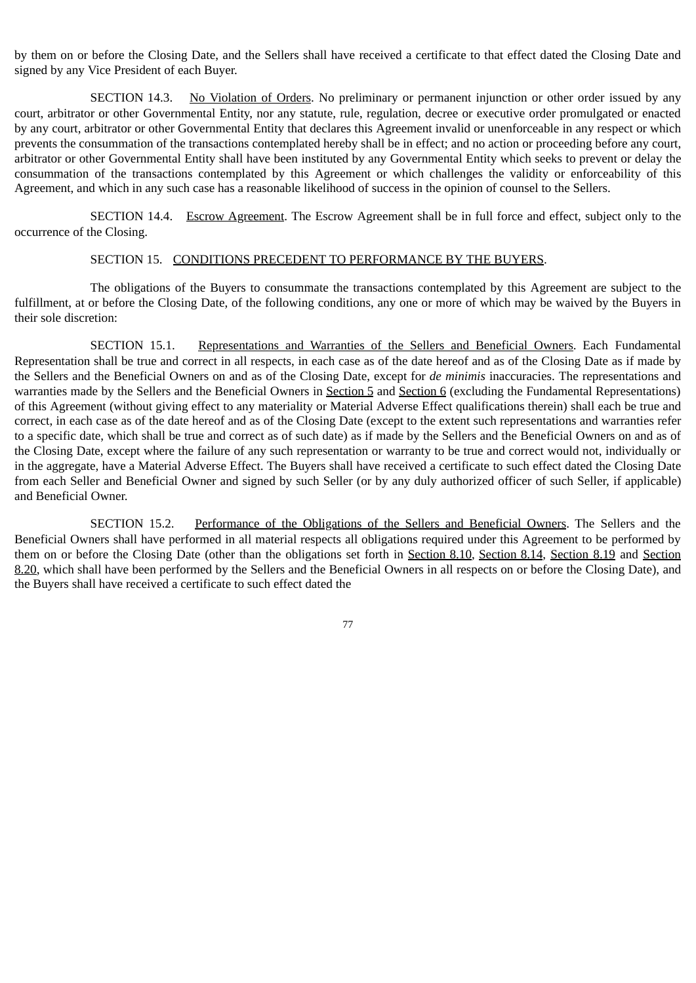by them on or before the Closing Date, and the Sellers shall have received a certificate to that effect dated the Closing Date and signed by any Vice President of each Buyer.

SECTION 14.3. No Violation of Orders. No preliminary or permanent injunction or other order issued by any court, arbitrator or other Governmental Entity, nor any statute, rule, regulation, decree or executive order promulgated or enacted by any court, arbitrator or other Governmental Entity that declares this Agreement invalid or unenforceable in any respect or which prevents the consummation of the transactions contemplated hereby shall be in effect; and no action or proceeding before any court, arbitrator or other Governmental Entity shall have been instituted by any Governmental Entity which seeks to prevent or delay the consummation of the transactions contemplated by this Agreement or which challenges the validity or enforceability of this Agreement, and which in any such case has a reasonable likelihood of success in the opinion of counsel to the Sellers.

SECTION 14.4. Escrow Agreement. The Escrow Agreement shall be in full force and effect, subject only to the occurrence of the Closing.

#### SECTION 15. CONDITIONS PRECEDENT TO PERFORMANCE BY THE BUYERS.

The obligations of the Buyers to consummate the transactions contemplated by this Agreement are subject to the fulfillment, at or before the Closing Date, of the following conditions, any one or more of which may be waived by the Buyers in their sole discretion:

SECTION 15.1. Representations and Warranties of the Sellers and Beneficial Owners. Each Fundamental Representation shall be true and correct in all respects, in each case as of the date hereof and as of the Closing Date as if made by the Sellers and the Beneficial Owners on and as of the Closing Date, except for *de minimis* inaccuracies. The representations and warranties made by the Sellers and the Beneficial Owners in Section 5 and Section 6 (excluding the Fundamental Representations) of this Agreement (without giving effect to any materiality or Material Adverse Effect qualifications therein) shall each be true and correct, in each case as of the date hereof and as of the Closing Date (except to the extent such representations and warranties refer to a specific date, which shall be true and correct as of such date) as if made by the Sellers and the Beneficial Owners on and as of the Closing Date, except where the failure of any such representation or warranty to be true and correct would not, individually or in the aggregate, have a Material Adverse Effect. The Buyers shall have received a certificate to such effect dated the Closing Date from each Seller and Beneficial Owner and signed by such Seller (or by any duly authorized officer of such Seller, if applicable) and Beneficial Owner.

SECTION 15.2. Performance of the Obligations of the Sellers and Beneficial Owners. The Sellers and the Beneficial Owners shall have performed in all material respects all obligations required under this Agreement to be performed by them on or before the Closing Date (other than the obligations set forth in Section 8.10, Section 8.14, Section 8.19 and Section 8.20, which shall have been performed by the Sellers and the Beneficial Owners in all respects on or before the Closing Date), and the Buyers shall have received a certificate to such effect dated the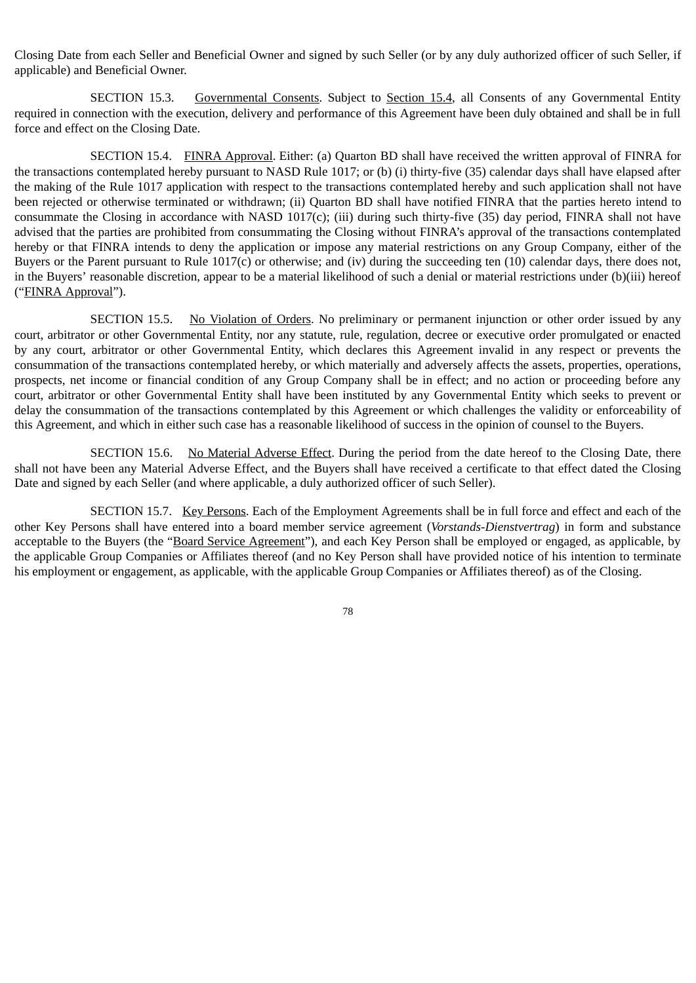Closing Date from each Seller and Beneficial Owner and signed by such Seller (or by any duly authorized officer of such Seller, if applicable) and Beneficial Owner.

SECTION 15.3. Governmental Consents. Subject to Section 15.4, all Consents of any Governmental Entity required in connection with the execution, delivery and performance of this Agreement have been duly obtained and shall be in full force and effect on the Closing Date.

SECTION 15.4. FINRA Approval. Either: (a) Quarton BD shall have received the written approval of FINRA for the transactions contemplated hereby pursuant to NASD Rule 1017; or (b) (i) thirty-five (35) calendar days shall have elapsed after the making of the Rule 1017 application with respect to the transactions contemplated hereby and such application shall not have been rejected or otherwise terminated or withdrawn; (ii) Quarton BD shall have notified FINRA that the parties hereto intend to consummate the Closing in accordance with NASD 1017(c); (iii) during such thirty-five (35) day period, FINRA shall not have advised that the parties are prohibited from consummating the Closing without FINRA's approval of the transactions contemplated hereby or that FINRA intends to deny the application or impose any material restrictions on any Group Company, either of the Buyers or the Parent pursuant to Rule 1017(c) or otherwise; and (iv) during the succeeding ten (10) calendar days, there does not, in the Buyers' reasonable discretion, appear to be a material likelihood of such a denial or material restrictions under (b)(iii) hereof ("FINRA Approval").

SECTION 15.5. No Violation of Orders. No preliminary or permanent injunction or other order issued by any court, arbitrator or other Governmental Entity, nor any statute, rule, regulation, decree or executive order promulgated or enacted by any court, arbitrator or other Governmental Entity, which declares this Agreement invalid in any respect or prevents the consummation of the transactions contemplated hereby, or which materially and adversely affects the assets, properties, operations, prospects, net income or financial condition of any Group Company shall be in effect; and no action or proceeding before any court, arbitrator or other Governmental Entity shall have been instituted by any Governmental Entity which seeks to prevent or delay the consummation of the transactions contemplated by this Agreement or which challenges the validity or enforceability of this Agreement, and which in either such case has a reasonable likelihood of success in the opinion of counsel to the Buyers.

SECTION 15.6. No Material Adverse Effect. During the period from the date hereof to the Closing Date, there shall not have been any Material Adverse Effect, and the Buyers shall have received a certificate to that effect dated the Closing Date and signed by each Seller (and where applicable, a duly authorized officer of such Seller).

SECTION 15.7. Key Persons. Each of the Employment Agreements shall be in full force and effect and each of the other Key Persons shall have entered into a board member service agreement (*Vorstands-Dienstvertrag*) in form and substance acceptable to the Buyers (the "Board Service Agreement"), and each Key Person shall be employed or engaged, as applicable, by the applicable Group Companies or Affiliates thereof (and no Key Person shall have provided notice of his intention to terminate his employment or engagement, as applicable, with the applicable Group Companies or Affiliates thereof) as of the Closing.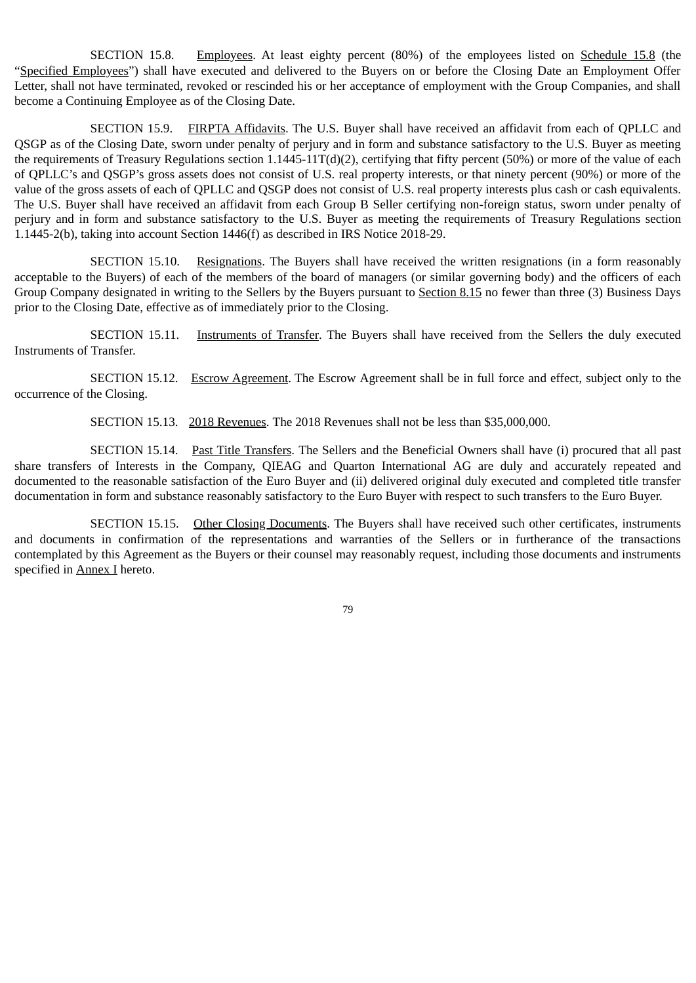SECTION 15.8. Employees. At least eighty percent (80%) of the employees listed on Schedule 15.8 (the "Specified Employees") shall have executed and delivered to the Buyers on or before the Closing Date an Employment Offer Letter, shall not have terminated, revoked or rescinded his or her acceptance of employment with the Group Companies, and shall become a Continuing Employee as of the Closing Date.

SECTION 15.9. FIRPTA Affidavits. The U.S. Buyer shall have received an affidavit from each of QPLLC and QSGP as of the Closing Date, sworn under penalty of perjury and in form and substance satisfactory to the U.S. Buyer as meeting the requirements of Treasury Regulations section 1.1445-11T(d)(2), certifying that fifty percent (50%) or more of the value of each of QPLLC's and QSGP's gross assets does not consist of U.S. real property interests, or that ninety percent (90%) or more of the value of the gross assets of each of QPLLC and QSGP does not consist of U.S. real property interests plus cash or cash equivalents. The U.S. Buyer shall have received an affidavit from each Group B Seller certifying non-foreign status, sworn under penalty of perjury and in form and substance satisfactory to the U.S. Buyer as meeting the requirements of Treasury Regulations section 1.1445-2(b), taking into account Section 1446(f) as described in IRS Notice 2018-29.

SECTION 15.10. Resignations. The Buyers shall have received the written resignations (in a form reasonably acceptable to the Buyers) of each of the members of the board of managers (or similar governing body) and the officers of each Group Company designated in writing to the Sellers by the Buyers pursuant to Section 8.15 no fewer than three (3) Business Days prior to the Closing Date, effective as of immediately prior to the Closing.

SECTION 15.11. Instruments of Transfer. The Buyers shall have received from the Sellers the duly executed Instruments of Transfer.

SECTION 15.12. Escrow Agreement. The Escrow Agreement shall be in full force and effect, subject only to the occurrence of the Closing.

SECTION 15.13. 2018 Revenues. The 2018 Revenues shall not be less than \$35,000,000.

SECTION 15.14. Past Title Transfers. The Sellers and the Beneficial Owners shall have (i) procured that all past share transfers of Interests in the Company, QIEAG and Quarton International AG are duly and accurately repeated and documented to the reasonable satisfaction of the Euro Buyer and (ii) delivered original duly executed and completed title transfer documentation in form and substance reasonably satisfactory to the Euro Buyer with respect to such transfers to the Euro Buyer.

SECTION 15.15. Other Closing Documents. The Buyers shall have received such other certificates, instruments and documents in confirmation of the representations and warranties of the Sellers or in furtherance of the transactions contemplated by this Agreement as the Buyers or their counsel may reasonably request, including those documents and instruments specified in Annex I hereto.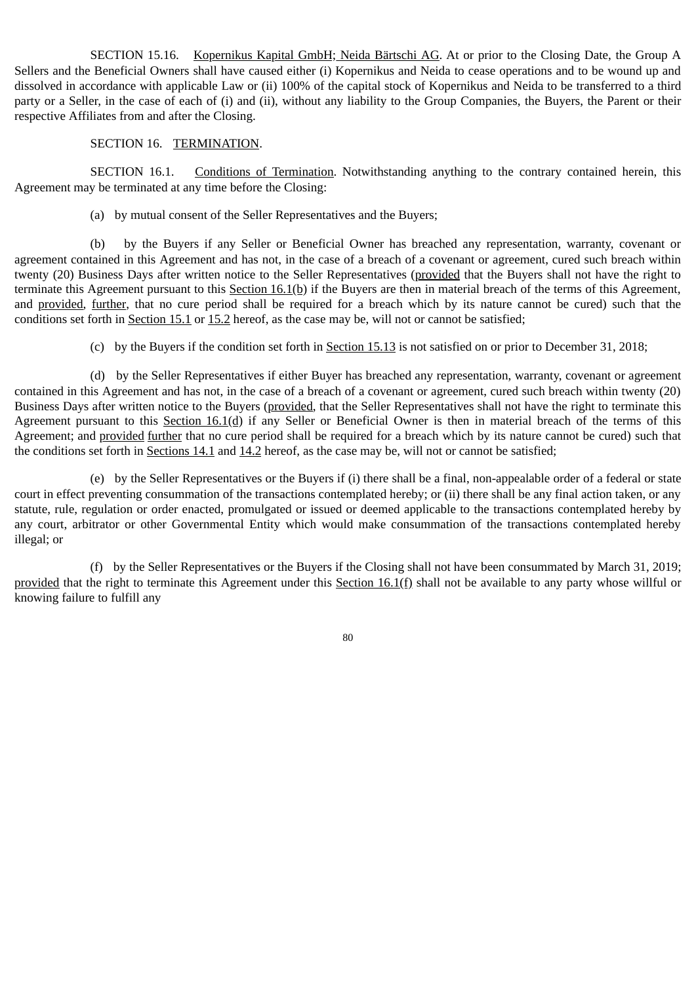SECTION 15.16. Kopernikus Kapital GmbH; Neida Bärtschi AG. At or prior to the Closing Date, the Group A Sellers and the Beneficial Owners shall have caused either (i) Kopernikus and Neida to cease operations and to be wound up and dissolved in accordance with applicable Law or (ii) 100% of the capital stock of Kopernikus and Neida to be transferred to a third party or a Seller, in the case of each of (i) and (ii), without any liability to the Group Companies, the Buyers, the Parent or their respective Affiliates from and after the Closing.

# SECTION 16. TERMINATION.

SECTION 16.1. Conditions of Termination. Notwithstanding anything to the contrary contained herein, this Agreement may be terminated at any time before the Closing:

(a) by mutual consent of the Seller Representatives and the Buyers;

(b) by the Buyers if any Seller or Beneficial Owner has breached any representation, warranty, covenant or agreement contained in this Agreement and has not, in the case of a breach of a covenant or agreement, cured such breach within twenty (20) Business Days after written notice to the Seller Representatives (provided that the Buyers shall not have the right to terminate this Agreement pursuant to this Section 16.1(b) if the Buyers are then in material breach of the terms of this Agreement, and provided, further, that no cure period shall be required for a breach which by its nature cannot be cured) such that the conditions set forth in Section 15.1 or 15.2 hereof, as the case may be, will not or cannot be satisfied;

(c) by the Buyers if the condition set forth in Section 15.13 is not satisfied on or prior to December 31, 2018;

(d) by the Seller Representatives if either Buyer has breached any representation, warranty, covenant or agreement contained in this Agreement and has not, in the case of a breach of a covenant or agreement, cured such breach within twenty (20) Business Days after written notice to the Buyers (provided, that the Seller Representatives shall not have the right to terminate this Agreement pursuant to this Section 16.1(d) if any Seller or Beneficial Owner is then in material breach of the terms of this Agreement; and provided further that no cure period shall be required for a breach which by its nature cannot be cured) such that the conditions set forth in Sections 14.1 and 14.2 hereof, as the case may be, will not or cannot be satisfied;

(e) by the Seller Representatives or the Buyers if (i) there shall be a final, non-appealable order of a federal or state court in effect preventing consummation of the transactions contemplated hereby; or (ii) there shall be any final action taken, or any statute, rule, regulation or order enacted, promulgated or issued or deemed applicable to the transactions contemplated hereby by any court, arbitrator or other Governmental Entity which would make consummation of the transactions contemplated hereby illegal; or

(f) by the Seller Representatives or the Buyers if the Closing shall not have been consummated by March 31, 2019; provided that the right to terminate this Agreement under this Section 16.1(f) shall not be available to any party whose willful or knowing failure to fulfill any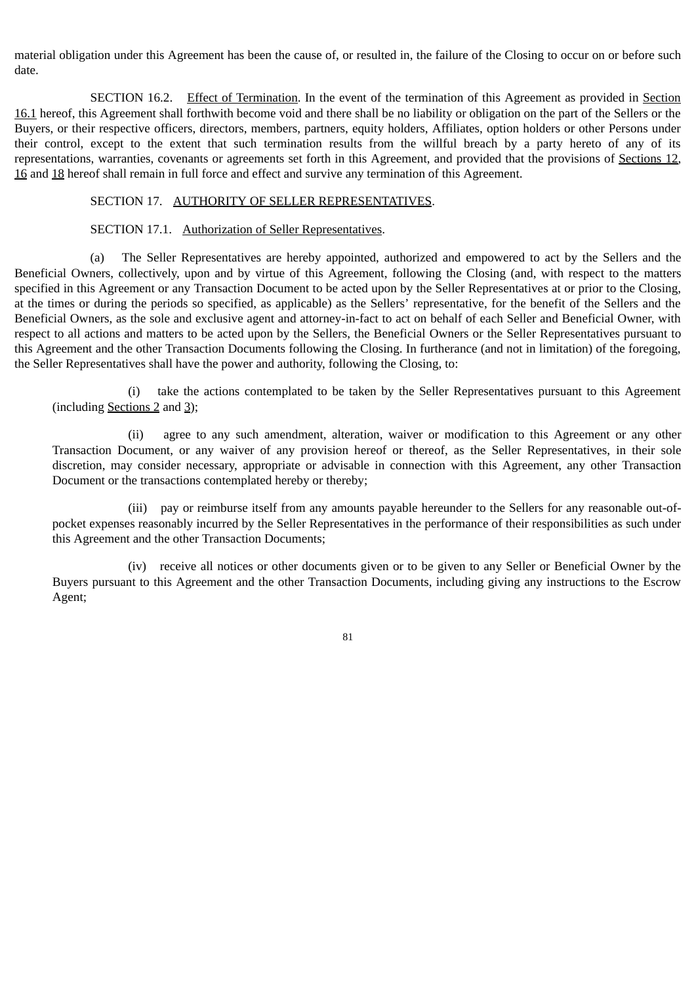material obligation under this Agreement has been the cause of, or resulted in, the failure of the Closing to occur on or before such date.

SECTION 16.2. Effect of Termination. In the event of the termination of this Agreement as provided in Section 16.1 hereof, this Agreement shall forthwith become void and there shall be no liability or obligation on the part of the Sellers or the Buyers, or their respective officers, directors, members, partners, equity holders, Affiliates, option holders or other Persons under their control, except to the extent that such termination results from the willful breach by a party hereto of any of its representations, warranties, covenants or agreements set forth in this Agreement, and provided that the provisions of Sections 12, 16 and 18 hereof shall remain in full force and effect and survive any termination of this Agreement.

### SECTION 17. AUTHORITY OF SELLER REPRESENTATIVES.

## SECTION 17.1. Authorization of Seller Representatives.

(a) The Seller Representatives are hereby appointed, authorized and empowered to act by the Sellers and the Beneficial Owners, collectively, upon and by virtue of this Agreement, following the Closing (and, with respect to the matters specified in this Agreement or any Transaction Document to be acted upon by the Seller Representatives at or prior to the Closing, at the times or during the periods so specified, as applicable) as the Sellers' representative, for the benefit of the Sellers and the Beneficial Owners, as the sole and exclusive agent and attorney-in-fact to act on behalf of each Seller and Beneficial Owner, with respect to all actions and matters to be acted upon by the Sellers, the Beneficial Owners or the Seller Representatives pursuant to this Agreement and the other Transaction Documents following the Closing. In furtherance (and not in limitation) of the foregoing, the Seller Representatives shall have the power and authority, following the Closing, to:

(i) take the actions contemplated to be taken by the Seller Representatives pursuant to this Agreement (including Sections 2 and 3);

(ii) agree to any such amendment, alteration, waiver or modification to this Agreement or any other Transaction Document, or any waiver of any provision hereof or thereof, as the Seller Representatives, in their sole discretion, may consider necessary, appropriate or advisable in connection with this Agreement, any other Transaction Document or the transactions contemplated hereby or thereby;

(iii) pay or reimburse itself from any amounts payable hereunder to the Sellers for any reasonable out-ofpocket expenses reasonably incurred by the Seller Representatives in the performance of their responsibilities as such under this Agreement and the other Transaction Documents;

(iv) receive all notices or other documents given or to be given to any Seller or Beneficial Owner by the Buyers pursuant to this Agreement and the other Transaction Documents, including giving any instructions to the Escrow Agent;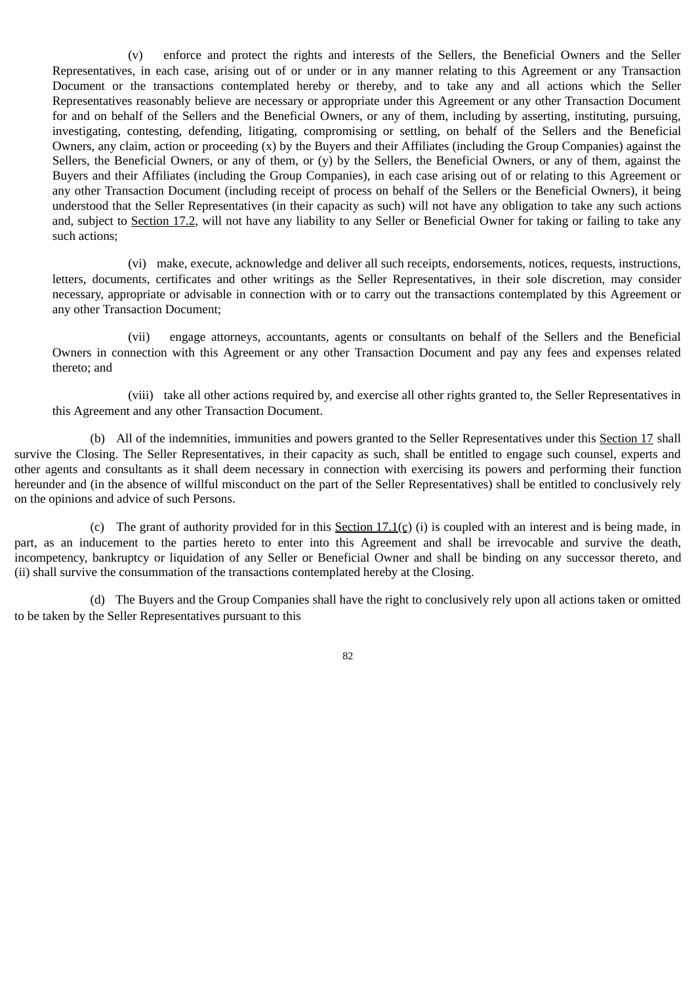(v) enforce and protect the rights and interests of the Sellers, the Beneficial Owners and the Seller Representatives, in each case, arising out of or under or in any manner relating to this Agreement or any Transaction Document or the transactions contemplated hereby or thereby, and to take any and all actions which the Seller Representatives reasonably believe are necessary or appropriate under this Agreement or any other Transaction Document for and on behalf of the Sellers and the Beneficial Owners, or any of them, including by asserting, instituting, pursuing, investigating, contesting, defending, litigating, compromising or settling, on behalf of the Sellers and the Beneficial Owners, any claim, action or proceeding (x) by the Buyers and their Affiliates (including the Group Companies) against the Sellers, the Beneficial Owners, or any of them, or (y) by the Sellers, the Beneficial Owners, or any of them, against the Buyers and their Affiliates (including the Group Companies), in each case arising out of or relating to this Agreement or any other Transaction Document (including receipt of process on behalf of the Sellers or the Beneficial Owners), it being understood that the Seller Representatives (in their capacity as such) will not have any obligation to take any such actions and, subject to Section 17.2, will not have any liability to any Seller or Beneficial Owner for taking or failing to take any such actions;

(vi) make, execute, acknowledge and deliver all such receipts, endorsements, notices, requests, instructions, letters, documents, certificates and other writings as the Seller Representatives, in their sole discretion, may consider necessary, appropriate or advisable in connection with or to carry out the transactions contemplated by this Agreement or any other Transaction Document;

(vii) engage attorneys, accountants, agents or consultants on behalf of the Sellers and the Beneficial Owners in connection with this Agreement or any other Transaction Document and pay any fees and expenses related thereto; and

(viii) take all other actions required by, and exercise all other rights granted to, the Seller Representatives in this Agreement and any other Transaction Document.

(b) All of the indemnities, immunities and powers granted to the Seller Representatives under this Section 17 shall survive the Closing. The Seller Representatives, in their capacity as such, shall be entitled to engage such counsel, experts and other agents and consultants as it shall deem necessary in connection with exercising its powers and performing their function hereunder and (in the absence of willful misconduct on the part of the Seller Representatives) shall be entitled to conclusively rely on the opinions and advice of such Persons.

(c) The grant of authority provided for in this Section 17.1(c) (i) is coupled with an interest and is being made, in part, as an inducement to the parties hereto to enter into this Agreement and shall be irrevocable and survive the death, incompetency, bankruptcy or liquidation of any Seller or Beneficial Owner and shall be binding on any successor thereto, and (ii) shall survive the consummation of the transactions contemplated hereby at the Closing.

(d) The Buyers and the Group Companies shall have the right to conclusively rely upon all actions taken or omitted to be taken by the Seller Representatives pursuant to this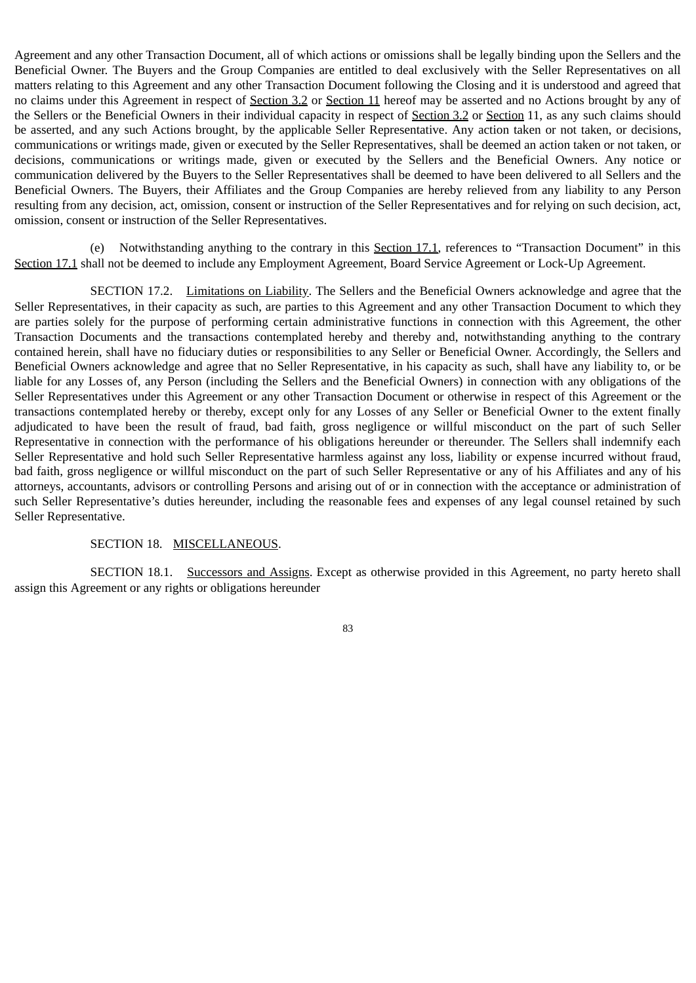Agreement and any other Transaction Document, all of which actions or omissions shall be legally binding upon the Sellers and the Beneficial Owner. The Buyers and the Group Companies are entitled to deal exclusively with the Seller Representatives on all matters relating to this Agreement and any other Transaction Document following the Closing and it is understood and agreed that no claims under this Agreement in respect of Section 3.2 or Section 11 hereof may be asserted and no Actions brought by any of the Sellers or the Beneficial Owners in their individual capacity in respect of Section 3.2 or Section 11, as any such claims should be asserted, and any such Actions brought, by the applicable Seller Representative. Any action taken or not taken, or decisions, communications or writings made, given or executed by the Seller Representatives, shall be deemed an action taken or not taken, or decisions, communications or writings made, given or executed by the Sellers and the Beneficial Owners. Any notice or communication delivered by the Buyers to the Seller Representatives shall be deemed to have been delivered to all Sellers and the Beneficial Owners. The Buyers, their Affiliates and the Group Companies are hereby relieved from any liability to any Person resulting from any decision, act, omission, consent or instruction of the Seller Representatives and for relying on such decision, act, omission, consent or instruction of the Seller Representatives.

(e) Notwithstanding anything to the contrary in this Section 17.1, references to "Transaction Document" in this Section 17.1 shall not be deemed to include any Employment Agreement, Board Service Agreement or Lock-Up Agreement.

SECTION 17.2. Limitations on Liability. The Sellers and the Beneficial Owners acknowledge and agree that the Seller Representatives, in their capacity as such, are parties to this Agreement and any other Transaction Document to which they are parties solely for the purpose of performing certain administrative functions in connection with this Agreement, the other Transaction Documents and the transactions contemplated hereby and thereby and, notwithstanding anything to the contrary contained herein, shall have no fiduciary duties or responsibilities to any Seller or Beneficial Owner. Accordingly, the Sellers and Beneficial Owners acknowledge and agree that no Seller Representative, in his capacity as such, shall have any liability to, or be liable for any Losses of, any Person (including the Sellers and the Beneficial Owners) in connection with any obligations of the Seller Representatives under this Agreement or any other Transaction Document or otherwise in respect of this Agreement or the transactions contemplated hereby or thereby, except only for any Losses of any Seller or Beneficial Owner to the extent finally adjudicated to have been the result of fraud, bad faith, gross negligence or willful misconduct on the part of such Seller Representative in connection with the performance of his obligations hereunder or thereunder. The Sellers shall indemnify each Seller Representative and hold such Seller Representative harmless against any loss, liability or expense incurred without fraud, bad faith, gross negligence or willful misconduct on the part of such Seller Representative or any of his Affiliates and any of his attorneys, accountants, advisors or controlling Persons and arising out of or in connection with the acceptance or administration of such Seller Representative's duties hereunder, including the reasonable fees and expenses of any legal counsel retained by such Seller Representative.

#### SECTION 18. MISCELLANEOUS.

SECTION 18.1. Successors and Assigns. Except as otherwise provided in this Agreement, no party hereto shall assign this Agreement or any rights or obligations hereunder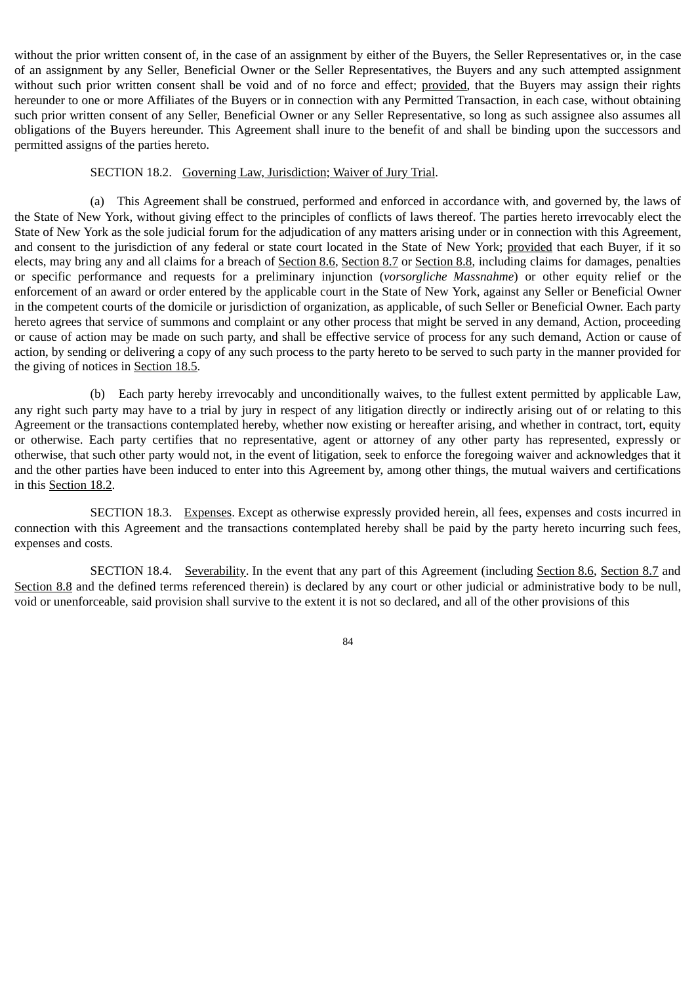without the prior written consent of, in the case of an assignment by either of the Buyers, the Seller Representatives or, in the case of an assignment by any Seller, Beneficial Owner or the Seller Representatives, the Buyers and any such attempted assignment without such prior written consent shall be void and of no force and effect; provided, that the Buyers may assign their rights hereunder to one or more Affiliates of the Buyers or in connection with any Permitted Transaction, in each case, without obtaining such prior written consent of any Seller, Beneficial Owner or any Seller Representative, so long as such assignee also assumes all obligations of the Buyers hereunder. This Agreement shall inure to the benefit of and shall be binding upon the successors and permitted assigns of the parties hereto.

#### SECTION 18.2. Governing Law, Jurisdiction; Waiver of Jury Trial.

(a) This Agreement shall be construed, performed and enforced in accordance with, and governed by, the laws of the State of New York, without giving effect to the principles of conflicts of laws thereof. The parties hereto irrevocably elect the State of New York as the sole judicial forum for the adjudication of any matters arising under or in connection with this Agreement, and consent to the jurisdiction of any federal or state court located in the State of New York; provided that each Buyer, if it so elects, may bring any and all claims for a breach of Section 8.6, Section 8.7 or Section 8.8, including claims for damages, penalties or specific performance and requests for a preliminary injunction (*vorsorgliche Massnahme*) or other equity relief or the enforcement of an award or order entered by the applicable court in the State of New York, against any Seller or Beneficial Owner in the competent courts of the domicile or jurisdiction of organization, as applicable, of such Seller or Beneficial Owner. Each party hereto agrees that service of summons and complaint or any other process that might be served in any demand, Action, proceeding or cause of action may be made on such party, and shall be effective service of process for any such demand, Action or cause of action, by sending or delivering a copy of any such process to the party hereto to be served to such party in the manner provided for the giving of notices in Section 18.5.

(b) Each party hereby irrevocably and unconditionally waives, to the fullest extent permitted by applicable Law, any right such party may have to a trial by jury in respect of any litigation directly or indirectly arising out of or relating to this Agreement or the transactions contemplated hereby, whether now existing or hereafter arising, and whether in contract, tort, equity or otherwise. Each party certifies that no representative, agent or attorney of any other party has represented, expressly or otherwise, that such other party would not, in the event of litigation, seek to enforce the foregoing waiver and acknowledges that it and the other parties have been induced to enter into this Agreement by, among other things, the mutual waivers and certifications in this Section 18.2.

SECTION 18.3. Expenses. Except as otherwise expressly provided herein, all fees, expenses and costs incurred in connection with this Agreement and the transactions contemplated hereby shall be paid by the party hereto incurring such fees, expenses and costs.

SECTION 18.4. Severability. In the event that any part of this Agreement (including Section 8.6, Section 8.7 and Section 8.8 and the defined terms referenced therein) is declared by any court or other judicial or administrative body to be null, void or unenforceable, said provision shall survive to the extent it is not so declared, and all of the other provisions of this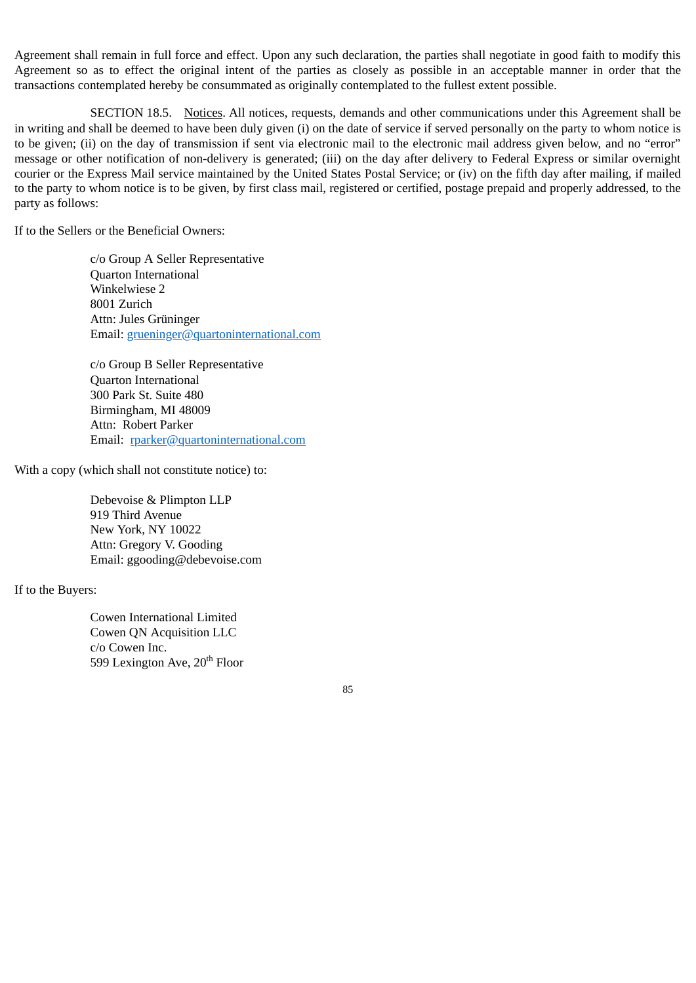Agreement shall remain in full force and effect. Upon any such declaration, the parties shall negotiate in good faith to modify this Agreement so as to effect the original intent of the parties as closely as possible in an acceptable manner in order that the transactions contemplated hereby be consummated as originally contemplated to the fullest extent possible.

SECTION 18.5. Notices. All notices, requests, demands and other communications under this Agreement shall be in writing and shall be deemed to have been duly given (i) on the date of service if served personally on the party to whom notice is to be given; (ii) on the day of transmission if sent via electronic mail to the electronic mail address given below, and no "error" message or other notification of non-delivery is generated; (iii) on the day after delivery to Federal Express or similar overnight courier or the Express Mail service maintained by the United States Postal Service; or (iv) on the fifth day after mailing, if mailed to the party to whom notice is to be given, by first class mail, registered or certified, postage prepaid and properly addressed, to the party as follows:

If to the Sellers or the Beneficial Owners:

c/o Group A Seller Representative Quarton International Winkelwiese 2 8001 Zurich Attn: Jules Grüninger Email: grueninger@quartoninternational.com

c/o Group B Seller Representative Quarton International 300 Park St. Suite 480 Birmingham, MI 48009 Attn: Robert Parker Email: rparker@quartoninternational.com

With a copy (which shall not constitute notice) to:

Debevoise & Plimpton LLP 919 Third Avenue New York, NY 10022 Attn: Gregory V. Gooding Email: ggooding@debevoise.com

If to the Buyers:

Cowen International Limited Cowen QN Acquisition LLC c/o Cowen Inc. 599 Lexington Ave, 20<sup>th</sup> Floor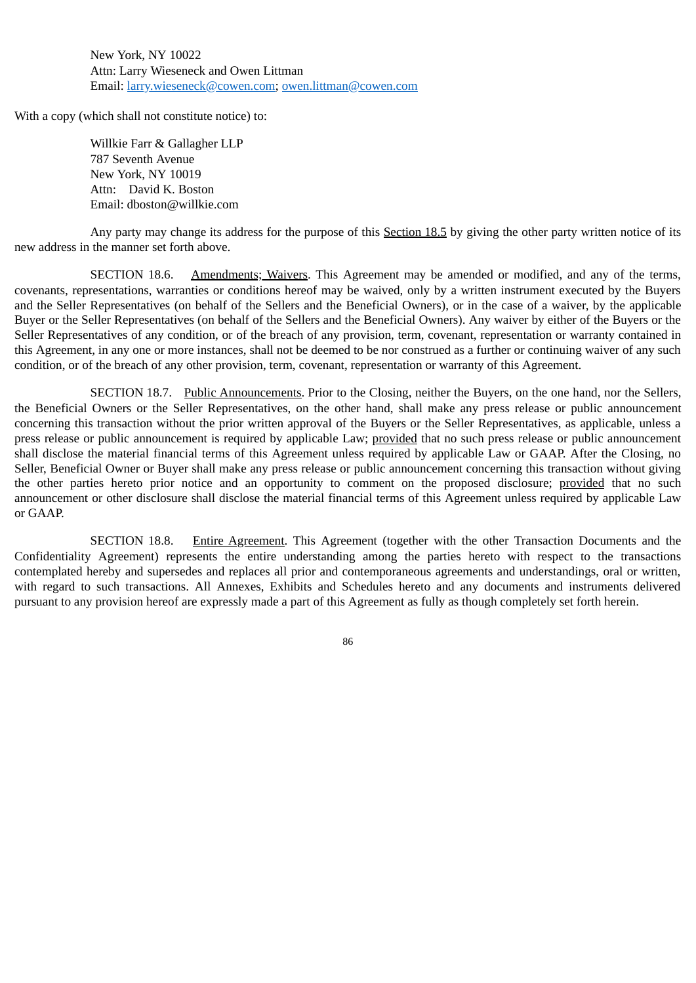New York, NY 10022 Attn: Larry Wieseneck and Owen Littman Email: larry.wieseneck@cowen.com; owen.littman@cowen.com

With a copy (which shall not constitute notice) to:

Willkie Farr & Gallagher LLP 787 Seventh Avenue New York, NY 10019 Attn: David K. Boston Email: dboston@willkie.com

Any party may change its address for the purpose of this Section 18.5 by giving the other party written notice of its new address in the manner set forth above.

SECTION 18.6. Amendments; Waivers. This Agreement may be amended or modified, and any of the terms, covenants, representations, warranties or conditions hereof may be waived, only by a written instrument executed by the Buyers and the Seller Representatives (on behalf of the Sellers and the Beneficial Owners), or in the case of a waiver, by the applicable Buyer or the Seller Representatives (on behalf of the Sellers and the Beneficial Owners). Any waiver by either of the Buyers or the Seller Representatives of any condition, or of the breach of any provision, term, covenant, representation or warranty contained in this Agreement, in any one or more instances, shall not be deemed to be nor construed as a further or continuing waiver of any such condition, or of the breach of any other provision, term, covenant, representation or warranty of this Agreement.

SECTION 18.7. Public Announcements. Prior to the Closing, neither the Buyers, on the one hand, nor the Sellers, the Beneficial Owners or the Seller Representatives, on the other hand, shall make any press release or public announcement concerning this transaction without the prior written approval of the Buyers or the Seller Representatives, as applicable, unless a press release or public announcement is required by applicable Law; provided that no such press release or public announcement shall disclose the material financial terms of this Agreement unless required by applicable Law or GAAP. After the Closing, no Seller, Beneficial Owner or Buyer shall make any press release or public announcement concerning this transaction without giving the other parties hereto prior notice and an opportunity to comment on the proposed disclosure; provided that no such announcement or other disclosure shall disclose the material financial terms of this Agreement unless required by applicable Law or GAAP.

SECTION 18.8. Entire Agreement. This Agreement (together with the other Transaction Documents and the Confidentiality Agreement) represents the entire understanding among the parties hereto with respect to the transactions contemplated hereby and supersedes and replaces all prior and contemporaneous agreements and understandings, oral or written, with regard to such transactions. All Annexes, Exhibits and Schedules hereto and any documents and instruments delivered pursuant to any provision hereof are expressly made a part of this Agreement as fully as though completely set forth herein.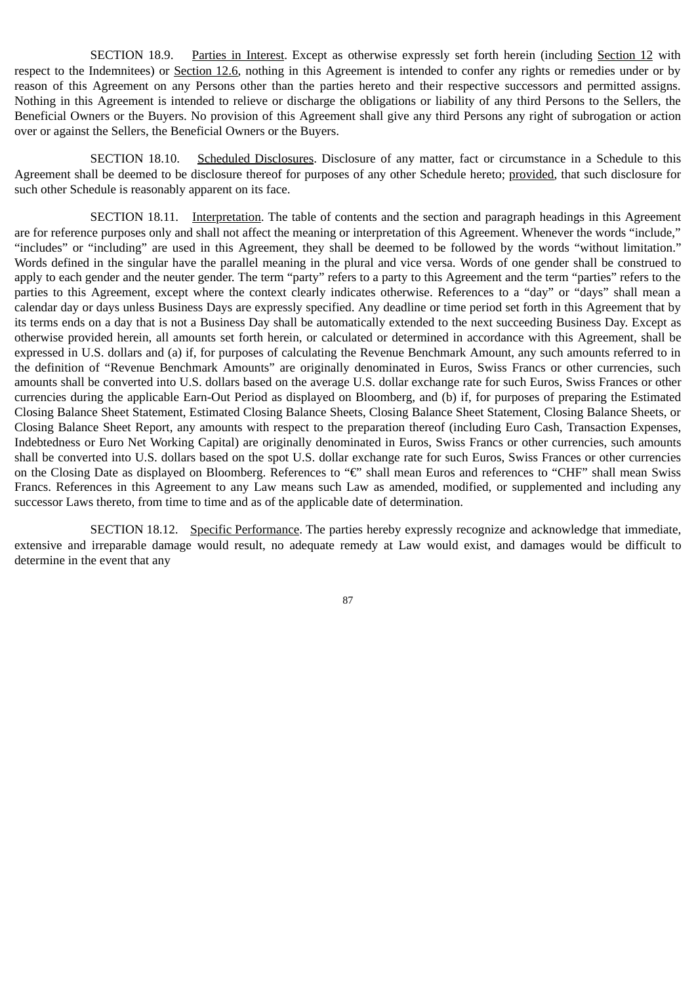SECTION 18.9. Parties in Interest. Except as otherwise expressly set forth herein (including Section 12 with respect to the Indemnitees) or Section 12.6, nothing in this Agreement is intended to confer any rights or remedies under or by reason of this Agreement on any Persons other than the parties hereto and their respective successors and permitted assigns. Nothing in this Agreement is intended to relieve or discharge the obligations or liability of any third Persons to the Sellers, the Beneficial Owners or the Buyers. No provision of this Agreement shall give any third Persons any right of subrogation or action over or against the Sellers, the Beneficial Owners or the Buyers.

SECTION 18.10. Scheduled Disclosures. Disclosure of any matter, fact or circumstance in a Schedule to this Agreement shall be deemed to be disclosure thereof for purposes of any other Schedule hereto; provided, that such disclosure for such other Schedule is reasonably apparent on its face.

SECTION 18.11. Interpretation. The table of contents and the section and paragraph headings in this Agreement are for reference purposes only and shall not affect the meaning or interpretation of this Agreement. Whenever the words "include," "includes" or "including" are used in this Agreement, they shall be deemed to be followed by the words "without limitation." Words defined in the singular have the parallel meaning in the plural and vice versa. Words of one gender shall be construed to apply to each gender and the neuter gender. The term "party" refers to a party to this Agreement and the term "parties" refers to the parties to this Agreement, except where the context clearly indicates otherwise. References to a "day" or "days" shall mean a calendar day or days unless Business Days are expressly specified. Any deadline or time period set forth in this Agreement that by its terms ends on a day that is not a Business Day shall be automatically extended to the next succeeding Business Day. Except as otherwise provided herein, all amounts set forth herein, or calculated or determined in accordance with this Agreement, shall be expressed in U.S. dollars and (a) if, for purposes of calculating the Revenue Benchmark Amount, any such amounts referred to in the definition of "Revenue Benchmark Amounts" are originally denominated in Euros, Swiss Francs or other currencies, such amounts shall be converted into U.S. dollars based on the average U.S. dollar exchange rate for such Euros, Swiss Frances or other currencies during the applicable Earn-Out Period as displayed on Bloomberg, and (b) if, for purposes of preparing the Estimated Closing Balance Sheet Statement, Estimated Closing Balance Sheets, Closing Balance Sheet Statement, Closing Balance Sheets, or Closing Balance Sheet Report, any amounts with respect to the preparation thereof (including Euro Cash, Transaction Expenses, Indebtedness or Euro Net Working Capital) are originally denominated in Euros, Swiss Francs or other currencies, such amounts shall be converted into U.S. dollars based on the spot U.S. dollar exchange rate for such Euros, Swiss Frances or other currencies on the Closing Date as displayed on Bloomberg. References to "€" shall mean Euros and references to "CHF" shall mean Swiss Francs. References in this Agreement to any Law means such Law as amended, modified, or supplemented and including any successor Laws thereto, from time to time and as of the applicable date of determination.

SECTION 18.12. Specific Performance. The parties hereby expressly recognize and acknowledge that immediate, extensive and irreparable damage would result, no adequate remedy at Law would exist, and damages would be difficult to determine in the event that any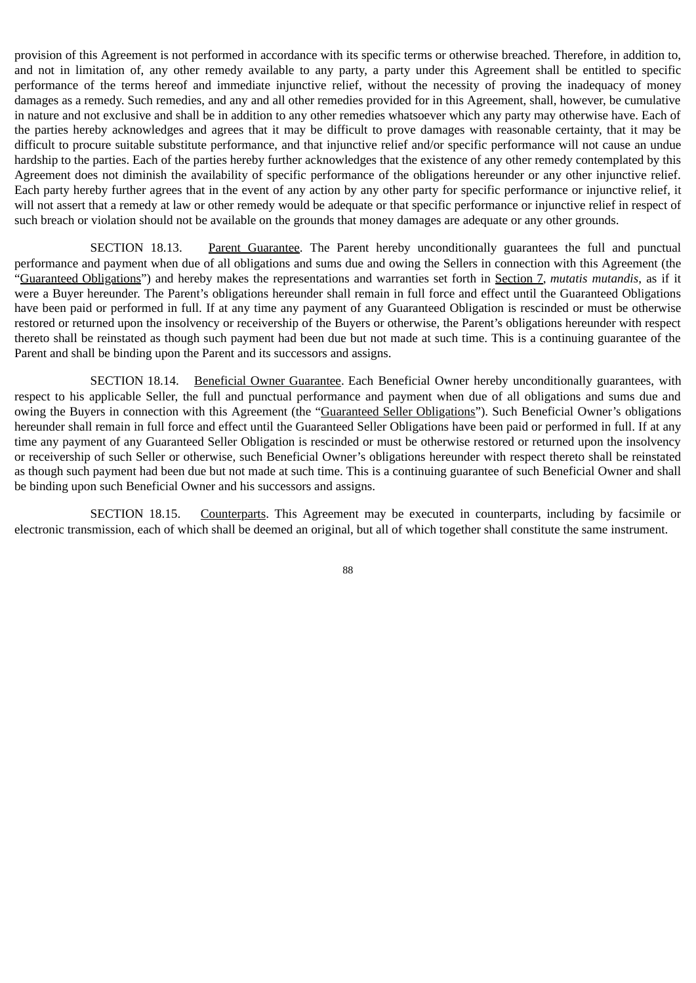provision of this Agreement is not performed in accordance with its specific terms or otherwise breached. Therefore, in addition to, and not in limitation of, any other remedy available to any party, a party under this Agreement shall be entitled to specific performance of the terms hereof and immediate injunctive relief, without the necessity of proving the inadequacy of money damages as a remedy. Such remedies, and any and all other remedies provided for in this Agreement, shall, however, be cumulative in nature and not exclusive and shall be in addition to any other remedies whatsoever which any party may otherwise have. Each of the parties hereby acknowledges and agrees that it may be difficult to prove damages with reasonable certainty, that it may be difficult to procure suitable substitute performance, and that injunctive relief and/or specific performance will not cause an undue hardship to the parties. Each of the parties hereby further acknowledges that the existence of any other remedy contemplated by this Agreement does not diminish the availability of specific performance of the obligations hereunder or any other injunctive relief. Each party hereby further agrees that in the event of any action by any other party for specific performance or injunctive relief, it will not assert that a remedy at law or other remedy would be adequate or that specific performance or injunctive relief in respect of such breach or violation should not be available on the grounds that money damages are adequate or any other grounds.

SECTION 18.13. Parent Guarantee. The Parent hereby unconditionally guarantees the full and punctual performance and payment when due of all obligations and sums due and owing the Sellers in connection with this Agreement (the "Guaranteed Obligations") and hereby makes the representations and warranties set forth in Section 7, *mutatis mutandis*, as if it were a Buyer hereunder. The Parent's obligations hereunder shall remain in full force and effect until the Guaranteed Obligations have been paid or performed in full. If at any time any payment of any Guaranteed Obligation is rescinded or must be otherwise restored or returned upon the insolvency or receivership of the Buyers or otherwise, the Parent's obligations hereunder with respect thereto shall be reinstated as though such payment had been due but not made at such time. This is a continuing guarantee of the Parent and shall be binding upon the Parent and its successors and assigns.

SECTION 18.14. Beneficial Owner Guarantee. Each Beneficial Owner hereby unconditionally guarantees, with respect to his applicable Seller, the full and punctual performance and payment when due of all obligations and sums due and owing the Buyers in connection with this Agreement (the "Guaranteed Seller Obligations"). Such Beneficial Owner's obligations hereunder shall remain in full force and effect until the Guaranteed Seller Obligations have been paid or performed in full. If at any time any payment of any Guaranteed Seller Obligation is rescinded or must be otherwise restored or returned upon the insolvency or receivership of such Seller or otherwise, such Beneficial Owner's obligations hereunder with respect thereto shall be reinstated as though such payment had been due but not made at such time. This is a continuing guarantee of such Beneficial Owner and shall be binding upon such Beneficial Owner and his successors and assigns.

SECTION 18.15. Counterparts. This Agreement may be executed in counterparts, including by facsimile or electronic transmission, each of which shall be deemed an original, but all of which together shall constitute the same instrument.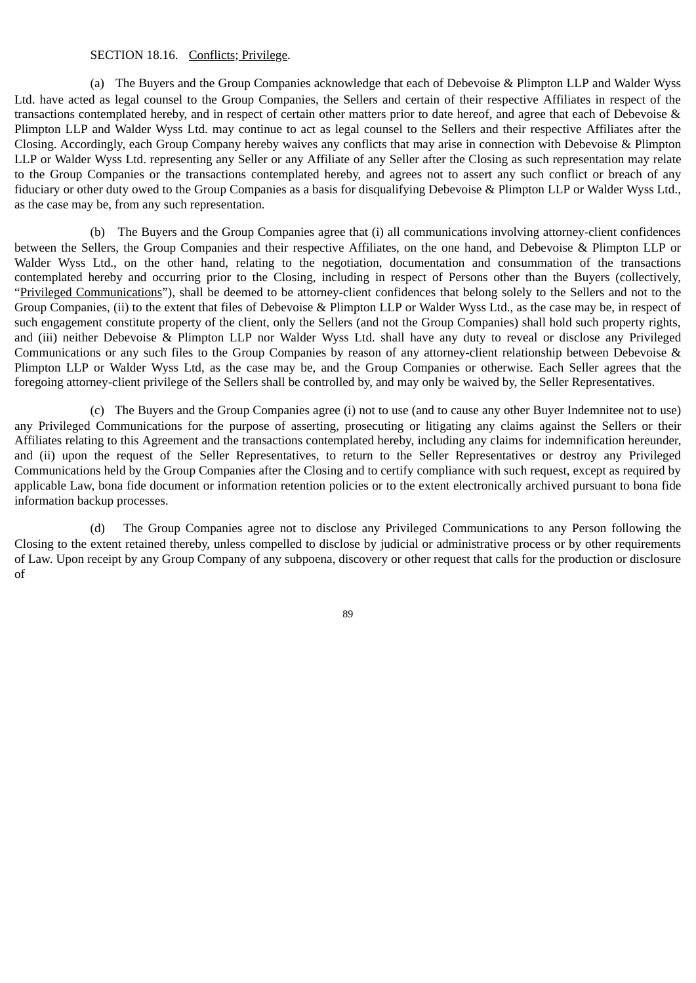#### SECTION 18.16. Conflicts; Privilege.

(a) The Buyers and the Group Companies acknowledge that each of Debevoise & Plimpton LLP and Walder Wyss Ltd. have acted as legal counsel to the Group Companies, the Sellers and certain of their respective Affiliates in respect of the transactions contemplated hereby, and in respect of certain other matters prior to date hereof, and agree that each of Debevoise & Plimpton LLP and Walder Wyss Ltd. may continue to act as legal counsel to the Sellers and their respective Affiliates after the Closing. Accordingly, each Group Company hereby waives any conflicts that may arise in connection with Debevoise & Plimpton LLP or Walder Wyss Ltd. representing any Seller or any Affiliate of any Seller after the Closing as such representation may relate to the Group Companies or the transactions contemplated hereby, and agrees not to assert any such conflict or breach of any fiduciary or other duty owed to the Group Companies as a basis for disqualifying Debevoise & Plimpton LLP or Walder Wyss Ltd., as the case may be, from any such representation.

(b) The Buyers and the Group Companies agree that (i) all communications involving attorney-client confidences between the Sellers, the Group Companies and their respective Affiliates, on the one hand, and Debevoise & Plimpton LLP or Walder Wyss Ltd., on the other hand, relating to the negotiation, documentation and consummation of the transactions contemplated hereby and occurring prior to the Closing, including in respect of Persons other than the Buyers (collectively, "Privileged Communications"), shall be deemed to be attorney-client confidences that belong solely to the Sellers and not to the Group Companies, (ii) to the extent that files of Debevoise & Plimpton LLP or Walder Wyss Ltd., as the case may be, in respect of such engagement constitute property of the client, only the Sellers (and not the Group Companies) shall hold such property rights, and (iii) neither Debevoise & Plimpton LLP nor Walder Wyss Ltd. shall have any duty to reveal or disclose any Privileged Communications or any such files to the Group Companies by reason of any attorney-client relationship between Debevoise & Plimpton LLP or Walder Wyss Ltd, as the case may be, and the Group Companies or otherwise. Each Seller agrees that the foregoing attorney-client privilege of the Sellers shall be controlled by, and may only be waived by, the Seller Representatives.

(c) The Buyers and the Group Companies agree (i) not to use (and to cause any other Buyer Indemnitee not to use) any Privileged Communications for the purpose of asserting, prosecuting or litigating any claims against the Sellers or their Affiliates relating to this Agreement and the transactions contemplated hereby, including any claims for indemnification hereunder, and (ii) upon the request of the Seller Representatives, to return to the Seller Representatives or destroy any Privileged Communications held by the Group Companies after the Closing and to certify compliance with such request, except as required by applicable Law, bona fide document or information retention policies or to the extent electronically archived pursuant to bona fide information backup processes.

(d) The Group Companies agree not to disclose any Privileged Communications to any Person following the Closing to the extent retained thereby, unless compelled to disclose by judicial or administrative process or by other requirements of Law. Upon receipt by any Group Company of any subpoena, discovery or other request that calls for the production or disclosure of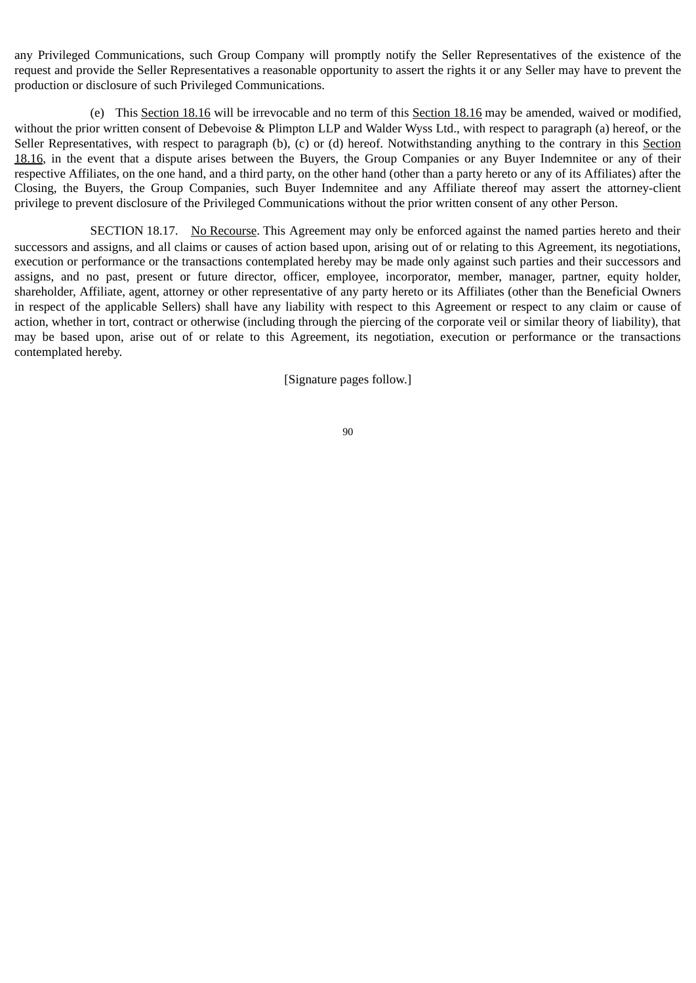any Privileged Communications, such Group Company will promptly notify the Seller Representatives of the existence of the request and provide the Seller Representatives a reasonable opportunity to assert the rights it or any Seller may have to prevent the production or disclosure of such Privileged Communications.

(e) This Section 18.16 will be irrevocable and no term of this Section 18.16 may be amended, waived or modified, without the prior written consent of Debevoise & Plimpton LLP and Walder Wyss Ltd., with respect to paragraph (a) hereof, or the Seller Representatives, with respect to paragraph (b), (c) or (d) hereof. Notwithstanding anything to the contrary in this Section 18.16, in the event that a dispute arises between the Buyers, the Group Companies or any Buyer Indemnitee or any of their respective Affiliates, on the one hand, and a third party, on the other hand (other than a party hereto or any of its Affiliates) after the Closing, the Buyers, the Group Companies, such Buyer Indemnitee and any Affiliate thereof may assert the attorney-client privilege to prevent disclosure of the Privileged Communications without the prior written consent of any other Person.

SECTION 18.17. No Recourse. This Agreement may only be enforced against the named parties hereto and their successors and assigns, and all claims or causes of action based upon, arising out of or relating to this Agreement, its negotiations, execution or performance or the transactions contemplated hereby may be made only against such parties and their successors and assigns, and no past, present or future director, officer, employee, incorporator, member, manager, partner, equity holder, shareholder, Affiliate, agent, attorney or other representative of any party hereto or its Affiliates (other than the Beneficial Owners in respect of the applicable Sellers) shall have any liability with respect to this Agreement or respect to any claim or cause of action, whether in tort, contract or otherwise (including through the piercing of the corporate veil or similar theory of liability), that may be based upon, arise out of or relate to this Agreement, its negotiation, execution or performance or the transactions contemplated hereby.

[Signature pages follow.]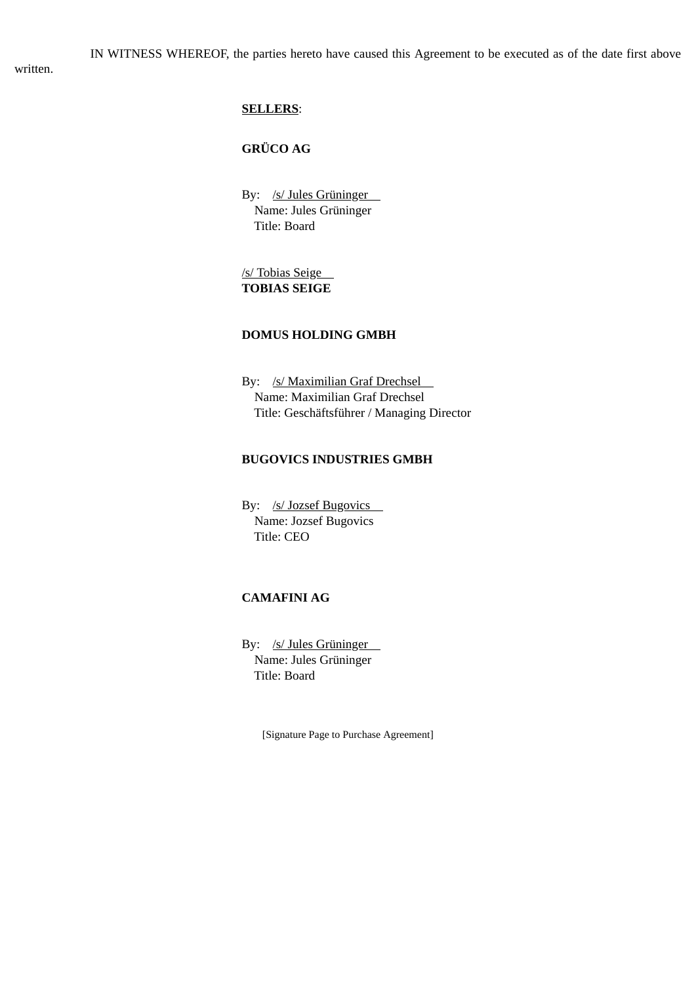written.

# **SELLERS**:

# **GRÜCO AG**

By: /s/ Jules Grüninger Name: Jules Grüninger Title: Board

/s/ Tobias Seige **TOBIAS SEIGE**

### **DOMUS HOLDING GMBH**

By: /s/ Maximilian Graf Drechsel Name: Maximilian Graf Drechsel Title: Geschäftsführer / Managing Director

# **BUGOVICS INDUSTRIES GMBH**

By: /s/ Jozsef Bugovics Name: Jozsef Bugovics Title: CEO

# **CAMAFINI AG**

By: /s/ Jules Grüninger Name: Jules Grüninger Title: Board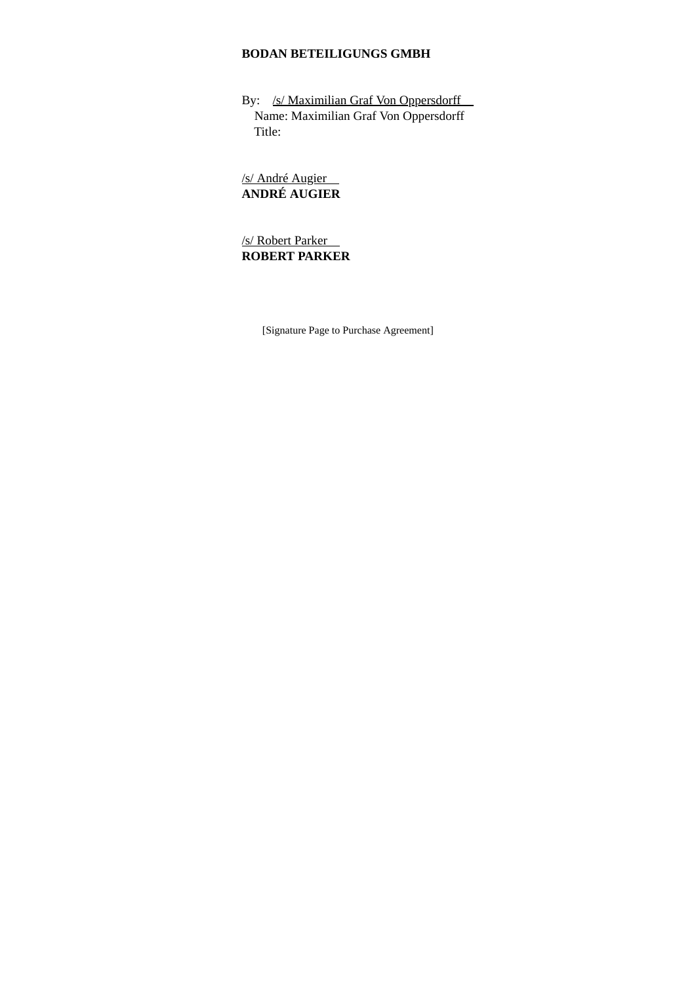# **BODAN BETEILIGUNGS GMBH**

By: /s/ Maximilian Graf Von Oppersdorff Name: Maximilian Graf Von Oppersdorff Title:

/s/ André Augier **ANDRÉ AUGIER**

/s/ Robert Parker **ROBERT PARKER**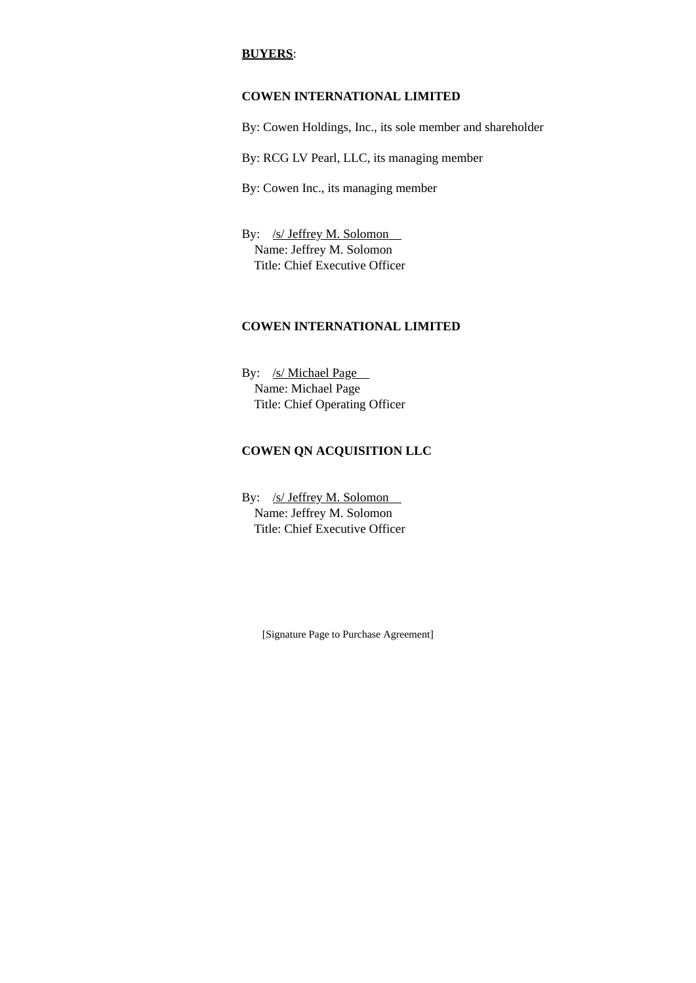## **BUYERS**:

# **COWEN INTERNATIONAL LIMITED**

By: Cowen Holdings, Inc., its sole member and shareholder

By: RCG LV Pearl, LLC, its managing member

By: Cowen Inc., its managing member

By: /s/ Jeffrey M. Solomon Name: Jeffrey M. Solomon Title: Chief Executive Officer

# **COWEN INTERNATIONAL LIMITED**

By: /s/ Michael Page Name: Michael Page Title: Chief Operating Officer

# **COWEN QN ACQUISITION LLC**

By: /s/ Jeffrey M. Solomon Name: Jeffrey M. Solomon Title: Chief Executive Officer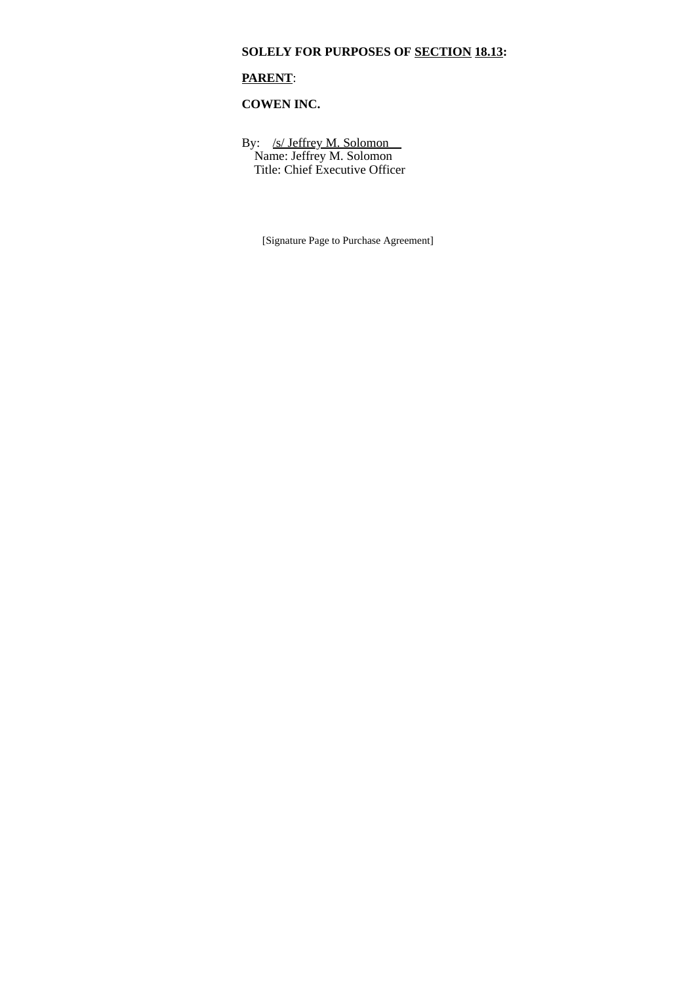# **SOLELY FOR PURPOSES OF SECTION 18.13:**

# **PARENT**:

# **COWEN INC.**

By: /s/ Jeffrey M. Solomon Name: Jeffrey M. Solomon Title: Chief Executive Officer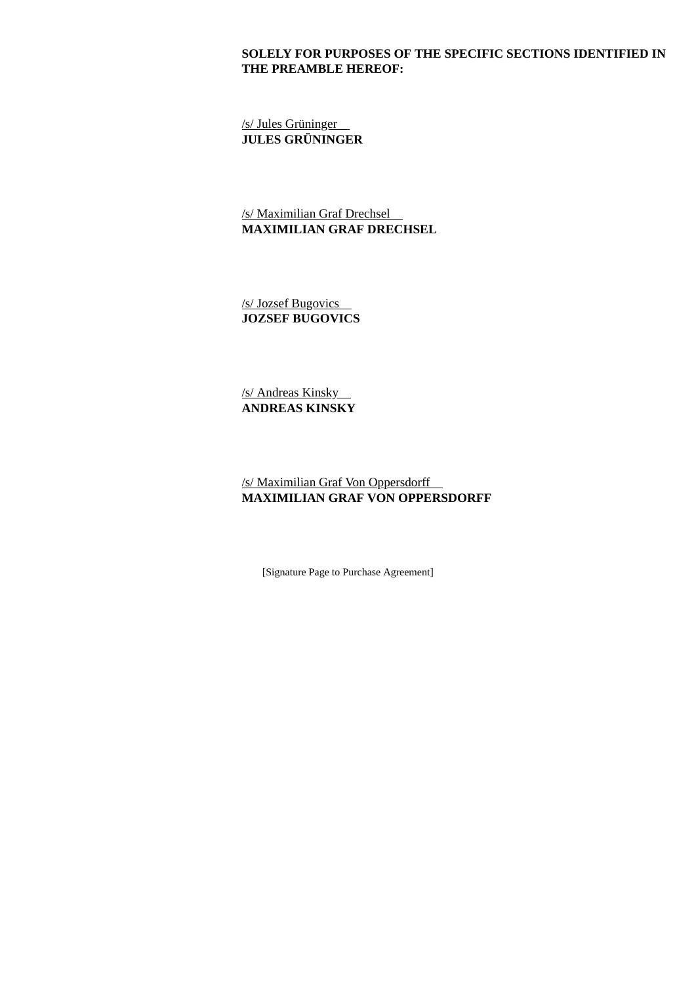## **SOLELY FOR PURPOSES OF THE SPECIFIC SECTIONS IDENTIFIED IN THE PREAMBLE HEREOF:**

/s/ Jules Grüninger **JULES GRÜNINGER**

/s/ Maximilian Graf Drechsel **MAXIMILIAN GRAF DRECHSEL**

/s/ Jozsef Bugovics **JOZSEF BUGOVICS**

/s/ Andreas Kinsky **ANDREAS KINSKY**

/s/ Maximilian Graf Von Oppersdorff **MAXIMILIAN GRAF VON OPPERSDORFF**

[Signature Page to Purchase Agreement]